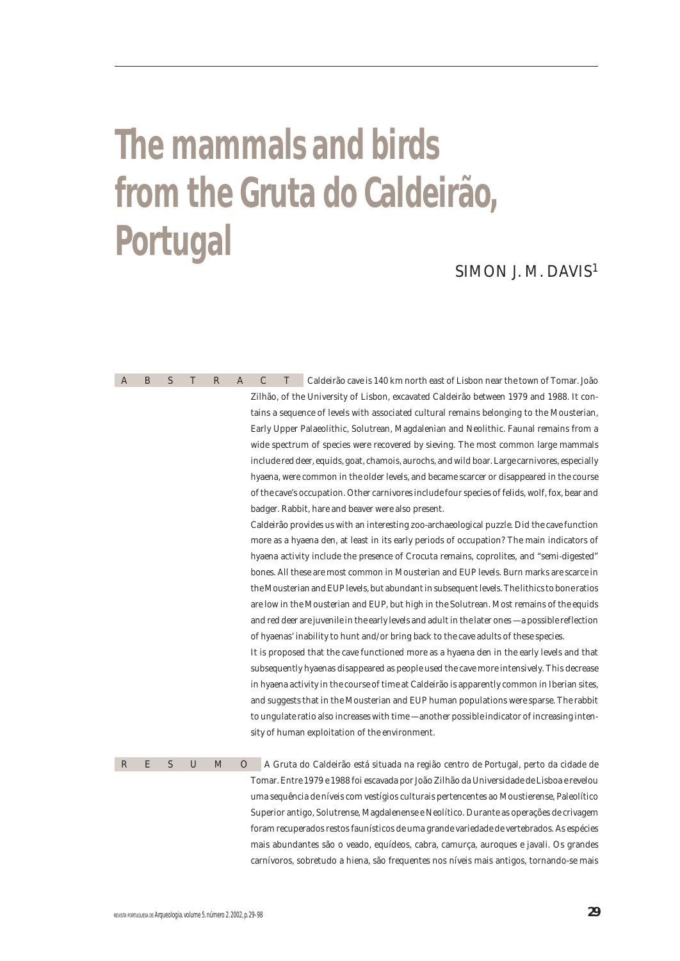# **The mammals and birds from the Gruta do Caldeirão, Portugal**

# SIMON J. M. DAVIS1

| A | B. | S. | $\top$ | R | $\mathsf{A}$ | $\mathcal{C}$ | Caldeirão cave is 140 km north east of Lisbon near the town of Tomar. João                     |
|---|----|----|--------|---|--------------|---------------|------------------------------------------------------------------------------------------------|
|   |    |    |        |   |              |               | Zilhão, of the University of Lisbon, excavated Caldeirão between 1979 and 1988. It con-        |
|   |    |    |        |   |              |               | tains a sequence of levels with associated cultural remains belonging to the Mousterian,       |
|   |    |    |        |   |              |               | Early Upper Palaeolithic, Solutrean, Magdalenian and Neolithic. Faunal remains from a          |
|   |    |    |        |   |              |               | wide spectrum of species were recovered by sieving. The most common large mammals              |
|   |    |    |        |   |              |               | include red deer, equids, goat, chamois, aurochs, and wild boar. Large carnivores, especially  |
|   |    |    |        |   |              |               | hyaena, were common in the older levels, and became scarcer or disappeared in the course       |
|   |    |    |        |   |              |               | of the cave's occupation. Other carnivores include four species of felids, wolf, fox, bear and |
|   |    |    |        |   |              |               | badger. Rabbit, hare and beaver were also present.                                             |
|   |    |    |        |   |              |               | Caldeirão provides us with an interesting zoo-archaeological puzzle. Did the cave function     |

more as a hyaena den, at least in its early periods of occupation? The main indicators of hyaena activity include the presence of Crocuta remains, coprolites, and "semi-digested" bones. All these are most common in Mousterian and EUP levels. Burn marks are scarce in the Mousterian and EUP levels, but abundant in subsequent levels. The lithics to bone ratios are low in the Mousterian and EUP, but high in the Solutrean. Most remains of the equids and red deer are juvenile in the early levels and adult in the later ones — a possible reflection of hyaenas' inability to hunt and/or bring back to the cave adults of these species.

It is proposed that the cave functioned more as a hyaena den in the early levels and that subsequently hyaenas disappeared as people used the cave more intensively. This decrease in hyaena activity in the course of time at Caldeirão is apparently common in Iberian sites, and suggests that in the Mousterian and EUP human populations were sparse. The rabbit to ungulate ratio also increases with time — another possible indicator of increasing intensity of human exploitation of the environment.

RESUMO A Gruta do Caldeirão está situada na região centro de Portugal, perto da cidade de Tomar. Entre 1979 e 1988 foi escavada por João Zilhão da Universidade de Lisboa e revelou uma sequência de níveis com vestígios culturais pertencentes ao Moustierense, Paleolítico Superior antigo, Solutrense, Magdalenense e Neolítico. Durante as operações de crivagem foram recuperados restos faunísticos de uma grande variedade de vertebrados. As espécies mais abundantes são o veado, equídeos, cabra, camurça, auroques e javali. Os grandes carnívoros, sobretudo a hiena, são frequentes nos níveis mais antigos, tornando-se mais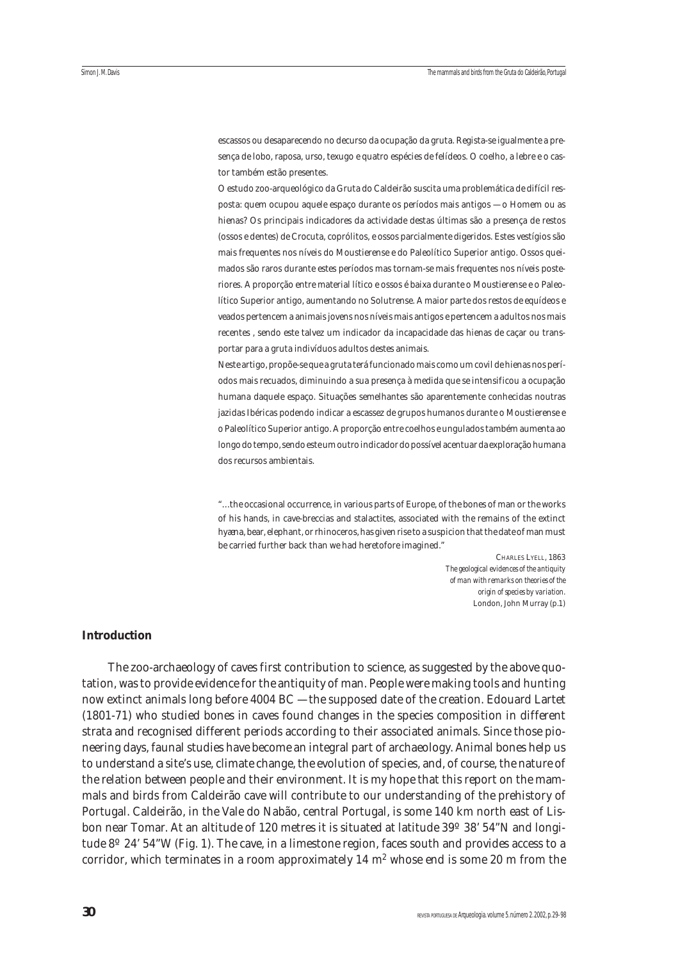escassos ou desaparecendo no decurso da ocupação da gruta. Regista-se igualmente a presença de lobo, raposa, urso, texugo e quatro espécies de felídeos. O coelho, a lebre e o castor também estão presentes.

O estudo zoo-arqueológico da Gruta do Caldeirão suscita uma problemática de difícil resposta: quem ocupou aquele espaço durante os períodos mais antigos — o Homem ou as hienas? Os principais indicadores da actividade destas últimas são a presença de restos (ossos e dentes) de Crocuta, coprólitos, e ossos parcialmente digeridos. Estes vestígios são mais frequentes nos níveis do Moustierense e do Paleolítico Superior antigo. Ossos queimados são raros durante estes períodos mas tornam-se mais frequentes nos níveis posteriores. A proporção entre material lítico e ossos é baixa durante o Moustierense e o Paleolítico Superior antigo, aumentando no Solutrense. A maior parte dos restos de equídeos e veados pertencem a animais jovens nos níveis mais antigos e pertencem a adultos nos mais recentes , sendo este talvez um indicador da incapacidade das hienas de caçar ou transportar para a gruta indivíduos adultos destes animais.

Neste artigo, propõe-se que a gruta terá funcionado mais como um covil de hienas nos períodos mais recuados, diminuindo a sua presença à medida que se intensificou a ocupação humana daquele espaço. Situações semelhantes são aparentemente conhecidas noutras jazidas Ibéricas podendo indicar a escassez de grupos humanos durante o Moustierense e o Paleolítico Superior antigo. A proporção entre coelhos e ungulados também aumenta ao longo do tempo, sendo este um outro indicador do possível acentuar da exploração humana dos recursos ambientais.

"… the occasional occurrence, in various parts of Europe, of the bones of man or the works of his hands, in cave-breccias and stalactites, associated with the remains of the extinct hyæna, bear, elephant, or rhinoceros, has given rise to a suspicion that the date of man must be carried further back than we had heretofore imagined."

> CHARLES LYELL, 1863 *The geological evidences of the antiquity of man with remarks on theories of the origin of species by variation*. London, John Murray (p.1)

## **Introduction**

The zoo-archaeology of caves first contribution to science, as suggested by the above quotation, was to provide evidence for the antiquity of man. People were making tools and hunting now extinct animals long before 4004 BC — the supposed date of the creation. Edouard Lartet (1801-71) who studied bones in caves found changes in the species composition in different strata and recognised different periods according to their associated animals. Since those pioneering days, faunal studies have become an integral part of archaeology. Animal bones help us to understand a site's use, climate change, the evolution of species, and, of course, the nature of the relation between people and their environment. It is my hope that this report on the mammals and birds from Caldeirão cave will contribute to our understanding of the prehistory of Portugal. Caldeirão, in the Vale do Nabão, central Portugal, is some 140 km north east of Lisbon near Tomar. At an altitude of 120 metres it is situated at latitude 39º 38' 54"N and longitude 8º 24' 54"W (Fig. 1). The cave, in a limestone region, faces south and provides access to a corridor, which terminates in a room approximately  $14 \text{ m}^2$  whose end is some 20 m from the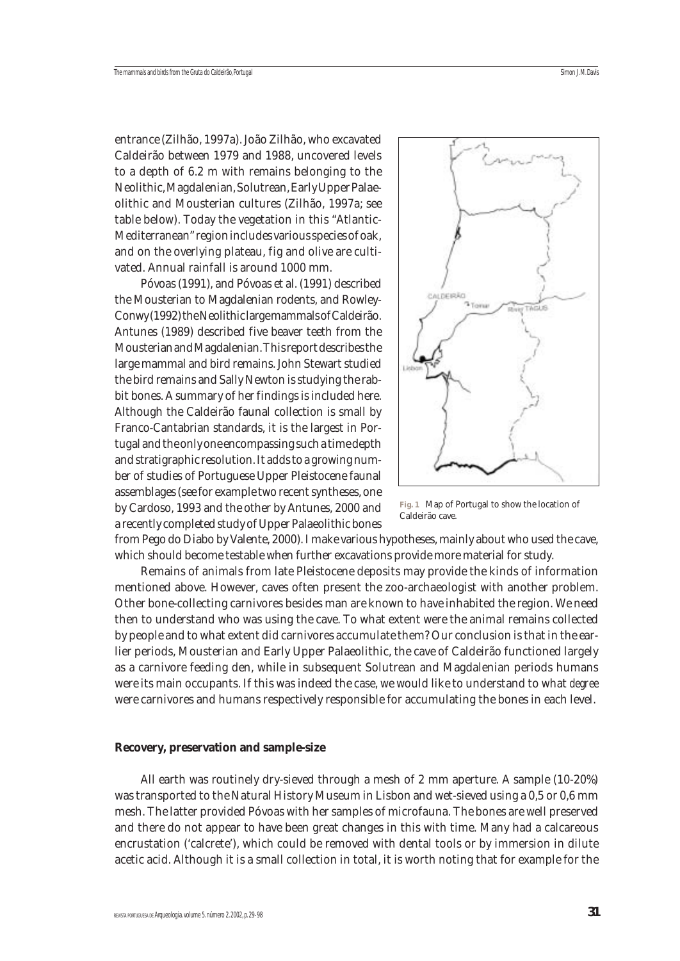entrance (Zilhão, 1997a). João Zilhão, who excavated Caldeirão between 1979 and 1988, uncovered levels to a depth of 6.2 m with remains belonging to the Neolithic, Magdalenian, Solutrean, Early Upper Palaeolithic and Mousterian cultures (Zilhão, 1997a; see table below). Today the vegetation in this "Atlantic-Mediterranean" region includes various species of oak, and on the overlying plateau, fig and olive are cultivated. Annual rainfall is around 1000 mm.

Póvoas (1991), and Póvoas et al. (1991) described the Mousterian to Magdalenian rodents, and Rowley-Conwy (1992) the Neolithic large mammals of Caldeirão. Antunes (1989) described five beaver teeth from the Mousterian and Magdalenian. This report describes the large mammal and bird remains. John Stewart studied the bird remains and Sally Newton is studying the rabbit bones. A summary of her findings is included here. Although the Caldeirão faunal collection is small by Franco-Cantabrian standards, it is the largest in Portugal and the only one encompassing such a time depth and stratigraphic resolution. It adds to a growing number of studies of Portuguese Upper Pleistocene faunal assemblages (see for example two recent syntheses, one by Cardoso, 1993 and the other by Antunes, 2000 and a recently completed study of Upper Palaeolithic bones



**Fig. 1** Map of Portugal to show the location of Caldeirão cave.

from Pego do Diabo by Valente, 2000). I make various hypotheses, mainly about who used the cave, which should become testable when further excavations provide more material for study.

Remains of animals from late Pleistocene deposits may provide the kinds of information mentioned above. However, caves often present the zoo-archaeologist with another problem. Other bone-collecting carnivores besides man are known to have inhabited the region. We need then to understand who was using the cave. To what extent were the animal remains collected by people and to what extent did carnivores accumulate them? Our conclusion is that in the earlier periods, Mousterian and Early Upper Palaeolithic, the cave of Caldeirão functioned largely as a carnivore feeding den, while in subsequent Solutrean and Magdalenian periods humans were its main occupants. If this was indeed the case, we would like to understand to what *degree* were carnivores and humans respectively responsible for accumulating the bones in each level.

#### **Recovery, preservation and sample-size**

All earth was routinely dry-sieved through a mesh of 2 mm aperture. A sample (10-20%) was transported to the Natural History Museum in Lisbon and wet-sieved using a 0,5 or 0,6 mm mesh. The latter provided Póvoas with her samples of microfauna. The bones are well preserved and there do not appear to have been great changes in this with time. Many had a calcareous encrustation ('calcrete'), which could be removed with dental tools or by immersion in dilute acetic acid. Although it is a small collection in total, it is worth noting that for example for the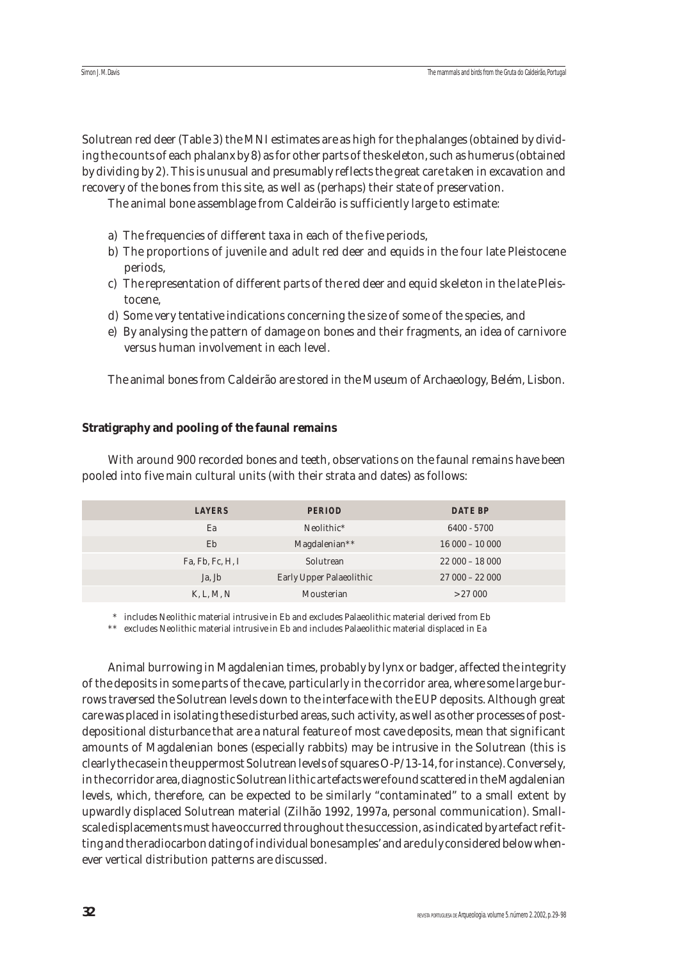Solutrean red deer (Table 3) the MNI estimates are as high for the phalanges (obtained by dividing the counts of each phalanx by 8) as for other parts of the skeleton, such as humerus (obtained by dividing by 2). This is unusual and presumably reflects the great care taken in excavation and recovery of the bones from this site, as well as (perhaps) their state of preservation.

The animal bone assemblage from Caldeirão is sufficiently large to estimate:

- a) The frequencies of different taxa in each of the five periods,
- b) The proportions of juvenile and adult red deer and equids in the four late Pleistocene periods,
- c) The representation of different parts of the red deer and equid skeleton in the late Pleistocene,
- d) Some very tentative indications concerning the size of some of the species, and
- e) By analysing the pattern of damage on bones and their fragments, an idea of carnivore versus human involvement in each level.

The animal bones from Caldeirão are stored in the Museum of Archaeology, Belém, Lisbon.

## **Stratigraphy and pooling of the faunal remains**

With around 900 recorded bones and teeth, observations on the faunal remains have been pooled into five main cultural units (with their strata and dates) as follows:

| <b>LAYERS</b>    | <b>PERIOD</b>            | <b>DATE BP</b>  |
|------------------|--------------------------|-----------------|
| Ea               | Neolithic*               | 6400 - 5700     |
| Eb               | Magdalenian**            | $16000 - 10000$ |
| Fa, Fb, Fc, H, I | Solutrean                | $22000 - 18000$ |
| Ja, Jb           | Early Upper Palaeolithic | $27000 - 22000$ |
| K, L, M, N       | Mousterian               | > 27000         |

\* includes Neolithic material intrusive in Eb and excludes Palaeolithic material derived from Eb

\*\* excludes Neolithic material intrusive in Eb and includes Palaeolithic material displaced in Ea

Animal burrowing in Magdalenian times, probably by lynx or badger, affected the integrity of the deposits in some parts of the cave, particularly in the corridor area, where some large burrows traversed the Solutrean levels down to the interface with the EUP deposits. Although great care was placed in isolating these disturbed areas, such activity, as well as other processes of postdepositional disturbance that are a natural feature of most cave deposits, mean that significant amounts of Magdalenian bones (especially rabbits) may be intrusive in the Solutrean (this is clearly the case in the uppermost Solutrean levels of squares O-P/13-14, for instance). Conversely, in the corridor area, diagnostic Solutrean lithic artefacts were found scattered in the Magdalenian levels, which, therefore, can be expected to be similarly "contaminated" to a small extent by upwardly displaced Solutrean material (Zilhão 1992, 1997a, personal communication). Smallscale displacements must have occurred throughout the succession, as indicated by artefact refitting and the radiocarbon dating of individual bone samples' and are duly considered below whenever vertical distribution patterns are discussed.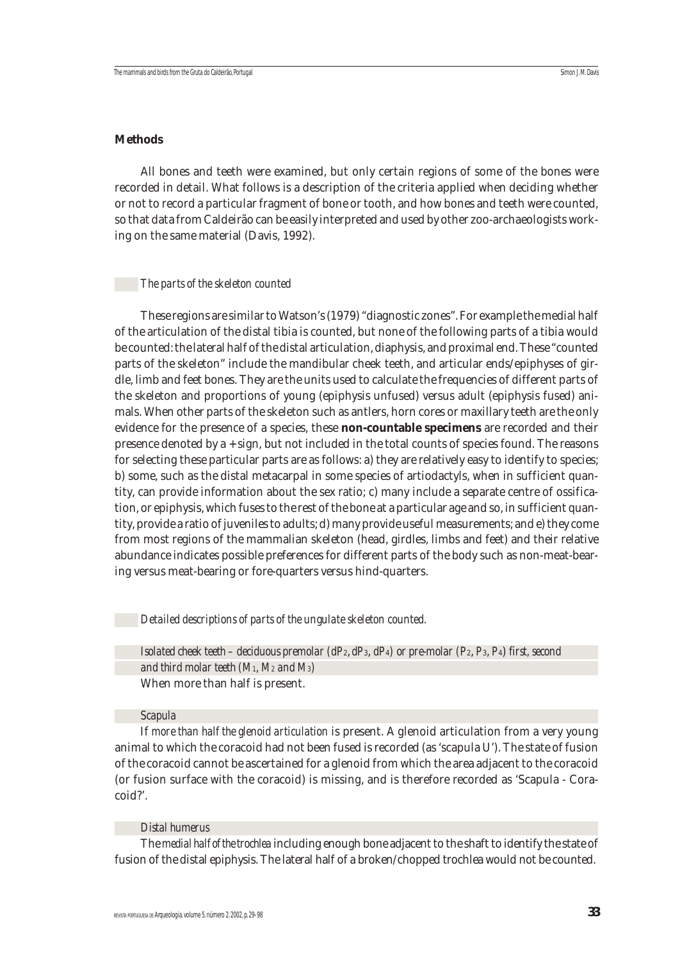## **Methods**

All bones and teeth were examined, but only certain regions of some of the bones were recorded in detail. What follows is a description of the criteria applied when deciding whether or not to record a particular fragment of bone or tooth, and how bones and teeth were counted, so that data from Caldeirão can be easily interpreted and used by other zoo-archaeologists working on the same material (Davis, 1992).

#### *The parts of the skeleton counted*

These regions are similar to Watson's (1979) "diagnostic zones". For example the medial half of the articulation of the distal tibia is counted, but none of the following parts of a tibia would be counted: the lateral half of the distal articulation, diaphysis, and proximal end. These "counted parts of the skeleton" include the mandibular cheek teeth, and articular ends/epiphyses of girdle, limb and feet bones. They are the units used to calculate the frequencies of different parts of the skeleton and proportions of young (epiphysis unfused) versus adult (epiphysis fused) animals. When other parts of the skeleton such as antlers, horn cores or maxillary teeth are the only evidence for the presence of a species, these **non-countable specimens** are recorded and their presence denoted by a + sign, but not included in the total counts of species found. The reasons for selecting these particular parts are as follows: a) they are relatively easy to identify to species; b) some, such as the distal metacarpal in some species of artiodactyls, when in sufficient quantity, can provide information about the sex ratio; c) many include a separate centre of ossification, or epiphysis, which fuses to the rest of the bone at a particular age and so, in sufficient quantity, provide a ratio of juveniles to adults; d) many provide useful measurements; and e) they come from most regions of the mammalian skeleton (head, girdles, limbs and feet) and their relative abundance indicates possible preferences for different parts of the body such as non-meat-bearing versus meat-bearing or fore-quarters versus hind-quarters.

#### *Detailed descriptions of parts of the ungulate skeleton counted.*

*Isolated cheek teeth – deciduous premolar (dP*2, *dP*3, *dP*4*) or pre-molar (P*2, *P*3, *P*4) *first, second and third molar teeth (M1, M2 and M3)* When more than half is present.

#### *Scapula*

If *more than half the glenoid articulation* is present. A glenoid articulation from a very young animal to which the coracoid had not been fused is recorded (as 'scapula U'). The state of fusion of the coracoid cannot be ascertained for a glenoid from which the area adjacent to the coracoid (or fusion surface with the coracoid) is missing, and is therefore recorded as 'Scapula - Coracoid?'.

#### *Distal humerus*

The *medial half of the trochlea* including enough bone adjacent to the shaft to identify the state of fusion of the distal epiphysis. The lateral half of a broken/chopped trochlea would not be counted.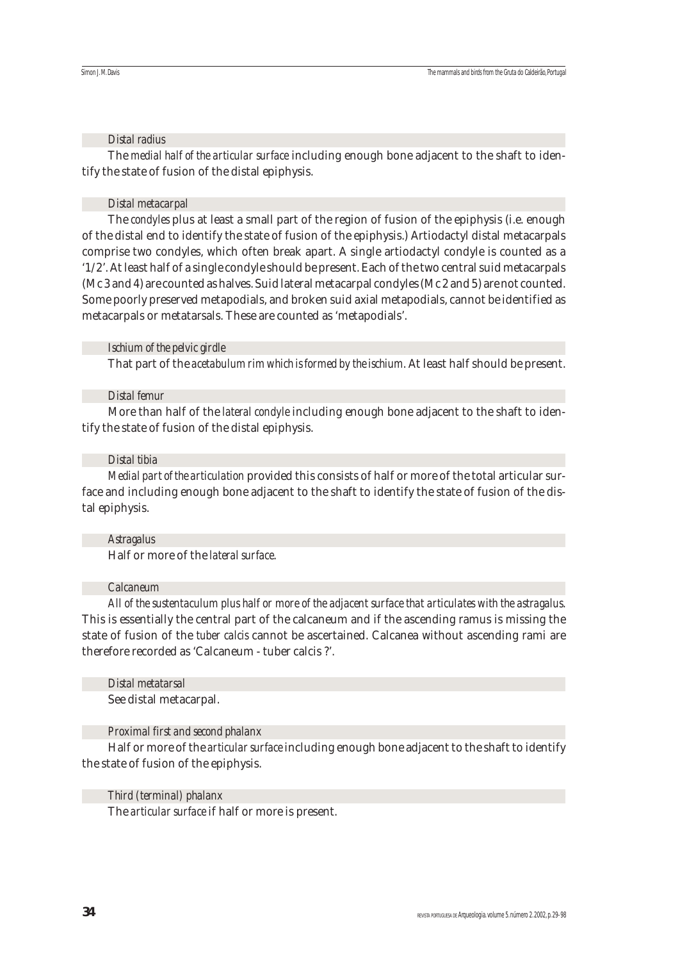## *Distal radius*

The *medial half of the articular surface* including enough bone adjacent to the shaft to identify the state of fusion of the distal epiphysis.

## *Distal metacarpal*

The *condyles* plus at least a small part of the region of fusion of the epiphysis (i.e. enough of the distal end to identify the state of fusion of the epiphysis.) Artiodactyl distal metacarpals comprise two condyles, which often break apart. A single artiodactyl condyle is counted as a '1/2'. At least half of a single condyle should be present. Each of the two central suid metacarpals (Mc 3 and 4) are counted as halves. Suid lateral metacarpal condyles (Mc 2 and 5) are not counted. Some poorly preserved metapodials, and broken suid axial metapodials, cannot be identified as metacarpals or metatarsals. These are counted as 'metapodials'.

## *Ischium of the pelvic girdle*

That part of the *acetabulum rim which is formed by the ischium*. At least half should be present.

## *Distal femur*

More than half of the *lateral condyle* including enough bone adjacent to the shaft to identify the state of fusion of the distal epiphysis.

## *Distal tibia*

*Medial part of the articulation* provided this consists of half or more of the total articular surface and including enough bone adjacent to the shaft to identify the state of fusion of the distal epiphysis.

## *Astragalus*

Half or more of the *lateral surface*.

## *Calcaneum*

*All of the sustentaculum plus half or more of the adjacent surface that articulates with the astragalus*. This is essentially the central part of the calcaneum and if the ascending ramus is missing the state of fusion of the *tuber calcis* cannot be ascertained. Calcanea without ascending rami are therefore recorded as 'Calcaneum - tuber calcis ?'.

## *Distal metatarsal*

See distal metacarpal.

## *Proximal first and second phalanx*

Half or more of the *articular surface* including enough bone adjacent to the shaft to identify the state of fusion of the epiphysis.

## *Third (terminal) phalanx*

The *articular surface* if half or more is present.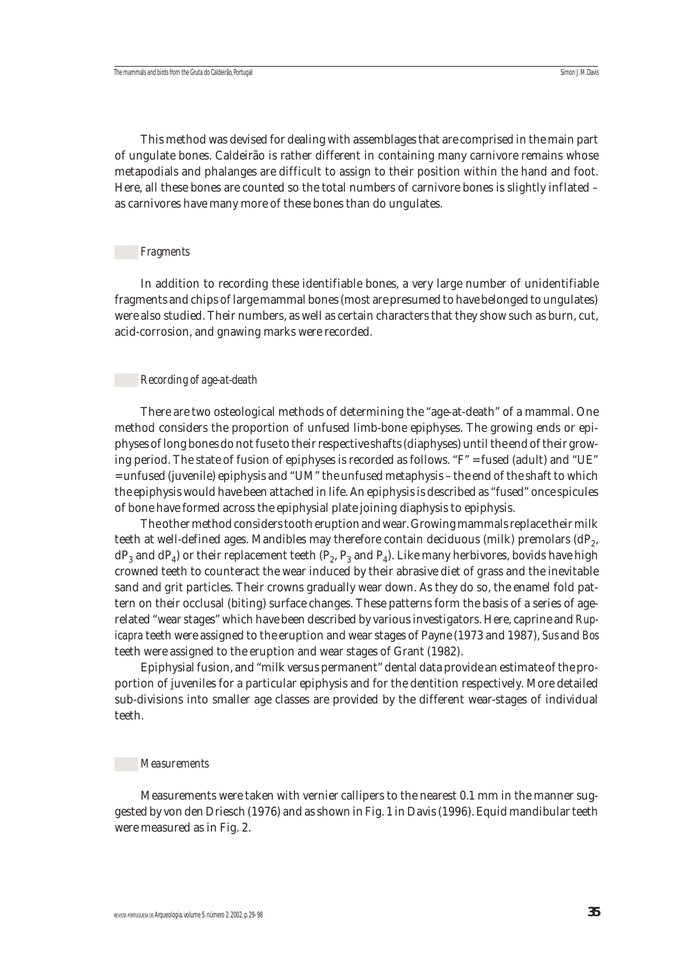This method was devised for dealing with assemblages that are comprised in the main part of ungulate bones. Caldeirão is rather different in containing many carnivore remains whose metapodials and phalanges are difficult to assign to their position within the hand and foot. Here, all these bones are counted so the total numbers of carnivore bones is slightly inflated – as carnivores have many more of these bones than do ungulates.

#### *Fragments*

In addition to recording these identifiable bones, a very large number of unidentifiable fragments and chips of large mammal bones (most are presumed to have belonged to ungulates) were also studied. Their numbers, as well as certain characters that they show such as burn, cut, acid-corrosion, and gnawing marks were recorded.

## *Recording of age-at-death*

There are two osteological methods of determining the "age-at-death" of a mammal. One method considers the proportion of unfused limb-bone epiphyses. The growing ends or epiphyses of long bones do not fuse to their respective shafts (diaphyses) until the end of their growing period. The state of fusion of epiphyses is recorded as follows. "F" = fused (adult) and "UE" = unfused (juvenile) epiphysis and "UM" the unfused metaphysis – the end of the shaft to which the epiphysis would have been attached in life. An epiphysis is described as "fused" once spicules of bone have formed across the epiphysial plate joining diaphysis to epiphysis.

The other method considers tooth eruption and wear. Growing mammals replace their milk teeth at well-defined ages. Mandibles may therefore contain deciduous (milk) premolars  $(dP<sub>2</sub>)$ ,  $dP_3$  and  $dP_4$ ) or their replacement teeth ( $P_2$ ,  $P_3$  and  $P_4$ ). Like many herbivores, bovids have high crowned teeth to counteract the wear induced by their abrasive diet of grass and the inevitable sand and grit particles. Their crowns gradually wear down. As they do so, the enamel fold pattern on their occlusal (biting) surface changes. These patterns form the basis of a series of agerelated "wear stages" which have been described by various investigators. Here, caprine and *Rupicapra* teeth were assigned to the eruption and wear stages of Payne (1973 and 1987), *Sus* and *Bos* teeth were assigned to the eruption and wear stages of Grant (1982).

Epiphysial fusion, and "milk versus permanent" dental data provide an estimate of the proportion of juveniles for a particular epiphysis and for the dentition respectively. More detailed sub-divisions into smaller age classes are provided by the different wear-stages of individual teeth.

#### *Measurements*

Measurements were taken with vernier callipers to the nearest 0.1 mm in the manner suggested by von den Driesch (1976) and as shown in Fig. 1 in Davis (1996). Equid mandibular teeth were measured as in Fig. 2.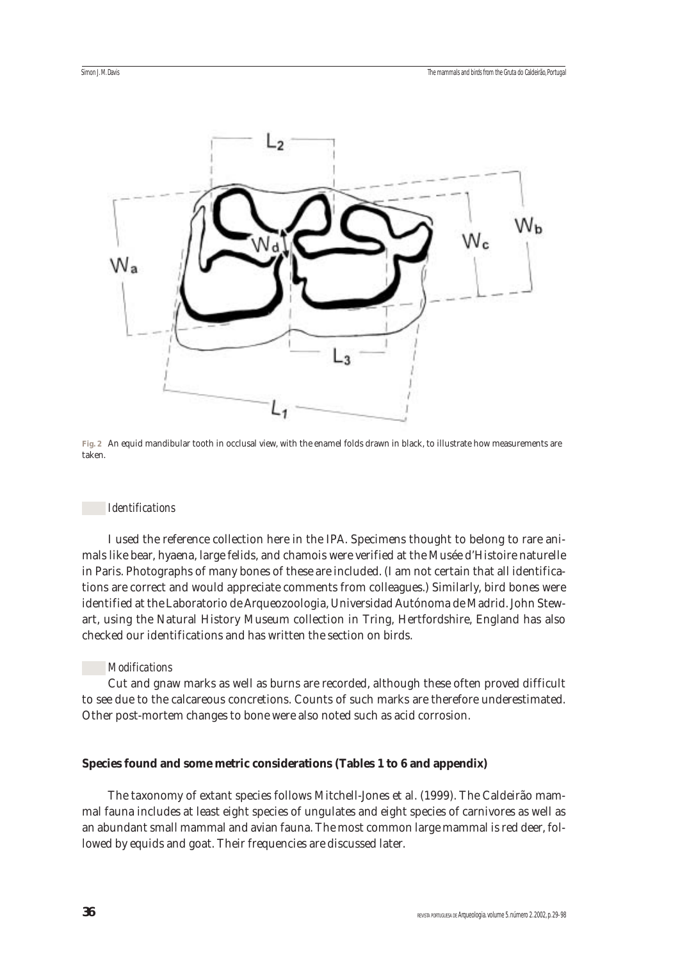

**Fig. 2** An equid mandibular tooth in occlusal view, with the enamel folds drawn in black, to illustrate how measurements are taken.

#### *Identifications*

I used the reference collection here in the IPA. Specimens thought to belong to rare animals like bear, hyaena, large felids, and chamois were verified at the Musée d'Histoire naturelle in Paris. Photographs of many bones of these are included. (I am not certain that all identifications are correct and would appreciate comments from colleagues.) Similarly, bird bones were identified at the Laboratorio de Arqueozoologia, Universidad Autónoma de Madrid. John Stewart, using the Natural History Museum collection in Tring, Hertfordshire, England has also checked our identifications and has written the section on birds.

#### *Modifications*

Cut and gnaw marks as well as burns are recorded, although these often proved difficult to see due to the calcareous concretions. Counts of such marks are therefore underestimated. Other post-mortem changes to bone were also noted such as acid corrosion.

#### **Species found and some metric considerations (Tables 1 to 6 and appendix)**

The taxonomy of extant species follows Mitchell-Jones et al. (1999). The Caldeirão mammal fauna includes at least eight species of ungulates and eight species of carnivores as well as an abundant small mammal and avian fauna. The most common large mammal is red deer, followed by equids and goat. Their frequencies are discussed later.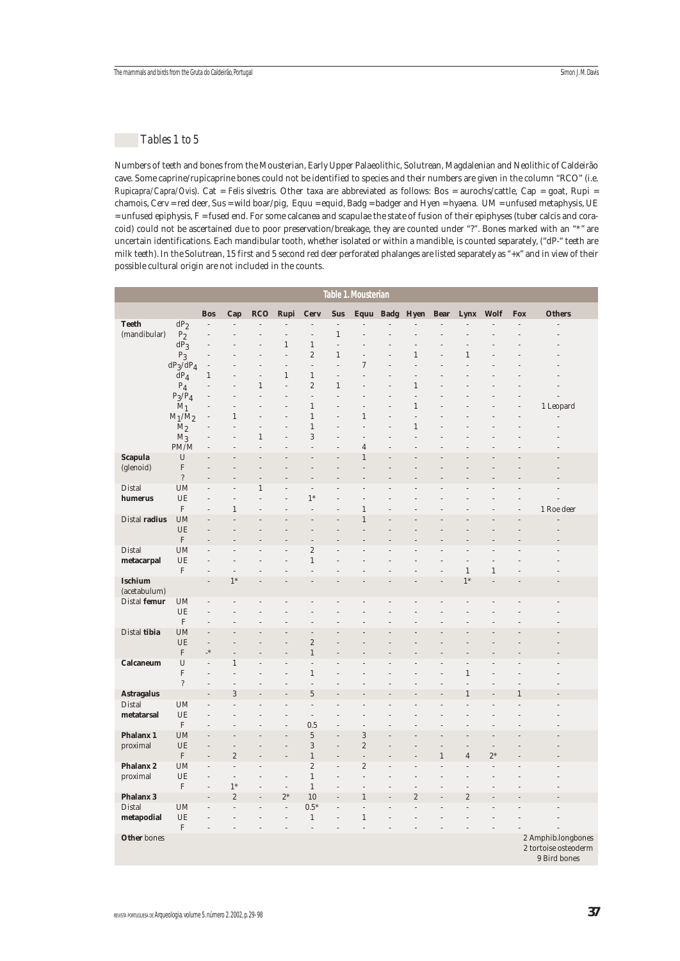## *Tables 1 to 5*

Numbers of teeth and bones from the Mousterian, Early Upper Palaeolithic, Solutrean, Magdalenian and Neolithic of Caldeirão cave. Some caprine/rupicaprine bones could not be identified to species and their numbers are given in the column "RCO" (i.e. *Rupicapra/Capra/Ovis*). Cat = *Felis silvestris*. Other taxa are abbreviated as follows: Bos = aurochs/cattle, Cap = goat, Rupi = chamois, Cerv = red deer, Sus = wild boar/pig, Equu = equid, Badg = badger and Hyen = hyaena. UM = unfused metaphysis, UE = unfused epiphysis, F = fused end. For some calcanea and scapulae the state of fusion of their epiphyses (tuber calcis and coracoid) could not be ascertained due to poor preservation/breakage, they are counted under "?". Bones marked with an "\*" are uncertain identifications. Each mandibular tooth, whether isolated or within a mandible, is counted separately, ("dP-" teeth are milk teeth). In the Solutrean, 15 first and 5 second red deer perforated phalanges are listed separately as "+x" and in view of their possible cultural origin are not included in the counts.

|                    |                          |                          |                                  |                |                           |                           |                    | Table 1. Mousterian              |                     |              |                |              |            |                                                            |
|--------------------|--------------------------|--------------------------|----------------------------------|----------------|---------------------------|---------------------------|--------------------|----------------------------------|---------------------|--------------|----------------|--------------|------------|------------------------------------------------------------|
|                    |                          | <b>Bos</b>               | Cap                              | <b>RCO</b>     | Rupi                      | <b>Cerv</b>               | <b>Sus</b>         |                                  | Equu Badg Hyen Bear |              | Lynx           | <b>Wolf</b>  | <b>Fox</b> | <b>Others</b>                                              |
| <b>Teeth</b>       | $dP_2$                   | $\overline{a}$           |                                  |                |                           |                           | $\overline{a}$     |                                  |                     |              |                |              |            |                                                            |
| (mandibular)       | $\mathrm{P}_2$           |                          |                                  |                |                           | $\overline{a}$            | $\mathbf{1}$       |                                  |                     |              |                |              |            |                                                            |
|                    | $dP_3$                   |                          |                                  |                | $\,1\,$                   | $\,1\,$                   | $\overline{a}$     |                                  |                     |              |                |              |            |                                                            |
|                    | $P_3$                    |                          |                                  |                | $\overline{a}$            | $\overline{2}$            | $\mathbf{1}$       |                                  | $\mathbf{1}$        |              | $\mathbf{1}$   |              |            |                                                            |
|                    | $dP_3/dP_4$              | $\overline{a}$           |                                  |                | $\overline{a}$            | $\overline{a}$            | L                  | 7                                |                     |              |                |              |            |                                                            |
|                    | $\text{d}P_4$<br>$P_4$   | $\mathbf{1}$             |                                  | $\mathbf{1}$   | $\,1\,$<br>$\overline{a}$ | $\,1\,$<br>$\overline{c}$ | Ĭ.<br>$\mathbf{1}$ |                                  | $\mathbf{1}$        |              |                |              |            |                                                            |
|                    | $P_3/P_4$                |                          |                                  |                | L                         | L                         | $\overline{a}$     |                                  | $\overline{a}$      |              |                |              |            |                                                            |
|                    | $M_1$                    |                          |                                  |                |                           | $\,1\,$                   | L                  |                                  | $\mathbf{1}$        |              |                |              |            | 1 Leopard                                                  |
|                    | $\rm M_1/M_2$            |                          | $\mathbf{1}$                     |                |                           | $\mathbf{1}$              |                    | $\mathbf{1}$                     | $\overline{a}$      |              |                |              |            |                                                            |
|                    | $M_2$                    |                          |                                  | $\overline{a}$ | $\overline{a}$            | $\,1\,$                   | L                  | $\overline{a}$                   | $\mathbf{1}$        |              |                |              |            |                                                            |
|                    | $M_3$                    |                          |                                  | $\mathbf{1}$   |                           | 3                         |                    |                                  |                     |              |                |              |            |                                                            |
|                    | PM/M                     | $\overline{a}$           |                                  | $\overline{a}$ | L                         | j.                        |                    | $\overline{4}$                   |                     |              |                |              |            |                                                            |
| <b>Scapula</b>     | U                        |                          |                                  |                |                           |                           |                    | $\mathbf{1}$                     |                     |              |                |              |            |                                                            |
| (glenoid)          | $\mathbf F$              |                          |                                  |                |                           |                           |                    |                                  |                     |              |                |              |            |                                                            |
|                    | $\overline{\cdot}$       |                          |                                  |                |                           |                           |                    |                                  |                     |              |                |              |            |                                                            |
| Distal             | <b>UM</b>                |                          |                                  | $\mathbf{1}$   |                           | $\overline{a}$            |                    |                                  |                     |              |                |              |            |                                                            |
| humerus            | UE                       |                          |                                  |                |                           | $1*$                      |                    |                                  |                     |              |                |              |            |                                                            |
|                    | $\mathbf F$              |                          | $\mathbf{1}$                     |                |                           | L,                        |                    | $\mathbf{1}$                     |                     |              |                |              |            | 1 Roe deer                                                 |
| Distal radius      | <b>UM</b><br>UE          |                          |                                  |                |                           |                           |                    | 1                                |                     |              |                |              |            |                                                            |
|                    | $\mathbf F$              |                          |                                  |                |                           |                           |                    |                                  |                     |              |                |              |            |                                                            |
| Distal             | <b>UM</b>                | $\overline{a}$           |                                  |                |                           | $\sqrt{2}$                | j,                 |                                  |                     |              |                |              |            |                                                            |
| metacarpal         | UE                       |                          |                                  |                |                           | $\,1\,$                   |                    |                                  |                     |              |                |              |            |                                                            |
|                    | $\mathbf F$              | L,                       | L,                               |                | L                         | j.                        |                    |                                  |                     |              | $\,1\,$        | $\mathbf{1}$ |            |                                                            |
| <b>Ischium</b>     |                          |                          | $1*$                             |                |                           |                           |                    |                                  |                     |              | $1*$           |              |            |                                                            |
| (acetabulum)       |                          |                          |                                  |                |                           |                           |                    |                                  |                     |              |                |              |            |                                                            |
| Distal femur       | <b>UM</b>                | L.                       |                                  |                |                           |                           |                    |                                  |                     |              |                |              |            |                                                            |
|                    | UE                       |                          |                                  |                |                           |                           |                    |                                  |                     |              |                |              |            |                                                            |
| Distal tibia       | $\mathbf F$<br><b>UM</b> |                          |                                  |                |                           |                           |                    |                                  |                     |              |                |              |            |                                                            |
|                    | UE                       | $\overline{\phantom{m}}$ |                                  |                |                           | $\sqrt{2}$                |                    |                                  |                     |              |                |              |            |                                                            |
|                    | $\mathbf F$              | $_{\star}$               |                                  |                |                           | $\,1$                     |                    |                                  |                     |              |                |              |            |                                                            |
| Calcaneum          | U                        | $\overline{a}$           | 1                                |                |                           | j.                        |                    |                                  |                     |              |                |              |            |                                                            |
|                    | $\mathbf F$              | $\overline{a}$           |                                  |                |                           | $\,1$                     |                    |                                  |                     |              | $\mathbf{1}$   |              |            |                                                            |
|                    | $\overline{\phantom{a}}$ | $\overline{a}$           | $\overline{a}$                   |                |                           | L                         |                    |                                  |                     |              |                |              |            |                                                            |
| <b>Astragalus</b>  |                          |                          | 3                                |                |                           | $\overline{5}$            |                    |                                  |                     |              | 1              |              |            |                                                            |
| Distal             | <b>UM</b>                | $\overline{a}$           | $\overline{a}$                   |                |                           | $\overline{a}$            |                    |                                  |                     |              |                |              |            |                                                            |
| metatarsal         | UE                       |                          |                                  |                |                           | $\overline{a}$            |                    |                                  |                     |              |                |              |            |                                                            |
|                    | F                        |                          |                                  |                |                           | 0.5                       |                    |                                  |                     |              |                |              |            |                                                            |
| <b>Phalanx 1</b>   | <b>UM</b>                | L,                       |                                  |                | L,                        | $\sqrt{5}$                |                    | 3                                |                     |              |                |              |            |                                                            |
| proximal           | UE<br>$\mathbf F$        |                          | $\overline{a}$<br>$\overline{c}$ |                | L                         | $\,3$<br>$\,1\,$          | L                  | $\overline{c}$                   |                     |              |                | L.<br>$2*$   |            |                                                            |
| Phalanx 2          | <b>UM</b>                | $\overline{a}$           | $\overline{a}$                   |                |                           | $\boldsymbol{2}$          | L,                 | $\overline{a}$<br>$\overline{c}$ |                     | $\mathbf{1}$ | $\overline{4}$ | L.           |            |                                                            |
| proximal           | UE                       |                          | $\overline{a}$                   |                | L,                        | $\,1\,$                   |                    | $\overline{a}$                   |                     |              |                |              |            |                                                            |
|                    | $\mathbf F$              |                          | $1*$                             |                | $\overline{\phantom{a}}$  | $1\,$                     |                    | j.                               |                     |              |                |              |            |                                                            |
| <b>Phalanx 3</b>   |                          |                          | $\overline{c}$                   |                | $2*$                      | 10                        | j,                 | $\mathbf{1}$                     | $\overline{c}$      |              | $\overline{c}$ |              |            |                                                            |
| Distal             | <b>UM</b>                |                          |                                  |                | $\overline{\phantom{a}}$  | $0.5*$                    | L                  | L.                               |                     |              |                |              |            |                                                            |
| metapodial         | UE                       |                          |                                  |                | $\overline{a}$            | $\,1$                     | j,                 | $\,1$                            |                     |              |                |              |            |                                                            |
|                    | $\mathbf F$              | $\overline{a}$           |                                  |                | $\overline{a}$            | $\frac{1}{2}$             | L                  | $\overline{a}$                   |                     |              |                | ٠            |            |                                                            |
| <b>Other</b> bones |                          |                          |                                  |                |                           |                           |                    |                                  |                     |              |                |              |            | 2 Amphib.longbones<br>2 tortoise osteoderm<br>9 Bird bones |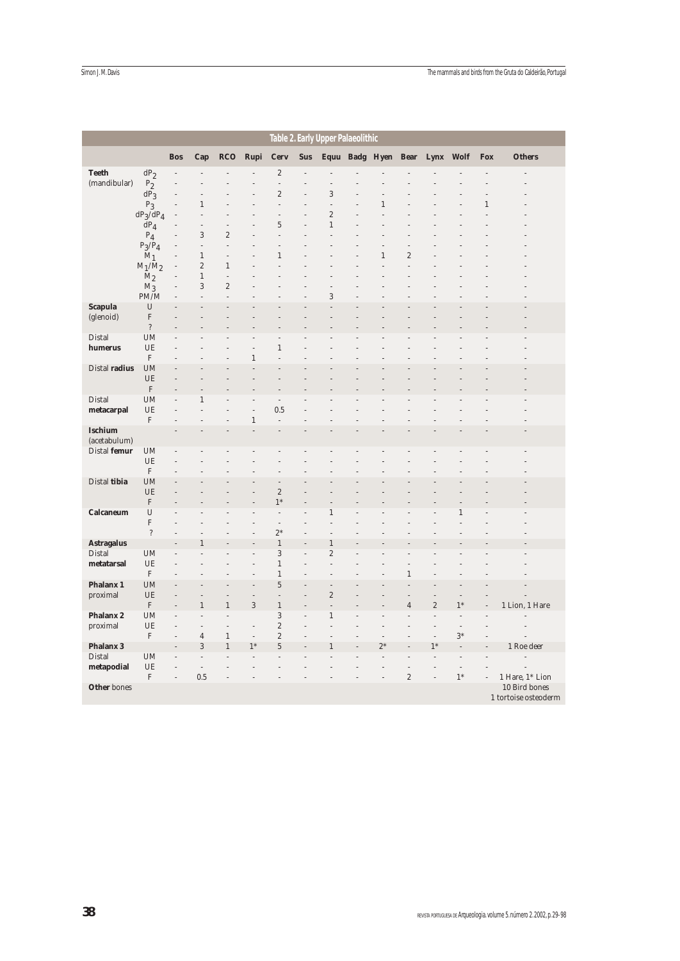| Table 2. Early Upper Palaeolithic |                           |                |                                |                                  |                |                          |            |                |  |                     |                |                |                |            |                                       |
|-----------------------------------|---------------------------|----------------|--------------------------------|----------------------------------|----------------|--------------------------|------------|----------------|--|---------------------|----------------|----------------|----------------|------------|---------------------------------------|
|                                   |                           | <b>Bos</b>     | Cap                            | <b>RCO</b>                       | Rupi           | <b>Cerv</b>              | <b>Sus</b> |                |  | Equu Badg Hyen Bear |                | Lynx Wolf      |                | <b>Fox</b> | <b>Others</b>                         |
| <b>Teeth</b>                      | $dP_2$                    |                |                                |                                  |                | $\boldsymbol{2}$         |            |                |  |                     |                |                |                |            |                                       |
| (mandibular)                      | $P_2$                     |                |                                |                                  |                | $\overline{\phantom{m}}$ |            |                |  |                     |                |                |                |            |                                       |
|                                   | $dP_3$                    |                | $\overline{a}$                 |                                  |                | $\sqrt{2}$               |            | 3              |  |                     |                |                |                |            |                                       |
|                                   | $P_3$                     |                | 1                              |                                  |                |                          |            | l,             |  | 1                   |                |                |                | 1          |                                       |
|                                   | $dP_3/dP_4$               |                | $\overline{a}$                 |                                  |                | L,                       |            | $\sqrt{2}$     |  |                     |                |                |                |            |                                       |
|                                   | $\text{d}P_4$             |                | $\overline{a}$                 | $\overline{a}$                   |                | $\overline{5}$           | L.         | $\,1$          |  |                     |                |                |                |            |                                       |
|                                   | $P_4$                     |                | $\sqrt{3}$                     | $\overline{2}$                   |                |                          |            |                |  |                     |                |                |                |            |                                       |
|                                   | $P_3/P_4$                 |                | $\overline{a}$<br>$\mathbf{1}$ | $\overline{a}$<br>$\overline{a}$ |                | $\mathbf{1}$             |            |                |  | 1                   | $\overline{2}$ |                |                |            |                                       |
|                                   | $M_1$<br>$M_1/M_2$        |                | $\boldsymbol{2}$               | $\,1\,$                          |                |                          |            |                |  |                     | L              |                |                |            |                                       |
|                                   | M <sub>2</sub>            |                | $\mathbf{1}$                   | $\overline{a}$                   |                |                          |            |                |  |                     |                |                |                |            |                                       |
|                                   | $M_3$                     |                | $\,3$                          | $\overline{c}$                   |                |                          |            |                |  |                     |                |                |                |            |                                       |
|                                   | PM/M                      |                | $\overline{a}$                 | L                                |                |                          |            | 3              |  |                     |                |                |                |            |                                       |
| <b>Scapula</b>                    | $\mathbf U$               |                |                                |                                  |                |                          |            |                |  |                     |                |                |                |            |                                       |
| (glenoid)                         | $\boldsymbol{\mathrm{F}}$ |                |                                |                                  |                |                          |            |                |  |                     |                |                |                |            |                                       |
|                                   | $\, ?$                    |                |                                |                                  |                |                          |            |                |  |                     |                |                |                |            |                                       |
| Distal                            | <b>UM</b>                 |                |                                |                                  |                |                          |            |                |  |                     |                |                |                |            |                                       |
| humerus                           | UE                        |                |                                |                                  | l,             | $\mathbf{1}$             |            |                |  |                     |                |                |                |            |                                       |
|                                   | $\mathbf F$               |                |                                |                                  | $\mathbf{1}$   | J.                       |            |                |  |                     |                |                |                |            |                                       |
| Distal radius                     | <b>UM</b>                 |                |                                |                                  |                |                          |            |                |  |                     |                |                |                |            |                                       |
|                                   | UE                        |                |                                |                                  |                |                          |            |                |  |                     |                |                |                |            |                                       |
|                                   | $\mathbf F$               |                |                                |                                  |                |                          |            |                |  |                     |                |                |                |            |                                       |
| Distal                            | UM<br>UE                  |                | $\mathbf{1}$                   |                                  | L.             | $\overline{a}$<br>0.5    |            |                |  |                     |                |                |                |            |                                       |
| metacarpal                        | $\rm F$                   |                |                                |                                  | $\,1$          | L,                       |            |                |  |                     |                |                |                |            |                                       |
| <b>Ischium</b>                    |                           |                |                                |                                  |                |                          |            |                |  |                     |                |                |                |            |                                       |
| (acetabulum)                      |                           |                |                                |                                  |                |                          |            |                |  |                     |                |                |                |            |                                       |
| Distal femur                      | UM                        |                |                                |                                  |                |                          |            |                |  |                     |                |                |                |            |                                       |
|                                   | UE                        |                |                                |                                  |                |                          |            |                |  |                     |                |                |                |            |                                       |
|                                   | $\mathbf F$               |                |                                |                                  |                |                          |            |                |  |                     |                |                |                |            |                                       |
| Distal tibia                      | <b>UM</b>                 |                |                                |                                  |                |                          |            |                |  |                     |                |                |                |            |                                       |
|                                   | UE                        |                |                                |                                  |                | $\overline{c}$           |            |                |  |                     |                |                |                |            |                                       |
|                                   | $\mathbf F$               |                |                                |                                  |                | $1*$                     |            |                |  |                     |                |                |                |            |                                       |
| Calcaneum                         | $\mathbf U$               |                |                                |                                  |                | $\overline{a}$           |            | $\mathbf{1}$   |  |                     |                |                | 1              |            |                                       |
|                                   | $\mathbf F$               |                |                                |                                  |                | $\frac{1}{2}$            |            |                |  |                     |                |                |                |            |                                       |
|                                   | $\overline{\cdot}$        |                | 1                              |                                  |                | $2*$<br>$\mathbf{1}$     |            | 1              |  |                     |                |                |                |            |                                       |
| <b>Astragalus</b><br>Distal       | UM                        |                |                                |                                  |                | 3                        |            | $\overline{2}$ |  |                     |                |                |                |            |                                       |
| metatarsal                        | UE                        |                |                                |                                  |                | $\mathbf{1}$             |            | $\overline{a}$ |  |                     |                |                |                |            |                                       |
|                                   | $\mathbf F$               |                |                                |                                  |                | $\mathbf{1}$             |            |                |  |                     | 1              |                |                |            |                                       |
| Phalanx 1                         | UM                        |                |                                |                                  |                | $\overline{5}$           |            |                |  |                     |                |                |                |            |                                       |
| proximal                          | UE                        |                |                                |                                  | $\overline{a}$ | L,                       |            | $\sqrt{2}$     |  |                     |                |                |                |            |                                       |
|                                   | $\mathbf F$               |                | $\mathbf{1}$                   | $\mathbf{1}$                     | 3              | $\,1\,$                  |            |                |  |                     | 4              | $\overline{c}$ | $1*$           |            | 1 Lion, 1 Hare                        |
| <b>Phalanx 2</b>                  | UM                        |                | $\overline{a}$                 |                                  |                | 3                        |            | 1              |  |                     |                |                | $\overline{a}$ |            |                                       |
| proximal                          | UE                        |                | $\overline{a}$                 | L                                | i,             | $\overline{c}$           |            |                |  |                     |                |                | $\overline{a}$ |            |                                       |
|                                   | $\boldsymbol{\mathrm{F}}$ |                | $\overline{4}$                 | $\,1\,$                          | $\frac{1}{2}$  | $\overline{c}$           |            |                |  |                     |                |                | $3*$           |            |                                       |
| <b>Phalanx 3</b>                  |                           |                | $\,3$                          | $\,1\,$                          | $1*$           | $\overline{5}$           |            | 1              |  | $2*$                |                | $1*$           |                |            | 1 Roe deer                            |
| Distal                            | <b>UM</b>                 |                | $\overline{a}$                 |                                  |                |                          |            |                |  |                     |                |                |                |            |                                       |
| metapodial                        | UE                        | $\overline{a}$ | $\overline{a}$                 |                                  |                |                          |            |                |  |                     | j.             |                | $\overline{a}$ |            |                                       |
|                                   | $\boldsymbol{\mathrm{F}}$ | $\overline{a}$ | 0.5                            | $\overline{a}$                   |                |                          |            |                |  |                     | $\sqrt{2}$     | $\overline{a}$ | $1*$           | l,         | 1 Hare, 1* Lion                       |
| <b>Other</b> bones                |                           |                |                                |                                  |                |                          |            |                |  |                     |                |                |                |            | 10 Bird bones<br>1 tortoise osteoderm |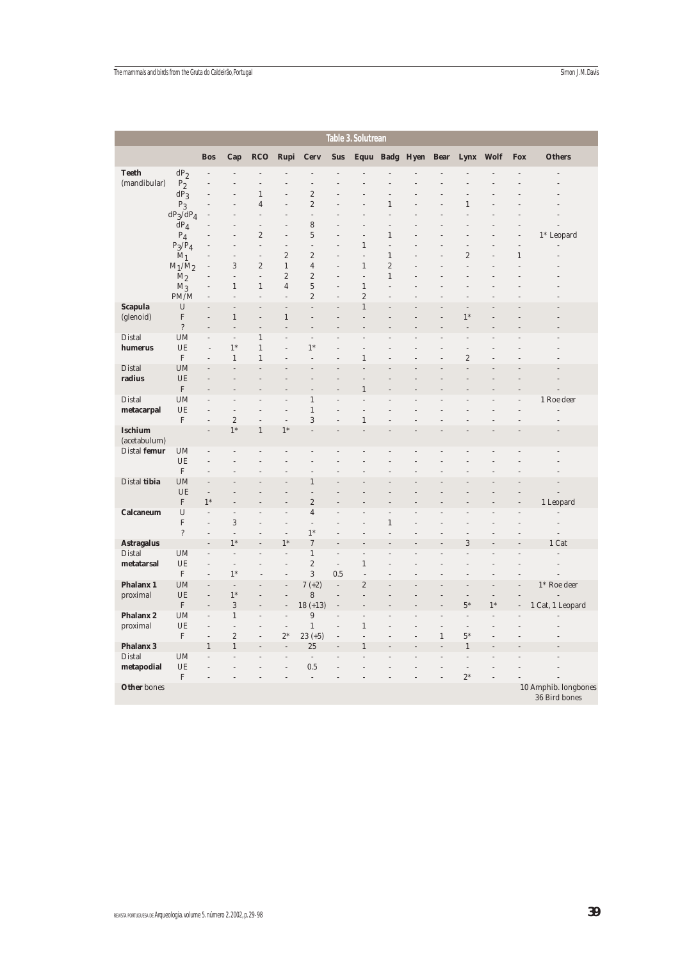|                             |                           |                                  |                              |                                 |                                  |                                 |                | Table 3. Solutrean |                |                     |       |                                  |             |                |                                       |
|-----------------------------|---------------------------|----------------------------------|------------------------------|---------------------------------|----------------------------------|---------------------------------|----------------|--------------------|----------------|---------------------|-------|----------------------------------|-------------|----------------|---------------------------------------|
|                             |                           | <b>Bos</b>                       | Cap                          | <b>RCO</b>                      | Rupi                             | <b>Cerv</b>                     | <b>Sus</b>     |                    |                | Equu Badg Hyen Bear |       | Lynx                             | <b>Wolf</b> | Fox            | <b>Others</b>                         |
| <b>Teeth</b>                | dP <sub>2</sub>           | j.                               | $\overline{a}$               |                                 |                                  |                                 |                |                    |                |                     |       |                                  |             |                |                                       |
| (mandibular)                | $P_2$                     |                                  |                              |                                 |                                  |                                 |                |                    |                |                     |       |                                  |             |                |                                       |
|                             | $dP_3$                    |                                  |                              | $\mathbf{1}$                    |                                  | $\overline{c}$                  |                |                    |                |                     |       |                                  |             |                |                                       |
|                             | $P_3$                     | $\overline{a}$                   | L                            | $\overline{4}$                  | L.                               | $\overline{c}$                  |                |                    | $\mathbf{1}$   |                     |       | $\,1\,$                          |             |                |                                       |
|                             | $dP_3/dP_4$<br>$dP_4$     |                                  |                              | $\frac{1}{2}$<br>$\overline{a}$ | L,                               | $\overline{a}$<br>8             |                | $\overline{a}$     | L<br>L,        |                     |       | L.                               |             |                |                                       |
|                             | $P_4$                     |                                  | L                            | $\sqrt{2}$                      | L,                               | $\overline{5}$                  |                | $\overline{a}$     | $\mathbf{1}$   |                     |       |                                  |             | $\overline{a}$ | $1*$ Leopard                          |
|                             | $P_3/P_4$                 |                                  | $\overline{a}$               | $\overline{a}$                  | $\overline{a}$                   | $\overline{a}$                  |                | $\mathbf{1}$       | $\overline{a}$ |                     |       | $\overline{a}$                   |             | $\frac{1}{2}$  |                                       |
|                             | $M_1$                     | $\overline{a}$                   | $\overline{a}$               | $\frac{1}{2}$                   | $\overline{c}$                   | $\overline{c}$                  |                | $\overline{a}$     | $1\,$          |                     | L     | $\sqrt{2}$                       | L,          | $\,1$          |                                       |
|                             | $M_1/M_2$                 | $\overline{a}$                   | 3                            | $\overline{2}$                  | $\mathbf{1}$                     | $\overline{4}$                  |                | $\mathbf{1}$       | $\overline{2}$ |                     |       | L                                |             |                |                                       |
|                             | M <sub>2</sub>            |                                  | $\frac{1}{2}$                | $\frac{1}{2}$                   | $\sqrt{2}$                       | $\overline{c}$                  |                | $\overline{a}$     | $\mathbf{1}$   |                     |       |                                  |             |                |                                       |
|                             | $M_3$                     | $\overline{a}$                   | $\mathbf{1}$                 | $\mathbf{1}$                    | $\overline{4}$                   | $\overline{5}$                  |                | $\mathbf{1}$       | L              |                     |       |                                  |             |                |                                       |
|                             | PM/M                      | $\overline{a}$                   | $\overline{a}$               | $\overline{a}$                  | $\overline{a}$                   | $\overline{c}$                  |                | $\sqrt{2}$         |                |                     |       |                                  |             |                |                                       |
| <b>Scapula</b><br>(glenoid) | U<br>${\bf F}$            | $\overline{a}$                   | $\overline{a}$<br>$\,1$      | L.<br>l,                        | $\overline{a}$<br>$\,1$          | $\overline{a}$                  |                | $\,1\,$            |                |                     |       | L.<br>$1*$                       |             |                |                                       |
|                             | $\overline{\mathbf{?}}$   |                                  | l,                           |                                 | į,                               |                                 |                |                    |                |                     |       |                                  |             |                |                                       |
| Distal                      | <b>UM</b>                 | $\overline{a}$                   | $\overline{a}$               | $\,1\,$                         | L,                               | $\overline{a}$                  |                |                    |                |                     |       | j.                               |             |                |                                       |
| humerus                     | UE                        | $\overline{\phantom{m}}$         | $1*$                         | $\,1$                           | $\overline{a}$                   | $1*$                            |                |                    |                |                     |       | $\overline{a}$                   |             |                |                                       |
|                             | $\mathbf F$               | $\overline{a}$                   | $\mathbf{1}$                 | $\mathbf{1}$                    | L,                               | $\overline{a}$                  |                | $\mathbf{1}$       |                |                     |       | $\boldsymbol{2}$                 |             |                |                                       |
| Distal                      | <b>UM</b>                 |                                  | L                            |                                 |                                  |                                 |                |                    |                |                     |       |                                  |             |                |                                       |
| radius                      | UE                        |                                  |                              |                                 |                                  |                                 |                |                    |                |                     |       |                                  |             |                |                                       |
|                             | $\mathbf F$               |                                  |                              |                                 |                                  |                                 |                | $\,1\,$            |                |                     |       |                                  |             |                |                                       |
| Distal<br>metacarpal        | <b>UM</b><br>UE           | $\overline{a}$                   | $\overline{a}$               | j.                              | $\overline{a}$                   | 1<br>$\,1$                      |                | $\overline{a}$     |                |                     |       |                                  |             |                | 1 Roe deer<br>$\overline{a}$          |
|                             | $\mathbf F$               | $\overline{a}$                   | $\sqrt{2}$                   | $\overline{a}$                  | $\overline{\phantom{m}}$         | 3                               |                | $\mathbf{1}$       |                |                     |       |                                  |             |                |                                       |
| <b>Ischium</b>              |                           | $\overline{a}$                   | $1*$                         | $\,1$                           | $1*$                             |                                 |                |                    |                |                     |       |                                  |             |                |                                       |
| (acetabulum)                |                           |                                  |                              |                                 |                                  |                                 |                |                    |                |                     |       |                                  |             |                |                                       |
| Distal femur                | <b>UM</b>                 |                                  |                              |                                 |                                  |                                 |                |                    |                |                     |       |                                  |             |                |                                       |
|                             | UE                        | $\overline{a}$                   | L                            |                                 |                                  |                                 |                |                    |                |                     |       |                                  |             |                |                                       |
|                             | $\mathbf F$               | $\overline{a}$                   |                              |                                 | L.                               |                                 |                |                    |                |                     |       |                                  |             |                |                                       |
| Distal tibia                | <b>UM</b><br>UE           | $\overline{a}$<br>$\overline{a}$ |                              |                                 | L.                               | $\,1$<br>$\overline{a}$         |                |                    |                |                     |       |                                  |             |                |                                       |
|                             | $\mathbf F$               | $1*$                             |                              |                                 |                                  | $\overline{c}$                  |                |                    |                |                     |       |                                  |             |                | 1 Leopard                             |
| Calcaneum                   | U                         | $\overline{a}$                   | $\overline{a}$               |                                 | $\overline{a}$                   | $\overline{4}$                  |                |                    |                |                     |       |                                  |             |                | $\overline{a}$                        |
|                             | $\boldsymbol{\mathrm{F}}$ | $\overline{a}$                   | 3                            | L.                              | $\overline{a}$                   | $\overline{a}$                  |                |                    | $\,1\,$        |                     |       |                                  |             |                | $\overline{a}$                        |
|                             | $\overline{?}$            | $\overline{a}$                   | $\overline{a}$               |                                 | L                                | $1*$                            |                |                    |                |                     |       |                                  |             |                |                                       |
| <b>Astragalus</b>           |                           | $\overline{a}$                   | $1*$                         |                                 | $1*$                             | $\boldsymbol{7}$                |                |                    |                |                     |       | $\sqrt{3}$                       |             |                | 1 Cat                                 |
| Distal                      | <b>UM</b>                 | $\overline{a}$                   | $\overline{\phantom{a}}$     |                                 | $\overline{a}$                   | $\,1$                           |                | $\overline{a}$     |                |                     |       |                                  |             |                |                                       |
| metatarsal                  | UE<br>$\mathbf F$         | $\overline{a}$<br>$\overline{a}$ | $\overline{a}$<br>$1^{\ast}$ |                                 | L,<br>L.                         | $\sqrt{2}$<br>$\,3$             | $\overline{a}$ | $\mathbf{1}$<br>L. |                |                     |       | L.                               |             |                | $\overline{a}$                        |
| <b>Phalanx 1</b>            | <b>UM</b>                 | $\overline{a}$                   | $\overline{\phantom{a}}$     |                                 | $\overline{a}$                   | $7 (+2)$                        | 0.5            | $\sqrt{2}$         |                |                     |       |                                  |             |                | $1*$ Roe deer                         |
| proximal                    | UE                        | L,                               | $1^*$                        |                                 | L,                               | $\,$ 8 $\,$                     |                |                    |                |                     |       | L,                               | L,          |                |                                       |
|                             | $\mathbf F$               | L                                | 3                            |                                 | L,                               | $18 (+13)$                      |                |                    |                |                     |       | $5*$                             | $1*$        |                | 1 Cat, 1 Leopard                      |
| Phalanx 2                   | UM                        | $\frac{1}{2}$                    | $\mathbf{1}$                 |                                 | $\overline{\phantom{a}}$         | 9                               |                |                    |                |                     |       | $\overline{a}$                   |             |                |                                       |
| proximal                    | UE                        | $\overline{a}$                   | $\frac{1}{2}$                |                                 | $\overline{\phantom{a}}$         | $\,1\,$                         | $\overline{a}$ | $1\,$              |                |                     | L,    | $\overline{a}$                   |             |                |                                       |
|                             | $\mathbf F$               | $\overline{a}$                   | $\overline{c}$               | j.                              | $2*$                             | $23 (+5)$                       |                |                    |                |                     | $1\,$ | $5*$                             |             |                |                                       |
| <b>Phalanx 3</b>            |                           | $\,1$                            | $\mathbf{1}$                 |                                 | L.                               | 25                              |                | $\,1\,$            |                |                     |       | $\,1\,$                          |             |                |                                       |
| Distal<br>metapodial        | <b>UM</b><br>UE           | $\overline{a}$                   | L.                           |                                 | $\overline{a}$<br>$\overline{a}$ | $\overline{\phantom{a}}$<br>0.5 |                | $\overline{a}$     |                |                     | L     | $\overline{a}$<br>$\overline{a}$ |             |                |                                       |
|                             | $\mathbf F$               | $\overline{a}$                   | L,                           | j.                              | $\overline{a}$                   | $\overline{\phantom{a}}$        |                |                    |                | $\overline{a}$      | Ĭ.    | $2*$                             | L,          |                |                                       |
| <b>Other</b> bones          |                           |                                  |                              |                                 |                                  |                                 |                |                    |                |                     |       |                                  |             |                | 10 Amphib. longbones<br>36 Bird bones |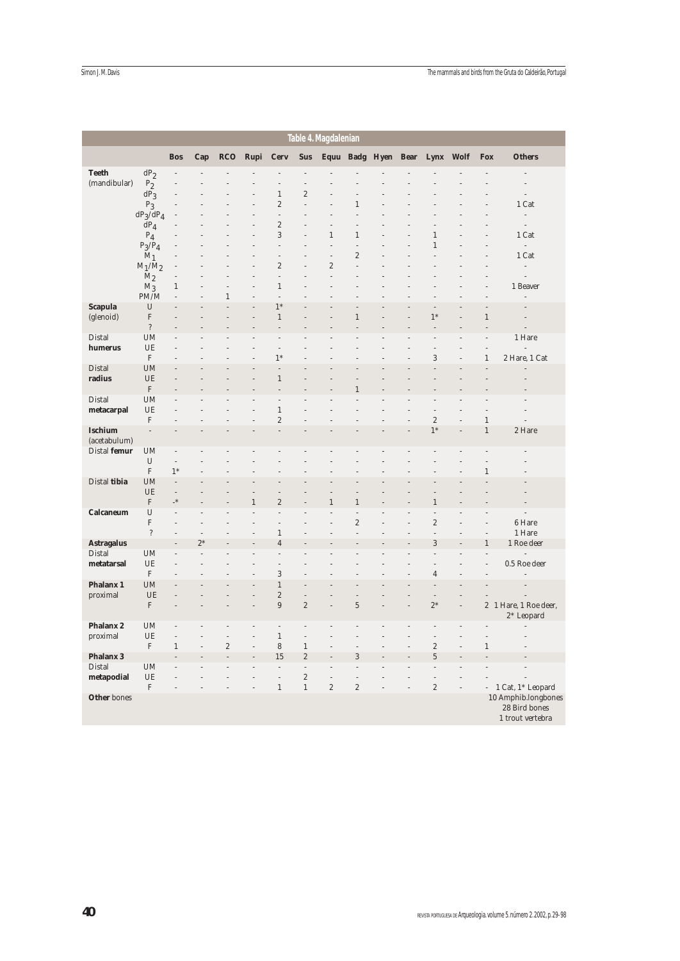|                      |                                |                              |                |                                    |                     |                                |                                  | Table 4. Magdalenian             |                                |                |                              |      |                          |                                                          |
|----------------------|--------------------------------|------------------------------|----------------|------------------------------------|---------------------|--------------------------------|----------------------------------|----------------------------------|--------------------------------|----------------|------------------------------|------|--------------------------|----------------------------------------------------------|
|                      |                                | <b>Bos</b>                   | Cap            | <b>RCO</b>                         | Rupi                | <b>Cerv</b>                    | <b>Sus</b>                       |                                  | Equu Badg Hyen                 | <b>Bear</b>    | Lynx                         | Wolf | <b>Fox</b>               | <b>Others</b>                                            |
| <b>Teeth</b>         | $dP_2$                         |                              |                |                                    |                     |                                |                                  |                                  |                                |                |                              |      | $\overline{a}$           |                                                          |
| (mandibular)         | P <sub>2</sub>                 |                              |                |                                    |                     |                                | $\overline{a}$                   |                                  |                                |                |                              |      |                          | $\label{eq:1}$                                           |
|                      | $dP_3$                         | $\overline{a}$<br>l,         |                |                                    | L                   | $\,1\,$<br>$\sqrt{2}$          | $\overline{c}$<br>$\overline{a}$ |                                  | $\mathbf{1}$                   |                |                              |      | L                        | $\overline{a}$                                           |
|                      | $P_3$<br>$dP_3/dP_4$           | Ĭ.                           |                |                                    |                     | $\overline{a}$                 | L                                |                                  |                                |                |                              |      |                          | 1 Cat<br>$\label{eq:reduced}$                            |
|                      | $\bar{d}P_4$                   |                              |                |                                    |                     | $\boldsymbol{2}$               |                                  |                                  |                                |                |                              |      |                          | $\label{eq:1}$                                           |
|                      | $P_4$                          |                              |                |                                    |                     | 3                              |                                  | $\mathbf{1}$                     | $\mathbf{1}$                   |                | $\mathbf{1}$                 |      |                          | 1 Cat                                                    |
|                      | $P_3/P_4$                      |                              |                |                                    |                     | $\overline{a}$                 |                                  | $\overline{a}$                   | l,                             |                | $\mathbf{1}$                 |      | L                        | $\frac{1}{2}$                                            |
|                      | $M_1$                          | l,                           |                |                                    | L                   | $\overline{a}$                 | l,                               | $\overline{a}$                   | $\boldsymbol{2}$               |                |                              |      | l,                       | 1 Cat                                                    |
|                      | $M_1/M_2$                      | Ĭ.                           |                |                                    |                     | $\sqrt{2}$                     | L.                               | $\overline{c}$<br>$\overline{a}$ | J.                             |                |                              |      |                          | $\overline{a}$                                           |
|                      | $M_2$<br>$\rm M_3$             | $\mathbf{1}$                 |                |                                    |                     | $\overline{a}$<br>$\mathbf{1}$ |                                  |                                  |                                |                |                              |      |                          | $\overline{a}$<br>1 Beaver                               |
|                      | PM/M                           | $\overline{a}$               |                | $\mathbf{1}$                       | $\overline{a}$      | $\overline{a}$                 |                                  |                                  |                                |                |                              |      | L                        | $\overline{a}$                                           |
| <b>Scapula</b>       | U                              |                              |                |                                    | L                   | $1*$                           |                                  |                                  |                                |                |                              |      | L                        |                                                          |
| (glenoid)            | $\mathbf F$                    |                              |                |                                    |                     | $\,1\,$                        |                                  |                                  | $\mathbf{1}$                   |                | $1*$                         |      | $\,1\,$                  |                                                          |
|                      | $\, ?$                         |                              |                |                                    |                     |                                |                                  |                                  |                                |                |                              |      |                          |                                                          |
| Distal               | <b>UM</b>                      |                              |                |                                    |                     | $\frac{1}{2}$                  |                                  |                                  |                                |                |                              |      | $\overline{a}$           | 1 Hare                                                   |
| humerus              | UE<br>$\mathbf F$              |                              |                |                                    | L                   | $\overline{a}$<br>$1*$         |                                  |                                  |                                |                | $\overline{a}$<br>3          |      | $\overline{a}$<br>$1\,$  | $\overline{a}$<br>2 Hare, 1 Cat                          |
| Distal               | <b>UM</b>                      |                              |                |                                    |                     | L.                             |                                  |                                  |                                |                |                              |      | L                        |                                                          |
| radius               | UE                             |                              |                |                                    |                     | $\mathbf{1}$                   |                                  |                                  |                                |                |                              |      |                          |                                                          |
|                      | $\mathbf F$                    |                              |                |                                    |                     | i.                             |                                  |                                  | 1                              |                |                              |      |                          |                                                          |
| Distal               | <b>UM</b>                      |                              |                |                                    |                     | $\overline{a}$                 |                                  |                                  |                                |                |                              |      |                          |                                                          |
| metacarpal           | UE                             |                              |                |                                    | L                   | $\,1\,$                        |                                  |                                  |                                |                | $\overline{a}$               |      | l,                       | L.                                                       |
| <b>Ischium</b>       | $\boldsymbol{\mathrm{F}}$      | $\overline{a}$               |                |                                    | L                   | $\sqrt{2}$<br>$\overline{a}$   |                                  |                                  |                                |                | $\overline{c}$<br>$1*$       |      | $\,1\,$<br>$\mathbf{1}$  | $\overline{a}$<br>2 Hare                                 |
| (acetabulum)         |                                |                              |                |                                    |                     |                                |                                  |                                  |                                |                |                              |      |                          |                                                          |
| Distal femur         | <b>UM</b>                      | $\overline{\phantom{m}}$     |                |                                    |                     | L                              |                                  |                                  |                                |                |                              |      |                          |                                                          |
|                      | $\mathbf U$                    | $\overline{a}$               |                |                                    |                     |                                |                                  |                                  |                                |                |                              |      |                          |                                                          |
|                      | $\mathbf F$                    | $1*$                         |                |                                    |                     |                                |                                  |                                  |                                |                |                              |      | $\mathbf{1}$             |                                                          |
| Distal tibia         | <b>UM</b>                      | $\overline{a}$               |                |                                    |                     |                                |                                  |                                  |                                |                |                              |      |                          |                                                          |
|                      | UE                             | $\overline{a}$<br>$_{\star}$ |                |                                    | 1                   | $\overline{c}$                 |                                  |                                  |                                |                |                              |      |                          |                                                          |
| Calcaneum            | $\boldsymbol{\mathrm{F}}$<br>U | $\frac{1}{2}$                | L,             |                                    | $\overline{a}$      | $\overline{a}$                 | L,                               | 1                                | $\mathbf{1}$<br>$\overline{a}$ |                | 1                            |      | L                        | $\overline{a}$                                           |
|                      | ${\bf F}$                      | L.                           |                |                                    |                     | Ĭ.                             |                                  |                                  | $\overline{c}$                 |                | $\overline{c}$               |      |                          | 6 Hare                                                   |
|                      | $\overline{\cdot}$             |                              |                |                                    |                     | $\,1$                          |                                  |                                  | Ĭ.                             |                | i,                           |      |                          | 1 Hare                                                   |
| <b>Astragalus</b>    |                                |                              | $2*$           |                                    |                     | $\overline{4}$                 |                                  |                                  |                                |                | 3                            |      | $\mathbf{1}$             | 1 Roe deer                                               |
| Distal               | <b>UM</b>                      | L                            | $\overline{a}$ |                                    |                     | i,                             |                                  |                                  |                                |                |                              |      | L                        | $\overline{a}$                                           |
| metatarsal           | UE                             | ۰<br>L.                      |                |                                    |                     | $\overline{a}$                 |                                  |                                  |                                |                |                              |      | l,                       | 0.5 Roe deer                                             |
| Phalanx 1            | $\mathbf F$<br><b>UM</b>       |                              |                |                                    | L                   | 3<br>$\mathbf{1}$              | l,                               |                                  |                                |                | $\overline{4}$               |      |                          |                                                          |
| proximal             | UE                             |                              |                |                                    |                     | $\sqrt{2}$                     | l,                               |                                  |                                |                |                              |      |                          |                                                          |
|                      | $\boldsymbol{\mathrm{F}}$      | l,                           |                |                                    | $\overline{a}$      | $\boldsymbol{9}$               | $\sqrt{2}$                       | $\overline{a}$                   | $\overline{5}$                 | L,             | $2^\ast$                     |      |                          | 2 1 Hare, 1 Roe deer,                                    |
|                      |                                |                              |                |                                    |                     |                                |                                  |                                  |                                |                |                              |      |                          | $2*$ Leopard                                             |
| Phalanx <sub>2</sub> | <b>UM</b>                      | $\overline{a}$               |                | $\overline{a}$                     | i,                  | $\overline{a}$                 | i,                               |                                  |                                |                |                              |      |                          |                                                          |
| proximal             | UE                             | $\overline{a}$               |                | $\overline{a}$                     | $\overline{a}$      | $\mathbf{1}$                   | $\overline{a}$                   |                                  |                                |                |                              |      |                          |                                                          |
| <b>Phalanx 3</b>     | $\rm F$                        | $\mathbf{1}$                 |                | $\boldsymbol{2}$<br>$\overline{a}$ | $\overline{a}$<br>L | $\,$ 8 $\,$<br>15              | $\,1\,$<br>$\sqrt{2}$            |                                  | L,<br>3                        |                | $\sqrt{2}$<br>$\overline{5}$ |      | $\mathbf{1}$             |                                                          |
| Distal               | <b>UM</b>                      | $\overline{a}$               |                |                                    | i.                  | L.                             | $\overline{a}$                   |                                  | i.                             |                |                              |      |                          | $\overline{a}$                                           |
| metapodial           | UE                             | L,                           |                |                                    | L                   | $\overline{a}$                 | $\overline{c}$                   | $\overline{a}$                   | $\overline{a}$                 |                | $\overline{a}$               |      |                          |                                                          |
|                      | $\boldsymbol{\mathrm{F}}$      | $\overline{a}$               |                |                                    | $\overline{a}$      | $\,1\,$                        | $\,1$                            | $\overline{\mathbf{c}}$          | $\sqrt{2}$                     | $\overline{a}$ | $\sqrt{2}$                   |      | $\overline{\phantom{0}}$ | 1 Cat, 1* Leopard                                        |
| <b>Other</b> bones   |                                |                              |                |                                    |                     |                                |                                  |                                  |                                |                |                              |      |                          | 10 Amphib.longbones<br>28 Bird bones<br>1 trout vertebra |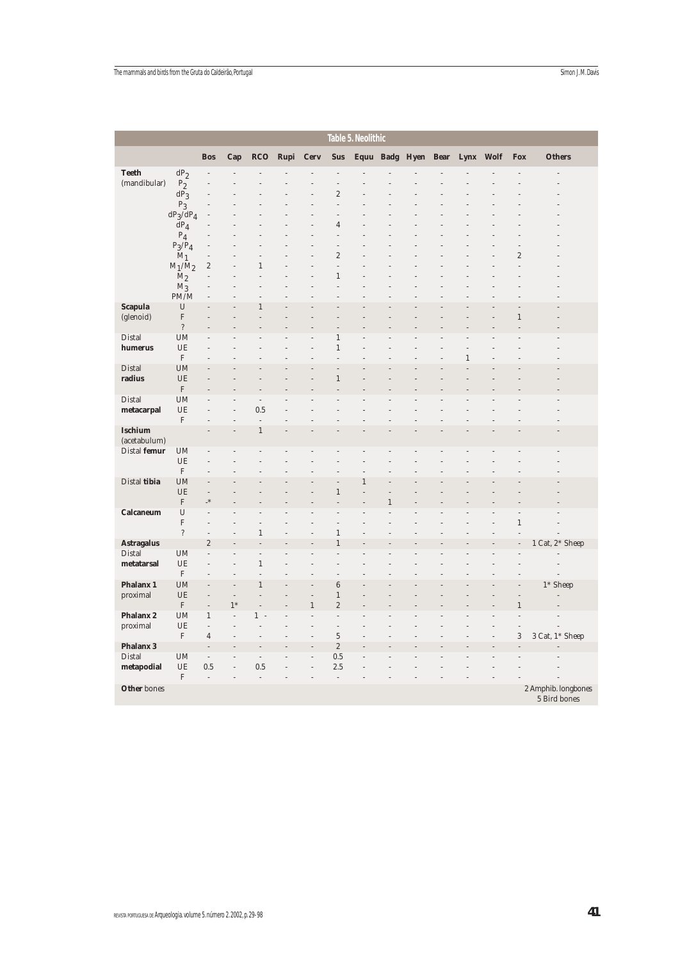|                             |                          |                                        |                |                                  |      |                                  |                               | Table 5. Neolithic |   |                     |              |    |                  |                                     |
|-----------------------------|--------------------------|----------------------------------------|----------------|----------------------------------|------|----------------------------------|-------------------------------|--------------------|---|---------------------|--------------|----|------------------|-------------------------------------|
|                             |                          | <b>Bos</b>                             | Cap            | <b>RCO</b>                       | Rupi | <b>Cerv</b>                      | <b>Sus</b>                    |                    |   | Equu Badg Hyen Bear | Lynx Wolf    |    | <b>Fox</b>       | <b>Others</b>                       |
| <b>Teeth</b>                | $dP_2$                   | j.                                     |                |                                  |      |                                  | L,                            |                    |   |                     |              |    |                  |                                     |
| (mandibular)                | $P_2$                    |                                        |                |                                  |      |                                  |                               |                    |   |                     |              |    |                  |                                     |
|                             | $dP_3$                   |                                        |                |                                  |      |                                  | $\overline{c}$                |                    |   |                     |              |    |                  |                                     |
|                             | $P_3$                    | L.                                     |                |                                  |      |                                  | $\overline{a}$                |                    |   |                     |              |    |                  |                                     |
|                             | $dP_3/dP_4$              |                                        |                |                                  |      |                                  | $\overline{a}$                |                    |   |                     |              |    |                  |                                     |
|                             | $dP_4$                   |                                        |                |                                  |      |                                  | $\overline{4}$<br>L.          |                    |   |                     |              |    |                  |                                     |
|                             | $P_4$<br>$P_3/P_4$       |                                        |                |                                  |      |                                  | $\overline{\phantom{m}}$      |                    |   |                     |              |    | i,               |                                     |
|                             | $M_1$                    | $\overline{a}$                         |                | $\overline{a}$                   |      | L.                               | $\boldsymbol{2}$              |                    |   |                     |              |    | $\boldsymbol{2}$ |                                     |
|                             | $M_1/M_2$                | $\sqrt{2}$                             |                | $1\,$                            |      |                                  | L.                            |                    |   |                     |              |    | L                |                                     |
|                             | M <sub>2</sub>           | L                                      |                | $\overline{a}$                   |      |                                  | $1\,$                         |                    |   |                     |              |    |                  |                                     |
|                             | $M_3$                    | j.                                     |                | $\overline{a}$                   |      |                                  | L,                            |                    |   |                     |              |    |                  |                                     |
|                             | PM/M                     | j.                                     |                | $\mathbf{1}$                     |      |                                  |                               |                    |   |                     |              |    |                  |                                     |
| <b>Scapula</b><br>(glenoid) | U<br>$\mathbf F$         |                                        |                |                                  |      |                                  |                               |                    |   |                     |              |    | $\,1\,$          |                                     |
|                             | $\overline{?}$           |                                        |                |                                  |      |                                  |                               |                    |   |                     |              |    |                  |                                     |
| Distal                      | <b>UM</b>                |                                        |                |                                  |      |                                  | $\mathbf{1}$                  |                    |   |                     |              |    |                  |                                     |
| humerus                     | UE                       |                                        |                |                                  |      |                                  | $\,1\,$                       |                    |   |                     |              |    |                  |                                     |
|                             | $\mathbf F$              |                                        |                |                                  |      |                                  |                               |                    |   |                     | $\mathbf{1}$ |    |                  |                                     |
| Distal                      | <b>UM</b>                |                                        |                |                                  |      |                                  |                               |                    |   |                     |              |    |                  |                                     |
| radius                      | UE<br>$\mathbf F$        |                                        |                |                                  |      |                                  | $\,1$                         |                    |   |                     |              |    |                  |                                     |
| Distal                      | <b>UM</b>                |                                        |                | $\frac{1}{2}$                    |      |                                  |                               |                    |   |                     |              |    |                  |                                     |
| metacarpal                  | UE                       |                                        | L              | 0.5                              |      |                                  |                               |                    |   |                     |              |    |                  |                                     |
|                             | $\mathbf F$              |                                        |                | $\overline{a}$                   |      |                                  |                               |                    |   |                     |              |    |                  |                                     |
| <b>Ischium</b>              |                          |                                        |                | $\,1\,$                          |      |                                  |                               |                    |   |                     |              |    |                  |                                     |
| (acetabulum)                |                          |                                        |                |                                  |      |                                  |                               |                    |   |                     |              |    |                  |                                     |
| Distal femur                | <b>UM</b>                | j.                                     |                |                                  |      |                                  |                               |                    |   |                     |              |    |                  |                                     |
|                             | UE<br>$\mathbf F$        | L.<br>i,                               |                |                                  |      |                                  |                               |                    |   |                     |              |    |                  |                                     |
| Distal tibia                | <b>UM</b>                |                                        |                |                                  |      |                                  | L,                            | $\,1$              |   |                     |              |    |                  |                                     |
|                             | UE                       | $\overline{a}$                         |                |                                  |      |                                  | $\,1\,$                       |                    |   |                     |              |    |                  |                                     |
|                             | $\mathbf F$              | $\cdot^*$                              |                |                                  |      |                                  |                               |                    | 1 |                     |              |    |                  |                                     |
| <b>Calcaneum</b>            | U                        | $\overline{a}$                         |                |                                  |      |                                  | L.                            |                    |   |                     |              |    | j.               |                                     |
|                             | ${\bf F}$                | $\overline{a}$                         |                |                                  |      |                                  | L.                            |                    |   |                     |              |    | $\,1\,$          |                                     |
|                             | $\overline{\mathcal{E}}$ | $\overline{a}$                         | L              | $\mathbf{1}$                     |      | $\overline{a}$                   | $\,1\,$                       |                    |   |                     |              |    | l,               |                                     |
| <b>Astragalus</b><br>Distal | <b>UM</b>                | $\sqrt{2}$<br>$\overline{a}$           | L              | $\overline{a}$<br>$\overline{a}$ |      |                                  | $\,1$                         |                    |   |                     |              |    | l,               | 1 Cat, 2* Sheep                     |
| metatarsal                  | UE                       | $\overline{a}$                         | L              | $\,1\,$                          |      |                                  | L,                            |                    |   |                     |              |    |                  | i,                                  |
|                             | $\mathbf F$              | $\overline{a}$                         | $\overline{a}$ | $\overline{a}$                   |      | L.                               | $\overline{a}$                |                    |   |                     |              |    |                  |                                     |
| <b>Phalanx 1</b>            | <b>UM</b>                |                                        |                | $\mathbf{1}$                     |      |                                  | $6\phantom{1}$                |                    |   |                     |              |    |                  | 1* Sheep                            |
| proximal                    | UE                       | L,                                     | $\overline{a}$ | $\overline{a}$                   |      | $\overline{a}$                   | $\,1\,$                       |                    |   |                     |              |    | L                |                                     |
|                             | $\mathbf F$              | $\overline{\phantom{a}}$               | $1*$           | L                                |      | $1\,$                            | $\sqrt{2}$                    |                    |   |                     |              |    | $\mathbf{1}$     |                                     |
| Phalanx <sub>2</sub>        | <b>UM</b>                | $\mathbf{1}$                           | $\overline{a}$ | 1 -                              |      | $\overline{a}$                   | $\overline{\phantom{m}}$      |                    |   |                     |              |    | l,               |                                     |
| proximal                    | UE<br>$\mathbf F$        | $\overline{\phantom{a}}$<br>$\sqrt{4}$ | L,<br>i,       | j.<br>$\overline{a}$             |      | $\overline{a}$<br>$\overline{a}$ | $\overline{a}$<br>$\mathbf 5$ |                    |   |                     |              | į, | j.<br>$\,3$      | 3 Cat, 1* Sheep                     |
| <b>Phalanx 3</b>            |                          |                                        |                |                                  |      |                                  | $\sqrt{2}$                    |                    |   |                     |              |    |                  |                                     |
| Distal                      | <b>UM</b>                | $\overline{\phantom{a}}$               | $\overline{a}$ | $\overline{\phantom{a}}$         | L,   | $\overline{a}$                   | 0.5                           | $\overline{a}$     |   |                     |              |    |                  |                                     |
| metapodial                  | UE                       | 0.5                                    | L              | 0.5                              |      |                                  | 2.5                           |                    |   |                     |              |    |                  |                                     |
|                             | $\mathbf F$              | $\overline{a}$                         | L              | $\overline{a}$                   |      |                                  | $\frac{1}{2}$                 |                    |   |                     |              |    |                  |                                     |
| <b>Other</b> bones          |                          |                                        |                |                                  |      |                                  |                               |                    |   |                     |              |    |                  | 2 Amphib. longbones<br>5 Bird bones |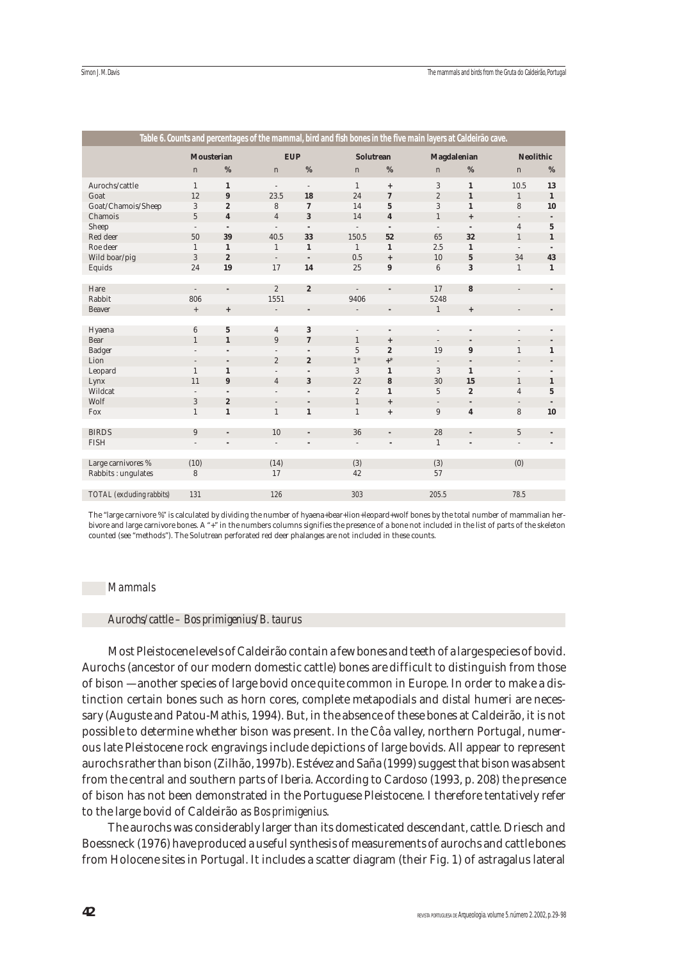|                           |                   |                                  |                          |                          | Table 6. Counts and percentages of the mammal, bird and fish bones in the five main layers at Caldeirão cave. |                                  |                    |                                  |                  |                 |
|---------------------------|-------------------|----------------------------------|--------------------------|--------------------------|---------------------------------------------------------------------------------------------------------------|----------------------------------|--------------------|----------------------------------|------------------|-----------------|
|                           | <b>Mousterian</b> |                                  | <b>EUP</b>               |                          | <b>Solutrean</b>                                                                                              |                                  | <b>Magdalenian</b> |                                  | <b>Neolithic</b> |                 |
|                           | $\mathbf n$       | %                                | $\mathbf n$              | $\%$                     | $\mathbf n$                                                                                                   | %                                | $\mathbf n$        | %                                | $\mathbf n$      | %               |
| Aurochs/cattle            | $\mathbf{1}$      | $\mathbf{1}$                     | $\overline{\phantom{a}}$ | $\overline{\phantom{a}}$ | $\mathbf{1}$                                                                                                  | $^{+}$                           | 3                  | $\mathbf{1}$                     | 10.5             | 13              |
| Goat                      | 12                | $\pmb{9}$                        | 23.5                     | 18                       | 24                                                                                                            | $\overline{7}$                   | $\overline{2}$     | $\mathbf 1$                      | $\mathbf{1}$     | $\mathbf{1}$    |
| Goat/Chamois/Sheep        | 3                 | $\overline{2}$                   | 8                        | $\mathbf 7$              | 14                                                                                                            | $5\phantom{.0}$                  | 3                  | $\mathbf{1}$                     | 8                | 10              |
| Chamois                   | $\overline{5}$    | $\overline{\mathbf{4}}$          | $\overline{4}$           | $\bf{3}$                 | 14                                                                                                            | $\boldsymbol{4}$                 | $\mathbf{1}$       | $\, +$                           |                  |                 |
| Sheep                     | $\overline{a}$    | $\overline{\phantom{a}}$         | $\overline{a}$           | $\overline{\phantom{a}}$ | $\overline{a}$                                                                                                | $\overline{\phantom{a}}$         | $\overline{a}$     | $\overline{a}$                   | $\overline{4}$   | $5\phantom{.0}$ |
| Red deer                  | 50                | 39                               | 40.5                     | 33                       | 150.5                                                                                                         | 52                               | 65                 | 32                               | $\mathbf{1}$     | $\mathbf{1}$    |
| Roe deer                  | 1                 | $\mathbf{1}$                     | $\mathbf{1}$             | $\mathbf{1}$             | $\mathbf{1}$                                                                                                  | $\mathbf{1}$                     | 2.5                | $\mathbf{1}$                     | $\overline{a}$   |                 |
| Wild boar/pig             | 3                 | $\overline{2}$                   | $\overline{\phantom{a}}$ | $\overline{\phantom{a}}$ | 0.5                                                                                                           | $\ddot{}$                        | 10                 | $\mathbf{5}$                     | 34               | 43              |
| Equids                    | 24                | 19                               | 17                       | 14                       | 25                                                                                                            | $\boldsymbol{9}$                 | $\,6\,$            | 3                                | $\mathbf{1}$     | $\mathbf{1}$    |
|                           |                   |                                  |                          |                          |                                                                                                               |                                  |                    |                                  |                  |                 |
| Hare                      | $\overline{a}$    | $\overline{a}$                   | $\overline{2}$           | $\boldsymbol{2}$         |                                                                                                               |                                  | 17                 | 8                                | $\overline{a}$   |                 |
| Rabbit                    | 806               |                                  | 1551                     |                          | 9406                                                                                                          |                                  | 5248               |                                  |                  |                 |
| Beaver                    | $^+$              | $\begin{array}{c} + \end{array}$ | $\overline{\phantom{a}}$ | $\overline{\phantom{a}}$ |                                                                                                               | $\overline{\phantom{a}}$         | $\mathbf{1}$       | $\begin{array}{c} + \end{array}$ |                  |                 |
|                           |                   |                                  |                          |                          |                                                                                                               |                                  |                    |                                  |                  |                 |
| Hyaena                    | 6                 | $\mathbf 5$                      | $\overline{4}$           | 3                        | $\overline{a}$                                                                                                | $\overline{a}$                   | $\overline{a}$     | $\overline{a}$                   |                  |                 |
| Bear                      | $\mathbf{1}$      | $\mathbf{1}$                     | $\boldsymbol{9}$         | $\boldsymbol{7}$         | $\mathbf{1}$                                                                                                  | $\begin{array}{c} + \end{array}$ | $\overline{a}$     | $\overline{a}$                   |                  |                 |
| Badger                    | $\overline{a}$    | ÷.                               |                          | $\overline{\phantom{a}}$ | 5                                                                                                             | $\boldsymbol{2}$                 | 19                 | $\pmb{9}$                        | $\mathbf{1}$     | $\mathbf{1}$    |
| Lion                      |                   | $\overline{\phantom{a}}$         | $\sqrt{2}$               | $\boldsymbol{2}$         | $1*$                                                                                                          | $+$ *                            |                    | $\overline{\phantom{a}}$         |                  |                 |
| Leopard                   | $\mathbf{1}$      | $\mathbf{1}$                     | $\overline{a}$           |                          | 3                                                                                                             | $\mathbf{1}$                     | 3                  | $\mathbf{1}$                     |                  |                 |
| Lynx                      | 11                | $\pmb{9}$                        | $\sqrt{4}$               | $\bf{3}$                 | 22                                                                                                            | $\bf{8}$                         | 30                 | 15                               | $\mathbf{1}$     | $\mathbf{1}$    |
| Wildcat                   | $\overline{a}$    | ÷.                               | $\overline{a}$           | ÷,                       | $\overline{2}$                                                                                                | $\mathbf{1}$                     | 5                  | $\overline{2}$                   | $\overline{4}$   | $5\phantom{.0}$ |
| Wolf                      | 3                 | $\boldsymbol{2}$                 | $\overline{\phantom{m}}$ | $\overline{a}$           | $\mathbf{1}$                                                                                                  | $+$                              |                    |                                  |                  |                 |
| Fox                       | $\mathbf{1}$      | $\mathbf{1}$                     | $\mathbf{1}$             | $\mathbf{1}$             | $\mathbf{1}$                                                                                                  | $\begin{array}{c} + \end{array}$ | $\boldsymbol{9}$   | $\boldsymbol{4}$                 | 8                | 10              |
|                           |                   |                                  |                          |                          |                                                                                                               |                                  |                    |                                  |                  |                 |
| <b>BIRDS</b>              | 9                 | $\overline{a}$                   | 10                       |                          | 36                                                                                                            |                                  | 28                 | $\overline{a}$                   | $\overline{5}$   |                 |
| <b>FISH</b>               | $\overline{a}$    | ÷.                               | $\overline{\phantom{a}}$ |                          | $\overline{a}$                                                                                                | L.                               | $\mathbf{1}$       | L.                               | $\overline{a}$   |                 |
|                           |                   |                                  |                          |                          |                                                                                                               |                                  |                    |                                  |                  |                 |
| Large carnivores %        | (10)              |                                  | (14)                     |                          | (3)                                                                                                           |                                  | (3)                |                                  | (0)              |                 |
| Rabbits: ungulates        | 8                 |                                  | 17                       |                          | 42                                                                                                            |                                  | 57                 |                                  |                  |                 |
|                           |                   |                                  |                          |                          |                                                                                                               |                                  |                    |                                  |                  |                 |
| TOTAL (excluding rabbits) | 131               |                                  | 126                      |                          | 303                                                                                                           |                                  | 205.5              |                                  | 78.5             |                 |
|                           |                   |                                  |                          |                          |                                                                                                               |                                  |                    |                                  |                  |                 |

The "large carnivore %" is calculated by dividing the number of hyaena+bear+lion+leopard+wolf bones by the total number of mammalian herbivore and large carnivore bones. A "+" in the numbers columns signifies the presence of a bone not included in the list of parts of the skeleton counted (see "methods"). The Solutrean perforated red deer phalanges are not included in these counts.

## *Mammals*

#### *Aurochs/cattle – Bos primigenius/B. taurus*

Most Pleistocene levels of Caldeirão contain a few bones and teeth of a large species of bovid. Aurochs (ancestor of our modern domestic cattle) bones are difficult to distinguish from those of bison — another species of large bovid once quite common in Europe. In order to make a distinction certain bones such as horn cores, complete metapodials and distal humeri are necessary (Auguste and Patou-Mathis, 1994). But, in the absence of these bones at Caldeirão, it is not possible to determine whether bison was present. In the Côa valley, northern Portugal, numerous late Pleistocene rock engravings include depictions of large bovids. All appear to represent aurochs rather than bison (Zilhão, 1997b). Estévez and Saña (1999) suggest that bison was absent from the central and southern parts of Iberia. According to Cardoso (1993, p. 208) the presence of bison has not been demonstrated in the Portuguese Pleistocene. I therefore tentatively refer to the large bovid of Caldeirão as *Bos primigenius*.

The aurochs was considerably larger than its domesticated descendant, cattle. Driesch and Boessneck (1976) have produced a useful synthesis of measurements of aurochs and cattle bones from Holocene sites in Portugal. It includes a scatter diagram (their Fig. 1) of astragalus lateral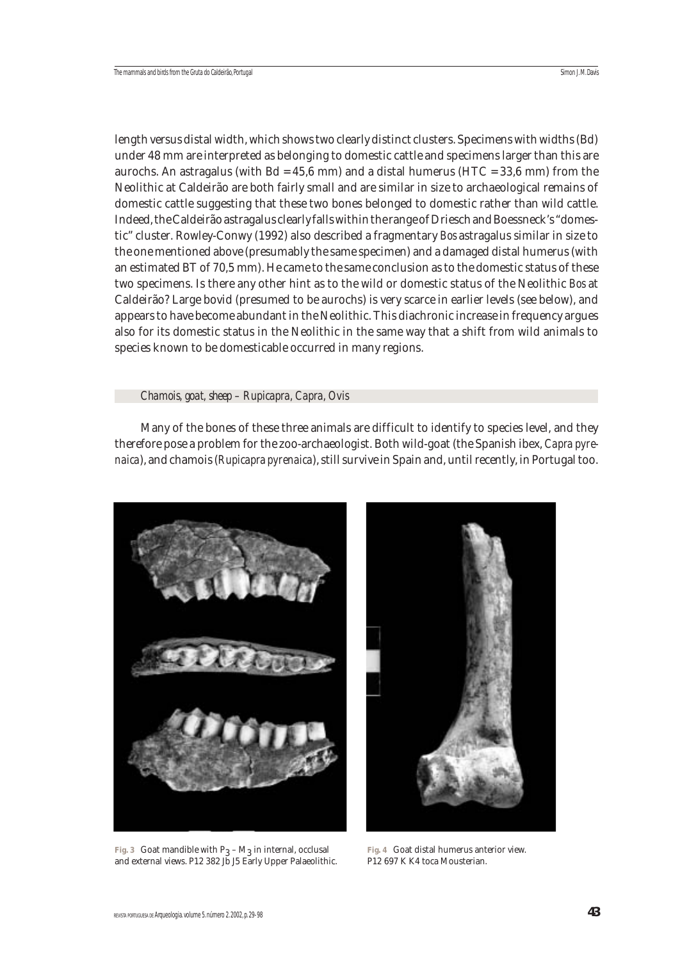length versus distal width, which shows two clearly distinct clusters. Specimens with widths (Bd) under 48 mm are interpreted as belonging to domestic cattle and specimens larger than this are aurochs. An astragalus (with  $Bd = 45.6$  mm) and a distal humerus (HTC = 33.6 mm) from the Neolithic at Caldeirão are both fairly small and are similar in size to archaeological remains of domestic cattle suggesting that these two bones belonged to domestic rather than wild cattle. Indeed, the Caldeirão astragalus clearly falls within the range of Driesch and Boessneck's "domestic" cluster. Rowley-Conwy (1992) also described a fragmentary *Bos* astragalus similar in size to the one mentioned above (presumably the same specimen) and a damaged distal humerus (with an estimated BT of 70,5 mm). He came to the same conclusion as to the domestic status of these two specimens. Is there any other hint as to the wild or domestic status of the Neolithic *Bos* at Caldeirão? Large bovid (presumed to be aurochs) is very scarce in earlier levels (see below), and appears to have become abundant in the Neolithic. This diachronic increase in frequency argues also for its domestic status in the Neolithic in the same way that a shift from wild animals to species known to be domesticable occurred in many regions.

## *Chamois, goat, sheep – Rupicapra, Capra, Ovis*

Many of the bones of these three animals are difficult to identify to species level, and they therefore pose a problem for the zoo-archaeologist. Both wild-goat (the Spanish ibex, *Capra pyrenaica*), and chamois (*Rupicapra pyrenaica*), still survive in Spain and, until recently, in Portugal too.



Fig. 3 Goat mandible with  $P_3 - M_3$  in internal, occlusal and external views. P12 382 Jb J5 Early Upper Palaeolithic.



**Fig. 4** Goat distal humerus anterior view. P12 697 K K4 toca Mousterian.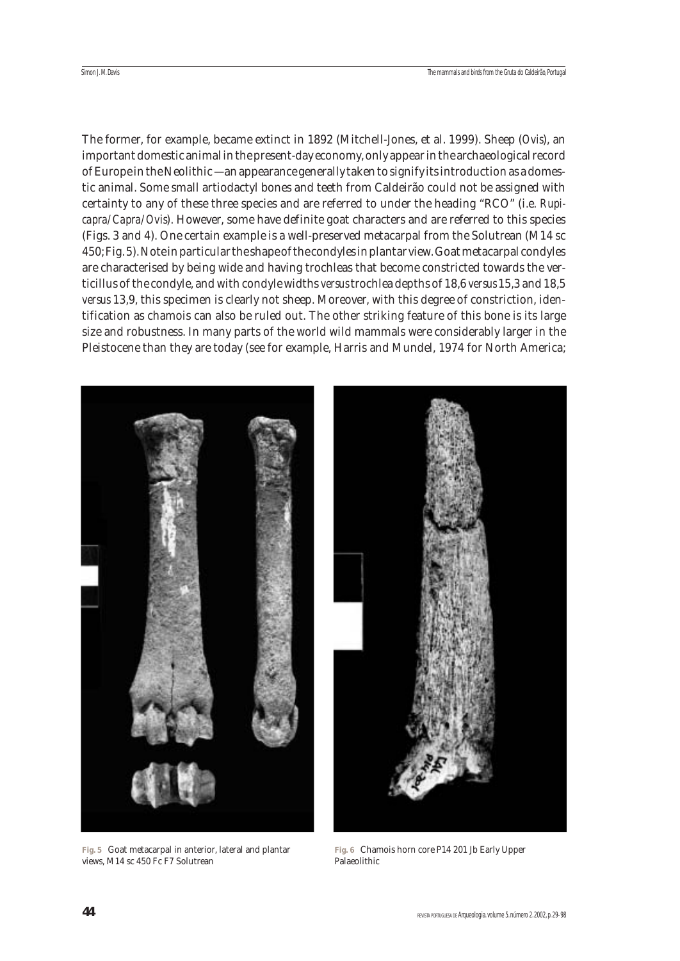The former, for example, became extinct in 1892 (Mitchell-Jones, et al. 1999). Sheep (*Ovis*), an important domestic animal in the present-day economy, only appear in the archaeological record of Europe in the Neolithic — an appearance generally taken to signify its introduction as a domestic animal. Some small artiodactyl bones and teeth from Caldeirão could not be assigned with certainty to any of these three species and are referred to under the heading "RCO" (i.e. *Rupicapra/Capra/Ovis*). However, some have definite goat characters and are referred to this species (Figs. 3 and 4). One certain example is a well-preserved metacarpal from the Solutrean (M14 sc 450; Fig. 5). Note in particular the shape of the condyles in plantar view. Goat metacarpal condyles are characterised by being wide and having trochleas that become constricted towards the verticillus of the condyle, and with condyle widths *versus*trochlea depths of 18,6 *versus* 15,3 and 18,5 *versus* 13,9, this specimen is clearly not sheep. Moreover, with this degree of constriction, identification as chamois can also be ruled out. The other striking feature of this bone is its large size and robustness. In many parts of the world wild mammals were considerably larger in the Pleistocene than they are today (see for example, Harris and Mundel, 1974 for North America;



**Fig. 5** Goat metacarpal in anterior, lateral and plantar views, M14 sc 450 Fc F7 Solutrean

**Fig. 6** Chamois horn core P14 201 Jb Early Upper Palaeolithic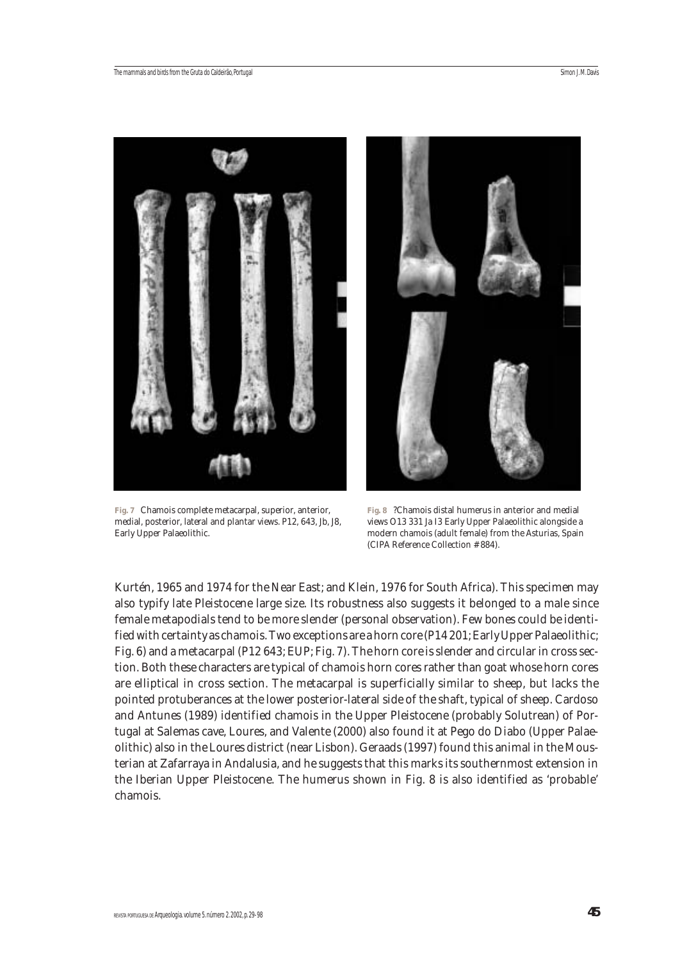



**Fig. 7** Chamois complete metacarpal, superior, anterior, medial, posterior, lateral and plantar views. P12, 643, Jb, J8, Early Upper Palaeolithic.

**Fig. 8** ?Chamois distal humerus in anterior and medial views O13 331 Ja I3 Early Upper Palaeolithic alongside a modern chamois (adult female) from the Asturias, Spain (CIPA Reference Collection # 884).

Kurtén, 1965 and 1974 for the Near East; and Klein, 1976 for South Africa). This specimen may also typify late Pleistocene large size. Its robustness also suggests it belonged to a male since female metapodials tend to be more slender (personal observation). Few bones could be identified with certainty as chamois. Two exceptions are a horn core (P14 201; Early Upper Palaeolithic; Fig. 6) and a metacarpal (P12 643; EUP; Fig. 7). The horn core is slender and circular in cross section. Both these characters are typical of chamois horn cores rather than goat whose horn cores are elliptical in cross section. The metacarpal is superficially similar to sheep, but lacks the pointed protuberances at the lower posterior-lateral side of the shaft, typical of sheep. Cardoso and Antunes (1989) identified chamois in the Upper Pleistocene (probably Solutrean) of Portugal at Salemas cave, Loures, and Valente (2000) also found it at Pego do Diabo (Upper Palaeolithic) also in the Loures district (near Lisbon). Geraads (1997) found this animal in the Mousterian at Zafarraya in Andalusia, and he suggests that this marks its southernmost extension in the Iberian Upper Pleistocene. The humerus shown in Fig. 8 is also identified as 'probable' chamois.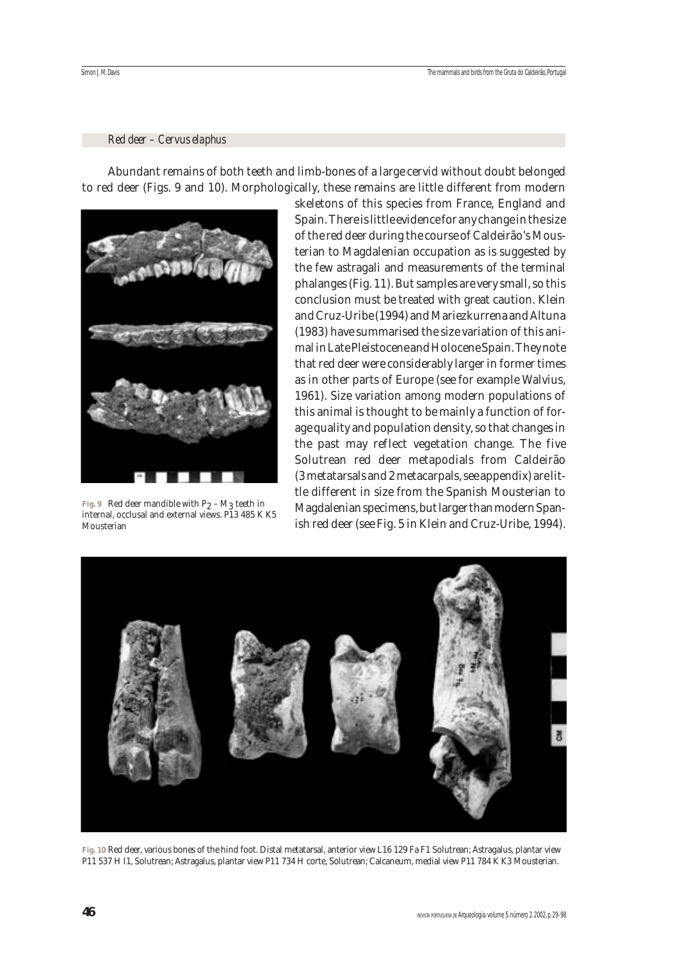## *Red deer – Cervus elaphus*

Abundant remains of both teeth and limb-bones of a large cervid without doubt belonged to red deer (Figs. 9 and 10). Morphologically, these remains are little different from modern



**Fig. 9** Red deer mandible with  $P_2 - M_3$  teeth in internal, occlusal and external views. P13 485 K K5 Mousterian

skeletons of this species from France, England and Spain. There is little evidence for any change in the size of the red deer during the course of Caldeirão's Mousterian to Magdalenian occupation as is suggested by the few astragali and measurements of the terminal phalanges (Fig. 11). But samples are very small, so this conclusion must be treated with great caution. Klein and Cruz-Uribe (1994) and Mariezkurrena and Altuna (1983) have summarised the size variation of this animal in Late Pleistocene and Holocene Spain. They note that red deer were considerably larger in former times as in other parts of Europe (see for example Walvius, 1961). Size variation among modern populations of this animal is thought to be mainly a function of forage quality and population density, so that changes in the past may reflect vegetation change. The five Solutrean red deer metapodials from Caldeirão (3 metatarsals and 2 metacarpals, see appendix) are little different in size from the Spanish Mousterian to Magdalenian specimens, but larger than modern Spanish red deer (see Fig. 5 in Klein and Cruz-Uribe, 1994).



**Fig. 10** Red deer, various bones of the hind foot. Distal metatarsal, anterior view L16 129 Fa F1 Solutrean; Astragalus, plantar view P11 537 H I1, Solutrean; Astragalus, plantar view P11 734 H corte, Solutrean; Calcaneum, medial view P11 784 K K3 Mousterian.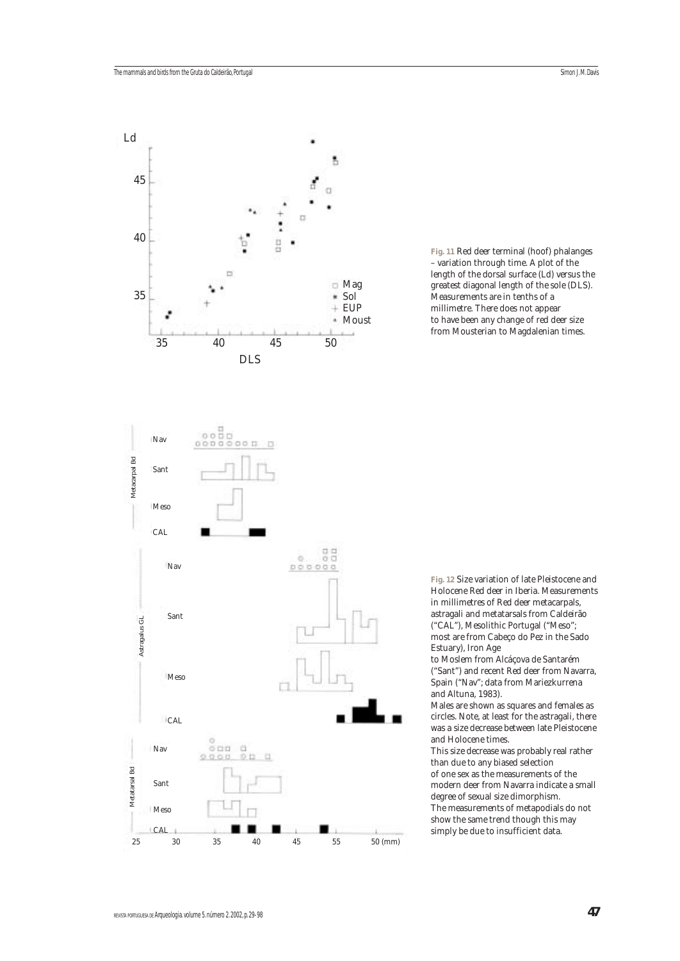

**Fig. 11** Red deer terminal (hoof) phalanges – variation through time. A plot of the length of the dorsal surface (Ld) versus the greatest diagonal length of the sole (DLS). Measurements are in tenths of a millimetre. There does not appear to have been any change of red deer size from Mousterian to Magdalenian times.

**Fig. 12** Size variation of late Pleistocene and Holocene Red deer in Iberia. Measurements in millimetres of Red deer metacarpals, astragali and metatarsals from Caldeirão ("CAL"), Mesolithic Portugal ("Meso"; most are from Cabeço do Pez in the Sado Estuary), Iron Age

to Moslem from Alcáçova de Santarém ("Sant") and recent Red deer from Navarra, Spain ("Nav"; data from Mariezkurrena and Altuna, 1983).

Males are shown as squares and females as circles. Note, at least for the astragali, there was a size decrease between late Pleistocene and Holocene times.

This size decrease was probably real rather than due to any biased selection of one sex as the measurements of the modern deer from Navarra indicate a small degree of sexual size dimorphism. The measurements of metapodials do not show the same trend though this may simply be due to insufficient data.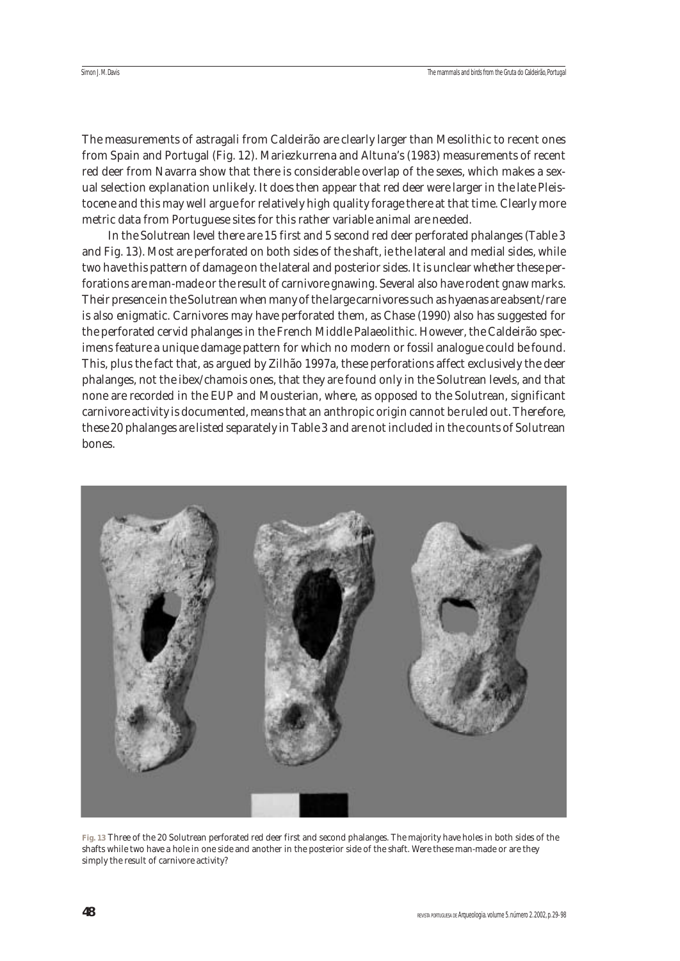The measurements of astragali from Caldeirão are clearly larger than Mesolithic to recent ones from Spain and Portugal (Fig. 12). Mariezkurrena and Altuna's (1983) measurements of recent red deer from Navarra show that there is considerable overlap of the sexes, which makes a sexual selection explanation unlikely. It does then appear that red deer were larger in the late Pleistocene and this may well argue for relatively high quality forage there at that time. Clearly more metric data from Portuguese sites for this rather variable animal are needed.

In the Solutrean level there are 15 first and 5 second red deer perforated phalanges (Table 3 and Fig. 13). Most are perforated on both sides of the shaft, ie the lateral and medial sides, while two have this pattern of damage on the lateral and posterior sides. It is unclear whether these perforations are man-made or the result of carnivore gnawing. Several also have rodent gnaw marks. Their presence in the Solutrean when many of the large carnivores such as hyaenas are absent/rare is also enigmatic. Carnivores may have perforated them, as Chase (1990) also has suggested for the perforated cervid phalanges in the French Middle Palaeolithic. However, the Caldeirão specimens feature a unique damage pattern for which no modern or fossil analogue could be found. This, plus the fact that, as argued by Zilhão 1997a, these perforations affect exclusively the deer phalanges, not the ibex/chamois ones, that they are found only in the Solutrean levels, and that none are recorded in the EUP and Mousterian, where, as opposed to the Solutrean, significant carnivore activity is documented, means that an anthropic origin cannot be ruled out. Therefore, these 20 phalanges are listed separately in Table 3 and are not included in the counts of Solutrean bones.



**Fig. 13** Three of the 20 Solutrean perforated red deer first and second phalanges. The majority have holes in both sides of the shafts while two have a hole in one side and another in the posterior side of the shaft. Were these man-made or are they simply the result of carnivore activity?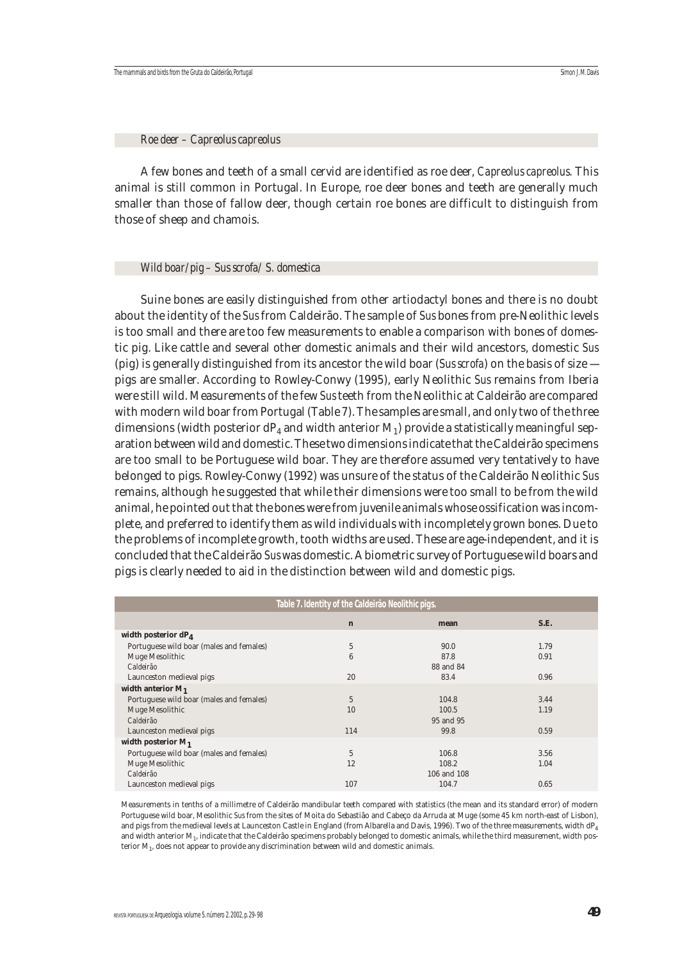*Roe deer – Capreolus capreolus*

A few bones and teeth of a small cervid are identified as roe deer, *Capreolus capreolus*. This animal is still common in Portugal. In Europe, roe deer bones and teeth are generally much smaller than those of fallow deer, though certain roe bones are difficult to distinguish from those of sheep and chamois.

#### *Wild boar/pig – Sus scrofa/ S. domestica*

Suine bones are easily distinguished from other artiodactyl bones and there is no doubt about the identity of the *Sus* from Caldeirão. The sample of *Sus* bones from pre-Neolithic levels is too small and there are too few measurements to enable a comparison with bones of domestic pig. Like cattle and several other domestic animals and their wild ancestors, domestic *Sus* (pig) is generally distinguished from its ancestor the wild boar (*Sus scrofa*) on the basis of size pigs are smaller. According to Rowley-Conwy (1995), early Neolithic *Sus* remains from Iberia were still wild. Measurements of the few *Sus* teeth from the Neolithic at Caldeirão are compared with modern wild boar from Portugal (Table 7). The samples are small, and only two of the three dimensions (width posterior  $dP_4$  and width anterior  $M_1$ ) provide a statistically meaningful separation between wild and domestic. These two dimensions indicate that the Caldeirão specimens are too small to be Portuguese wild boar. They are therefore assumed very tentatively to have belonged to pigs. Rowley-Conwy (1992) was unsure of the status of the Caldeirão Neolithic *Sus* remains, although he suggested that while their dimensions were too small to be from the wild animal, he pointed out that the bones were from juvenile animals whose ossification was incomplete, and preferred to identify them as wild individuals with incompletely grown bones. Due to the problems of incomplete growth, tooth widths are used. These are age-independent, and it is concluded that the Caldeirão *Sus* was domestic. A biometric survey of Portuguese wild boars and pigs is clearly needed to aid in the distinction between wild and domestic pigs.

| Table 7. Identity of the Caldeirão Neolithic pigs. |                 |             |      |  |  |  |  |  |
|----------------------------------------------------|-----------------|-------------|------|--|--|--|--|--|
|                                                    | $\mathbf n$     | mean        | S.E. |  |  |  |  |  |
| width posterior dP <sub>4</sub>                    |                 |             |      |  |  |  |  |  |
| Portuguese wild boar (males and females)           | 5               | 90.0        | 1.79 |  |  |  |  |  |
| Muge Mesolithic                                    | $6\phantom{1}6$ | 87.8        | 0.91 |  |  |  |  |  |
| Caldeirão                                          |                 | 88 and 84   |      |  |  |  |  |  |
| Launceston medieval pigs                           | 20              | 83.4        | 0.96 |  |  |  |  |  |
| width anterior $M_1$                               |                 |             |      |  |  |  |  |  |
| Portuguese wild boar (males and females)           | 5               | 104.8       | 3.44 |  |  |  |  |  |
| Muge Mesolithic                                    | 10              | 100.5       | 1.19 |  |  |  |  |  |
| Caldeirão                                          |                 | 95 and 95   |      |  |  |  |  |  |
| Launceston medieval pigs                           | 114             | 99.8        | 0.59 |  |  |  |  |  |
| width posterior $M_1$                              |                 |             |      |  |  |  |  |  |
| Portuguese wild boar (males and females)           | 5               | 106.8       | 3.56 |  |  |  |  |  |
| Muge Mesolithic                                    | 12              | 108.2       | 1.04 |  |  |  |  |  |
| Caldeirão                                          |                 | 106 and 108 |      |  |  |  |  |  |
| Launceston medieval pigs                           | 107             | 104.7       | 0.65 |  |  |  |  |  |

Measurements in tenths of a millimetre of Caldeirão mandibular teeth compared with statistics (the mean and its standard error) of modern Portuguese wild boar, Mesolithic *Sus* from the sites of Moita do Sebastião and Cabeço da Arruda at Muge (some 45 km north-east of Lisbon), and pigs from the medieval levels at Launceston Castle in England (from Albarella and Davis, 1996). Two of the three measurements, width dP<sub>4</sub> and width anterior M1, indicate that the Caldeirão specimens probably belonged to domestic animals, while the third measurement, width posterior M1, does not appear to provide any discrimination between wild and domestic animals.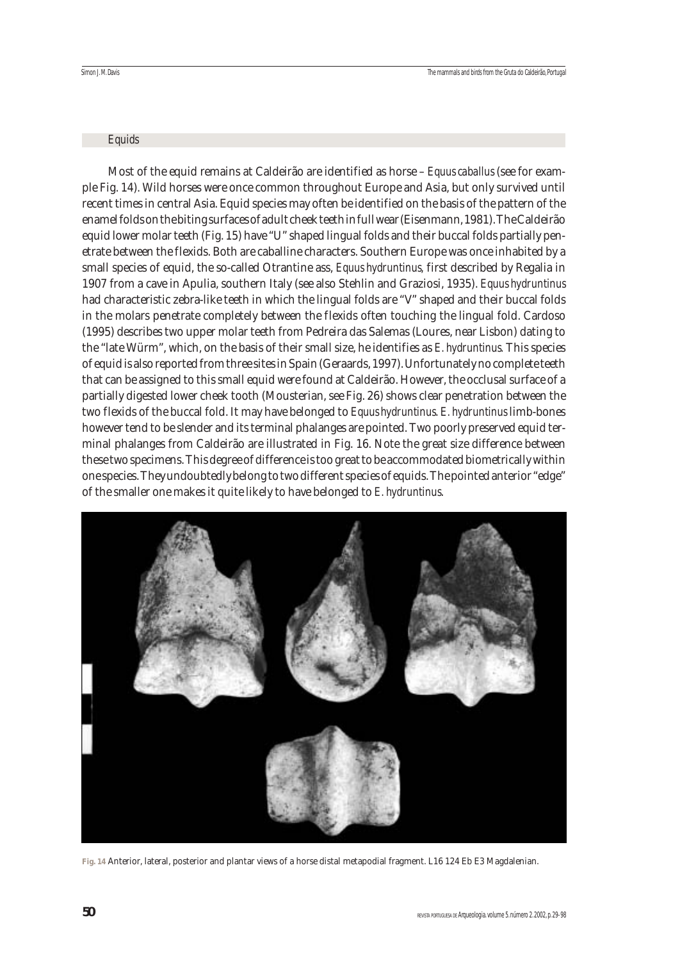#### *Equids*

Most of the equid remains at Caldeirão are identified as horse – *Equus caballus* (see for example Fig. 14). Wild horses were once common throughout Europe and Asia, but only survived until recent times in central Asia. Equid species may often be identified on the basis of the pattern of the enamel folds on the biting surfaces of adult cheek teeth in full wear (Eisenmann, 1981). The Caldeirão equid lower molar teeth (Fig. 15) have "U" shaped lingual folds and their buccal folds partially penetrate between the flexids. Both are caballine characters. Southern Europe was once inhabited by a small species of equid, the so-called Otrantine ass, *Equus hydruntinus,* first described by Regalia in 1907 from a cave in Apulia, southern Italy (see also Stehlin and Graziosi, 1935). *Equus hydruntinus* had characteristic zebra-like teeth in which the lingual folds are "V" shaped and their buccal folds in the molars penetrate completely between the flexids often touching the lingual fold. Cardoso (1995) describes two upper molar teeth from Pedreira das Salemas (Loures, near Lisbon) dating to the "late Würm", which, on the basis of their small size, he identifies as *E. hydruntinus.* This species of equid is also reported from three sites in Spain (Geraards, 1997). Unfortunately no complete teeth that can be assigned to this small equid were found at Caldeirão. However, the occlusal surface of a partially digested lower cheek tooth (Mousterian, see Fig. 26) shows clear penetration between the two flexids of the buccal fold. It may have belonged to *Equus hydruntinus*. *E. hydruntinus* limb-bones however tend to be slender and its terminal phalanges are pointed. Two poorly preserved equid terminal phalanges from Caldeirão are illustrated in Fig. 16. Note the great size difference between these two specimens. This degree of difference is too great to be accommodated biometrically within one species. They undoubtedly belong to two different species of equids. The pointed anterior "edge" of the smaller one makes it quite likely to have belonged to *E. hydruntinus*.



**Fig. 14** Anterior, lateral, posterior and plantar views of a horse distal metapodial fragment. L16 124 Eb E3 Magdalenian.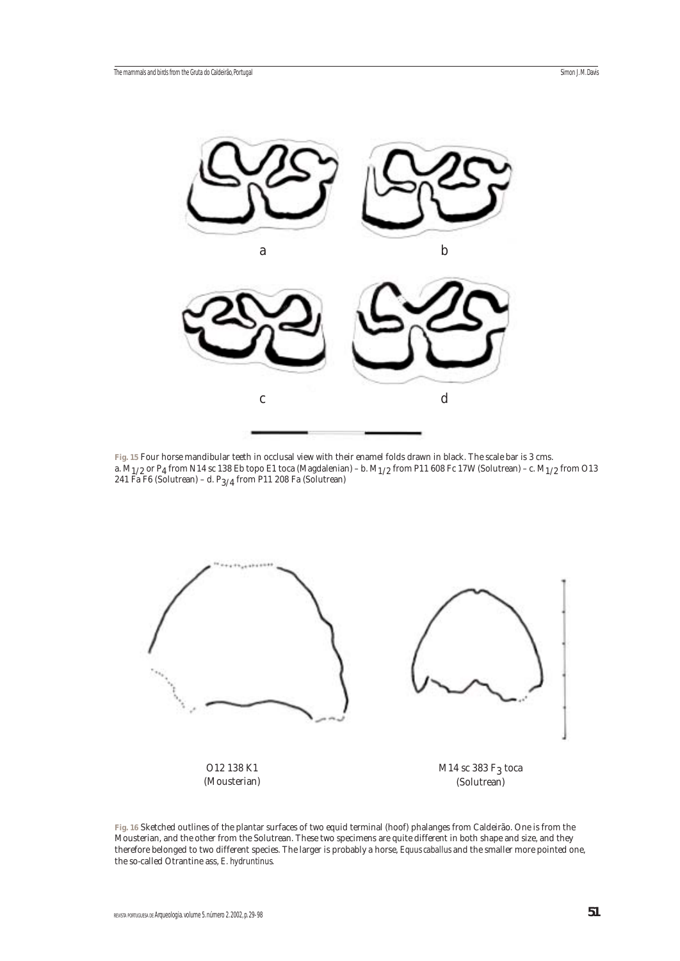

**Fig. 15** Four horse mandibular teeth in occlusal view with their enamel folds drawn in black. The scale bar is 3 cms. a.  $M_{1/2}$  or P<sub>4</sub> from N14 sc 138 Eb topo E1 toca (Magdalenian) – b.  $M_{1/2}$  from P11 608 Fc 17W (Solutrean) – c.  $M_{1/2}$  from O13 241 Fa F6 (Solutrean) – d. P $_{3/4}$  from P11 208 Fa (Solutrean)



**Fig. 16** Sketched outlines of the plantar surfaces of two equid terminal (hoof) phalanges from Caldeirão. One is from the Mousterian, and the other from the Solutrean. These two specimens are quite different in both shape and size, and they therefore belonged to two different species. The larger is probably a horse, *Equus caballus* and the smaller more pointed one, the so-called Otrantine ass, *E. hydruntinus.*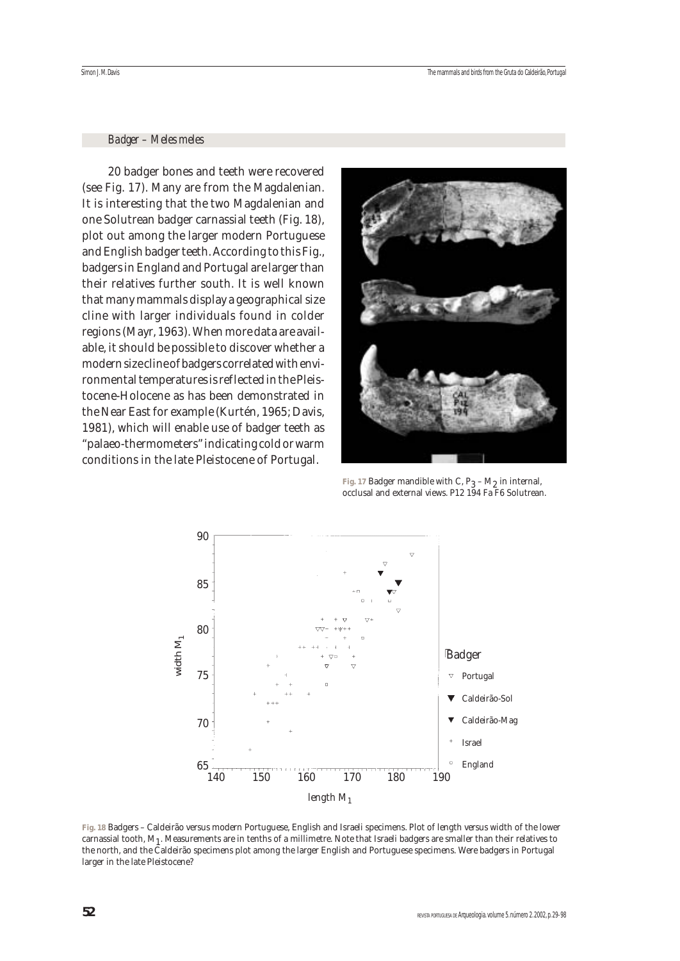#### *Badger – Meles meles*

20 badger bones and teeth were recovered (see Fig. 17). Many are from the Magdalenian. It is interesting that the two Magdalenian and one Solutrean badger carnassial teeth (Fig. 18), plot out among the larger modern Portuguese and English badger teeth. According to this Fig., badgers in England and Portugal are larger than their relatives further south. It is well known that many mammals display a geographical size cline with larger individuals found in colder regions (Mayr, 1963). When more data are available, it should be possible to discover whether a modern size cline of badgers correlated with environmental temperatures is reflected in the Pleistocene-Holocene as has been demonstrated in the Near East for example (Kurtén, 1965; Davis, 1981), which will enable use of badger teeth as "palaeo-thermometers" indicating cold or warm conditions in the late Pleistocene of Portugal.



Fig. 17 Badger mandible with C,  $P_3 - M_2$  in internal, occlusal and external views. P12 194 Fa F6 Solutrean.



**Fig. 18** Badgers – Caldeirão versus modern Portuguese, English and Israeli specimens. Plot of length versus width of the lower carnassial tooth,  $M_1$ . Measurements are in tenths of a millimetre. Note that Israeli badgers are smaller than their relatives to the north, and the Caldeirão specimens plot among the larger English and Portuguese specimens. Were badgers in Portugal larger in the late Pleistocene?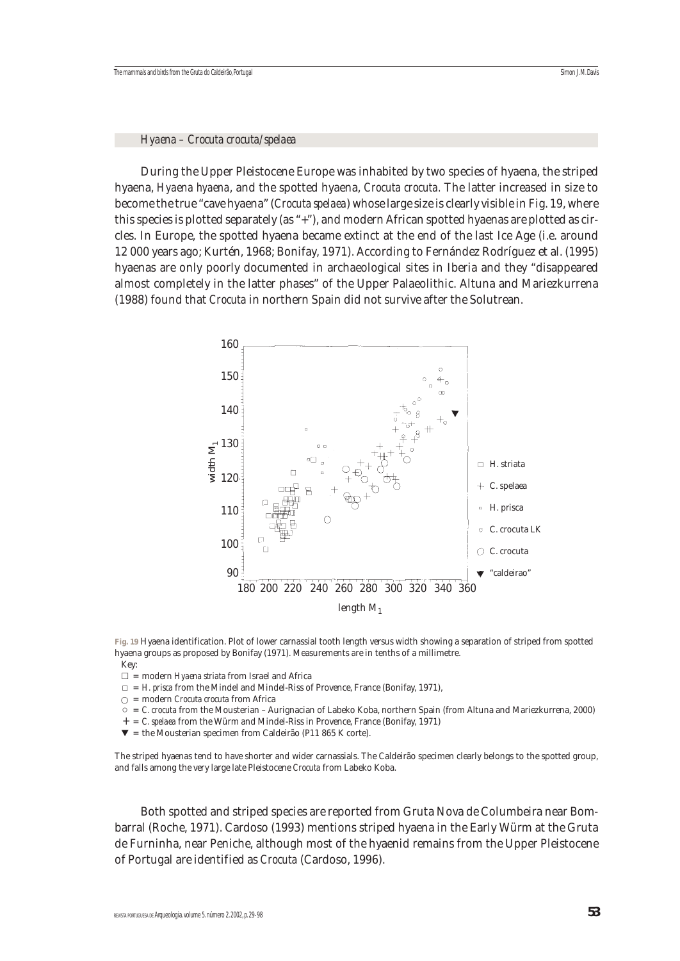#### *Hyaena – Crocuta crocuta/spelaea*

During the Upper Pleistocene Europe was inhabited by two species of hyaena, the striped hyaena, *Hyaena hyaena*, and the spotted hyaena, *Crocuta crocuta.* The latter increased in size to become the true "cave hyaena" (*Crocuta spelaea*) whose large size is clearly visible in Fig. 19, where this species is plotted separately (as "+"), and modern African spotted hyaenas are plotted as circles. In Europe, the spotted hyaena became extinct at the end of the last Ice Age (i.e. around 12 000 years ago; Kurtén, 1968; Bonifay, 1971). According to Fernández Rodríguez et al. (1995) hyaenas are only poorly documented in archaeological sites in Iberia and they "disappeared almost completely in the latter phases" of the Upper Palaeolithic. Altuna and Mariezkurrena (1988) found that *Crocuta* in northern Spain did not survive after the Solutrean.



**Fig. 19** Hyaena identification. Plot of lower carnassial tooth length versus width showing a separation of striped from spotted hyaena groups as proposed by Bonifay (1971). Measurements are in tenths of a millimetre. Key:

- = modern *Hyaena striata* from Israel and Africa
- $\Box$  =  $H$ *. prisca* from the Mindel and Mindel-Riss of Provence, France (Bonifay, 1971),
- = modern *Crocuta crocuta* from Africa
- = *C. crocuta* from the Mousterian Aurignacian of Labeko Koba, northern Spain (from Altuna and Mariezkurrena, 2000)
- + = *C. spelaea* from the Würm and Mindel-Riss in Provence, France (Bonifay, 1971)
- $\blacktriangledown$  = the Mousterian specimen from Caldeirão (P11 865 K corte).

The striped hyaenas tend to have shorter and wider carnassials. The Caldeirão specimen clearly belongs to the spotted group, and falls among the very large late Pleistocene *Crocuta* from Labeko Koba.

Both spotted and striped species are reported from Gruta Nova de Columbeira near Bombarral (Roche, 1971). Cardoso (1993) mentions striped hyaena in the Early Würm at the Gruta de Furninha, near Peniche, although most of the hyaenid remains from the Upper Pleistocene of Portugal are identified as *Crocuta* (Cardoso, 1996).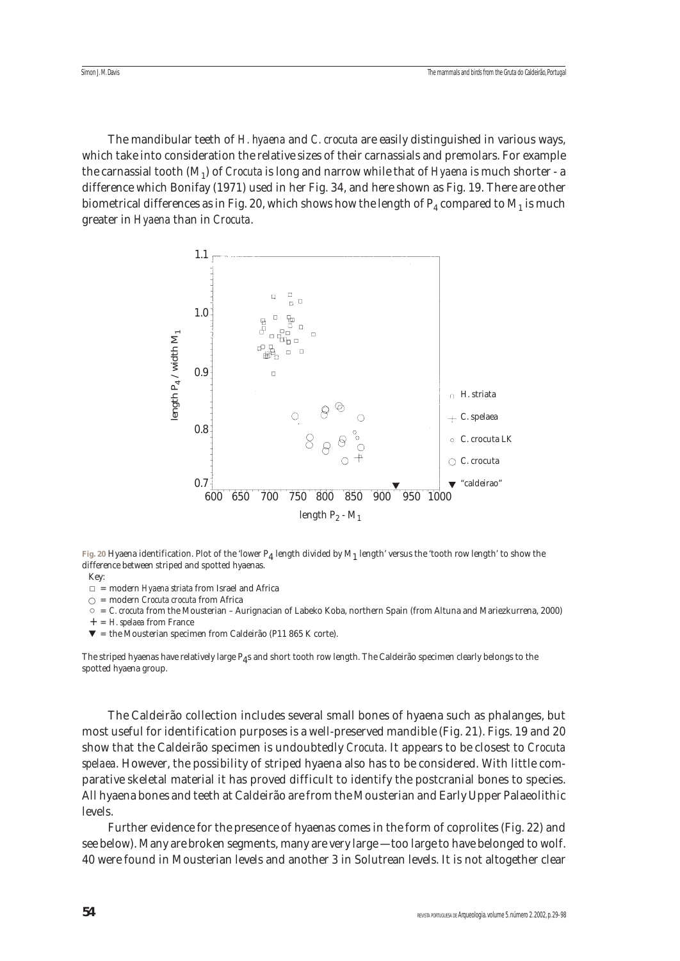Simon J. M. Davis

The mandibular teeth of *H. hyaena* and *C. crocuta* are easily distinguished in various ways, which take into consideration the relative sizes of their carnassials and premolars. For example the carnassial tooth (M1) of *Crocuta* is long and narrow while that of *Hyaena* is much shorter - a difference which Bonifay (1971) used in her Fig. 34, and here shown as Fig. 19. There are other biometrical differences as in Fig. 20, which shows how the length of  $P_4$  compared to  $M_1$  is much greater in *Hyaena* than in *Crocuta*.



**Fig. 20** Hyaena identification. Plot of the 'lower P4 length divided by M1 length' versus the 'tooth row length' to show the difference between striped and spotted hyaenas.

- Key:
- = modern *Hyaena striata* from Israel and Africa
- = modern *Crocuta crocuta* from Africa
- = *C. crocuta* from the Mousterian Aurignacian of Labeko Koba, northern Spain (from Altuna and Mariezkurrena, 2000)
- + = *H. spelaea* from France
- $\blacktriangledown$  = the Mousterian specimen from Caldeirão (P11 865 K corte).

The striped hyaenas have relatively large  $P_4$ s and short tooth row length. The Caldeirão specimen clearly belongs to the spotted hyaena group.

The Caldeirão collection includes several small bones of hyaena such as phalanges, but most useful for identification purposes is a well-preserved mandible (Fig. 21). Figs. 19 and 20 show that the Caldeirão specimen is undoubtedly *Crocuta.* It appears to be closest to *Crocuta spelaea*. However, the possibility of striped hyaena also has to be considered. With little comparative skeletal material it has proved difficult to identify the postcranial bones to species. All hyaena bones and teeth at Caldeirão are from the Mousterian and Early Upper Palaeolithic levels.

Further evidence for the presence of hyaenas comes in the form of coprolites (Fig. 22) and see below). Many are broken segments, many are very large — too large to have belonged to wolf. 40 were found in Mousterian levels and another 3 in Solutrean levels. It is not altogether clear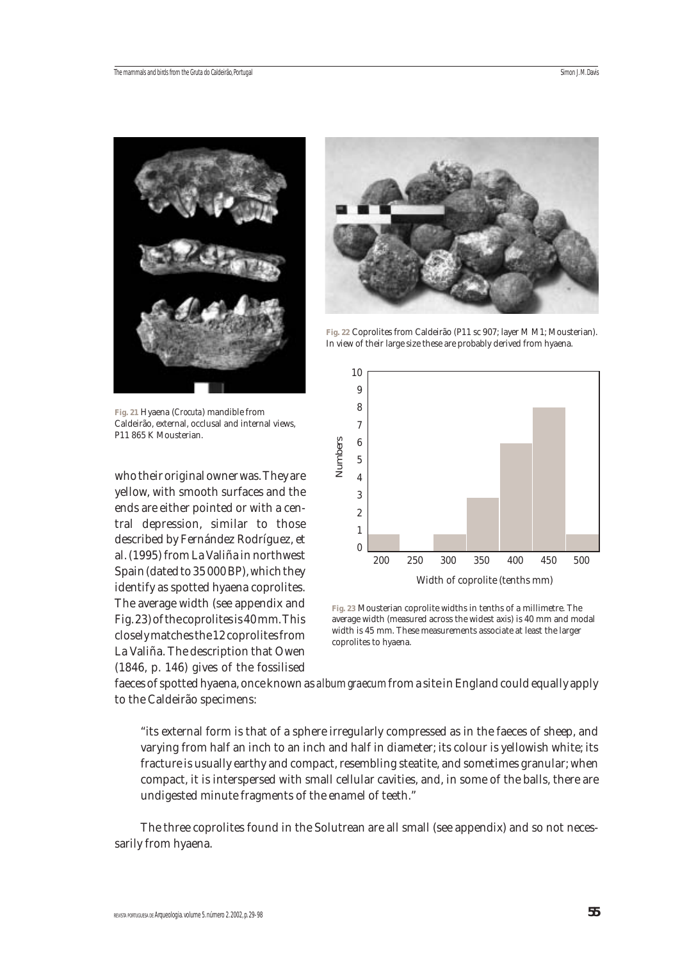

**Fig. 21** Hyaena (*Crocuta*) mandible from Caldeirão, external, occlusal and internal views, P11 865 K Mousterian.

who their original owner was. They are yellow, with smooth surfaces and the ends are either pointed or with a central depression, similar to those described by Fernández Rodríguez, et al. (1995) from La Valiña in northwest Spain (dated to 35 000 BP), which they identify as spotted hyaena coprolites. The average width (see appendix and Fig. 23) of the coprolites is 40 mm. This closely matches the 12 coprolites from La Valiña. The description that Owen (1846, p. 146) gives of the fossilised



**Fig. 22** Coprolites from Caldeirão (P11 sc 907; layer M M1; Mousterian). In view of their large size these are probably derived from hyaena.



**Fig. 23** Mousterian coprolite widths in tenths of a millimetre. The average width (measured across the widest axis) is 40 mm and modal width is 45 mm. These measurements associate at least the larger coprolites to hyaena.

faeces of spotted hyaena, once known as *album graecum* from a site in England could equally apply to the Caldeirão specimens:

"its external form is that of a sphere irregularly compressed as in the faeces of sheep, and varying from half an inch to an inch and half in diameter; its colour is yellowish white; its fracture is usually earthy and compact, resembling steatite, and sometimes granular; when compact, it is interspersed with small cellular cavities, and, in some of the balls, there are undigested minute fragments of the enamel of teeth."

The three coprolites found in the Solutrean are all small (see appendix) and so not necessarily from hyaena.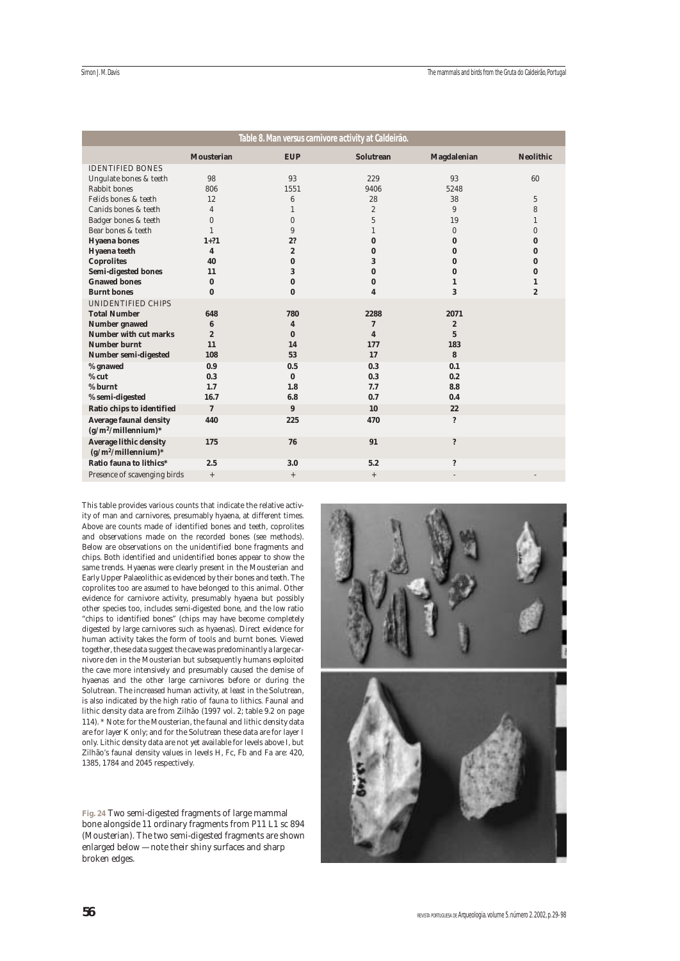| <u>Table 8. Man versus carnivore activity at Caldeirão.</u> |                         |                |                         |                      |                  |  |  |  |  |  |  |
|-------------------------------------------------------------|-------------------------|----------------|-------------------------|----------------------|------------------|--|--|--|--|--|--|
|                                                             | <b>Mousterian</b>       | <b>EUP</b>     | Solutrean               | <b>Magdalenian</b>   | <b>Neolithic</b> |  |  |  |  |  |  |
| <b>IDENTIFIED BONES</b>                                     |                         |                |                         |                      |                  |  |  |  |  |  |  |
| Ungulate bones & teeth                                      | 98                      | 93             | 229                     | 93                   | 60               |  |  |  |  |  |  |
| Rabbit bones                                                | 806                     | 1551           | 9406                    | 5248                 |                  |  |  |  |  |  |  |
| Felids bones & teeth                                        | 12                      | 6              | 28                      | 38                   | $\overline{5}$   |  |  |  |  |  |  |
| Canids bones & teeth                                        | $\overline{4}$          | $\mathbf{1}$   | $\overline{2}$          | 9                    | 8                |  |  |  |  |  |  |
| Badger bones & teeth                                        | $\mathbf{0}$            | $\mathbf{0}$   | 5                       | 19                   | 1                |  |  |  |  |  |  |
| Bear bones & teeth                                          | $\mathbf{1}$            | 9              | 1                       | $\mathbf{0}$         | $\mathbf{0}$     |  |  |  |  |  |  |
| <b>Hyaena</b> bones                                         | $1+?1$                  | 2?             | $\bf{0}$                | $\bf{0}$             | $\bf{0}$         |  |  |  |  |  |  |
| Hyaena teeth                                                | $\overline{\mathbf{4}}$ | $\overline{2}$ | $\bf{0}$                | $\bf{0}$             | 0                |  |  |  |  |  |  |
| <b>Coprolites</b>                                           | 40                      | 0              | 3                       | $\bf{0}$             | 0                |  |  |  |  |  |  |
| <b>Semi-digested bones</b>                                  | 11                      | 3              | $\bf{0}$                | $\bf{0}$             | 0                |  |  |  |  |  |  |
| <b>Gnawed bones</b>                                         | $\bf{0}$                | $\bf{0}$       | $\bf{0}$                | 1                    | 1                |  |  |  |  |  |  |
| <b>Burnt bones</b>                                          | $\bf{0}$                | $\bf{0}$       | 4                       | 3                    | $\boldsymbol{2}$ |  |  |  |  |  |  |
| UNIDENTIFIED CHIPS                                          |                         |                |                         |                      |                  |  |  |  |  |  |  |
| <b>Total Number</b>                                         | 648                     | 780            | 2288                    | 2071                 |                  |  |  |  |  |  |  |
| <b>Number gnawed</b>                                        | $6\phantom{1}6$         | 4              | 7                       | $\boldsymbol{2}$     |                  |  |  |  |  |  |  |
| <b>Number with cut marks</b>                                | $\boldsymbol{2}$        | 0              | $\overline{\mathbf{4}}$ | $\overline{5}$       |                  |  |  |  |  |  |  |
| <b>Number burnt</b>                                         | 11                      | 14             | 177                     | 183                  |                  |  |  |  |  |  |  |
| Number semi-digested                                        | 108                     | 53             | 17                      | 8                    |                  |  |  |  |  |  |  |
| % gnawed                                                    | 0.9                     | 0.5            | 0.3                     | 0.1                  |                  |  |  |  |  |  |  |
| $%$ cut                                                     | 0.3                     | $\bf{0}$       | 0.3                     | 0.2                  |                  |  |  |  |  |  |  |
| % burnt                                                     | 1.7                     | 1.8            | 7.7                     | 8.8                  |                  |  |  |  |  |  |  |
| % semi-digested                                             | 16.7                    | 6.8            | 0.7                     | 0.4                  |                  |  |  |  |  |  |  |
| Ratio chips to identified                                   | $\mathbf 7$             | 9              | 10                      | 22                   |                  |  |  |  |  |  |  |
| <b>Average faunal density</b><br>$(g/m^2/millennium)*$      | 440                     | 225            | 470                     | $\ddot{\phantom{0}}$ |                  |  |  |  |  |  |  |
| <b>Average lithic density</b><br>$(g/m^2/millennium)*$      | 175                     | 76             | 91                      | $\ddot{\mathbf{?}}$  |                  |  |  |  |  |  |  |
| Ratio fauna to lithics*                                     | 2.5                     | 3.0            | 5.2                     | $\ddot{\phantom{0}}$ |                  |  |  |  |  |  |  |
| Presence of scavenging birds                                | $+$                     | $^+$           | $^+$                    |                      |                  |  |  |  |  |  |  |

This table provides various counts that indicate the relative activity of man and carnivores, presumably hyaena, at different times. Above are counts made of identified bones and teeth, coprolites and observations made on the recorded bones (see methods). Below are observations on the unidentified bone fragments and chips. Both identified and unidentified bones appear to show the same trends. Hyaenas were clearly present in the Mousterian and Early Upper Palaeolithic as evidenced by their bones and teeth. The coprolites too are *assumed* to have belonged to this animal. Other evidence for carnivore activity, presumably hyaena but possibly other species too, includes semi-digested bone, and the low ratio "chips to identified bones" (chips may have become completely digested by large carnivores such as hyaenas). Direct evidence for human activity takes the form of tools and burnt bones. Viewed together, these data suggest the cave was predominantly a large carnivore den in the Mousterian but subsequently humans exploited the cave more intensively and presumably caused the demise of hyaenas and the other large carnivores before or during the Solutrean. The increased human activity, at least in the Solutrean, is also indicated by the high ratio of fauna to lithics. Faunal and lithic density data are from Zilhão (1997 vol. 2; table 9.2 on page 114). \* Note: for the Mousterian, the faunal and lithic density data are for layer K only; and for the Solutrean these data are for layer I only. Lithic density data are not yet available for levels above I, but Zilhão's faunal density values in levels H, Fc, Fb and Fa are: 420, 1385, 1784 and 2045 respectively.

**Fig. 24** Two semi-digested fragments of large mammal bone alongside 11 ordinary fragments from P11 L1 sc 894 (Mousterian). The two semi-digested fragments are shown enlarged below — note their shiny surfaces and sharp broken edges.

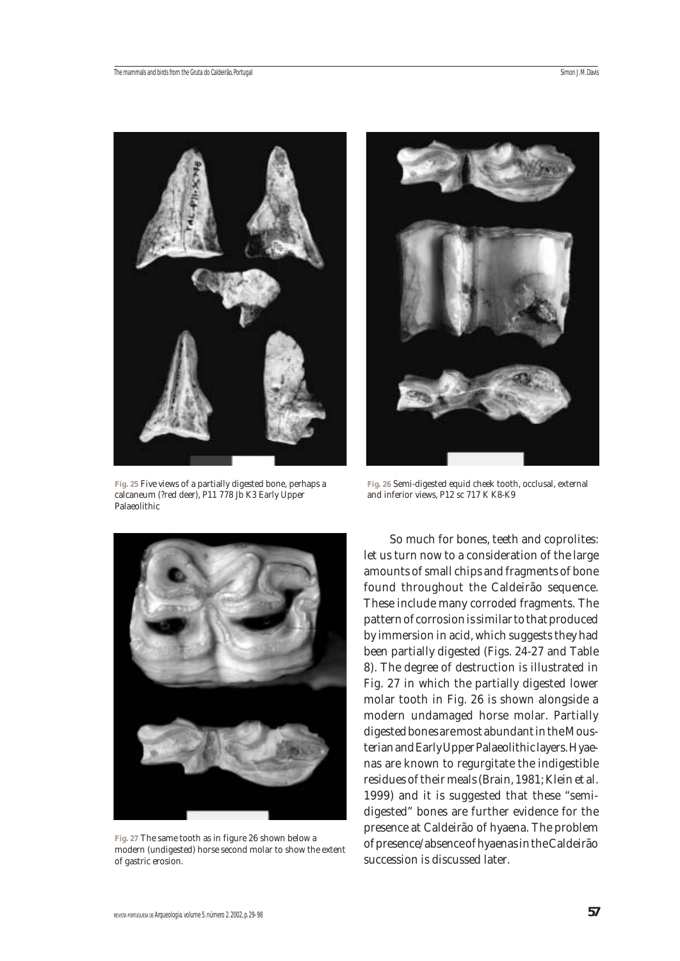

**Fig. 25** Five views of a partially digested bone, perhaps a calcaneum (?red deer), P11 778 Jb K3 Early Upper Palaeolithic



**Fig. 26** Semi-digested equid cheek tooth, occlusal, external and inferior views, P12 sc 717 K K8-K9



**Fig. 27** The same tooth as in figure 26 shown below a modern (undigested) horse second molar to show the extent of gastric erosion.

So much for bones, teeth and coprolites: let us turn now to a consideration of the large amounts of small chips and fragments of bone found throughout the Caldeirão sequence. These include many corroded fragments. The pattern of corrosion is similar to that produced by immersion in acid, which suggests they had been partially digested (Figs. 24-27 and Table 8). The degree of destruction is illustrated in Fig. 27 in which the partially digested lower molar tooth in Fig. 26 is shown alongside a modern undamaged horse molar. Partially digested bones are most abundant in the Mousterian and Early Upper Palaeolithic layers. Hyaenas are known to regurgitate the indigestible residues of their meals (Brain, 1981; Klein et al. 1999) and it is suggested that these "semidigested" bones are further evidence for the presence at Caldeirão of hyaena. The problem of presence/absence of hyaenas in the Caldeirão succession is discussed later.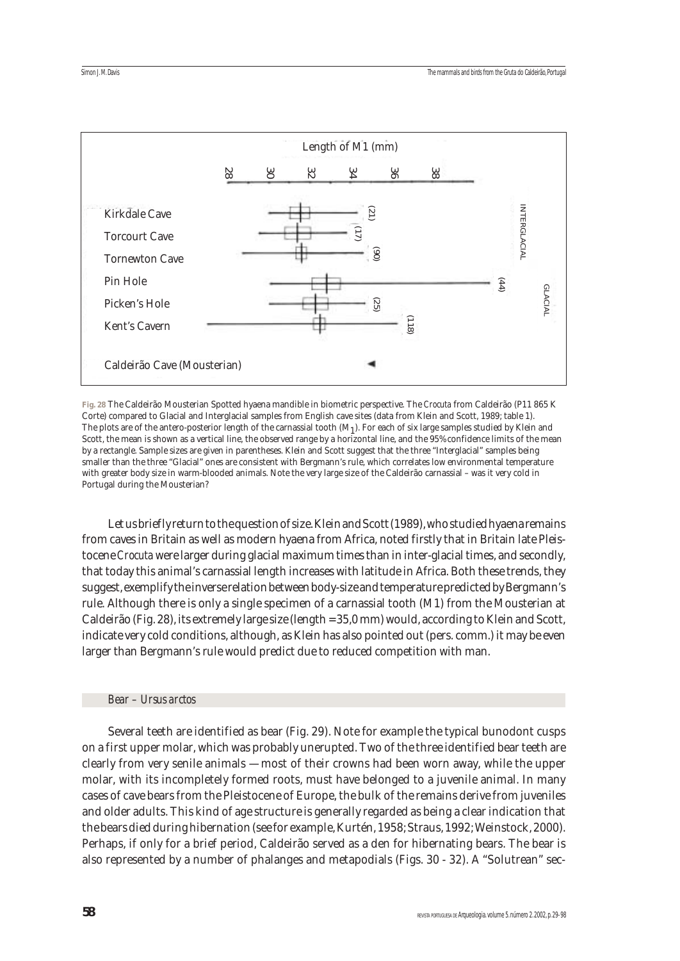

**Fig. 28** The Caldeirão Mousterian Spotted hyaena mandible in biometric perspective. The *Crocuta* from Caldeirão (P11 865 K Corte) compared to Glacial and Interglacial samples from English cave sites (data from Klein and Scott, 1989; table 1). The plots are of the antero-posterior length of the carnassial tooth  $(M_1)$ . For each of six large samples studied by Klein and Scott, the mean is shown as a vertical line, the observed range by a horizontal line, and the 95% confidence limits of the mean by a rectangle. Sample sizes are given in parentheses. Klein and Scott suggest that the three "Interglacial" samples being smaller than the three "Glacial" ones are consistent with Bergmann's rule, which correlates low environmental temperature with greater body size in warm-blooded animals. Note the very large size of the Caldeirão carnassial – was it very cold in Portugal during the Mousterian?

Let us briefly return to the question of size. Klein and Scott (1989), who studied hyaena remains from caves in Britain as well as modern hyaena from Africa, noted firstly that in Britain late Pleistocene *Crocuta*were larger during glacial maximum times than in inter-glacial times, and secondly, that today this animal's carnassial length increases with latitude in Africa. Both these trends, they suggest, exemplify the inverse relation between body-size and temperature predicted by Bergmann's rule. Although there is only a single specimen of a carnassial tooth (M1) from the Mousterian at Caldeirão (Fig. 28), its extremely large size (length = 35,0 mm) would, according to Klein and Scott, indicate very cold conditions, although, as Klein has also pointed out (pers. comm.) it may be even larger than Bergmann's rule would predict due to reduced competition with man.

## *Bear – Ursus arctos*

Several teeth are identified as bear (Fig. 29). Note for example the typical bunodont cusps on a first upper molar, which was probably unerupted. Two of the three identified bear teeth are clearly from very senile animals — most of their crowns had been worn away, while the upper molar, with its incompletely formed roots, must have belonged to a juvenile animal. In many cases of cave bears from the Pleistocene of Europe, the bulk of the remains derive from juveniles and older adults. This kind of age structure is generally regarded as being a clear indication that the bears died during hibernation (see for example, Kurtén, 1958; Straus, 1992; Weinstock, 2000). Perhaps, if only for a brief period, Caldeirão served as a den for hibernating bears. The bear is also represented by a number of phalanges and metapodials (Figs. 30 - 32). A "Solutrean" sec-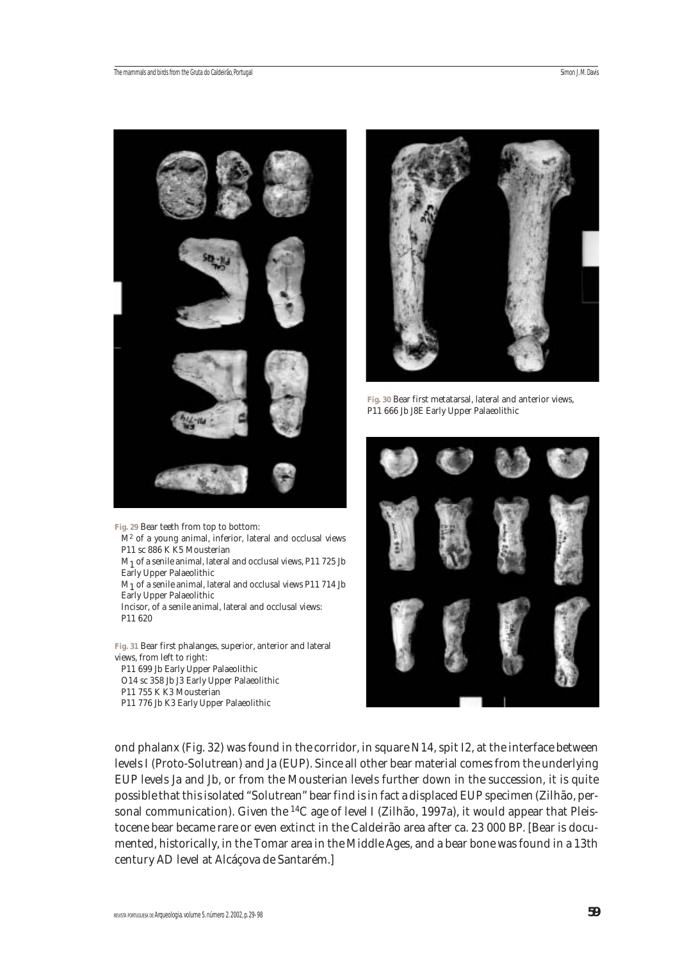

M2 of a young animal, inferior, lateral and occlusal views

M1 of a senile animal, lateral and occlusal views, P11 725 Jb

M1 of a senile animal, lateral and occlusal views P11 714 Jb

Incisor, of a senile animal, lateral and occlusal views:

**Fig. 31** Bear first phalanges, superior, anterior and lateral

P11 sc 886 K K5 Mousterian

Early Upper Palaeolithic

Early Upper Palaeolithic

views, from left to right:

P11 755 K K3 Mousterian

P11 699 Jb Early Upper Palaeolithic O14 sc 358 Jb J3 Early Upper Palaeolithic

P11 776 Jb K3 Early Upper Palaeolithic

P11 620



**Fig. 30** Bear first metatarsal, lateral and anterior views, P11 666 Jb J8E Early Upper Palaeolithic



ond phalanx (Fig. 32) was found in the corridor, in square N14, spit I2, at the interface between levels I (Proto-Solutrean) and Ja (EUP). Since all other bear material comes from the underlying EUP levels Ja and Jb, or from the Mousterian levels further down in the succession, it is quite possible that this isolated "Solutrean" bear find is in fact a displaced EUP specimen (Zilhão, personal communication). Given the 14C age of level I (Zilhão, 1997a), it would appear that Pleistocene bear became rare or even extinct in the Caldeirão area after ca. 23 000 BP. [Bear is documented, historically, in the Tomar area in the Middle Ages, and a bear bone was found in a 13th century AD level at Alcáçova de Santarém.]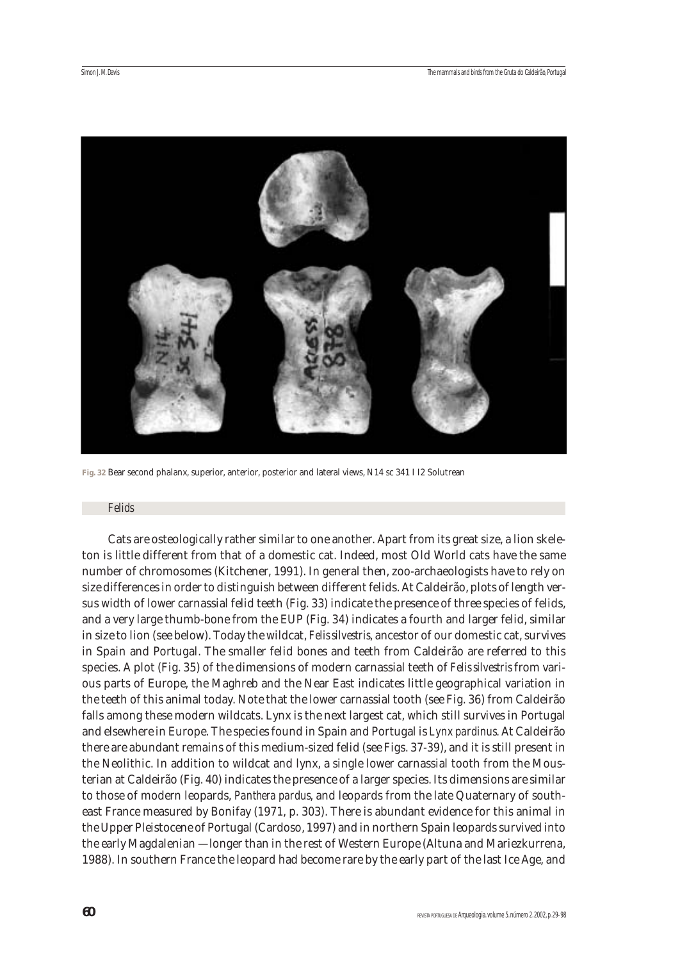

**Fig. 32** Bear second phalanx, superior, anterior, posterior and lateral views, N14 sc 341 I I2 Solutrean

#### *Felids*

Cats are osteologically rather similar to one another. Apart from its great size, a lion skeleton is little different from that of a domestic cat. Indeed, most Old World cats have the same number of chromosomes (Kitchener, 1991). In general then, zoo-archaeologists have to rely on size differences in order to distinguish between different felids. At Caldeirão, plots of length versus width of lower carnassial felid teeth (Fig. 33) indicate the presence of three species of felids, and a very large thumb-bone from the EUP (Fig. 34) indicates a fourth and larger felid, similar in size to lion (see below). Today the wildcat, *Felis silvestris*, ancestor of our domestic cat, survives in Spain and Portugal. The smaller felid bones and teeth from Caldeirão are referred to this species. A plot (Fig. 35) of the dimensions of modern carnassial teeth of *Felis silvestris* from various parts of Europe, the Maghreb and the Near East indicates little geographical variation in the teeth of this animal today. Note that the lower carnassial tooth (see Fig. 36) from Caldeirão falls among these modern wildcats. Lynx is the next largest cat, which still survives in Portugal and elsewhere in Europe. The species found in Spain and Portugal is *Lynx pardinus*. At Caldeirão there are abundant remains of this medium-sized felid (see Figs. 37-39), and it is still present in the Neolithic. In addition to wildcat and lynx, a single lower carnassial tooth from the Mousterian at Caldeirão (Fig. 40) indicates the presence of a larger species. Its dimensions are similar to those of modern leopards, *Panthera pardus*, and leopards from the late Quaternary of southeast France measured by Bonifay (1971, p. 303). There is abundant evidence for this animal in the Upper Pleistocene of Portugal (Cardoso, 1997) and in northern Spain leopards survived into the early Magdalenian — longer than in the rest of Western Europe (Altuna and Mariezkurrena, 1988). In southern France the leopard had become rare by the early part of the last Ice Age, and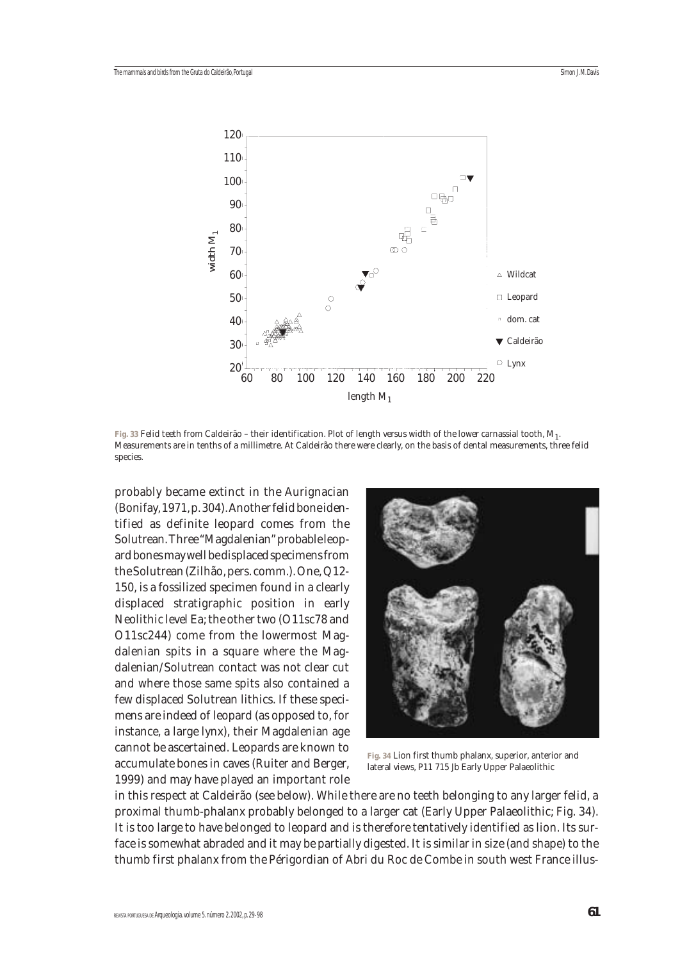

**Fig. 33** Felid teeth from Caldeirão – their identification. Plot of length versus width of the lower carnassial tooth, M1. Measurements are in tenths of a millimetre. At Caldeirão there were clearly, on the basis of dental measurements, three felid species.

probably became extinct in the Aurignacian (Bonifay, 1971, p. 304). Another felid bone identified as definite leopard comes from the Solutrean. Three "Magdalenian" probable leopard bones may well be displaced specimens from the Solutrean (Zilhão, pers. comm.). One, Q12- 150, is a fossilized specimen found in a clearly displaced stratigraphic position in early Neolithic level Ea; the other two (O11sc78 and O11sc244) come from the lowermost Magdalenian spits in a square where the Magdalenian/Solutrean contact was not clear cut and where those same spits also contained a few displaced Solutrean lithics. If these specimens are indeed of leopard (as opposed to, for instance, a large lynx), their Magdalenian age cannot be ascertained. Leopards are known to accumulate bones in caves (Ruiter and Berger, 1999) and may have played an important role



**Fig. 34** Lion first thumb phalanx, superior, anterior and lateral views, P11 715 Jb Early Upper Palaeolithic

in this respect at Caldeirão (see below). While there are no teeth belonging to any larger felid, a proximal thumb-phalanx probably belonged to a larger cat (Early Upper Palaeolithic; Fig. 34). It is too large to have belonged to leopard and is therefore tentatively identified as lion. Its surface is somewhat abraded and it may be partially digested. It is similar in size (and shape) to the thumb first phalanx from the Périgordian of Abri du Roc de Combe in south west France illus-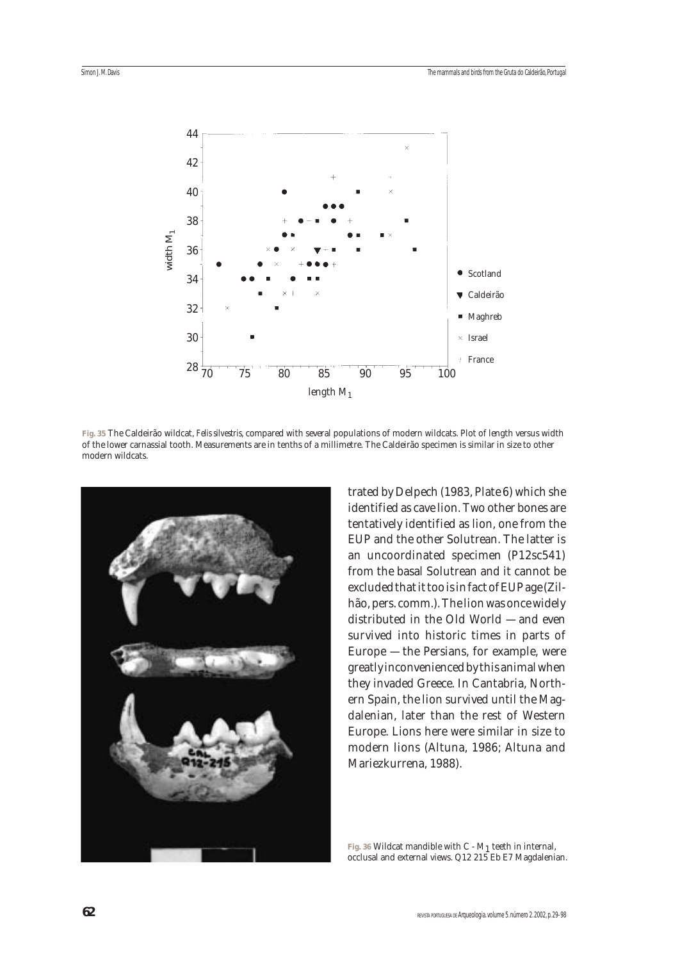

**Fig. 35** The Caldeirão wildcat, *Felis silvestris*, compared with several populations of modern wildcats. Plot of length versus width of the lower carnassial tooth. Measurements are in tenths of a millimetre. The Caldeirão specimen is similar in size to other modern wildcats.



trated by Delpech (1983, Plate 6) which she identified as cave lion. Two other bones are tentatively identified as lion, one from the EUP and the other Solutrean. The latter is an uncoordinated specimen (P12sc541) from the basal Solutrean and it cannot be excluded that it too is in fact of EUP age (Zilhão, pers. comm.). The lion was once widely distributed in the Old World — and even survived into historic times in parts of Europe — the Persians, for example, were greatly inconvenienced by this animal when they invaded Greece. In Cantabria, Northern Spain, the lion survived until the Magdalenian, later than the rest of Western Europe. Lions here were similar in size to modern lions (Altuna, 1986; Altuna and Mariezkurrena, 1988).

Fig. 36 Wildcat mandible with C -  $M_1$  teeth in internal, occlusal and external views. Q12 215 Eb E7 Magdalenian.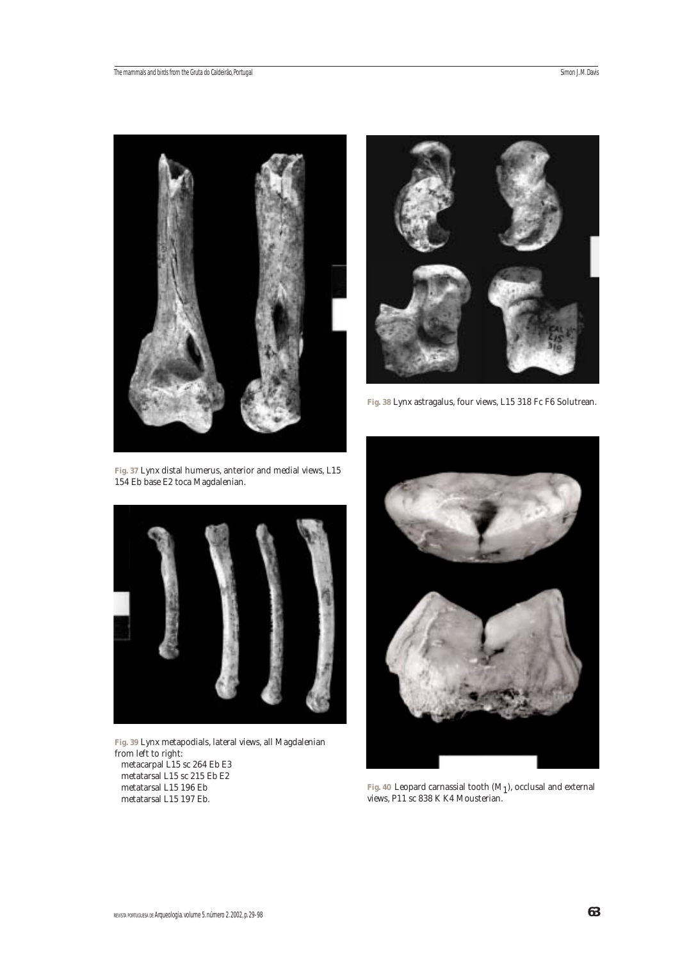

**Fig. 37** Lynx distal humerus, anterior and medial views, L15 154 Eb base E2 toca Magdalenian.



**Fig. 38** Lynx astragalus, four views, L15 318 Fc F6 Solutrean.



**Fig. 39** Lynx metapodials, lateral views, all Magdalenian from left to right: metacarpal L15 sc 264 Eb E3 metatarsal L15 sc 215 Eb E2 metatarsal L15 196 Eb metatarsal L15 197 Eb.



**Fig. 40** Leopard carnassial tooth (M1), occlusal and external views, P11 sc 838 K K4 Mousterian.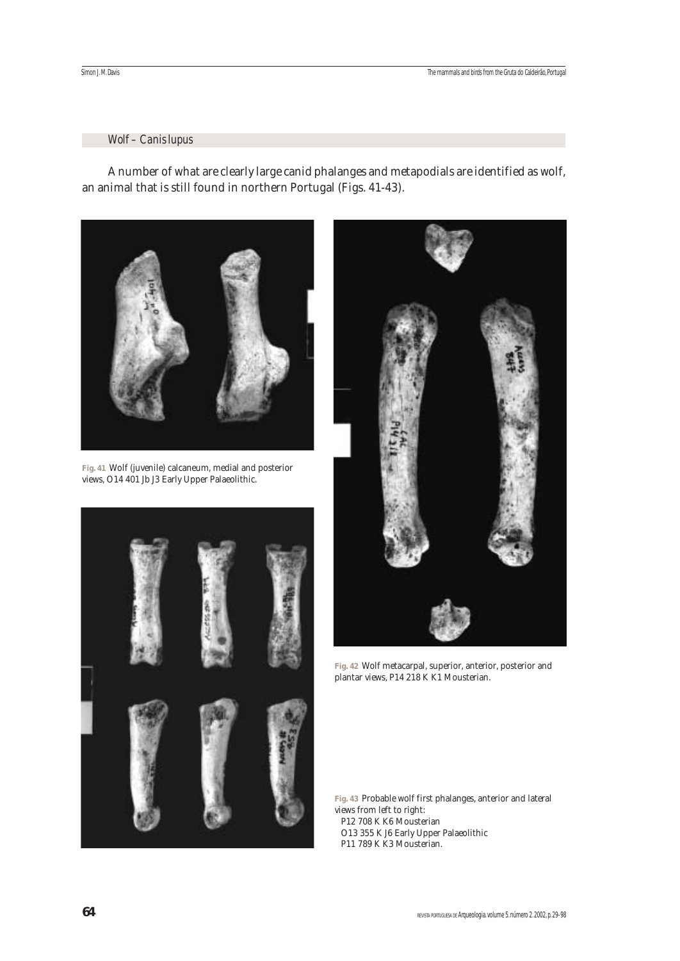## *Wolf – Canis lupus*

A number of what are clearly large canid phalanges and metapodials are identified as wolf, an animal that is still found in northern Portugal (Figs. 41-43).



**Fig. 41** Wolf (juvenile) calcaneum, medial and posterior views, O14 401 Jb J3 Early Upper Palaeolithic.





**Fig. 42** Wolf metacarpal, superior, anterior, posterior and plantar views, P14 218 K K1 Mousterian.

**Fig. 43** Probable wolf first phalanges, anterior and lateral views from left to right: P12 708 K K6 Mousterian O13 355 K J6 Early Upper Palaeolithic P11 789 K K3 Mousterian.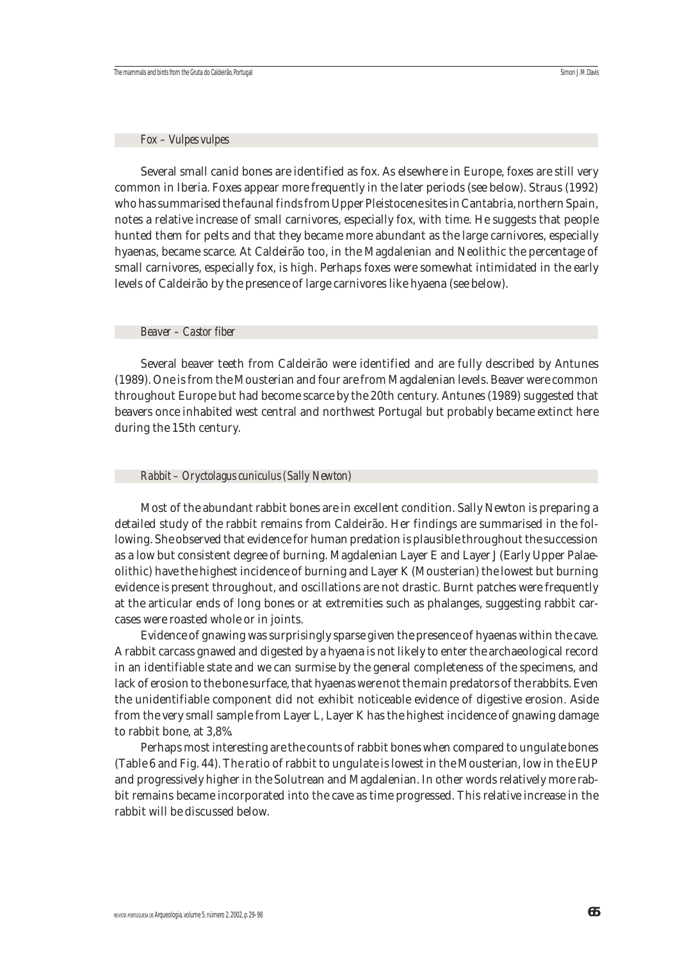#### *Fox – Vulpes vulpes*

Several small canid bones are identified as fox. As elsewhere in Europe, foxes are still very common in Iberia. Foxes appear more frequently in the later periods (see below). Straus (1992) who has summarised the faunal finds from Upper Pleistocene sites in Cantabria, northern Spain, notes a relative increase of small carnivores, especially fox, with time. He suggests that people hunted them for pelts and that they became more abundant as the large carnivores, especially hyaenas, became scarce. At Caldeirão too, in the Magdalenian and Neolithic the percentage of small carnivores, especially fox, is high. Perhaps foxes were somewhat intimidated in the early levels of Caldeirão by the presence of large carnivores like hyaena (see below).

## *Beaver – Castor fiber*

Several beaver teeth from Caldeirão were identified and are fully described by Antunes (1989). One is from the Mousterian and four are from Magdalenian levels. Beaver were common throughout Europe but had become scarce by the 20th century. Antunes (1989) suggested that beavers once inhabited west central and northwest Portugal but probably became extinct here during the 15th century.

## *Rabbit – Oryctolagus cuniculus (Sally Newton)*

Most of the abundant rabbit bones are in excellent condition. Sally Newton is preparing a detailed study of the rabbit remains from Caldeirão. Her findings are summarised in the following. She observed that evidence for human predation is plausible throughout the succession as a low but consistent degree of burning. Magdalenian Layer E and Layer J (Early Upper Palaeolithic) have the highest incidence of burning and Layer K (Mousterian) the lowest but burning evidence *is* present throughout, and oscillations are not drastic. Burnt patches were frequently at the articular ends of long bones or at extremities such as phalanges, suggesting rabbit carcases were roasted whole or in joints.

Evidence of gnawing was surprisingly sparse given the presence of hyaenas within the cave. A rabbit carcass gnawed and digested by a hyaena is not likely to enter the archaeological record in an identifiable state and we can surmise by the general completeness of the specimens, and lack of erosion to the bone surface, that hyaenas were not the main predators of the rabbits. Even the unidentifiable component did not exhibit noticeable evidence of digestive erosion. Aside from the very small sample from Layer L, Layer K has the highest incidence of gnawing damage to rabbit bone, at 3,8%.

Perhaps most interesting are the counts of rabbit bones when compared to ungulate bones (Table 6 and Fig. 44). The ratio of rabbit to ungulate is lowest in the Mousterian, low in the EUP and progressively higher in the Solutrean and Magdalenian. In other words relatively more rabbit remains became incorporated into the cave as time progressed. This relative increase in the rabbit will be discussed below.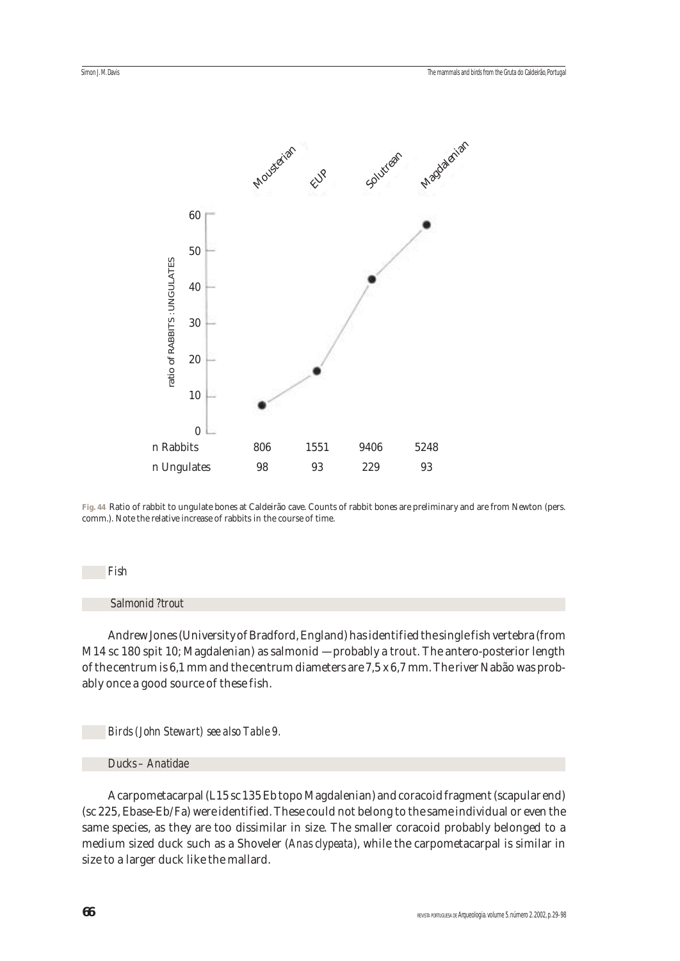

**Fig. 44** Ratio of rabbit to ungulate bones at Caldeirão cave. Counts of rabbit bones are preliminary and are from Newton (pers. comm.). Note the relative increase of rabbits in the course of time.

#### *Fish*

## *Salmonid ?trout*

Andrew Jones (University of Bradford, England) has identified the single fish vertebra (from M14 sc 180 spit 10; Magdalenian) as salmonid — probably a trout. The antero-posterior length of the centrum is 6,1 mm and the centrum diameters are 7,5 x 6,7 mm. The river Nabão was probably once a good source of these fish.

#### *Birds (John Stewart) see also Table 9.*

## *Ducks – Anatidae*

A carpometacarpal (L15 sc 135 Eb topo Magdalenian) and coracoid fragment (scapular end) (sc 225, Ebase-Eb/Fa) were identified. These could not belong to the same individual or even the same species, as they are too dissimilar in size. The smaller coracoid probably belonged to a medium sized duck such as a Shoveler (*Anas clypeata*), while the carpometacarpal is similar in size to a larger duck like the mallard.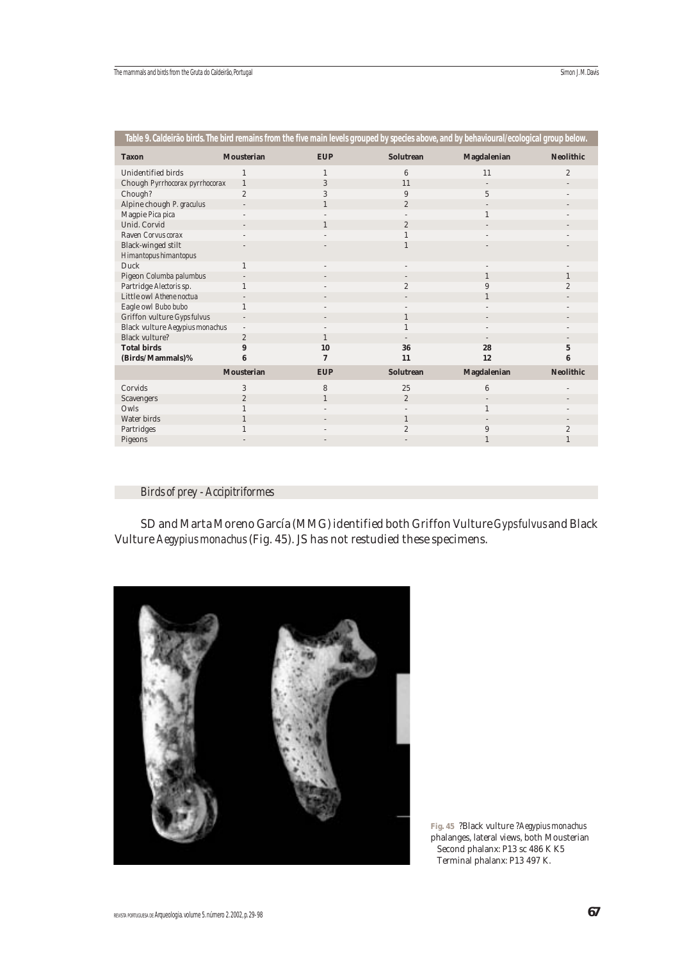| Table 9. Caldeirão birds. The bird remains from the five main levels grouped by species above, and by behavioural/ecological group below. |                   |              |                  |                    |                  |
|-------------------------------------------------------------------------------------------------------------------------------------------|-------------------|--------------|------------------|--------------------|------------------|
| <b>Taxon</b>                                                                                                                              | <b>Mousterian</b> | <b>EUP</b>   | <b>Solutrean</b> | <b>Magdalenian</b> | <b>Neolithic</b> |
| Unidentified birds                                                                                                                        |                   |              | 6                | 11                 | $\overline{2}$   |
| Chough Pyrrhocorax pyrrhocorax                                                                                                            | $\mathbf{1}$      | 3            | 11               |                    |                  |
| Chough?                                                                                                                                   | $\overline{c}$    | 3            | 9                | 5                  |                  |
| Alpine chough P. graculus                                                                                                                 |                   | $\mathbf{1}$ | $\overline{2}$   |                    |                  |
| Magpie Pica pica                                                                                                                          |                   |              |                  |                    |                  |
| Unid. Corvid                                                                                                                              |                   | 1            | $\overline{2}$   |                    |                  |
| Raven Corvus corax                                                                                                                        |                   |              |                  |                    |                  |
| <b>Black-winged stilt</b>                                                                                                                 |                   |              |                  |                    |                  |
| Himantopus himantopus                                                                                                                     |                   |              |                  |                    |                  |
| Duck                                                                                                                                      |                   |              |                  |                    |                  |
| Pigeon Columba palumbus                                                                                                                   |                   |              |                  |                    | $\mathbf{1}$     |
| Partridge Alectoris sp.                                                                                                                   |                   |              | $\overline{c}$   | 9                  | $\overline{2}$   |
| Little owl Athene noctual                                                                                                                 |                   |              |                  |                    |                  |
| Eagle owl Bubo bubo                                                                                                                       |                   |              |                  |                    |                  |
| Griffon vulture Gyps fulvus                                                                                                               |                   |              | 1                |                    |                  |
| Black vulture Aegypius monachus                                                                                                           | $\overline{a}$    |              |                  |                    |                  |
| <b>Black vulture?</b>                                                                                                                     | $\overline{2}$    | $\mathbf{1}$ |                  |                    |                  |
| <b>Total birds</b>                                                                                                                        | 9                 | 10           | 36               | 28                 | $\mathbf 5$      |
| (Birds/Mammals)%                                                                                                                          | 6                 | 7            | 11               | 12                 | 6                |
|                                                                                                                                           | <b>Mousterian</b> | <b>EUP</b>   | <b>Solutrean</b> | <b>Magdalenian</b> | <b>Neolithic</b> |
| Corvids                                                                                                                                   | 3                 | 8            | 25               | 6                  |                  |
| Scavengers                                                                                                                                | $\boldsymbol{2}$  | $\mathbf{1}$ | $\overline{2}$   |                    |                  |
| Owls                                                                                                                                      |                   |              |                  |                    |                  |
| Water birds                                                                                                                               |                   |              | $\mathbf{1}$     |                    |                  |
| Partridges                                                                                                                                |                   |              | $\overline{2}$   | 9                  | $\overline{c}$   |
| Pigeons                                                                                                                                   |                   |              |                  |                    | 1                |

## *Birds of prey - Accipitriformes*

SD and Marta Moreno García (MMG) identified both Griffon Vulture *Gyps fulvus* and Black Vulture *Aegypius monachus* (Fig. 45). JS has not restudied these specimens.



**Fig. 45** ?Black vulture ?*Aegypius monachus* phalanges, lateral views, both Mousterian Second phalanx: P13 sc 486 K K5 Terminal phalanx: P13 497 K.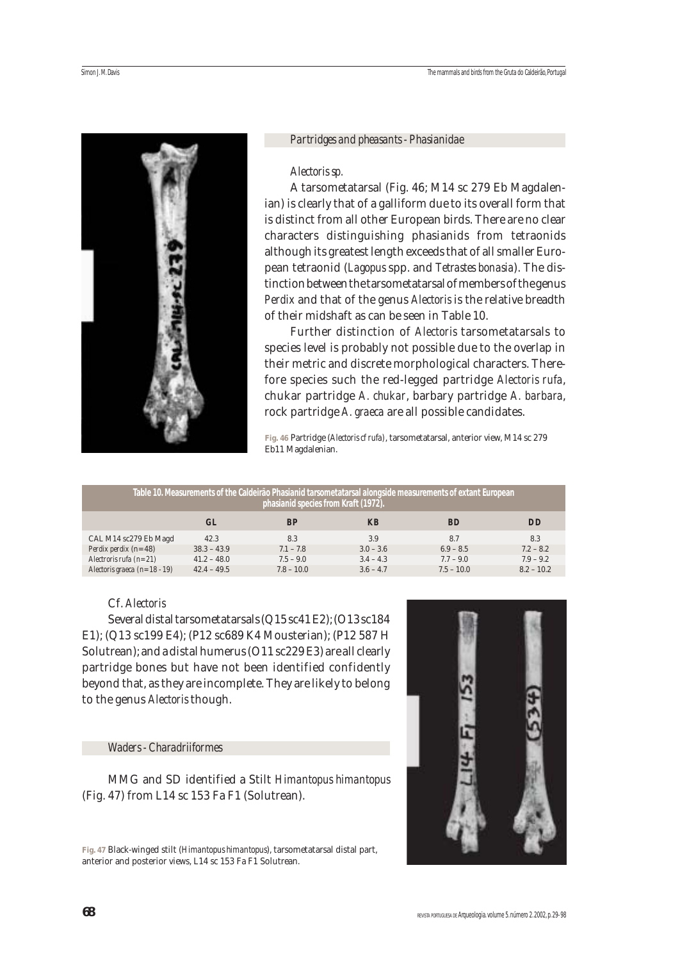

#### *Partridges and pheasants - Phasianidae*

#### *Alectoris sp.*

A tarsometatarsal (Fig. 46; M14 sc 279 Eb Magdalenian) is clearly that of a galliform due to its overall form that is distinct from all other European birds. There are no clear characters distinguishing phasianids from tetraonids although its greatest length exceeds that of all smaller European tetraonid (*Lagopus* spp. and *Tetrastes bonasia*). The distinction between the tarsometatarsal of members of the genus *Perdix* and that of the genus *Alectoris* is the relative breadth of their midshaft as can be seen in Table 10.

Further distinction of *Alectoris* tarsometatarsals to species level is probably not possible due to the overlap in their metric and discrete morphological characters. Therefore species such the red-legged partridge *Alectoris rufa*, chukar partridge *A. chukar*, barbary partridge *A. barbara*, rock partridge *A. graeca* are all possible candidates.

**Fig. 46** Partridge (*Alectoris cf rufa)*, tarsometatarsal, anterior view, M14 sc 279 Eb11 Magdalenian.

| <u>Table 10. Measurements of the Caldeirão Phasianid tarsometatarsal alongside measurements of extant European</u><br>phasianid species from Kraft (1972). |               |              |             |              |              |  |  |  |  |  |  |
|------------------------------------------------------------------------------------------------------------------------------------------------------------|---------------|--------------|-------------|--------------|--------------|--|--|--|--|--|--|
|                                                                                                                                                            | <b>GL</b>     | <b>BP</b>    | <b>KB</b>   | <b>BD</b>    | <b>DD</b>    |  |  |  |  |  |  |
| CAL M14 sc279 Eb Magd                                                                                                                                      | 42.3          | 8.3          | 3.9         | 8.7          | 8.3          |  |  |  |  |  |  |
| <i>Perdix perdix (n= 48)</i>                                                                                                                               | $38.3 - 43.9$ | $7.1 - 7.8$  | $3.0 - 3.6$ | $6.9 - 8.5$  | $7.2 - 8.2$  |  |  |  |  |  |  |
| Alectroris rufa $(n=21)$                                                                                                                                   | $41.2 - 48.0$ | $7.5 - 9.0$  | $3.4 - 4.3$ | $7.7 - 9.0$  | $7.9 - 9.2$  |  |  |  |  |  |  |
| Alectoris graeca $(n=18-19)$                                                                                                                               | $42.4 - 49.5$ | $7.8 - 10.0$ | $3.6 - 4.7$ | $7.5 - 10.0$ | $8.2 - 10.2$ |  |  |  |  |  |  |

## Cf. *Alectoris*

Several distal tarsometatarsals (Q15 sc41 E2); (O13 sc184 E1); (Q13 sc199 E4); (P12 sc689 K4 Mousterian); (P12 587 H Solutrean); and a distal humerus (O11 sc229 E3) are all clearly partridge bones but have not been identified confidently beyond that, as they are incomplete. They are likely to belong to the genus *Alectoris* though.

## *Waders - Charadriiformes*

MMG and SD identified a Stilt *Himantopus himantopus* (Fig. 47) from L14 sc 153 Fa F1 (Solutrean).

**Fig. 47** Black-winged stilt (*Himantopus himantopus*), tarsometatarsal distal part, anterior and posterior views, L14 sc 153 Fa F1 Solutrean.

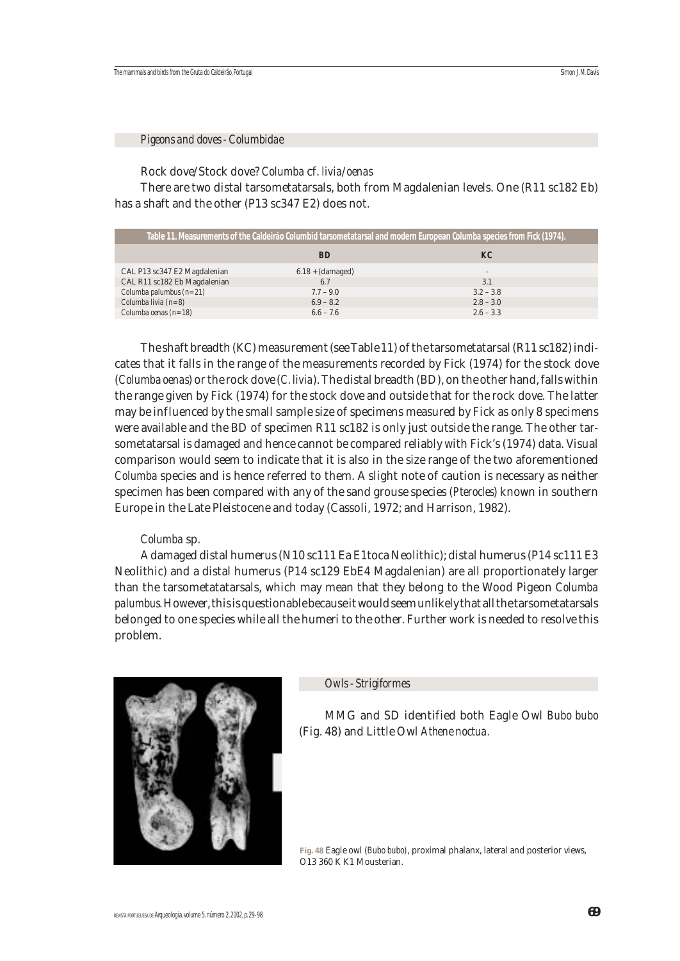*Pigeons and doves - Columbidae*

Rock dove/Stock dove? *Columba* cf. *livia*/*oenas*

There are two distal tarsometatarsals, both from Magdalenian levels. One (R11 sc182 Eb) has a shaft and the other (P13 sc347 E2) does not.

|                              | Table 11. Measurements of the Caldeirão Columbid tarsometatarsal and modern European <i>Columba</i> species from Fick (1974). |                          |
|------------------------------|-------------------------------------------------------------------------------------------------------------------------------|--------------------------|
|                              | <b>BD</b>                                                                                                                     | KC                       |
| CAL P13 sc347 E2 Magdalenian | $6.18 + (damped)$                                                                                                             | $\overline{\phantom{a}}$ |
| CAL R11 sc182 Eb Magdalenian | 6.7                                                                                                                           | 3.1                      |
| Columba palumbus $(n=21)$    | $7.7 - 9.0$                                                                                                                   | $3.2 - 3.8$              |
| Columba livia $(n=8)$        | $6.9 - 8.2$                                                                                                                   | $2.8 - 3.0$              |
| Columba oenas $(n=18)$       | $6.6 - 7.6$                                                                                                                   | $2.6 - 3.3$              |

The shaft breadth (KC) measurement (see Table 11) of the tarsometatarsal (R11 sc182) indicates that it falls in the range of the measurements recorded by Fick (1974) for the stock dove (*Columba oenas*) or the rock dove (*C. livia*). The distal breadth (BD), on the other hand, falls within the range given by Fick (1974) for the stock dove and outside that for the rock dove. The latter may be influenced by the small sample size of specimens measured by Fick as only 8 specimens were available and the BD of specimen R11 sc182 is only just outside the range. The other tarsometatarsal is damaged and hence cannot be compared reliably with Fick's (1974) data. Visual comparison would seem to indicate that it is also in the size range of the two aforementioned *Columba* species and is hence referred to them. A slight note of caution is necessary as neither specimen has been compared with any of the sand grouse species (*Pterocles*) known in southern Europe in the Late Pleistocene and today (Cassoli, 1972; and Harrison, 1982).

## *Columba* sp.

A damaged distal humerus (N10 sc111 Ea E1toca Neolithic); distal humerus (P14 sc111 E3 Neolithic) and a distal humerus (P14 sc129 EbE4 Magdalenian) are all proportionately larger than the tarsometatatarsals, which may mean that they belong to the Wood Pigeon *Columba palumbus*. However, this is questionable because it would seem unlikely that all the tarsometatarsals belonged to one species while all the humeri to the other. Further work is needed to resolve this problem.



*Owls - Strigiformes*

MMG and SD identified both Eagle Owl *Bubo bubo* (Fig. 48) and Little Owl *Athene noctua.*

**Fig. 48** Eagle owl (*Bubo bubo)*, proximal phalanx, lateral and posterior views, O13 360 K K1 Mousterian.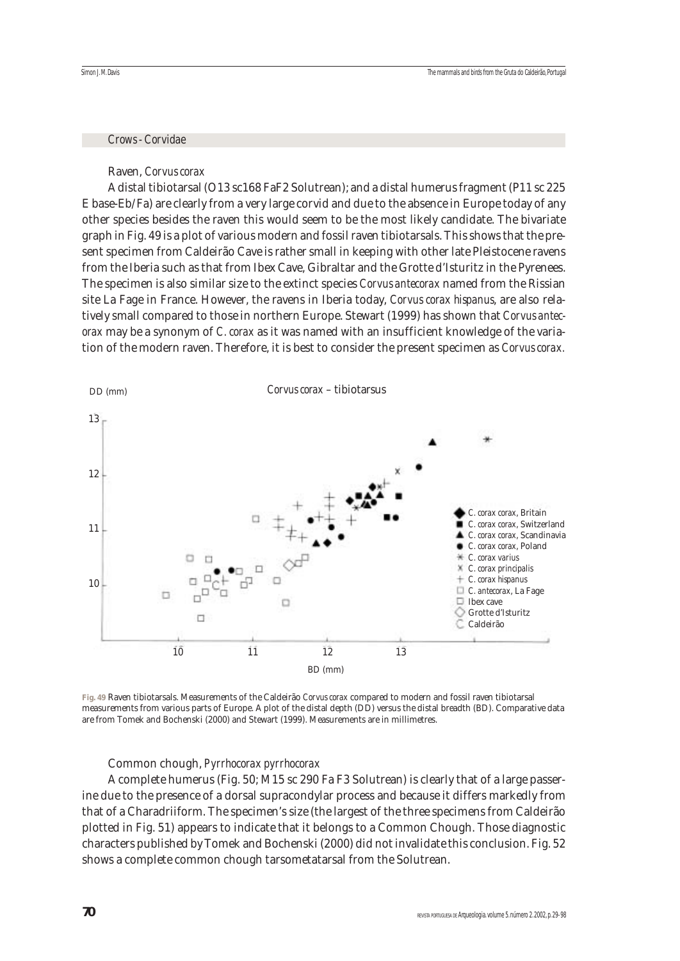#### *Crows - Corvidae*

#### Raven, *Corvus corax*

A distal tibiotarsal (O13 sc168 FaF2 Solutrean); and a distal humerus fragment (P11 sc 225 E base-Eb/Fa) are clearly from a very large corvid and due to the absence in Europe today of any other species besides the raven this would seem to be the most likely candidate. The bivariate graph in Fig. 49 is a plot of various modern and fossil raven tibiotarsals. This shows that the present specimen from Caldeirão Cave is rather small in keeping with other late Pleistocene ravens from the Iberia such as that from Ibex Cave, Gibraltar and the Grotte d'Isturitz in the Pyrenees. The specimen is also similar size to the extinct species *Corvus antecorax* named from the Rissian site La Fage in France. However, the ravens in Iberia today, *Corvus corax hispanus*, are also relatively small compared to those in northern Europe. Stewart (1999) has shown that *Corvus antecorax* may be a synonym of *C. corax* as it was named with an insufficient knowledge of the variation of the modern raven. Therefore, it is best to consider the present specimen as *Corvus corax.*



**Fig. 49** Raven tibiotarsals. Measurements of the Caldeirão *Corvus corax* compared to modern and fossil raven tibiotarsal measurements from various parts of Europe. A plot of the distal depth (DD) versus the distal breadth (BD). Comparative data are from Tomek and Bochenski (2000) and Stewart (1999). Measurements are in millimetres.

#### Common chough, *Pyrrhocorax pyrrhocorax*

A complete humerus (Fig. 50; M15 sc 290 Fa F3 Solutrean) is clearly that of a large passerine due to the presence of a dorsal supracondylar process and because it differs markedly from that of a Charadriiform. The specimen's size (the largest of the three specimens from Caldeirão plotted in Fig. 51) appears to indicate that it belongs to a Common Chough. Those diagnostic characters published by Tomek and Bochenski (2000) did not invalidate this conclusion. Fig. 52 shows a complete common chough tarsometatarsal from the Solutrean.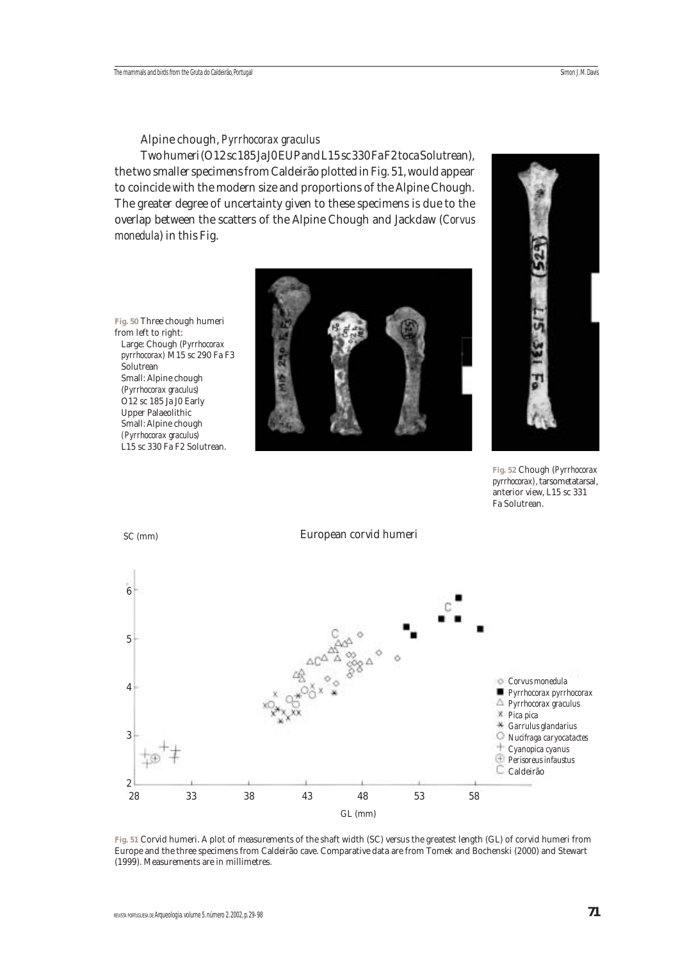#### Alpine chough, *Pyrrhocorax graculus*

Two humeri (O12 sc 185 Ja J0 EUP and L15 sc 330 Fa F2 toca Solutrean), the two smaller specimens from Caldeirão plotted in Fig. 51, would appear to coincide with the modern size and proportions of the Alpine Chough. The greater degree of uncertainty given to these specimens is due to the overlap between the scatters of the Alpine Chough and Jackdaw (*Corvus monedula*) in this Fig.

**Fig. 50** Three chough humeri from left to right: Large: Chough (*Pyrrhocorax pyrrhocorax)* M15 sc 290 Fa F3 Solutrean Small: Alpine chough (*Pyrrhocorax graculus)*  O12 sc 185 Ja J0 Early Upper Palaeolithic Small: Alpine chough *(Pyrrhocorax graculus)* L15 sc 330 Fa F2 Solutrean.





**Fig. 52** Chough (*Pyrrhocorax pyrrhocorax),* tarsometatarsal, anterior view, L15 sc 331 Fa Solutrean.



**Fig. 51** Corvid humeri. A plot of measurements of the shaft width (SC) versus the greatest length (GL) of corvid humeri from Europe and the three specimens from Caldeirão cave. Comparative data are from Tomek and Bochenski (2000) and Stewart (1999). Measurements are in millimetres.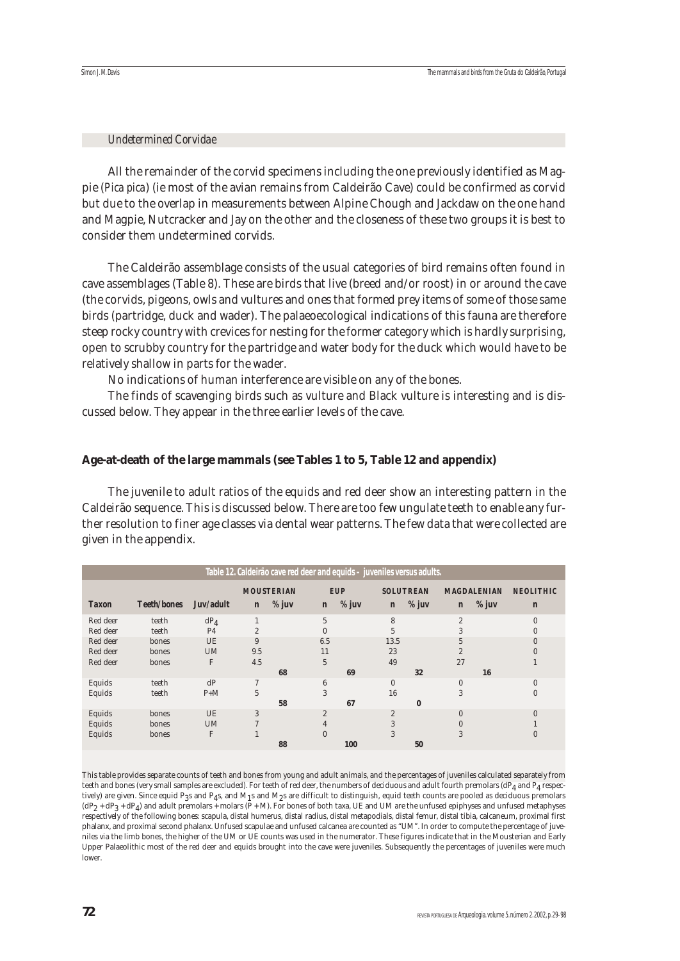#### *Undetermined Corvidae*

All the remainder of the corvid specimens including the one previously identified as Magpie (*Pica pica*) (ie most of the avian remains from Caldeirão Cave) could be confirmed as corvid but due to the overlap in measurements between Alpine Chough and Jackdaw on the one hand and Magpie, Nutcracker and Jay on the other and the closeness of these two groups it is best to consider them undetermined corvids.

The Caldeirão assemblage consists of the usual categories of bird remains often found in cave assemblages (Table 8). These are birds that live (breed and/or roost) in or around the cave (the corvids, pigeons, owls and vultures and ones that formed prey items of some of those same birds (partridge, duck and wader). The palaeoecological indications of this fauna are therefore steep rocky country with crevices for nesting for the former category which is hardly surprising, open to scrubby country for the partridge and water body for the duck which would have to be relatively shallow in parts for the wader.

No indications of human interference are visible on any of the bones.

The finds of scavenging birds such as vulture and Black vulture is interesting and is discussed below. They appear in the three earlier levels of the cave.

## **Age-at-death of the large mammals (see Tables 1 to 5, Table 12 and appendix)**

The juvenile to adult ratios of the equids and red deer show an interesting pattern in the Caldeirão sequence. This is discussed below. There are too few ungulate teeth to enable any further resolution to finer age classes via dental wear patterns. The few data that were collected are given in the appendix.

|              |                    |                |                | Table 12. Caldeirão cave red deer and equids - juveniles versus adults. |                |            |                |                  |                |                    |                  |
|--------------|--------------------|----------------|----------------|-------------------------------------------------------------------------|----------------|------------|----------------|------------------|----------------|--------------------|------------------|
|              |                    |                |                | <b>MOUSTERIAN</b>                                                       |                | <b>EUP</b> |                | <b>SOLUTREAN</b> |                | <b>MAGDALENIAN</b> | <b>NEOLITHIC</b> |
| <b>Taxon</b> | <b>Teeth/bones</b> | Juv/adult      | $\mathbf{n}$   | % juv                                                                   | $\mathbf{n}$   | % juv      | $\mathbf{n}$   | $%$ juv          | $\mathbf{n}$   | % juv              | $\mathbf{n}$     |
| Red deer     | teeth              | $dP_4$         |                |                                                                         | 5              |            | 8              |                  | $\overline{2}$ |                    | $\Omega$         |
| Red deer     | teeth              | P <sub>4</sub> | $\overline{2}$ |                                                                         |                |            | 5              |                  | 3              |                    | $\Omega$         |
| Red deer     | bones              | <b>UE</b>      | 9              |                                                                         | 6.5            |            | 13.5           |                  | 5              |                    | $\Omega$         |
| Red deer     | bones              | <b>UM</b>      | 9.5            |                                                                         | 11             |            | 23             |                  |                |                    |                  |
| Red deer     | bones              | F              | 4.5            |                                                                         | $\overline{5}$ |            | 49             |                  | 27             |                    |                  |
|              |                    |                |                | 68                                                                      |                | 69         |                | 32               |                | 16                 |                  |
| Equids       | teeth              | dP             | $\tau$         |                                                                         | 6              |            | $\overline{0}$ |                  | $\Omega$       |                    | $\Omega$         |
| Equids       | teeth              | $P+M$          | 5              |                                                                         | 3              |            | 16             |                  | 3              |                    | $\Omega$         |
|              |                    |                |                | 58                                                                      |                | 67         |                | $\bf{0}$         |                |                    |                  |
| Equids       | bones              | <b>UE</b>      | 3              |                                                                         | $\overline{2}$ |            | $\mathbf{2}$   |                  | $\Omega$       |                    | $\Omega$         |
| Equids       | bones              | <b>UM</b>      |                |                                                                         | 4              |            | 3              |                  |                |                    |                  |
| Equids       | bones              | F              |                |                                                                         | $\Omega$       |            | 3              |                  | 3              |                    |                  |
|              |                    |                |                | 88                                                                      |                | 100        |                | 50               |                |                    |                  |

This table provides separate counts of teeth and bones from young and adult animals, and the percentages of juveniles calculated separately from teeth and bones (very small samples are excluded). For teeth of red deer, the numbers of deciduous and adult fourth premolars (dP<sub>4</sub> and P<sub>4</sub> respectively) are given. Since equid P<sub>3</sub>s and P<sub>4</sub>s, and M<sub>1</sub>s and M<sub>2</sub>s are difficult to distinguish, equid teeth counts are pooled as deciduous premolars  $(dP_2 + dP_3 + dP_4)$  and adult premolars + molars (P + M). For bones of both taxa, UE and UM are the unfused epiphyses and unfused metaphyses respectively of the following bones: scapula, distal humerus, distal radius, distal metapodials, distal femur, distal tibia, calcaneum, proximal first phalanx, and proximal second phalanx. Unfused scapulae and unfused calcanea are counted as "UM". In order to compute the percentage of juveniles via the limb bones, the higher of the UM or UE counts was used in the numerator. These figures indicate that in the Mousterian and Early Upper Palaeolithic most of the red deer and equids brought into the cave were juveniles. Subsequently the percentages of juveniles were much lower.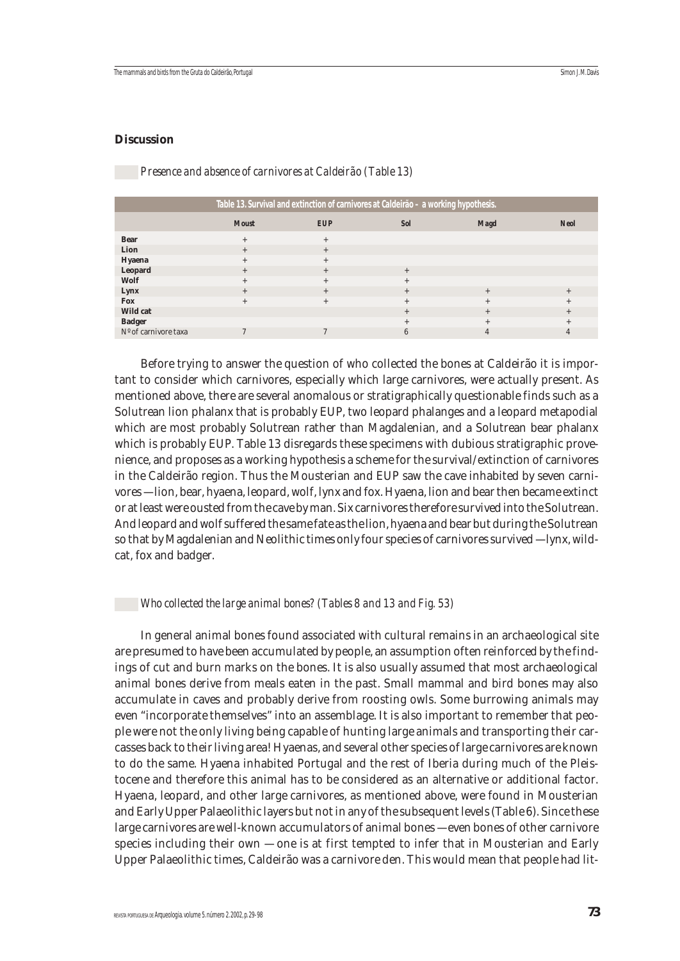#### **Discussion**

#### *Presence and absence of carnivores at Caldeirão (Table 13)*

|                      |              | Table 13. Survival and extinction of carnivores at Caldeirão - a working hypothesis. |            |             |             |
|----------------------|--------------|--------------------------------------------------------------------------------------|------------|-------------|-------------|
|                      | <b>Moust</b> | <b>EUP</b>                                                                           | <b>Sol</b> | <b>Magd</b> | <b>Neol</b> |
| <b>Bear</b>          | $+$          | $^{+}$                                                                               |            |             |             |
| Lion                 | $+$          | $^{+}$                                                                               |            |             |             |
| Hyaena               | $^{+}$       | $^{+}$                                                                               |            |             |             |
| <b>Leopard</b>       | $^{+}$       | $^{+}$                                                                               | $^{+}$     |             |             |
| Wolf                 | $^{+}$       | $^{+}$                                                                               | $^{+}$     |             |             |
| Lynx                 | $^{+}$       | $^{+}$                                                                               | $^{+}$     | $^{+}$      | $^{+}$      |
| <b>Fox</b>           | $^{+}$       | $^{+}$                                                                               | $^{+}$     | $^{+}$      | $^{+}$      |
| <b>Wild cat</b>      |              |                                                                                      | $^{+}$     | $^{+}$      | $^{+}$      |
| <b>Badger</b>        |              |                                                                                      | $^{+}$     | $+$         | $^{+}$      |
| Nº of carnivore taxa |              |                                                                                      | 6          | 4           |             |

Before trying to answer the question of who collected the bones at Caldeirão it is important to consider which carnivores, especially which large carnivores, were actually present. As mentioned above, there are several anomalous or stratigraphically questionable finds such as a Solutrean lion phalanx that is probably EUP, two leopard phalanges and a leopard metapodial which are most probably Solutrean rather than Magdalenian, and a Solutrean bear phalanx which is probably EUP. Table 13 disregards these specimens with dubious stratigraphic provenience, and proposes as a working hypothesis a scheme for the survival/extinction of carnivores in the Caldeirão region. Thus the Mousterian and EUP saw the cave inhabited by seven carnivores — lion, bear, hyaena, leopard, wolf, lynx and fox. Hyaena, lion and bear then became extinct or at least were ousted from the cave by man. Six carnivores therefore survived into the Solutrean. And leopard and wolf suffered the same fate as the lion, hyaena and bear but during the Solutrean so that by Magdalenian and Neolithic times only four species of carnivores survived — lynx, wildcat, fox and badger.

#### *Who collected the large animal bones? (Tables 8 and 13 and Fig. 53)*

In general animal bones found associated with cultural remains in an archaeological site are presumed to have been accumulated by people, an assumption often reinforced by the findings of cut and burn marks on the bones. It is also usually assumed that most archaeological animal bones derive from meals eaten in the past. Small mammal and bird bones may also accumulate in caves and probably derive from roosting owls. Some burrowing animals may even "incorporate themselves" into an assemblage. It is also important to remember that people were not the only living being capable of hunting large animals and transporting their carcasses back to their living area! Hyaenas, and several other species of large carnivores are known to do the same. Hyaena inhabited Portugal and the rest of Iberia during much of the Pleistocene and therefore this animal has to be considered as an alternative or additional factor. Hyaena, leopard, and other large carnivores, as mentioned above, were found in Mousterian and Early Upper Palaeolithic layers but not in any of the subsequent levels (Table 6). Since these large carnivores are well-known accumulators of animal bones — even bones of other carnivore species including their own — one is at first tempted to infer that in Mousterian and Early Upper Palaeolithic times, Caldeirão was a carnivore den. This would mean that people had lit-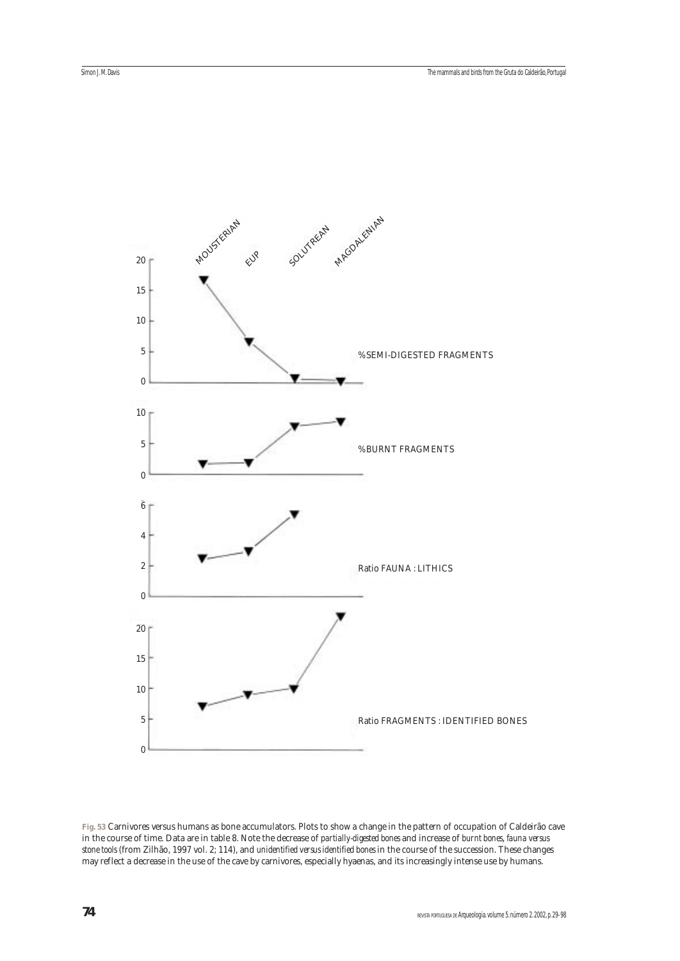

**Fig. 53** Carnivores versus humans as bone accumulators. Plots to show a change in the pattern of occupation of Caldeirão cave in the course of time. Data are in table 8. Note the decrease of *partially-digested bones* and increase of *burnt bones*, *fauna versus stone tools* (from Zilhão, 1997 vol. 2; 114), and *unidentified versus identified bones* in the course of the succession. These changes may reflect a decrease in the use of the cave by carnivores, especially hyaenas, and its increasingly intense use by humans.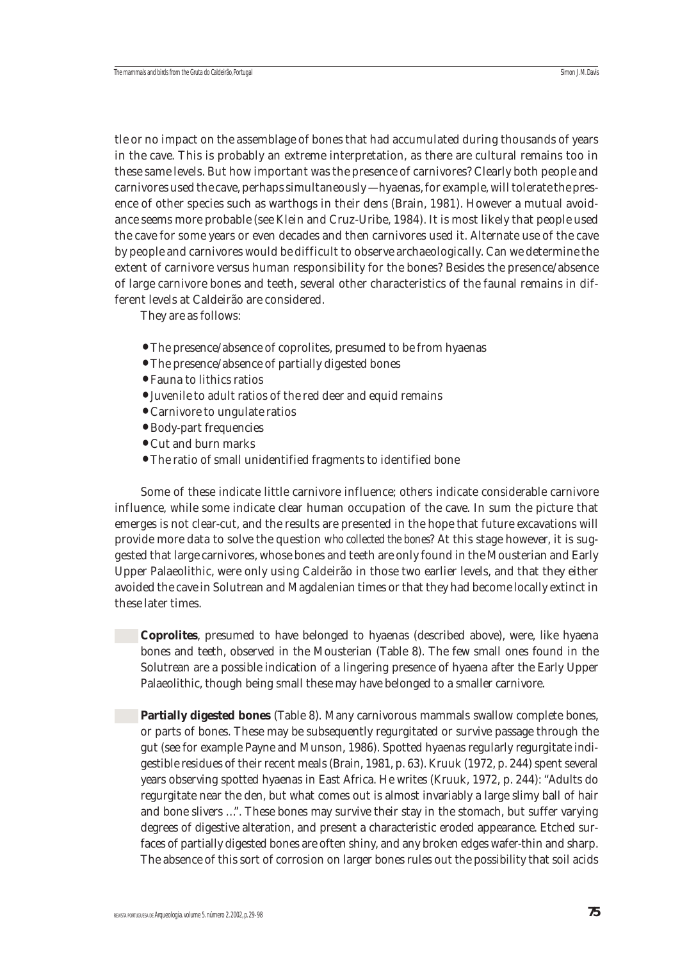tle or no impact on the assemblage of bones that had accumulated during thousands of years in the cave. This is probably an extreme interpretation, as there are cultural remains too in these same levels. But how important was the presence of carnivores? Clearly both people and carnivores used the cave, perhaps simultaneously — hyaenas, for example, will tolerate the presence of other species such as warthogs in their dens (Brain, 1981). However a mutual avoidance seems more probable (see Klein and Cruz-Uribe, 1984). It is most likely that people used the cave for some years or even decades and then carnivores used it. Alternate use of the cave by people and carnivores would be difficult to observe archaeologically. Can we determine the extent of carnivore versus human responsibility for the bones? Besides the presence/absence of large carnivore bones and teeth, several other characteristics of the faunal remains in different levels at Caldeirão are considered.

They are as follows:

- The presence/absence of coprolites, presumed to be from hyaenas
- The presence/absence of partially digested bones
- Fauna to lithics ratios
- Juvenile to adult ratios of the red deer and equid remains
- Carnivore to ungulate ratios
- Body-part frequencies
- Cut and burn marks
- The ratio of small unidentified fragments to identified bone

Some of these indicate little carnivore influence; others indicate considerable carnivore influence, while some indicate clear human occupation of the cave. In sum the picture that emerges is not clear-cut, and the results are presented in the hope that future excavations will provide more data to solve the question *who collected the bones*? At this stage however, it is suggested that large carnivores, whose bones and teeth are only found in the Mousterian and Early Upper Palaeolithic, were only using Caldeirão in those two earlier levels, and that they either avoided the cave in Solutrean and Magdalenian times or that they had become locally extinct in these later times.

**Coprolites**, presumed to have belonged to hyaenas (described above), were, like hyaena bones and teeth, observed in the Mousterian (Table 8). The few small ones found in the Solutrean are a possible indication of a lingering presence of hyaena after the Early Upper Palaeolithic, though being small these may have belonged to a smaller carnivore.

**Partially digested bones** (Table 8). Many carnivorous mammals swallow complete bones, or parts of bones. These may be subsequently regurgitated or survive passage through the gut (see for example Payne and Munson, 1986). Spotted hyaenas regularly regurgitate indigestible residues of their recent meals (Brain, 1981, p. 63). Kruuk (1972, p. 244) spent several years observing spotted hyaenas in East Africa. He writes (Kruuk, 1972, p. 244): "Adults do regurgitate near the den, but what comes out is almost invariably a large slimy ball of hair and bone slivers …". These bones may survive their stay in the stomach, but suffer varying degrees of digestive alteration, and present a characteristic eroded appearance. Etched surfaces of partially digested bones are often shiny, and any broken edges wafer-thin and sharp. The absence of this sort of corrosion on larger bones rules out the possibility that soil acids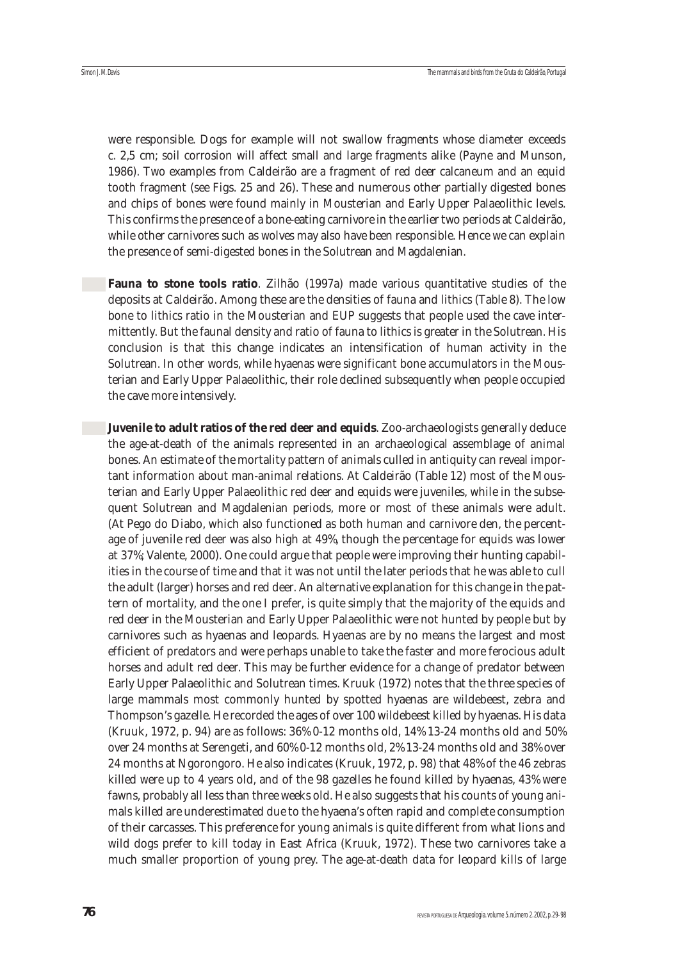were responsible. Dogs for example will not swallow fragments whose diameter exceeds c. 2,5 cm; soil corrosion will affect small and large fragments alike (Payne and Munson, 1986). Two examples from Caldeirão are a fragment of red deer calcaneum and an equid tooth fragment (see Figs. 25 and 26). These and numerous other partially digested bones and chips of bones were found mainly in Mousterian and Early Upper Palaeolithic levels. This confirms the presence of a bone-eating carnivore in the earlier two periods at Caldeirão, while other carnivores such as wolves may also have been responsible. Hence we can explain the presence of semi-digested bones in the Solutrean and Magdalenian.

**Fauna to stone tools ratio**. Zilhão (1997a) made various quantitative studies of the deposits at Caldeirão. Among these are the densities of fauna and lithics (Table 8). The low bone to lithics ratio in the Mousterian and EUP suggests that people used the cave intermittently. But the faunal density and ratio of fauna to lithics is greater in the Solutrean. His conclusion is that this change indicates an intensification of human activity in the Solutrean. In other words, while hyaenas were significant bone accumulators in the Mousterian and Early Upper Palaeolithic, their role declined subsequently when people occupied the cave more intensively.

**Juvenile to adult ratios of the red deer and equids**. Zoo-archaeologists generally deduce the age-at-death of the animals represented in an archaeological assemblage of animal bones. An estimate of the mortality pattern of animals culled in antiquity can reveal important information about man-animal relations. At Caldeirão (Table 12) most of the Mousterian and Early Upper Palaeolithic red deer and equids were juveniles, while in the subsequent Solutrean and Magdalenian periods, more or most of these animals were adult. (At Pego do Diabo, which also functioned as both human and carnivore den, the percentage of juvenile red deer was also high at 49%, though the percentage for equids was lower at 37%; Valente, 2000). One could argue that people were improving their hunting capabilities in the course of time and that it was not until the later periods that he was able to cull the adult (larger) horses and red deer. An alternative explanation for this change in the pattern of mortality, and the one I prefer, is quite simply that the majority of the equids and red deer in the Mousterian and Early Upper Palaeolithic were not hunted by people but by carnivores such as hyaenas and leopards. Hyaenas are by no means the largest and most efficient of predators and were perhaps unable to take the faster and more ferocious adult horses and adult red deer. This may be further evidence for a change of predator between Early Upper Palaeolithic and Solutrean times. Kruuk (1972) notes that the three species of large mammals most commonly hunted by spotted hyaenas are wildebeest, zebra and Thompson's gazelle. He recorded the ages of over 100 wildebeest killed by hyaenas. His data (Kruuk, 1972, p. 94) are as follows: 36% 0-12 months old, 14% 13-24 months old and 50% over 24 months at Serengeti, and 60% 0-12 months old, 2% 13-24 months old and 38% over 24 months at Ngorongoro. He also indicates (Kruuk, 1972, p. 98) that 48% of the 46 zebras killed were up to 4 years old, and of the 98 gazelles he found killed by hyaenas, 43% were fawns, probably all less than three weeks old. He also suggests that his counts of young animals killed are underestimated due to the hyaena's often rapid and complete consumption of their carcasses. This preference for young animals is quite different from what lions and wild dogs prefer to kill today in East Africa (Kruuk, 1972). These two carnivores take a much smaller proportion of young prey. The age-at-death data for leopard kills of large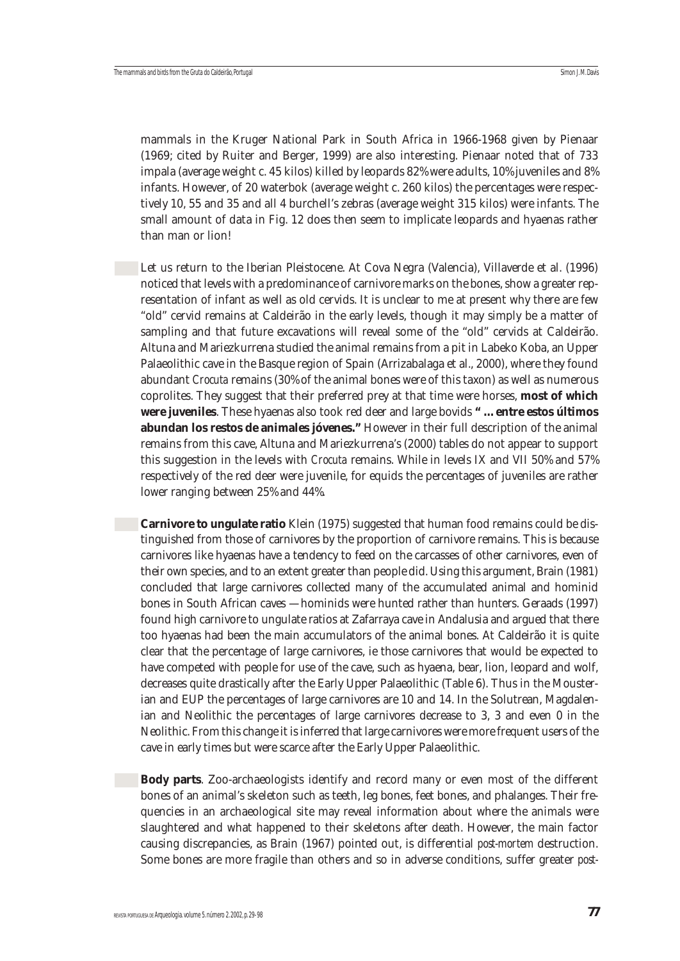mammals in the Kruger National Park in South Africa in 1966-1968 given by Pienaar (1969; cited by Ruiter and Berger, 1999) are also interesting. Pienaar noted that of 733 impala (average weight c. 45 kilos) killed by leopards 82% were adults, 10% juveniles and 8% infants. However, of 20 waterbok (average weight c. 260 kilos) the percentages were respectively 10, 55 and 35 and all 4 burchell's zebras (average weight 315 kilos) were infants. The small amount of data in Fig. 12 does then seem to implicate leopards and hyaenas rather than man or lion!

Let us return to the Iberian Pleistocene. At Cova Negra (Valencia), Villaverde et al. (1996) noticed that levels with a predominance of carnivore marks on the bones, show a greater representation of infant as well as old cervids. It is unclear to me at present why there are few "old" cervid remains at Caldeirão in the early levels, though it may simply be a matter of sampling and that future excavations will reveal some of the "old" cervids at Caldeirão. Altuna and Mariezkurrena studied the animal remains from a pit in Labeko Koba, an Upper Palaeolithic cave in the Basque region of Spain (Arrizabalaga et al., 2000), where they found abundant *Crocuta* remains (30% of the animal bones were of this taxon) as well as numerous coprolites. They suggest that their preferred prey at that time were horses, **most of which were juveniles**. These hyaenas also took red deer and large bovids **" … entre estos últimos abundan los restos de animales jóvenes."** However in their full description of the animal remains from this cave, Altuna and Mariezkurrena's (2000) tables do not appear to support this suggestion in the levels with *Crocuta* remains. While in levels IX and VII 50% and 57% respectively of the red deer were juvenile, for equids the percentages of juveniles are rather lower ranging between 25% and 44%.

**Carnivore to ungulate ratio** Klein (1975) suggested that human food remains could be distinguished from those of carnivores by the proportion of carnivore remains. This is because carnivores like hyaenas have a tendency to feed on the carcasses of other carnivores, even of their own species, and to an extent greater than people did. Using this argument, Brain (1981) concluded that large carnivores collected many of the accumulated animal and hominid bones in South African caves — hominids were hunted rather than hunters. Geraads (1997) found high carnivore to ungulate ratios at Zafarraya cave in Andalusia and argued that there too hyaenas had been the main accumulators of the animal bones. At Caldeirão it is quite clear that the percentage of large carnivores, ie those carnivores that would be expected to have competed with people for use of the cave, such as hyaena, bear, lion, leopard and wolf, decreases quite drastically after the Early Upper Palaeolithic (Table 6). Thus in the Mousterian and EUP the percentages of large carnivores are 10 and 14. In the Solutrean, Magdalenian and Neolithic the percentages of large carnivores decrease to 3, 3 and even 0 in the Neolithic. From this change it is inferred that large carnivores were more frequent users of the cave in early times but were scarce after the Early Upper Palaeolithic.

**Body parts**. Zoo-archaeologists identify and record many or even most of the different bones of an animal's skeleton such as teeth, leg bones, feet bones, and phalanges. Their frequencies in an archaeological site may reveal information about where the animals were slaughtered and what happened to their skeletons after death. However, the main factor causing discrepancies, as Brain (1967) pointed out, is differential *post-mortem* destruction. Some bones are more fragile than others and so in adverse conditions, suffer greater *post-*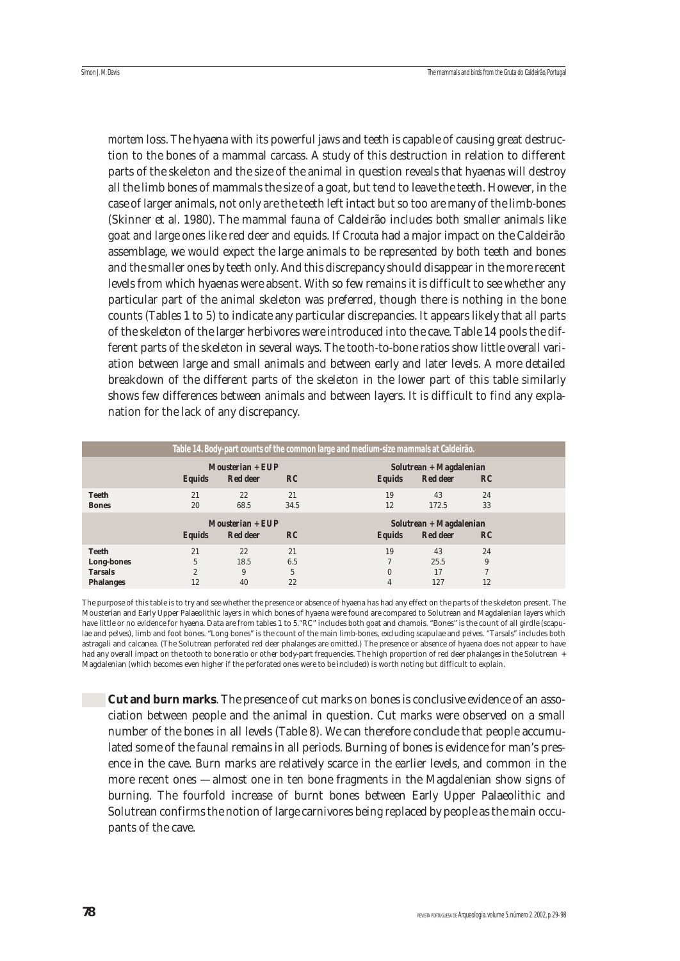*mortem* loss. The hyaena with its powerful jaws and teeth is capable of causing great destruction to the bones of a mammal carcass. A study of this destruction in relation to different parts of the skeleton and the size of the animal in question reveals that hyaenas will destroy all the limb bones of mammals the size of a goat, but tend to leave the teeth. However, in the case of larger animals, not only are the teeth left intact but so too are many of the limb-bones (Skinner et al. 1980). The mammal fauna of Caldeirão includes both smaller animals like goat and large ones like red deer and equids. If *Crocuta* had a major impact on the Caldeirão assemblage, we would expect the large animals to be represented by both teeth and bones and the smaller ones by teeth only. And this discrepancy should disappear in the more recent levels from which hyaenas were absent. With so few remains it is difficult to see whether any particular part of the animal skeleton was preferred, though there is nothing in the bone counts (Tables 1 to 5) to indicate any particular discrepancies. It appears likely that all parts of the skeleton of the larger herbivores were introduced into the cave. Table 14 pools the different parts of the skeleton in several ways. The tooth-to-bone ratios show little overall variation between large and small animals and between early and later levels. A more detailed breakdown of the different parts of the skeleton in the lower part of this table similarly shows few differences between animals and between layers. It is difficult to find any explanation for the lack of any discrepancy.

|                                                                  |                                 |                                          |                      | Table 14. Body-part counts of the common large and medium-size mammals at Caldeirão. |                                             |                    |  |
|------------------------------------------------------------------|---------------------------------|------------------------------------------|----------------------|--------------------------------------------------------------------------------------|---------------------------------------------|--------------------|--|
|                                                                  | <b>Equids</b>                   | $M$ ousterian + EUP<br><b>Red deer</b>   | RC                   | <b>Equids</b>                                                                        | $Solution + Magdalenian$<br><b>Red deer</b> | $_{RC}$            |  |
| <b>Teeth</b><br><b>Bones</b>                                     | 21<br>20                        | 22<br>68.5                               | 21<br>34.5           | 19<br>12                                                                             | 43<br>172.5                                 | 24<br>33           |  |
|                                                                  | <b>Equids</b>                   | $M$ ousterian + $EUP$<br><b>Red deer</b> | RC                   | <b>Equids</b>                                                                        | $Solution + Magdalenian$<br><b>Red deer</b> | $_{RC}$            |  |
| <b>Teeth</b><br>Long-bones<br><b>Tarsals</b><br><b>Phalanges</b> | 21<br>5<br>$\overline{2}$<br>12 | 22<br>18.5<br>9<br>40                    | 21<br>6.5<br>5<br>22 | 19<br>$\Omega$<br>4                                                                  | 43<br>25.5<br>17<br>127                     | 24<br>9<br>7<br>12 |  |

The purpose of this table is to try and see whether the presence or absence of hyaena has had any effect on the parts of the skeleton present. The Mousterian and Early Upper Palaeolithic layers in which bones of hyaena were found are compared to Solutrean and Magdalenian layers which have little or no evidence for hyaena. Data are from tables 1 to 5."RC" includes both goat and chamois. "Bones" is the count of all girdle (scapulae and pelves), limb and foot bones. "Long bones" is the count of the main limb-bones, excluding scapulae and pelves. "Tarsals" includes both astragali and calcanea. (The Solutrean perforated red deer phalanges are omitted.) The presence or absence of hyaena does not appear to have had any overall impact on the tooth to bone ratio or other body-part frequencies. The high proportion of red deer phalanges in the Solutrean + Magdalenian (which becomes even higher if the perforated ones were to be included) is worth noting but difficult to explain.

**Cut and burn marks**. The presence of cut marks on bones is conclusive evidence of an association between people and the animal in question. Cut marks were observed on a small number of the bones in all levels (Table 8). We can therefore conclude that people accumulated some of the faunal remains in all periods. Burning of bones is evidence for man's presence in the cave. Burn marks are relatively scarce in the earlier levels, and common in the more recent ones — almost one in ten bone fragments in the Magdalenian show signs of burning. The fourfold increase of burnt bones between Early Upper Palaeolithic and Solutrean confirms the notion of large carnivores being replaced by people as the main occupants of the cave.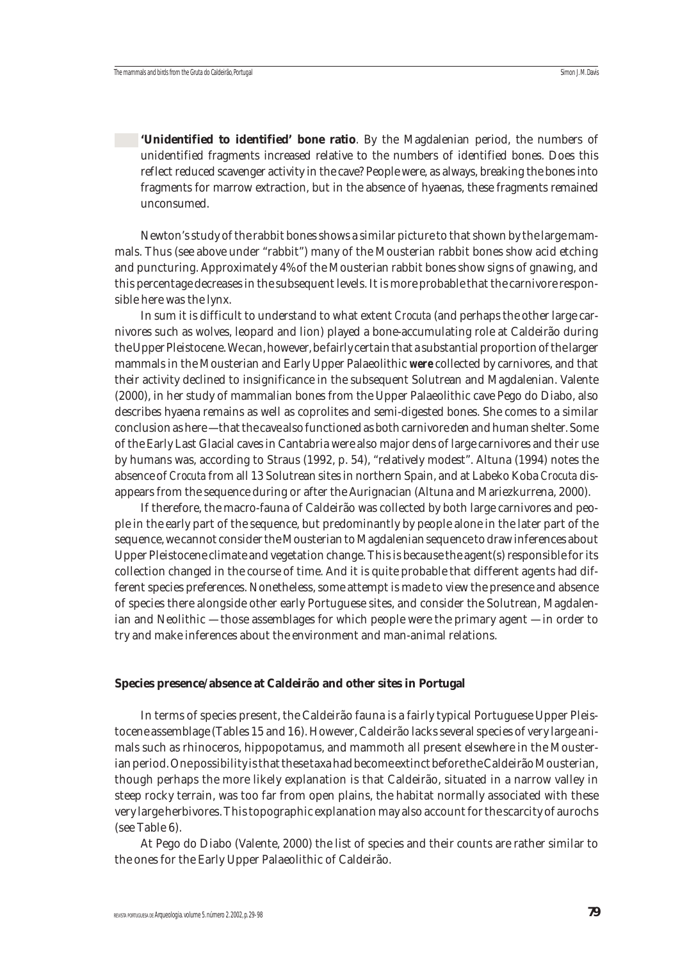**'Unidentified to identified' bone ratio**. By the Magdalenian period, the numbers of unidentified fragments increased relative to the numbers of identified bones. Does this reflect reduced scavenger activity in the cave? People were, as always, breaking the bones into fragments for marrow extraction, but in the absence of hyaenas, these fragments remained unconsumed.

Newton's study of the rabbit bones shows a similar picture to that shown by the large mammals. Thus (see above under "rabbit") many of the Mousterian rabbit bones show acid etching and puncturing. Approximately 4% of the Mousterian rabbit bones show signs of gnawing, and this percentage decreases in the subsequent levels. It is more probable that the carnivore responsible here was the lynx.

In sum it is difficult to understand to what extent *Crocuta* (and perhaps the other large carnivores such as wolves, leopard and lion) played a bone-accumulating role at Caldeirão during the Upper Pleistocene. We can, however, be fairly certain that a substantial proportion of the larger mammals in the Mousterian and Early Upper Palaeolithic *were* collected by carnivores, and that their activity declined to insignificance in the subsequent Solutrean and Magdalenian. Valente (2000), in her study of mammalian bones from the Upper Palaeolithic cave Pego do Diabo, also describes hyaena remains as well as coprolites and semi-digested bones. She comes to a similar conclusion as here — that the cave also functioned as both carnivore den and human shelter. Some of the Early Last Glacial caves in Cantabria were also major dens of large carnivores and their use by humans was, according to Straus (1992, p. 54), "relatively modest". Altuna (1994) notes the absence of *Crocuta* from all 13 Solutrean sites in northern Spain, and at Labeko Koba *Crocuta* disappears from the sequence during or after the Aurignacian (Altuna and Mariezkurrena, 2000).

If therefore, the macro-fauna of Caldeirão was collected by both large carnivores and people in the early part of the sequence, but predominantly by people alone in the later part of the sequence, we cannot consider the Mousterian to Magdalenian sequence to draw inferences about Upper Pleistocene climate and vegetation change. This is because the agent(s) responsible for its collection changed in the course of time. And it is quite probable that different agents had different species preferences. Nonetheless, some attempt is made to view the presence and absence of species there alongside other early Portuguese sites, and consider the Solutrean, Magdalenian and Neolithic — those assemblages for which people were the primary agent — in order to try and make inferences about the environment and man-animal relations.

#### **Species presence/absence at Caldeirão and other sites in Portugal**

In terms of species present, the Caldeirão fauna is a fairly typical Portuguese Upper Pleistocene assemblage (Tables 15 and 16). However, Caldeirão lacks several species of very large animals such as rhinoceros, hippopotamus, and mammoth all present elsewhere in the Mousterian period. One possibility is that these taxa had become extinct before the Caldeirão Mousterian, though perhaps the more likely explanation is that Caldeirão, situated in a narrow valley in steep rocky terrain, was too far from open plains, the habitat normally associated with these very large herbivores. This topographic explanation may also account for the scarcity of aurochs (see Table 6).

At Pego do Diabo (Valente, 2000) the list of species and their counts are rather similar to the ones for the Early Upper Palaeolithic of Caldeirão.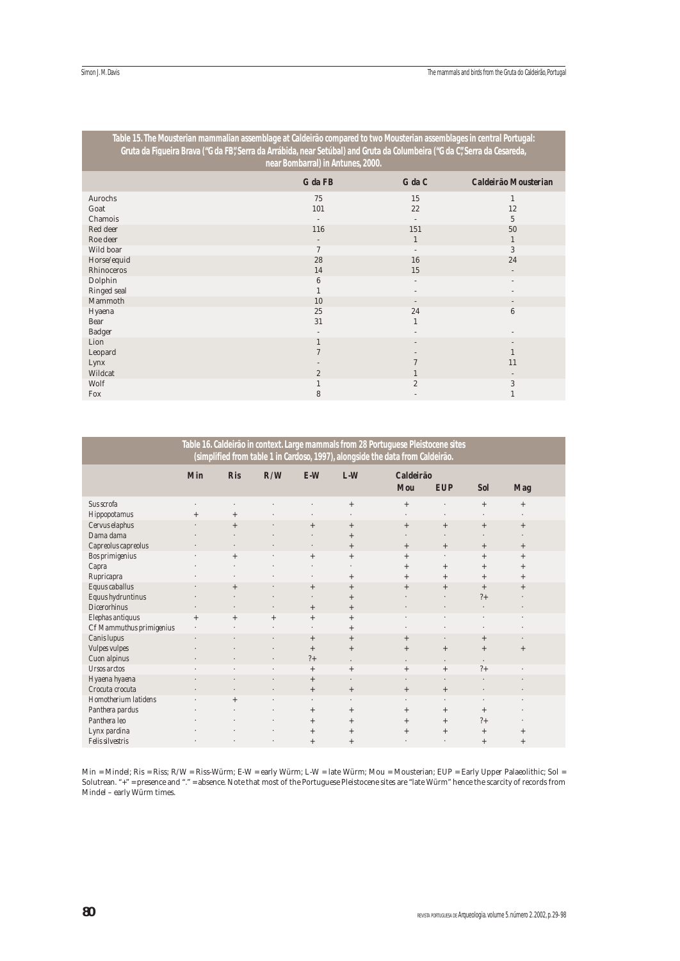| Table 15. The Mousterian mammalian assemblage at Caldeirão compared to two Mousterian assemblages in central Portugal:<br>Gruta da Figueira Brava ("G da FB", Serra da Arrábida, near Setúbal) and Gruta da Columbeira ("G da C", Serra da Cesareda, | near Bombarral) in Antunes, 2000. |                |                      |
|------------------------------------------------------------------------------------------------------------------------------------------------------------------------------------------------------------------------------------------------------|-----------------------------------|----------------|----------------------|
|                                                                                                                                                                                                                                                      | $G$ da $FB$                       | $G$ da $C$     | Caldeirão Mousterian |
| Aurochs                                                                                                                                                                                                                                              | 75                                | 15             | 1                    |
| Goat                                                                                                                                                                                                                                                 | 101                               | 22             | 12                   |
| Chamois                                                                                                                                                                                                                                              |                                   |                | 5                    |
| Red deer                                                                                                                                                                                                                                             | 116                               | 151            | 50                   |
| Roe deer                                                                                                                                                                                                                                             |                                   | $\mathbf{1}$   | 1                    |
| Wild boar                                                                                                                                                                                                                                            | $\tau$                            |                | 3                    |
| Horse/equid                                                                                                                                                                                                                                          | 28                                | 16             | 24                   |
| Rhinoceros                                                                                                                                                                                                                                           | 14                                | 15             |                      |
| Dolphin                                                                                                                                                                                                                                              | 6                                 |                |                      |
| Ringed seal                                                                                                                                                                                                                                          |                                   |                |                      |
| Mammoth                                                                                                                                                                                                                                              | 10                                |                |                      |
| Hyaena                                                                                                                                                                                                                                               | 25                                | 24             | 6                    |
| Bear                                                                                                                                                                                                                                                 | 31                                |                |                      |
| Badger                                                                                                                                                                                                                                               |                                   |                |                      |
| Lion                                                                                                                                                                                                                                                 | $\mathbf{1}$                      |                |                      |
| Leopard                                                                                                                                                                                                                                              |                                   |                |                      |
| Lynx                                                                                                                                                                                                                                                 |                                   |                | 11                   |
| Wildcat                                                                                                                                                                                                                                              | $\overline{2}$                    |                |                      |
| Wolf                                                                                                                                                                                                                                                 |                                   | $\overline{2}$ | 3                    |
| Fox                                                                                                                                                                                                                                                  | 8                                 |                |                      |

|                                                     |            |                   |        |                                |                  | Table 16. Caldeirão in context. Large mammals from 28 Portuguese Pleistocene sites<br>(simplified from table 1 in Cardoso, 1997), alongside the data from Caldeirão. |                            |                              |                            |  |
|-----------------------------------------------------|------------|-------------------|--------|--------------------------------|------------------|----------------------------------------------------------------------------------------------------------------------------------------------------------------------|----------------------------|------------------------------|----------------------------|--|
|                                                     | <b>Min</b> | <b>Ris</b>        | R/W    | $E-W$                          | $L-W$            | <b>Caldeirão</b><br><b>Mou</b>                                                                                                                                       | <b>EUP</b>                 | <b>Sol</b>                   | <b>Mag</b>                 |  |
| Sus scrofa<br>Hippopotamus                          | $^{+}$     | $+$               |        |                                | $^{+}$           | $\qquad \qquad +$                                                                                                                                                    |                            | $\qquad \qquad +$            | $^+$                       |  |
| Cervus elaphus<br>Dama dama                         |            | $+$               |        | $^{+}$                         | $+$<br>$^{+}$    | $^{+}$                                                                                                                                                               | $+$                        | $^{+}$                       | $^{+}$                     |  |
| Capreolus capreolus<br>Bos primigenius              |            | $\cdot$<br>$^{+}$ |        | $\ddot{\phantom{0}}$<br>$+$    | $+$<br>$^{+}$    | $^{+}$<br>$^{+}$                                                                                                                                                     | $^{+}$                     | $^{+}$<br>$^{+}$             | $^{+}$<br>$^{+}$           |  |
| Capra<br>Rupricapra<br>Equus caballus               |            | $^{+}$            |        | $\ddot{\phantom{0}}$<br>$^{+}$ | $^{+}$<br>$+$    | $^{+}$<br>$^{+}$<br>$^{+}$                                                                                                                                           | $^{+}$<br>$^{+}$<br>$^{+}$ | $^{+}$<br>$^{+}$<br>$^{+}$   | $^{+}$<br>$^{+}$<br>$^{+}$ |  |
| Equus hydruntinus<br><b>Dicerorhinus</b>            |            |                   |        | $\ddot{\phantom{0}}$<br>$+$    | $^{+}$<br>$+$    |                                                                                                                                                                      |                            | $?+$<br>$\ddot{\phantom{a}}$ |                            |  |
| Elephas antiquus<br>Cf Mammuthus primigenius        | $^{+}$     | $+$               | $^{+}$ | $^{+}$<br>×.                   | $^{+}$<br>$^{+}$ |                                                                                                                                                                      |                            | ٠<br>٠                       | $\cdot$<br>٠               |  |
| Canis lupus<br><b>Vulpes vulpes</b><br>Cuon alpinus | ä,         |                   |        | $+$<br>$^{+}$<br>$?+$          | $^{+}$<br>$^{+}$ | $^{+}$<br>$^{+}$                                                                                                                                                     | ٠<br>$^{+}$                | $+$<br>$+$                   | $\bullet$<br>$^{+}$        |  |
| <b>Ursos</b> arctos<br>Hyaena hyaena                |            | $\lambda$         |        | $^{+}$<br>$^{+}$               | ٠<br>$^{+}$      | $\cdot$<br>$^{+}$                                                                                                                                                    | $\cdot$<br>$^{+}$          | $\cdot$<br>$?+$<br>٠         | $\cdot$                    |  |
| Crocuta crocuta<br>Homotherium latidens             |            | $+$               |        | $+$                            | $^{+}$           | $\qquad \qquad +$                                                                                                                                                    | $^{+}$                     |                              |                            |  |
| Panthera pardus<br>Panthera leo                     |            |                   |        | $^{+}$<br>$+$                  | $^{+}$<br>$^{+}$ | $^{+}$<br>$^{+}$                                                                                                                                                     | $^{+}$<br>$^{+}$           | $^{+}$<br>$?+$               |                            |  |
| Lynx pardina<br>Felis silvestris                    |            |                   |        | $+$<br>$^{+}$                  | $^{+}$<br>$^{+}$ | $^{+}$                                                                                                                                                               | $^{+}$                     | $^{+}$<br>$^{+}$             | $^{+}$<br>$^{+}$           |  |

Min = Mindel; Ris = Riss; R/W = Riss-Würm; E-W = early Würm; L-W = late Würm; Mou = Mousterian; EUP = Early Upper Palaeolithic; Sol = Solutrean. "+" = presence and "." = absence. Note that most of the Portuguese Pleistocene sites are "late Würm" hence the scarcity of records from Mindel – early Würm times.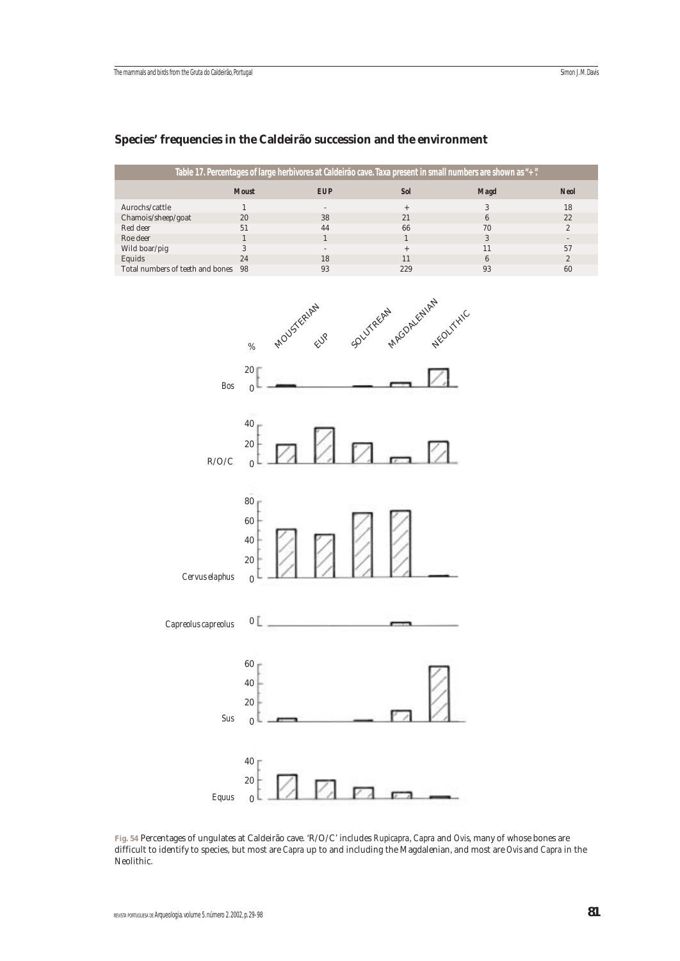## **Species' frequencies in the Caldeirão succession and the environment**



**Fig. 54** Percentages of ungulates at Caldeirão cave. 'R/O/C' includes *Rupicapra*, *Capra* and *Ovis*, many of whose bones are difficult to identify to species, but most are *Capra* up to and including the Magdalenian, and most are *Ovis* and *Capra* in the Neolithic.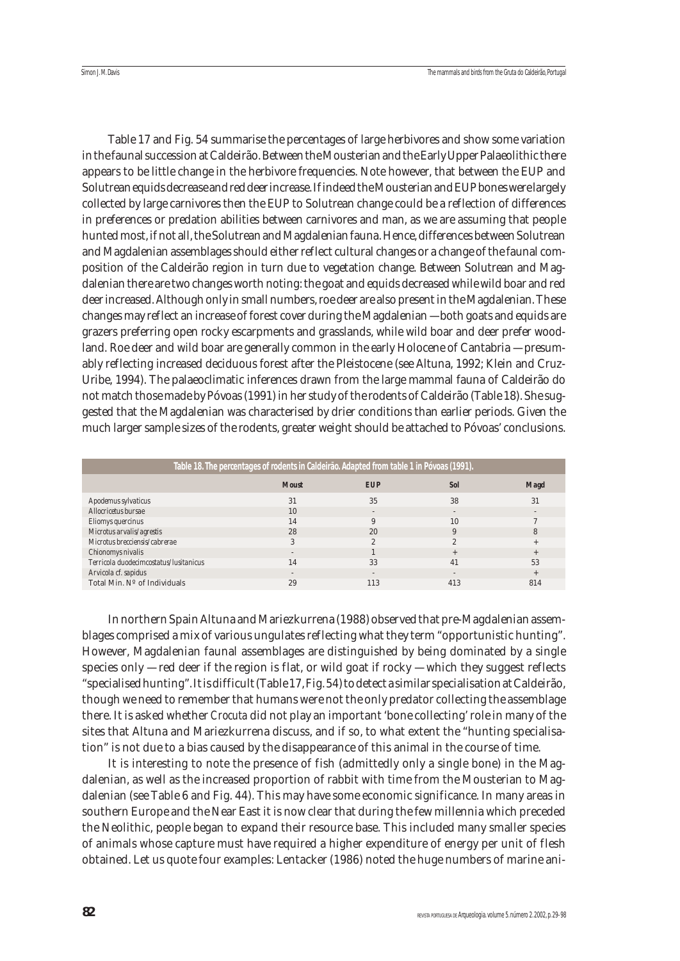Table 17 and Fig. 54 summarise the percentages of large herbivores and show some variation in the faunal succession at Caldeirão. Between the Mousterian and the Early Upper Palaeolithic there appears to be little change in the herbivore frequencies. Note however, that between the EUP and Solutrean equids decrease and red deer increase. If indeed the Mousterian and EUP bones were largely collected by large carnivores then the EUP to Solutrean change could be a reflection of differences in preferences or predation abilities between carnivores and man, as we are assuming that people hunted most, if not all, the Solutrean and Magdalenian fauna. Hence, differences between Solutrean and Magdalenian assemblages should either reflect cultural changes or a change of the faunal composition of the Caldeirão region in turn due to vegetation change. Between Solutrean and Magdalenian there are two changes worth noting: the goat and equids decreased while wild boar and red deer increased. Although only in small numbers, roe deer are also present in the Magdalenian. These changes may reflect an increase of forest cover during the Magdalenian — both goats and equids are grazers preferring open rocky escarpments and grasslands, while wild boar and deer prefer woodland. Roe deer and wild boar are generally common in the early Holocene of Cantabria — presumably reflecting increased deciduous forest after the Pleistocene (see Altuna, 1992; Klein and Cruz-Uribe, 1994). The palaeoclimatic inferences drawn from the large mammal fauna of Caldeirão do not match those made by Póvoas (1991) in her study of the rodents of Caldeirão (Table 18). She suggested that the Magdalenian was characterised by drier conditions than earlier periods. Given the much larger sample sizes of the rodents, greater weight should be attached to Póvoas' conclusions.

|                                        | Table 18. The percentages of rodents in Caldeirão. Adapted from table 1 in Póvoas (1991). |                |            |             |
|----------------------------------------|-------------------------------------------------------------------------------------------|----------------|------------|-------------|
|                                        |                                                                                           |                |            |             |
|                                        | <b>Moust</b>                                                                              | <b>EUP</b>     | <b>Sol</b> | <b>Magd</b> |
|                                        |                                                                                           |                |            |             |
| Apodemus sylvaticus                    | 31                                                                                        | 35             | 38         | 31          |
| Allocricetus bursae                    | 10                                                                                        |                |            |             |
| Eliomys quercinus                      | 14                                                                                        |                | 10         |             |
| Microtus arvalis/agrestis              | 28                                                                                        | 20             | 9          | 8           |
| Microtus brecciensis/cabrerae          | 3                                                                                         |                | 2.         |             |
| Chionomys nivalis                      |                                                                                           |                |            | $+$         |
| Terricola duodecimcostatus/lusitanicus | 14                                                                                        | 33             | 41         | 53          |
| Arvicola cf. sapidus                   |                                                                                           | $\overline{a}$ |            | $+$         |
| Total Min. Nº of Individuals           | 29                                                                                        | 113            | 413        | 814         |

In northern Spain Altuna and Mariezkurrena (1988) observed that pre-Magdalenian assemblages comprised a mix of various ungulates reflecting what they term "opportunistic hunting". However, Magdalenian faunal assemblages are distinguished by being dominated by a single species only — red deer if the region is flat, or wild goat if rocky — which they suggest reflects "specialised hunting". It is difficult (Table 17, Fig. 54) to detect a similar specialisation at Caldeirão, though we need to remember that humans were not the only predator collecting the assemblage there. It is asked whether *Crocuta* did not play an important 'bone collecting' role in many of the sites that Altuna and Mariezkurrena discuss, and if so, to what extent the "hunting specialisation" is not due to a bias caused by the disappearance of this animal in the course of time.

It is interesting to note the presence of fish (admittedly only a single bone) in the Magdalenian, as well as the increased proportion of rabbit with time from the Mousterian to Magdalenian (see Table 6 and Fig. 44). This may have some economic significance. In many areas in southern Europe and the Near East it is now clear that during the few millennia which preceded the Neolithic, people began to expand their resource base. This included many smaller species of animals whose capture must have required a higher expenditure of energy per unit of flesh obtained. Let us quote four examples: Lentacker (1986) noted the huge numbers of marine ani-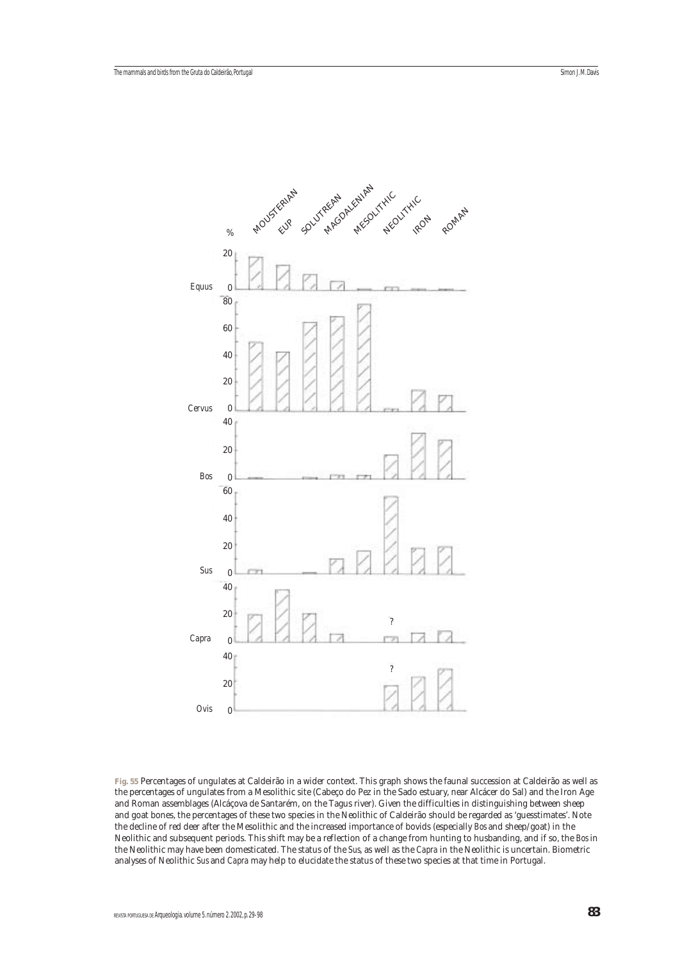

**Fig. 55** Percentages of ungulates at Caldeirão in a wider context. This graph shows the faunal succession at Caldeirão as well as the percentages of ungulates from a Mesolithic site (Cabeço do Pez in the Sado estuary, near Alcácer do Sal) and the Iron Age and Roman assemblages (Alcáçova de Santarém, on the Tagus river). Given the difficulties in distinguishing between sheep and goat bones, the percentages of these two species in the Neolithic of Caldeirão should be regarded as 'guesstimates'. Note the decline of red deer after the Mesolithic and the increased importance of bovids (especially *Bos* and sheep/goat) in the Neolithic and subsequent periods. This shift may be a reflection of a change from hunting to husbanding, and if so, the *Bos* in the Neolithic may have been domesticated. The status of the *Sus*, as well as the *Capra* in the Neolithic is uncertain. Biometric analyses of Neolithic *Sus* and *Capra* may help to elucidate the status of these two species at that time in Portugal.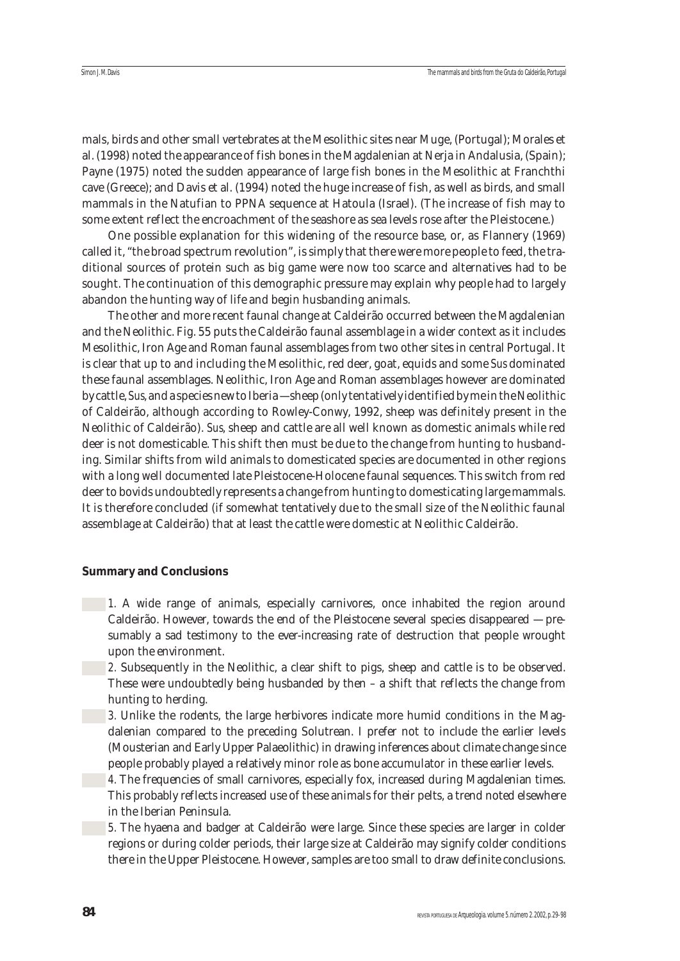mals, birds and other small vertebrates at the Mesolithic sites near Muge, (Portugal); Morales et al. (1998) noted the appearance of fish bones in the Magdalenian at Nerja in Andalusia, (Spain); Payne (1975) noted the sudden appearance of large fish bones in the Mesolithic at Franchthi cave (Greece); and Davis et al. (1994) noted the huge increase of fish, as well as birds, and small mammals in the Natufian to PPNA sequence at Hatoula (Israel). (The increase of fish may to some extent reflect the encroachment of the seashore as sea levels rose after the Pleistocene.)

One possible explanation for this widening of the resource base, or, as Flannery (1969) called it, "the broad spectrum revolution", is simply that there were more people to feed, the traditional sources of protein such as big game were now too scarce and alternatives had to be sought. The continuation of this demographic pressure may explain why people had to largely abandon the hunting way of life and begin husbanding animals.

The other and more recent faunal change at Caldeirão occurred between the Magdalenian and the Neolithic. Fig. 55 puts the Caldeirão faunal assemblage in a wider context as it includes Mesolithic, Iron Age and Roman faunal assemblages from two other sites in central Portugal. It is clear that up to and including the Mesolithic, red deer, goat, equids and some *Sus* dominated these faunal assemblages. Neolithic, Iron Age and Roman assemblages however are dominated by cattle, *Sus*, and a species new to Iberia — sheep (only tentatively identified by me in the Neolithic of Caldeirão, although according to Rowley-Conwy, 1992, sheep was definitely present in the Neolithic of Caldeirão). *Sus*, sheep and cattle are all well known as domestic animals while red deer is not domesticable. This shift then must be due to the change from hunting to husbanding. Similar shifts from wild animals to domesticated species are documented in other regions with a long well documented late Pleistocene-Holocene faunal sequences. This switch from red deer to bovids undoubtedly represents a change from hunting to domesticating large mammals. It is therefore concluded (if somewhat tentatively due to the small size of the Neolithic faunal assemblage at Caldeirão) that at least the cattle were domestic at Neolithic Caldeirão.

#### **Summary and Conclusions**

- 1. A wide range of animals, especially carnivores, once inhabited the region around Caldeirão. However, towards the end of the Pleistocene several species disappeared — presumably a sad testimony to the ever-increasing rate of destruction that people wrought upon the environment.
	- 2. Subsequently in the Neolithic, a clear shift to pigs, sheep and cattle is to be observed. These were undoubtedly being husbanded by then – a shift that reflects the change from hunting to herding.
	- *3.* Unlike the rodents, the large herbivores indicate more humid conditions in the Magdalenian compared to the preceding Solutrean. I prefer not to include the earlier levels (Mousterian and Early Upper Palaeolithic) in drawing inferences about climate change since people probably played a relatively minor role as bone accumulator in these earlier levels.
	- 4. The frequencies of small carnivores, especially fox, increased during Magdalenian times. This probably reflects increased use of these animals for their pelts, a trend noted elsewhere in the Iberian Peninsula.
- **5.** The hyaena and badger at Caldeirão were large. Since these species are larger in colder regions or during colder periods, their large size at Caldeirão may signify colder conditions there in the Upper Pleistocene. However, samples are too small to draw definite conclusions.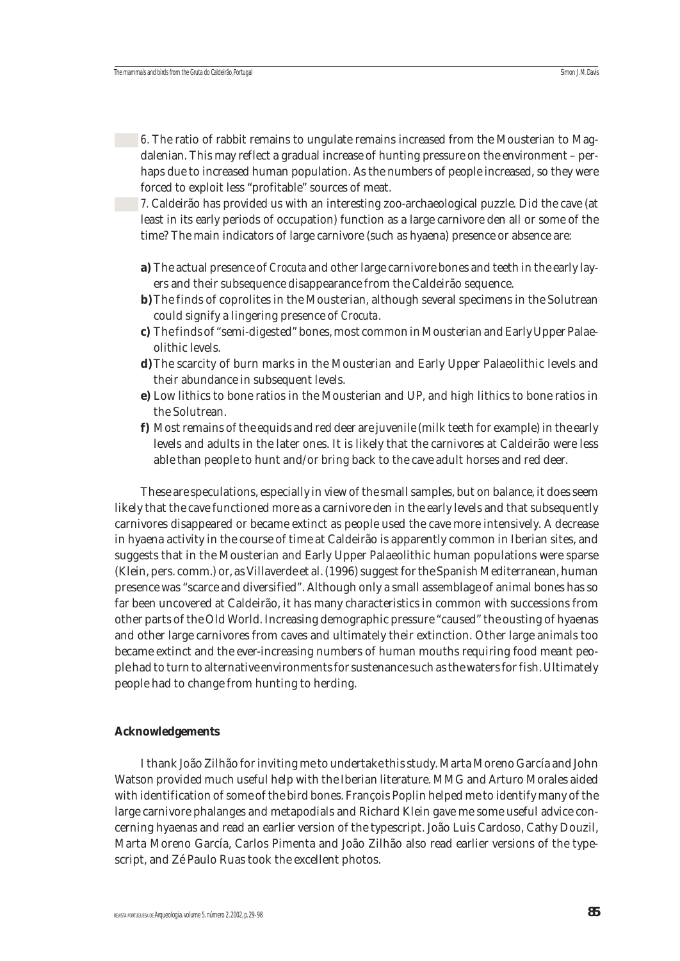*6.* The ratio of rabbit remains to ungulate remains increased from the Mousterian to Magdalenian. This may reflect a gradual increase of hunting pressure on the environment – perhaps due to increased human population. As the numbers of people increased, so they were forced to exploit less "profitable" sources of meat.

*7.* Caldeirão has provided us with an interesting zoo-archaeological puzzle. Did the cave (at least in its early periods of occupation) function as a large carnivore den all or some of the time? The main indicators of large carnivore (such as hyaena) presence or absence are:

- **a)** The actual presence of *Crocuta* and other large carnivore bones and teeth in the early layers and their subsequence disappearance from the Caldeirão sequence.
- **b**) The finds of coprolites in the Mousterian, although several specimens in the Solutrean could signify a lingering presence of *Crocuta*.
- **c)** The finds of "semi-digested" bones, most common in Mousterian and Early Upper Palaeolithic levels.
- **d)**The scarcity of burn marks in the Mousterian and Early Upper Palaeolithic levels and their abundance in subsequent levels.
- **e)** Low lithics to bone ratios in the Mousterian and UP, and high lithics to bone ratios in the Solutrean.
- **f)** Most remains of the equids and red deer are juvenile (milk teeth for example) in the early levels and adults in the later ones. It is likely that the carnivores at Caldeirão were less able than people to hunt and/or bring back to the cave adult horses and red deer.

These are speculations, especially in view of the small samples, but on balance, it does seem likely that the cave functioned more as a carnivore den in the early levels and that subsequently carnivores disappeared or became extinct as people used the cave more intensively. A decrease in hyaena activity in the course of time at Caldeirão is apparently common in Iberian sites, and suggests that in the Mousterian and Early Upper Palaeolithic human populations were sparse (Klein, pers. comm.) or, as Villaverde et al. (1996) suggest for the Spanish Mediterranean, human presence was "scarce and diversified". Although only a small assemblage of animal bones has so far been uncovered at Caldeirão, it has many characteristics in common with successions from other parts of the Old World. Increasing demographic pressure "caused" the ousting of hyaenas and other large carnivores from caves and ultimately their extinction. Other large animals too became extinct and the ever-increasing numbers of human mouths requiring food meant people had to turn to alternative environments for sustenance such as the waters for fish. Ultimately people had to change from hunting to herding.

## **Acknowledgements**

I thank João Zilhão for inviting me to undertake this study. Marta Moreno García and John Watson provided much useful help with the Iberian literature. MMG and Arturo Morales aided with identification of some of the bird bones. François Poplin helped me to identify many of the large carnivore phalanges and metapodials and Richard Klein gave me some useful advice concerning hyaenas and read an earlier version of the typescript. João Luis Cardoso, Cathy Douzil, Marta Moreno García, Carlos Pimenta and João Zilhão also read earlier versions of the typescript, and Zé Paulo Ruas took the excellent photos.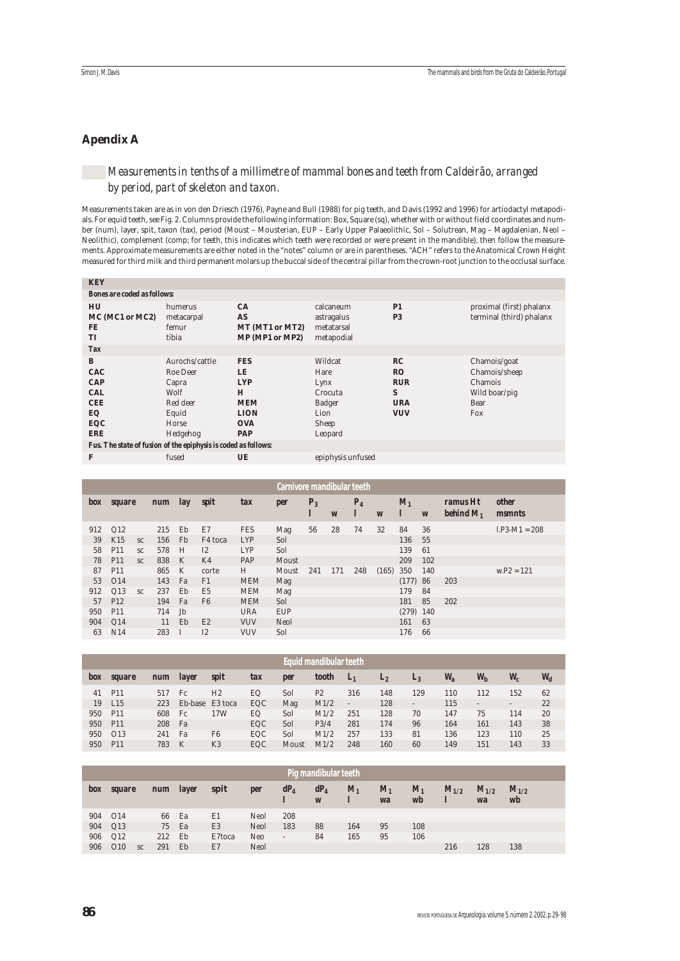## **Apendix A**

# *Measurements in tenths of a millimetre of mammal bones and teeth from Caldeirão, arranged by period, part of skeleton and taxon.*

Measurements taken are as in von den Driesch (1976), Payne and Bull (1988) for pig teeth, and Davis (1992 and 1996) for artiodactyl metapodials. For equid teeth, see Fig. 2. Columns provide the following information: Box, Square (sq), whether with or without field coordinates and number (num), layer, spit, taxon (tax), period (Moust – Mousterian, EUP – Early Upper Palaeolithic, Sol – Solutrean, Mag – Magdalenian, Neol – Neolithic), complement (comp; for teeth, this indicates which teeth were recorded or were present in the mandible), then follow the measurements. Approximate measurements are either noted in the "notes" column or are in parentheses. "ACH" refers to the Anatomical Crown Height measured for third milk and third permanent molars up the buccal side of the central pillar from the crown-root junction to the occlusal surface.

| <b>KEY</b>                                                                                                                                             |                                                                                       |                                                                                              |                                                                          |                                                                |                                                                          |
|--------------------------------------------------------------------------------------------------------------------------------------------------------|---------------------------------------------------------------------------------------|----------------------------------------------------------------------------------------------|--------------------------------------------------------------------------|----------------------------------------------------------------|--------------------------------------------------------------------------|
| <b>Bones are coded as follows:</b>                                                                                                                     |                                                                                       |                                                                                              |                                                                          |                                                                |                                                                          |
| HU<br>MC (MC1 or MC2)<br><b>FE</b><br><b>TI</b>                                                                                                        | humerus<br>metacarpal<br>femur<br>tibia                                               | CA<br><b>AS</b><br>MT (MT1 or MT2)<br>MP (MP1 or MP2)                                        | calcaneum<br>astragalus<br>metatarsal<br>metapodial                      | <b>P1</b><br>P <sub>3</sub>                                    | proximal (first) phalanx<br>terminal (third) phalanx                     |
| <b>Tax</b>                                                                                                                                             |                                                                                       |                                                                                              |                                                                          |                                                                |                                                                          |
| B<br><b>CAC</b><br><b>CAP</b><br><b>CAL</b><br><b>CEE</b><br>EQ<br>EQC<br><b>ERE</b><br>Fus. The state of fusion of the epiphysis is coded as follows: | Aurochs/cattle<br>Roe Deer<br>Capra<br>Wolf<br>Red deer<br>Equid<br>Horse<br>Hedgehog | <b>FES</b><br>LE<br><b>LYP</b><br>H<br><b>MEM</b><br><b>LION</b><br><b>OVA</b><br><b>PAP</b> | Wildcat<br>Hare<br>Lynx<br>Crocuta<br>Badger<br>Lion<br>Sheep<br>Leopard | RC<br><b>RO</b><br><b>RUR</b><br>S<br><b>URA</b><br><b>VUV</b> | Chamois/goat<br>Chamois/sheep<br>Chamois<br>Wild boar/pig<br>Bear<br>Fox |
| F                                                                                                                                                      | fused                                                                                 | UE                                                                                           | epiphysis unfused                                                        |                                                                |                                                                          |

|     |                 |           |            |            |                |            | Carnivore mandibular teeth |            |     |            |                  |             |                  |                          |                               |
|-----|-----------------|-----------|------------|------------|----------------|------------|----------------------------|------------|-----|------------|------------------|-------------|------------------|--------------------------|-------------------------------|
| box | <b>square</b>   |           | <b>num</b> | <i>lay</i> | spit           | tax        | per                        | $P_3$<br>I | W   | $P_4$<br>1 | $\boldsymbol{W}$ | $M_1$<br>ı  | $\boldsymbol{W}$ | ramus Ht<br>behind $M_1$ | <i>other</i><br><i>msmnts</i> |
| 912 | Q12             |           | 215        | Eb         | E7             | <b>FES</b> | Mag                        | 56         | 28  | 74         | 32               | 84          | 36               |                          | $l.P3-M1 = 208$               |
| 39  | K15             | SC        | 156        | <b>Fb</b>  | F4 toca        | <b>LYP</b> | Sol                        |            |     |            |                  | 136         | 55               |                          |                               |
| 58  | P <sub>11</sub> | SC.       | 578        | H          | I2             | <b>LYP</b> | Sol                        |            |     |            |                  | 139         | 61               |                          |                               |
| 78  | P <sub>11</sub> | SC        | 838        | K          | K4             | PAP        | Moust                      |            |     |            |                  | 209         | 102              |                          |                               |
| 87  | P <sub>11</sub> |           | 865        | K          | corte          | H          | Moust                      | 241        | 171 | 248        | (165)            | 350         | 140              |                          | $w.P2 = 121$                  |
| 53  | O <sub>14</sub> |           | 143        | Fa         | F1             | <b>MEM</b> | Mag                        |            |     |            |                  | (177)       | 86               | 203                      |                               |
| 912 | Q13             | <b>SC</b> | 237        | Eb         | <b>E5</b>      | <b>MEM</b> | Mag                        |            |     |            |                  | 179         | 84               |                          |                               |
| 57  | P <sub>12</sub> |           | 194        | Fa         | F <sub>6</sub> | <b>MEM</b> | Sol                        |            |     |            |                  | 181         | 85               | 202                      |                               |
| 950 | P <sub>11</sub> |           | 714        | Jb         |                | <b>URA</b> | <b>EUP</b>                 |            |     |            |                  | $(279)$ 140 |                  |                          |                               |
| 904 | Q14             |           | 11         | Eb         | E2             | <b>VUV</b> | Neol                       |            |     |            |                  | 161         | 63               |                          |                               |
| 63  | N14             |           | 283        |            | I2             | <b>VUV</b> | Sol                        |            |     |            |                  | 176         | 66               |                          |                               |

|     |                 |            |                 |                |     |       | Equid mandibular teeth |                |         |                              |         |                          |                          |       |
|-----|-----------------|------------|-----------------|----------------|-----|-------|------------------------|----------------|---------|------------------------------|---------|--------------------------|--------------------------|-------|
| box | <b>square</b>   | <b>num</b> | <i>layer</i>    | <b>spit</b>    | tax | per   | tooth                  | $L_1$          | $L_{2}$ | $L_3$                        | $W_{a}$ | $W_{h}$                  | $W_c$                    | $W_d$ |
| 41  | P11             | 517        | Fc              | H <sub>2</sub> | EQ  | Sol   | P <sub>2</sub>         | 316            | 148     | 129                          | 110     | 112                      | 152                      | 62    |
| 19  | L15             | 223        | Eb-base E3 toca |                | EQC | Mag   | M1/2                   | $\overline{a}$ | 128     | $\qquad \qquad \blacksquare$ | 115     | $\overline{\phantom{a}}$ | $\overline{\phantom{a}}$ | 22    |
| 950 | P <sub>11</sub> | 608        | Fc              | 17W            | EQ. | Sol   | M1/2                   | 251            | 128     | 70                           | 147     | 75                       | 114                      | 20    |
| 950 | P <sub>11</sub> | 208        | Fa              |                | EQC | Sol   | P3/4                   | 281            | 174     | 96                           | 164     | 161                      | 143                      | 38    |
| 950 | O13             | 241        | Fa              | F <sub>6</sub> | EQC | Sol   | M1/2                   | 257            | 133     | 81                           | 136     | 123                      | 110                      | 25    |
| 950 | <b>P11</b>      | 783        | K               | K <sub>3</sub> | EQC | Moust | M1/2                   | 248            | 160     | 60                           | 149     | 151                      | 143                      | 33    |

|     |                 |                  |              |                |      |        | Pig mandibular teeth |         |               |               |           |                 |                 |  |
|-----|-----------------|------------------|--------------|----------------|------|--------|----------------------|---------|---------------|---------------|-----------|-----------------|-----------------|--|
| box | <b>square</b>   | <b>num</b>       | <i>layer</i> | spit           | per  | $dP_4$ | $dP_4$<br>W          | $M_{1}$ | $M_{1}$<br>wa | $M_{1}$<br>wb | $M_{1/2}$ | $M_{1/2}$<br>wa | $M_{1/2}$<br>wb |  |
| 904 | O <sub>14</sub> | 66               | Ea           | E1             | Neol | 208    |                      |         |               |               |           |                 |                 |  |
| 904 | Q13             | 75               | Ea           | E <sub>3</sub> | Neol | 183    | 88                   | 164     | 95            | 108           |           |                 |                 |  |
| 906 | Q12             | 212              | Eb           | E7toca         | Neo  | $\sim$ | 84                   | 165     | 95            | 106           |           |                 |                 |  |
| 906 | O10             | 291<br><b>SC</b> | Eb           | E7             | Neol |        |                      |         |               |               | 216       | 128             | 138             |  |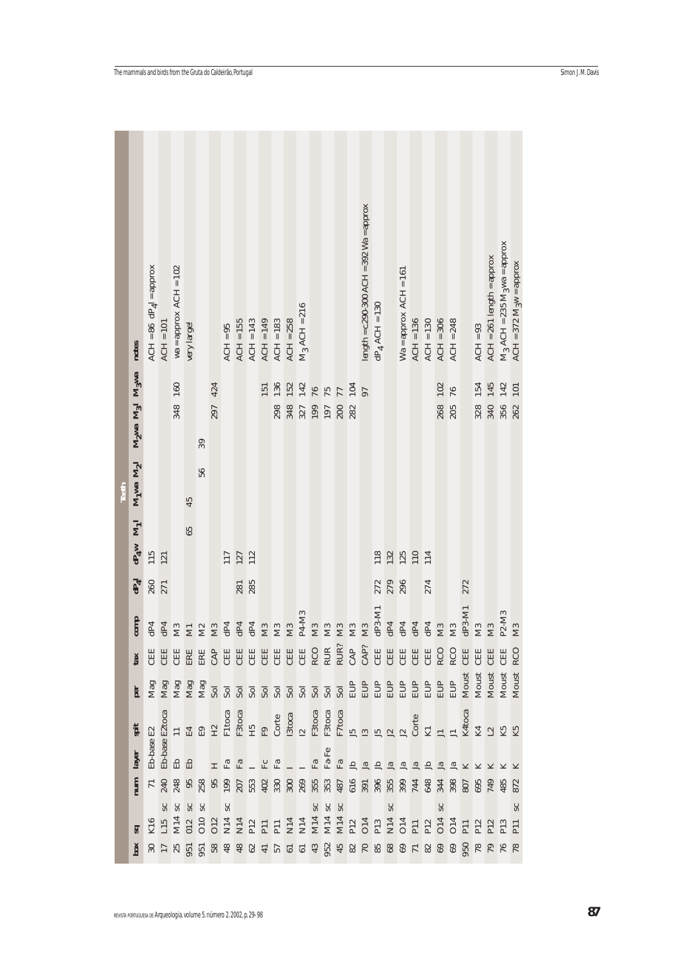|       | notes          | $ACH = 86 \text{ d}P_4I = \text{approx}$ | $ACH = 101$                                                                                 | $wa = approx ACH = 102$ | very large!      |    |     | $ACH = 95$ | $ACH = 155$ | $ACH = 143$ | $ACH = 149$ | $ACH = 183$ | $ACH = 258$   | $M_3$ ACH = 216   |     |                |                           |          | length = $c.290-300$ ACH = $392$ Wa = approx | $dP_4$ ACH = 130 |                | $Wa = approx ACH = 161$ | $ACH = 136$  | $ACH = 130$                                                     | $ACH = 306$   | $ACH = 248$ |          | $ACH = 93$     | $ACH = 261$ length = approx | $M_3$ ACH = 235 $M_3$ wa = approx | $ACH = 372$ $M_3w =$ approx |
|-------|----------------|------------------------------------------|---------------------------------------------------------------------------------------------|-------------------------|------------------|----|-----|------------|-------------|-------------|-------------|-------------|---------------|-------------------|-----|----------------|---------------------------|----------|----------------------------------------------|------------------|----------------|-------------------------|--------------|-----------------------------------------------------------------|---------------|-------------|----------|----------------|-----------------------------|-----------------------------------|-----------------------------|
|       | Mgwa M31 Mgwa  |                                          |                                                                                             | 160                     |                  |    | 424 |            |             |             | 151         | 136         | 152           | 142               | 76  | 75             | 77                        | 104      | 97                                           |                  |                |                         |              |                                                                 | 102           | 76          |          | 154            | 145                         | 142                               | 101                         |
|       |                |                                          |                                                                                             | 348                     |                  |    | 297 |            |             |             |             |             |               | 298<br>348<br>327 | 199 | 197            | 200                       |          |                                              |                  |                |                         |              |                                                                 | 268<br>205    |             |          | 328<br>340     |                             | 356                               | 262                         |
|       |                |                                          |                                                                                             |                         |                  | 39 |     |            |             |             |             |             |               |                   |     |                |                           |          |                                              |                  |                |                         |              |                                                                 |               |             |          |                |                             |                                   |                             |
|       |                |                                          |                                                                                             |                         |                  | 56 |     |            |             |             |             |             |               |                   |     |                |                           |          |                                              |                  |                |                         |              |                                                                 |               |             |          |                |                             |                                   |                             |
| Teeth | $M_1$ wa $M_2$ |                                          |                                                                                             |                         | 45               |    |     |            |             |             |             |             |               |                   |     |                |                           |          |                                              |                  |                |                         |              |                                                                 |               |             |          |                |                             |                                   |                             |
|       | $M_1$          |                                          |                                                                                             |                         | 65               |    |     |            |             |             |             |             |               |                   |     |                |                           |          |                                              |                  |                |                         |              |                                                                 |               |             |          |                |                             |                                   |                             |
|       | $dP_4w$        | 115                                      | 121                                                                                         |                         |                  |    |     | 117        | 127         | 112         |             |             |               |                   |     |                |                           |          |                                              | 118              | 132            | 125                     | 110          | 114                                                             |               |             |          |                |                             |                                   |                             |
|       | $\mathbb{F}_4$ | 260                                      | 271                                                                                         |                         |                  |    |     |            | 281         | 285         |             |             |               |                   |     |                |                           |          |                                              | 272              | 279            |                         |              | 274                                                             |               |             | 272      |                |                             |                                   |                             |
|       |                |                                          |                                                                                             |                         |                  |    |     |            |             |             |             |             |               |                   |     |                |                           |          |                                              |                  |                |                         |              |                                                                 |               |             |          |                |                             |                                   |                             |
|       | comp           | $\rm{d}P4$                               | $\rm{d}P4$                                                                                  |                         |                  |    |     |            |             |             |             |             | $\mathbf{M}3$ | P4-M3             | M3  | M <sub>3</sub> |                           | M3<br>M3 |                                              | $dP3-M1$         | $\rm{d}P4$     |                         |              | $\begin{array}{c}\n\Xi \Xi \Xi \Xi \\ \Xi \Xi \Xi\n\end{array}$ |               |             | $dP3-M1$ | M <sub>3</sub> | M <sub>3</sub>              | P2-M3                             | M <sub>3</sub>              |
|       | tax            |                                          |                                                                                             |                         |                  |    |     |            |             |             |             |             |               |                   |     |                |                           |          |                                              |                  |                |                         |              |                                                                 |               |             |          |                |                             | 呂                                 | RCC                         |
|       | <b>E</b>       |                                          |                                                                                             |                         |                  |    |     |            |             |             |             |             |               |                   |     |                |                           |          |                                              |                  |                |                         |              |                                                                 |               |             |          |                |                             |                                   | Moust                       |
|       |                |                                          |                                                                                             |                         |                  |    |     |            |             |             |             |             |               |                   |     |                |                           |          |                                              |                  |                |                         |              |                                                                 |               |             |          |                |                             |                                   |                             |
|       | spit           |                                          | E <sub>2</sub> toca                                                                         |                         |                  |    |     |            |             |             |             |             |               |                   |     |                |                           |          |                                              |                  |                |                         |              |                                                                 |               |             | K4toca   |                |                             | K4 12 K5                          |                             |
|       | layer          | Eb-base E2                               | $\begin{tabular}{ll} \bf Eb-base & \bf I \\ \bf Eb & \bf I \\ \bf Eb & \bf I \end{tabular}$ |                         |                  |    |     |            |             |             | HAALLAL     |             |               |                   | FA  | $_{\rm Fa-Fe}$ | $\mathbb{F}_\mathfrak{A}$ | $\ln a$  |                                              | 슨                | I <sub>a</sub> | $\mathbb{R}$            | $\mathbb{R}$ |                                                                 |               |             |          |                |                             |                                   |                             |
|       | num            |                                          | $\frac{71}{240}$                                                                            |                         |                  |    |     |            |             |             |             |             |               |                   |     |                |                           |          |                                              |                  |                |                         |              |                                                                 |               |             |          |                |                             |                                   |                             |
|       |                |                                          |                                                                                             | SC                      | SC <sub>SC</sub> |    |     | SC         |             |             |             |             |               |                   |     | $rac{2}{3}$    |                           |          |                                              |                  | SC             |                         |              |                                                                 | $\mathsf{SC}$ |             |          |                |                             |                                   | $_{sc}$                     |
|       | ਡਾ             |                                          |                                                                                             |                         |                  |    |     |            |             |             |             |             |               |                   |     |                |                           |          |                                              |                  |                |                         |              |                                                                 |               |             |          |                |                             |                                   |                             |
|       | box            |                                          |                                                                                             |                         |                  |    |     |            |             |             |             |             |               |                   |     |                |                           |          |                                              |                  |                |                         |              |                                                                 |               |             |          |                |                             |                                   |                             |

٠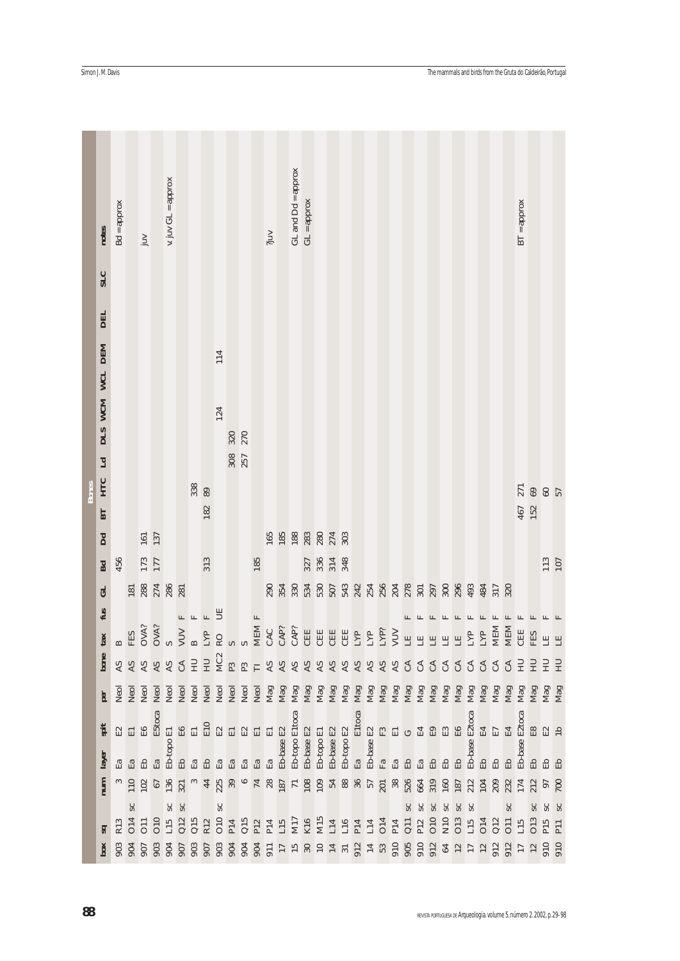|              | notes            | $Bd = approx$ |                                                           | juv               |                             | v. juv GL = approx |              |                                                                                                                                                                                                                                                                                                                                                                             |           |                 |     |               |                                                                                                         | ?juv                   |            | GL and Dd = approx | $GL =$ approx              |                 |                          |                                                                    |     |                |                                 |                                                                                                                            |               |                         |                 |     |              |                     |                              |                     |                     | $BT =$ approx |                        |                       |                 |
|--------------|------------------|---------------|-----------------------------------------------------------|-------------------|-----------------------------|--------------------|--------------|-----------------------------------------------------------------------------------------------------------------------------------------------------------------------------------------------------------------------------------------------------------------------------------------------------------------------------------------------------------------------------|-----------|-----------------|-----|---------------|---------------------------------------------------------------------------------------------------------|------------------------|------------|--------------------|----------------------------|-----------------|--------------------------|--------------------------------------------------------------------|-----|----------------|---------------------------------|----------------------------------------------------------------------------------------------------------------------------|---------------|-------------------------|-----------------|-----|--------------|---------------------|------------------------------|---------------------|---------------------|---------------|------------------------|-----------------------|-----------------|
|              | <b>SLC</b>       |               |                                                           |                   |                             |                    |              |                                                                                                                                                                                                                                                                                                                                                                             |           |                 |     |               |                                                                                                         |                        |            |                    |                            |                 |                          |                                                                    |     |                |                                 |                                                                                                                            |               |                         |                 |     |              |                     |                              |                     |                     |               |                        |                       |                 |
|              |                  |               |                                                           |                   |                             |                    |              |                                                                                                                                                                                                                                                                                                                                                                             |           |                 |     |               |                                                                                                         |                        |            |                    |                            |                 |                          |                                                                    |     |                |                                 |                                                                                                                            |               |                         |                 |     |              |                     |                              |                     |                     |               |                        |                       |                 |
|              | <b>DEL</b>       |               |                                                           |                   |                             |                    |              |                                                                                                                                                                                                                                                                                                                                                                             |           |                 |     |               |                                                                                                         |                        |            |                    |                            |                 |                          |                                                                    |     |                |                                 |                                                                                                                            |               |                         |                 |     |              |                     |                              |                     |                     |               |                        |                       |                 |
|              |                  |               |                                                           |                   |                             |                    |              |                                                                                                                                                                                                                                                                                                                                                                             |           | 114             |     |               |                                                                                                         |                        |            |                    |                            |                 |                          |                                                                    |     |                |                                 |                                                                                                                            |               |                         |                 |     |              |                     |                              |                     |                     |               |                        |                       |                 |
|              | DIS WCM WCL DEM  |               |                                                           |                   |                             |                    |              |                                                                                                                                                                                                                                                                                                                                                                             |           |                 |     |               |                                                                                                         |                        |            |                    |                            |                 |                          |                                                                    |     |                |                                 |                                                                                                                            |               |                         |                 |     |              |                     |                              |                     |                     |               |                        |                       |                 |
|              |                  |               |                                                           |                   |                             |                    |              |                                                                                                                                                                                                                                                                                                                                                                             |           | 124             |     |               |                                                                                                         |                        |            |                    |                            |                 |                          |                                                                    |     |                |                                 |                                                                                                                            |               |                         |                 |     |              |                     |                              |                     |                     |               |                        |                       |                 |
|              |                  |               |                                                           |                   |                             |                    |              |                                                                                                                                                                                                                                                                                                                                                                             |           |                 | 320 | 270           |                                                                                                         |                        |            |                    |                            |                 |                          |                                                                    |     |                |                                 |                                                                                                                            |               |                         |                 |     |              |                     |                              |                     |                     |               |                        |                       |                 |
|              | Ld               |               |                                                           |                   |                             |                    |              |                                                                                                                                                                                                                                                                                                                                                                             |           |                 | 308 |               |                                                                                                         |                        |            |                    |                            |                 |                          |                                                                    |     |                |                                 |                                                                                                                            |               |                         |                 |     |              |                     |                              |                     |                     |               |                        |                       |                 |
|              |                  |               |                                                           |                   |                             |                    |              |                                                                                                                                                                                                                                                                                                                                                                             |           |                 |     |               |                                                                                                         |                        |            |                    |                            |                 |                          |                                                                    |     |                |                                 |                                                                                                                            |               |                         |                 |     |              |                     |                              |                     |                     |               |                        |                       |                 |
| <b>Bones</b> | <b>HTC</b><br>ВT |               |                                                           |                   |                             |                    |              | 338                                                                                                                                                                                                                                                                                                                                                                         | 89<br>182 |                 |     |               |                                                                                                         |                        |            |                    |                            |                 |                          |                                                                    |     |                |                                 |                                                                                                                            |               |                         |                 |     |              |                     |                              |                     |                     | 467           | 152                    | $271$<br>$69$<br>$57$ |                 |
|              |                  |               |                                                           | 161               | 137                         |                    |              |                                                                                                                                                                                                                                                                                                                                                                             |           |                 |     |               |                                                                                                         | 165                    |            |                    |                            |                 | 188 282 274 303          |                                                                    |     |                |                                 |                                                                                                                            |               |                         |                 |     |              |                     |                              |                     |                     |               |                        |                       |                 |
|              | Dd               | 456           |                                                           | 173               |                             |                    |              |                                                                                                                                                                                                                                                                                                                                                                             | 313       |                 |     |               | 185                                                                                                     |                        |            |                    |                            |                 | 327<br>336<br>314<br>348 |                                                                    |     |                |                                 |                                                                                                                            |               |                         |                 |     |              |                     |                              |                     |                     |               |                        | 113<br>107            |                 |
|              | Bd               |               |                                                           |                   |                             |                    |              |                                                                                                                                                                                                                                                                                                                                                                             |           |                 |     |               |                                                                                                         |                        |            |                    |                            |                 |                          |                                                                    |     |                |                                 |                                                                                                                            |               |                         |                 |     |              |                     |                              |                     |                     |               |                        |                       |                 |
|              | GL<br>fus        |               | 181                                                       | 288<br>274<br>286 |                             |                    | 281          |                                                                                                                                                                                                                                                                                                                                                                             |           |                 |     |               |                                                                                                         |                        |            |                    |                            |                 |                          |                                                                    |     |                |                                 |                                                                                                                            |               |                         |                 |     |              |                     | 484                          | 317                 | 320                 |               |                        |                       |                 |
|              | tan x            |               | $\begin{array}{c}\nB \\ B \\ E3 \\ OXX \\ S\n\end{array}$ |                   |                             |                    | $\mathbb{L}$ | $\begin{picture}(20,20) \put(0,0){\dashbox{0.5}(5,0){ }} \put(15,0){\dashbox{0.5}(5,0){ }} \put(15,0){\dashbox{0.5}(5,0){ }} \put(15,0){\dashbox{0.5}(5,0){ }} \put(15,0){\dashbox{0.5}(5,0){ }} \put(15,0){\dashbox{0.5}(5,0){ }} \put(15,0){\dashbox{0.5}(5,0){ }} \put(15,0){\dashbox{0.5}(5,0){ }} \put(15,0){\dashbox{0.5}(5,0){ }} \put(15,0){\dashbox{0.5}(5,0){ }}$ |           | E               |     |               | $\begin{array}{ll} \text{MEM F} \\ \text{CAC} \\ \text{CAP?} \\ \text{CAP?} \\ \text{CAP?} \end{array}$ |                        |            |                    |                            | CEE             |                          | C<br><br><br>C<br><br><br><br><br><br><br><br><br><br><br><br><br> | LYP | LYP            | $\frac{\text{LYP}}{\text{VUV}}$ |                                                                                                                            |               | $\mathbf{L}$            |                 | F   | $\mathbf{L}$ | $\mathbf{L}$<br>LYP | $\boxed{\phantom{1}}$<br>LYP | $\mathbb{L}$<br>MEM | $\mathbb{H}$<br>MEM | F<br>CEE      | $\mathbf{L}$<br>FES    |                       |                 |
|              | bone             |               |                                                           |                   |                             |                    | CA<br>HU     |                                                                                                                                                                                                                                                                                                                                                                             | HU        | MC <sub>2</sub> |     |               |                                                                                                         |                        |            |                    |                            |                 |                          |                                                                    |     |                |                                 |                                                                                                                            |               | EEEEE                   |                 |     |              |                     |                              |                     |                     |               |                        | <b>HH</b>             |                 |
|              |                  |               | 88888                                                     |                   |                             |                    |              |                                                                                                                                                                                                                                                                                                                                                                             |           |                 | P3  | P3            |                                                                                                         | <b>AS</b>              | <b>AS</b>  | <b>AS</b>          |                            |                 |                          |                                                                    |     | S              | S                               | S                                                                                                                          | $\mathcal{L}$ | 55555                   |                 |     |              |                     | C <sub>A</sub>               | $\mathfrak{L}$      | $\mathfrak{L}$      | 已             | E                      | 昆                     | E               |
|              | per              |               |                                                           |                   |                             |                    |              |                                                                                                                                                                                                                                                                                                                                                                             |           |                 |     |               |                                                                                                         |                        |            |                    |                            |                 |                          |                                                                    |     |                |                                 |                                                                                                                            |               |                         |                 |     |              |                     |                              |                     |                     | Mag           |                        | Mag<br>Mag<br>Mag     |                 |
|              | spit             |               | <b>空日品</b>                                                |                   | E5toca                      |                    | <b>GH</b>    | $\Xi$                                                                                                                                                                                                                                                                                                                                                                       | E10       | $\Xi$ $\Xi$     |     | $\mathbb{E}2$ | $\rm E1$                                                                                                | $\Xi$                  |            | Eb-topo E1toca     |                            |                 |                          |                                                                    |     |                |                                 | a<br>B-bop B2<br>Experience En C E E E E E<br>Experience E E E E E E E<br>E E E E E E E E E E E E<br>E E E E E E E E E E E |               |                         |                 |     |              | Eb-base E2toca      | E4<br>E7                     |                     | E4                  | E2toca        | $\mathop{\mathrm{E8}}$ | $E$ $E$               |                 |
|              | layer            |               | Ea<br>Ea                                                  | $\mathbb{H}$      | $\mathbb{E}^{\mathfrak{a}}$ | Eb-topo E1         |              | Ea                                                                                                                                                                                                                                                                                                                                                                          |           | Еã              | 岊   | Ea            | $\mathbb{E}\mathbf{a}$                                                                                  | $\mathrm{E}\mathrm{a}$ | Eb-base E2 |                    | Eb-base E2                 | Eb-topo E1      |                          |                                                                    |     |                |                                 |                                                                                                                            |               |                         |                 |     |              |                     | E <sub>D</sub>               | 몹                   |                     | Eb-base       | Eb                     |                       | Eb              |
|              | num              | $\infty$      | $110\,$                                                   | 102               | $67\,$                      | 136<br>321         |              |                                                                                                                                                                                                                                                                                                                                                                             |           | 44<br>225       | 39  |               | $74$<br>$187$<br>$187$                                                                                  |                        |            |                    |                            | <b>108</b>      |                          | 5885528                                                            |     |                |                                 |                                                                                                                            | 526<br>664    |                         | 319             | 160 | 187          | 212                 | 104                          | 209                 | 232                 | 174           | 212                    | 97<br>700             |                 |
|              |                  |               | SC                                                        |                   |                             | SC                 | $s$ c        |                                                                                                                                                                                                                                                                                                                                                                             |           | $\mathsf{SC}$   |     |               |                                                                                                         |                        |            |                    |                            |                 |                          |                                                                    |     |                |                                 |                                                                                                                            | $_{\rm sc}$   | SC                      | $s$ c           | SC  |              | $\infty$            |                              |                     | ೫                   |               |                        |                       | SC              |
|              | ਡਾ               | R13           | O14                                                       | 011<br>010<br>L15 |                             |                    |              | Q12<br>Q15<br>R12                                                                                                                                                                                                                                                                                                                                                           |           | O10             | P14 | Q15           | P12                                                                                                     | P14                    | L15        | M17                | K16                        | M15             | $_{\rm L14}$             | L16                                                                | P14 | $\mathbf{L}14$ | O <sub>14</sub>                 | P14                                                                                                                        | $Q11$<br>P12  |                         | O <sub>10</sub> | N10 | O13          | L15                 | O <sub>14</sub>              | Q12                 | O11                 | L15           | <b>O13</b>             | P <sub>15</sub>       | P <sub>11</sub> |
|              | $\mathbf{box}$   | 903           | 904                                                       | 907               | 903                         | 904                | 907          | 903                                                                                                                                                                                                                                                                                                                                                                         | 907       | 903             | 904 | 904           | 904                                                                                                     | 911                    | 17         | 15                 | $\boldsymbol{\mathrm{S}}0$ | $\overline{10}$ | $14\,$ $31\,$            |                                                                    | 912 | 14<br>53       |                                 | 910                                                                                                                        |               | $905$<br>$912$<br>$912$ |                 | 64  | 12           | 17                  | 12                           | 912                 | 912                 | 17            |                        | 910                   | 910             |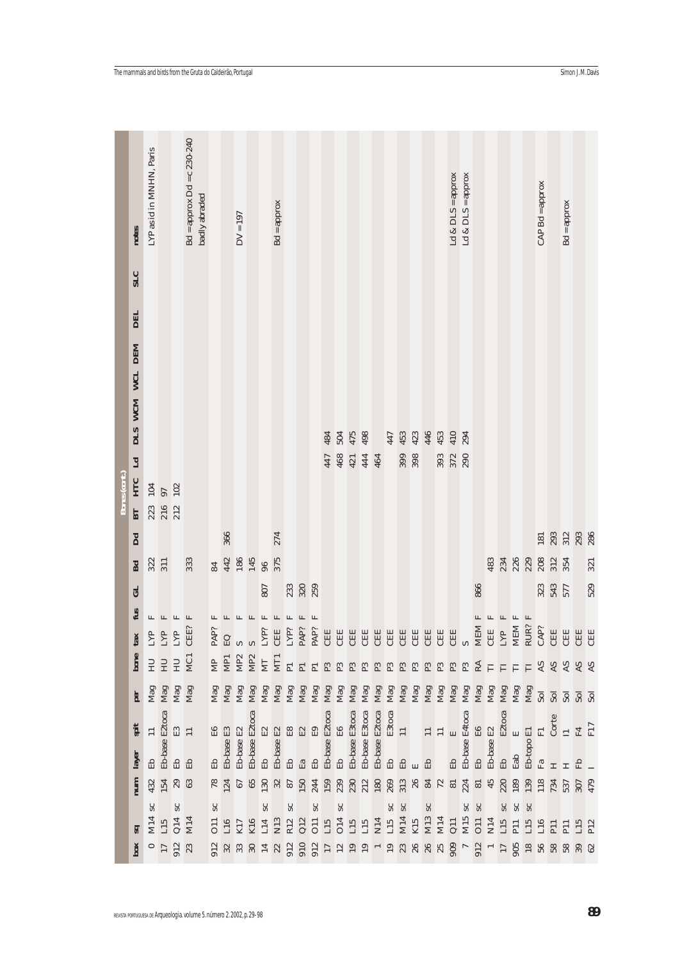|               |                                                                       | LYP as id in MNHN, Paris                                                                    |                           |                          | $Bd =$ approx $Dd = c$ 230-240 | badly abraded |             |                                                                         |              |              |                                                                                                                                                                                                                                                                                                                                                                                                                                                  |                        |               |              |               |                |               |     |     |     |               |                        |     |                                                                                                                                                                                                                                                                                                                                                                    |     | Ld $&$ DLS = approx | Ld $&$ DLS = approx |                                                                                                                                                                                                                                                                                                                                                                                                                                                                                      |     |                       |       |      | $CAPBd = approx$                                                                                       |                                  |               |                                                                                                                                                                                                                                                                                                          |     |
|---------------|-----------------------------------------------------------------------|---------------------------------------------------------------------------------------------|---------------------------|--------------------------|--------------------------------|---------------|-------------|-------------------------------------------------------------------------|--------------|--------------|--------------------------------------------------------------------------------------------------------------------------------------------------------------------------------------------------------------------------------------------------------------------------------------------------------------------------------------------------------------------------------------------------------------------------------------------------|------------------------|---------------|--------------|---------------|----------------|---------------|-----|-----|-----|---------------|------------------------|-----|--------------------------------------------------------------------------------------------------------------------------------------------------------------------------------------------------------------------------------------------------------------------------------------------------------------------------------------------------------------------|-----|---------------------|---------------------|--------------------------------------------------------------------------------------------------------------------------------------------------------------------------------------------------------------------------------------------------------------------------------------------------------------------------------------------------------------------------------------------------------------------------------------------------------------------------------------|-----|-----------------------|-------|------|--------------------------------------------------------------------------------------------------------|----------------------------------|---------------|----------------------------------------------------------------------------------------------------------------------------------------------------------------------------------------------------------------------------------------------------------------------------------------------------------|-----|
|               | notes                                                                 |                                                                                             |                           |                          |                                |               |             |                                                                         | $DV = 197$   |              |                                                                                                                                                                                                                                                                                                                                                                                                                                                  | $Bd = approx$          |               |              |               |                |               |     |     |     |               |                        |     |                                                                                                                                                                                                                                                                                                                                                                    |     |                     |                     |                                                                                                                                                                                                                                                                                                                                                                                                                                                                                      |     |                       |       |      |                                                                                                        |                                  | $Bd = approx$ |                                                                                                                                                                                                                                                                                                          |     |
|               | <b>SLC</b>                                                            |                                                                                             |                           |                          |                                |               |             |                                                                         |              |              |                                                                                                                                                                                                                                                                                                                                                                                                                                                  |                        |               |              |               |                |               |     |     |     |               |                        |     |                                                                                                                                                                                                                                                                                                                                                                    |     |                     |                     |                                                                                                                                                                                                                                                                                                                                                                                                                                                                                      |     |                       |       |      |                                                                                                        |                                  |               |                                                                                                                                                                                                                                                                                                          |     |
|               | <b>DEL</b>                                                            |                                                                                             |                           |                          |                                |               |             |                                                                         |              |              |                                                                                                                                                                                                                                                                                                                                                                                                                                                  |                        |               |              |               |                |               |     |     |     |               |                        |     |                                                                                                                                                                                                                                                                                                                                                                    |     |                     |                     |                                                                                                                                                                                                                                                                                                                                                                                                                                                                                      |     |                       |       |      |                                                                                                        |                                  |               |                                                                                                                                                                                                                                                                                                          |     |
|               |                                                                       |                                                                                             |                           |                          |                                |               |             |                                                                         |              |              |                                                                                                                                                                                                                                                                                                                                                                                                                                                  |                        |               |              |               |                |               |     |     |     |               |                        |     |                                                                                                                                                                                                                                                                                                                                                                    |     |                     |                     |                                                                                                                                                                                                                                                                                                                                                                                                                                                                                      |     |                       |       |      |                                                                                                        |                                  |               |                                                                                                                                                                                                                                                                                                          |     |
|               | WCL DEM                                                               |                                                                                             |                           |                          |                                |               |             |                                                                         |              |              |                                                                                                                                                                                                                                                                                                                                                                                                                                                  |                        |               |              |               |                |               |     |     |     |               |                        |     |                                                                                                                                                                                                                                                                                                                                                                    |     |                     |                     |                                                                                                                                                                                                                                                                                                                                                                                                                                                                                      |     |                       |       |      |                                                                                                        |                                  |               |                                                                                                                                                                                                                                                                                                          |     |
|               | DIS WCM                                                               |                                                                                             |                           |                          |                                |               |             |                                                                         |              |              |                                                                                                                                                                                                                                                                                                                                                                                                                                                  |                        |               |              |               |                |               |     |     |     |               |                        |     |                                                                                                                                                                                                                                                                                                                                                                    |     |                     |                     |                                                                                                                                                                                                                                                                                                                                                                                                                                                                                      |     |                       |       |      |                                                                                                        |                                  |               |                                                                                                                                                                                                                                                                                                          |     |
|               |                                                                       |                                                                                             |                           |                          |                                |               |             |                                                                         |              |              |                                                                                                                                                                                                                                                                                                                                                                                                                                                  |                        |               |              |               | 484            | 504           | 475 | 498 |     | 447           | 453<br>423             |     | 446                                                                                                                                                                                                                                                                                                                                                                | 453 | 410                 | 294                 |                                                                                                                                                                                                                                                                                                                                                                                                                                                                                      |     |                       |       |      |                                                                                                        |                                  |               |                                                                                                                                                                                                                                                                                                          |     |
|               | Ld                                                                    |                                                                                             |                           |                          |                                |               |             |                                                                         |              |              |                                                                                                                                                                                                                                                                                                                                                                                                                                                  |                        |               |              |               | 447            | 468           | 421 | 444 | 464 |               | 399                    | 398 |                                                                                                                                                                                                                                                                                                                                                                    | 393 | 372                 | 290                 |                                                                                                                                                                                                                                                                                                                                                                                                                                                                                      |     |                       |       |      |                                                                                                        |                                  |               |                                                                                                                                                                                                                                                                                                          |     |
| Bones (cont.) | BT HTC                                                                | 104                                                                                         | 97                        | 102                      |                                |               |             |                                                                         |              |              |                                                                                                                                                                                                                                                                                                                                                                                                                                                  |                        |               |              |               |                |               |     |     |     |               |                        |     |                                                                                                                                                                                                                                                                                                                                                                    |     |                     |                     |                                                                                                                                                                                                                                                                                                                                                                                                                                                                                      |     |                       |       |      |                                                                                                        |                                  |               |                                                                                                                                                                                                                                                                                                          |     |
|               |                                                                       |                                                                                             | 223<br>216<br>212         |                          |                                |               |             | 366                                                                     |              |              |                                                                                                                                                                                                                                                                                                                                                                                                                                                  | 274                    |               |              |               |                |               |     |     |     |               |                        |     |                                                                                                                                                                                                                                                                                                                                                                    |     |                     |                     |                                                                                                                                                                                                                                                                                                                                                                                                                                                                                      |     |                       |       |      | 181                                                                                                    |                                  | 293<br>312    | 293<br>286                                                                                                                                                                                                                                                                                               |     |
|               | Dd<br>Bd                                                              | 322                                                                                         | 311                       |                          | 333                            |               | 84          | 442<br>186                                                              |              | 145          | 96                                                                                                                                                                                                                                                                                                                                                                                                                                               | 375                    |               |              |               |                |               |     |     |     |               |                        |     |                                                                                                                                                                                                                                                                                                                                                                    |     |                     |                     |                                                                                                                                                                                                                                                                                                                                                                                                                                                                                      | 483 | 234                   | 226   |      | 208<br>312<br>354                                                                                      |                                  |               |                                                                                                                                                                                                                                                                                                          | 321 |
|               | GL.                                                                   |                                                                                             |                           |                          |                                |               |             |                                                                         |              |              | 807                                                                                                                                                                                                                                                                                                                                                                                                                                              |                        | 233           | 320<br>259   |               |                |               |     |     |     |               |                        |     |                                                                                                                                                                                                                                                                                                                                                                    |     |                     |                     | 866                                                                                                                                                                                                                                                                                                                                                                                                                                                                                  |     |                       |       |      |                                                                                                        | 323<br>543<br>577                |               |                                                                                                                                                                                                                                                                                                          | 529 |
|               | fus                                                                   | 匞                                                                                           | 匞                         | $\boxed{\phantom{a}}$    | $\boxed{\phantom{a}}$          |               | 匞           | 匞                                                                       | $\mathbb{L}$ | $\mathbb{L}$ | $\boxed{\phantom{a}}$                                                                                                                                                                                                                                                                                                                                                                                                                            | $\mathbf{r}$           | 匞             | $\mathbf{L}$ | E             |                |               |     |     |     |               |                        |     |                                                                                                                                                                                                                                                                                                                                                                    |     |                     |                     |                                                                                                                                                                                                                                                                                                                                                                                                                                                                                      | 匞   | $\boxed{\phantom{a}}$ |       | F.   |                                                                                                        |                                  |               |                                                                                                                                                                                                                                                                                                          |     |
|               | tax                                                                   | $\ensuremath{\text{LYP}}$                                                                   | $\ensuremath{\text{LYP}}$ | LYP                      | CEE?                           |               | PAP?        | SO                                                                      |              | $\circ$      | LYP?                                                                                                                                                                                                                                                                                                                                                                                                                                             | <b>CHE</b>             | LYP?          | PAP?         | PAP?          | CEE            | CEE           | CEE | CEE | CEE | CEE           | 巴<br>巴                 |     | CEE                                                                                                                                                                                                                                                                                                                                                                | CEE | CEE                 |                     | $MEM$ $\boldsymbol{F}$                                                                                                                                                                                                                                                                                                                                                                                                                                                               | CEE | <b>LYP</b>            | MEM F | RUR? | CAP?                                                                                                   | <b>CEE</b>                       | CEE           | CEE                                                                                                                                                                                                                                                                                                      | CEE |
|               | bone                                                                  | <b>HEEE</b>                                                                                 |                           |                          |                                |               |             |                                                                         |              |              | <b>SERNETHER</b>                                                                                                                                                                                                                                                                                                                                                                                                                                 |                        |               |              |               | 5 <sup>o</sup> |               |     |     |     |               |                        |     |                                                                                                                                                                                                                                                                                                                                                                    |     |                     |                     |                                                                                                                                                                                                                                                                                                                                                                                                                                                                                      |     |                       |       |      |                                                                                                        |                                  |               |                                                                                                                                                                                                                                                                                                          |     |
|               | per                                                                   | $\begin{array}{c} \mathtt{Mag} \\ \mathtt{Mag} \\ \mathtt{Mag} \\ \mathtt{Mag} \end{array}$ |                           |                          |                                |               |             |                                                                         |              |              |                                                                                                                                                                                                                                                                                                                                                                                                                                                  |                        |               |              |               |                |               |     |     |     |               |                        |     |                                                                                                                                                                                                                                                                                                                                                                    |     |                     |                     |                                                                                                                                                                                                                                                                                                                                                                                                                                                                                      |     |                       |       |      |                                                                                                        |                                  |               |                                                                                                                                                                                                                                                                                                          |     |
|               | spit                                                                  | Eb $11$ Eb-base E2<br>toca                                                                  |                           | E3                       |                                |               |             |                                                                         |              |              | $\begin{tabular}{ll} \multicolumn{2}{l}{{\bf Eb}}{\bf{base }}&\multicolumn{2}{l}{\bf Eb}\mbox{.} \\ & \multicolumn{2}{l}{\bf Eb}&\multicolumn{2}{l}{\bf Ec}&\multicolumn{2}{l}{\bf Ec}&\multicolumn{2}{l}{\bf Ed}&\multicolumn{2}{l}{\bf Ed}&\multicolumn{2}{l}{\bf Ed}&\multicolumn{2}{l}{\bf Ed}&\multicolumn{2}{l}{\bf Ed}&\multicolumn{2}{l}{\bf Ed}&\multicolumn{2}{l}{\bf Ed}&\multicolumn{2}{l}{\bf Ed}&\multicolumn{2}{l}{\bf Ed}&\mult$ |                        |               |              |               |                |               |     |     |     |               |                        |     | $\begin{tabular}{ll} Ebb-based E2 to\nEbb & BS \\ \hline Ebb & B6 \\ \hline Ebb & Bbb & E3 toca \\ \hline Ebb & Bbb & E2 toca \\ \hline Ebb & Bbb & E3 toca \\ \hline Ebb & H & 11 \\ \hline Ebb & H & 11 \\ \hline Ebb & H & 11 \\ \hline \end{tabular}$<br>$\begin{tabular}{ll} \bf Eb & 11 \\ \bf 11 \\ \bf Eb & E \\ \bf Eb-base \textit{Rtoca} \end{tabular}$ |     |                     |                     |                                                                                                                                                                                                                                                                                                                                                                                                                                                                                      |     |                       |       |      | $\begin{tabular}{ll} \bf 22 toca \\ \bf 35 \\ \bf 40 & E \\ \bf E1-topo E1 \\ \bf 51 \\ \end{tabular}$ |                                  |               | $\begin{array}{c} \text{F1} \\ \text{Corte} \\ \text{I1} \\ \text{F1} \\ \text{F1} \end{array}$                                                                                                                                                                                                          |     |
|               | layer                                                                 |                                                                                             |                           | <b>品品</b>                |                                |               |             | $$\rm\,Eb$$ $$\rm\,Eb$$ -base $$\rm\,E3$$ $$\rm\,Eb$$ -base $$\rm\,E2$$ |              |              |                                                                                                                                                                                                                                                                                                                                                                                                                                                  |                        |               |              |               |                |               |     |     |     |               |                        |     |                                                                                                                                                                                                                                                                                                                                                                    |     |                     |                     | $\begin{tabular}{ll} \multicolumn{1}{l} \textbf{Eb} & \multicolumn{1}{l} \multicolumn{1}{l} \multicolumn{1}{l} \multicolumn{1}{l} \multicolumn{1}{l} \multicolumn{1}{l} \multicolumn{1}{l} \multicolumn{1}{l} \multicolumn{1}{l} \multicolumn{1}{l} \multicolumn{1}{l} \multicolumn{1}{l} \multicolumn{1}{l} \multicolumn{1}{l} \multicolumn{1}{l} \multicolumn{1}{l} \multicolumn{1}{l} \multicolumn{1}{l} \multicolumn{1}{l} \multicolumn{1}{l} \multicolumn{1}{l} \multicolumn{1$ |     |                       |       |      |                                                                                                        |                                  |               |                                                                                                                                                                                                                                                                                                          |     |
|               | num                                                                   | $\frac{432}{154}$ 29                                                                        |                           |                          |                                |               |             | $78$<br>124<br>67<br>65<br>130                                          |              |              |                                                                                                                                                                                                                                                                                                                                                                                                                                                  | 32<br>87<br>150<br>244 |               |              |               |                |               |     |     |     |               |                        |     | 15232222323232423234                                                                                                                                                                                                                                                                                                                                               |     |                     |                     |                                                                                                                                                                                                                                                                                                                                                                                                                                                                                      |     | <b>220</b><br>189     |       |      |                                                                                                        | $\ensuremath{\mathop{\boxplus}}$ |               | 139<br>118<br>133<br>5307<br>479                                                                                                                                                                                                                                                                         |     |
|               |                                                                       | $\rm{Sc}$                                                                                   |                           | $\mathsf{S}\mathsf{C}$   |                                |               | $\rm ^{SC}$ |                                                                         |              |              | SC                                                                                                                                                                                                                                                                                                                                                                                                                                               |                        | $\mathsf{SC}$ |              | $\mathsf{SC}$ |                | $\mathsf{SC}$ |     |     |     | $\mathsf{SC}$ | $\mathsf{S}\mathsf{C}$ |     | ${\rm ^{SC}}$                                                                                                                                                                                                                                                                                                                                                      |     |                     | $\mathsf{SC}$       | SC                                                                                                                                                                                                                                                                                                                                                                                                                                                                                   |     | $_{sc}$               | SC    | SC   |                                                                                                        |                                  |               |                                                                                                                                                                                                                                                                                                          |     |
|               | $\overline{\mathbf{z}}$                                               |                                                                                             |                           | M14<br>L15<br>Q14<br>M14 |                                |               |             | 011<br>116<br>K17<br>K16                                                |              |              |                                                                                                                                                                                                                                                                                                                                                                                                                                                  |                        |               |              |               |                |               |     |     |     |               |                        |     |                                                                                                                                                                                                                                                                                                                                                                    |     |                     |                     |                                                                                                                                                                                                                                                                                                                                                                                                                                                                                      |     |                       |       |      |                                                                                                        |                                  |               | HERBOSSESSES ER ER ER ER ER ER ER                                                                                                                                                                                                                                                                        |     |
|               | $_{\text{box}}$                                                       |                                                                                             |                           | $rac{17}{17}$ 32         |                                |               |             |                                                                         |              |              |                                                                                                                                                                                                                                                                                                                                                                                                                                                  |                        |               |              |               |                |               |     |     |     |               |                        |     |                                                                                                                                                                                                                                                                                                                                                                    |     |                     |                     |                                                                                                                                                                                                                                                                                                                                                                                                                                                                                      |     |                       |       |      |                                                                                                        |                                  |               | $\frac{11}{9}$ & & & $\frac{11}{9}$ & $\frac{11}{9}$ & $\frac{11}{9}$ & $\frac{11}{9}$ $\frac{11}{9}$ $\frac{11}{9}$ $\frac{11}{9}$ $\frac{11}{9}$ $\frac{11}{9}$ $\frac{11}{9}$ $\frac{11}{9}$ $\frac{11}{9}$ $\frac{11}{9}$ $\frac{11}{9}$ $\frac{11}{9}$ $\frac{11}{9}$ $\frac{11}{9}$ $\frac{11}{9}$ |     |
|               |                                                                       |                                                                                             |                           |                          |                                |               |             |                                                                         |              |              |                                                                                                                                                                                                                                                                                                                                                                                                                                                  |                        |               |              |               |                |               |     |     |     |               |                        |     |                                                                                                                                                                                                                                                                                                                                                                    |     |                     |                     |                                                                                                                                                                                                                                                                                                                                                                                                                                                                                      |     |                       |       |      |                                                                                                        |                                  |               |                                                                                                                                                                                                                                                                                                          |     |
|               | REVISTA PORTUGUESA DE Arqueología. volume 5. número 2. 2002, p. 29-98 |                                                                                             |                           |                          |                                |               |             |                                                                         |              |              |                                                                                                                                                                                                                                                                                                                                                                                                                                                  |                        |               |              |               |                |               |     |     |     |               |                        |     |                                                                                                                                                                                                                                                                                                                                                                    |     |                     |                     |                                                                                                                                                                                                                                                                                                                                                                                                                                                                                      |     |                       |       |      |                                                                                                        |                                  |               |                                                                                                                                                                                                                                                                                                          | 89  |

**Contract Contract**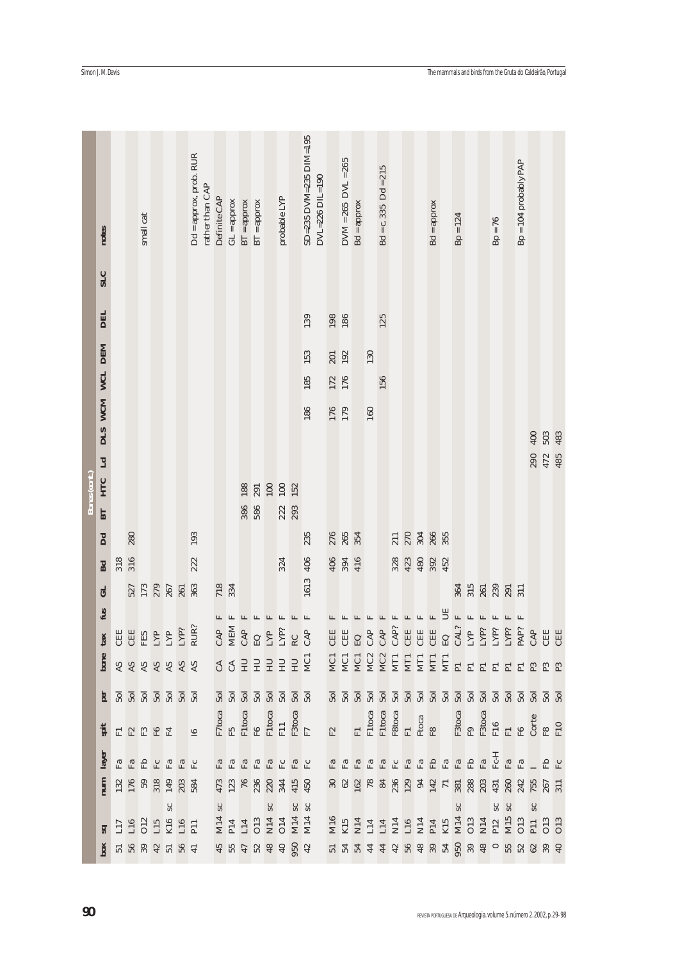|               | Simon J.M.Davis                |     |     |           |                                               |           |                                                                   |                 |                        |               |               |               |                        |                                                                                                                                                                  |     |                                                                                                                                                                                                                                                                                                                                                                                                                                                                                               |                 |     |                         |               |     |                         |     |     |                                                                                                                                                                                                                                                                                                                                                                                                                            |               |     |                        |      |                                                                      |    |                         |     |            | The mammals and birds from the Gruta do Caldeirão, Portugal |
|---------------|--------------------------------|-----|-----|-----------|-----------------------------------------------|-----------|-------------------------------------------------------------------|-----------------|------------------------|---------------|---------------|---------------|------------------------|------------------------------------------------------------------------------------------------------------------------------------------------------------------|-----|-----------------------------------------------------------------------------------------------------------------------------------------------------------------------------------------------------------------------------------------------------------------------------------------------------------------------------------------------------------------------------------------------------------------------------------------------------------------------------------------------|-----------------|-----|-------------------------|---------------|-----|-------------------------|-----|-----|----------------------------------------------------------------------------------------------------------------------------------------------------------------------------------------------------------------------------------------------------------------------------------------------------------------------------------------------------------------------------------------------------------------------------|---------------|-----|------------------------|------|----------------------------------------------------------------------|----|-------------------------|-----|------------|-------------------------------------------------------------|
|               | notes                          |     |     | small cat |                                               |           | Dd = approx, prob. RUR                                            | rather than CAP | Definite CAP           | $GL =$ approx | $BT =$ approx | $BT =$ approx |                        | probable LYP                                                                                                                                                     |     | SD=235 DVM=235 DIM=195                                                                                                                                                                                                                                                                                                                                                                                                                                                                        | DVL=226 DIL=190 |     | $DWM = 265$ $DWL = 265$ | $Bd = approx$ |     | $Bd = c.335$ $Dd = 215$ |     |     |                                                                                                                                                                                                                                                                                                                                                                                                                            | $Bd = approx$ |     | $Bp = 124$             |      | $Bp = 76$                                                            |    | $Bp = 104$ probably PAP |     |            |                                                             |
|               | <b>SLC</b>                     |     |     |           |                                               |           |                                                                   |                 |                        |               |               |               |                        |                                                                                                                                                                  |     |                                                                                                                                                                                                                                                                                                                                                                                                                                                                                               |                 |     |                         |               |     |                         |     |     |                                                                                                                                                                                                                                                                                                                                                                                                                            |               |     |                        |      |                                                                      |    |                         |     |            |                                                             |
|               | <b>DEL</b>                     |     |     |           |                                               |           |                                                                   |                 |                        |               |               |               |                        |                                                                                                                                                                  |     | 139                                                                                                                                                                                                                                                                                                                                                                                                                                                                                           |                 |     | 198<br>186              |               |     | 125                     |     |     |                                                                                                                                                                                                                                                                                                                                                                                                                            |               |     |                        |      |                                                                      |    |                         |     |            |                                                             |
|               |                                |     |     |           |                                               |           |                                                                   |                 |                        |               |               |               |                        |                                                                                                                                                                  |     | 153                                                                                                                                                                                                                                                                                                                                                                                                                                                                                           |                 |     | 201<br>192              |               | 130 |                         |     |     |                                                                                                                                                                                                                                                                                                                                                                                                                            |               |     |                        |      |                                                                      |    |                         |     |            |                                                             |
|               | WCL DEM                        |     |     |           |                                               |           |                                                                   |                 |                        |               |               |               |                        |                                                                                                                                                                  |     | 185                                                                                                                                                                                                                                                                                                                                                                                                                                                                                           |                 |     | 172<br>176              |               |     | 156                     |     |     |                                                                                                                                                                                                                                                                                                                                                                                                                            |               |     |                        |      |                                                                      |    |                         |     |            |                                                             |
|               |                                |     |     |           |                                               |           |                                                                   |                 |                        |               |               |               |                        |                                                                                                                                                                  |     | 186                                                                                                                                                                                                                                                                                                                                                                                                                                                                                           |                 |     | 176                     |               | 160 |                         |     |     |                                                                                                                                                                                                                                                                                                                                                                                                                            |               |     |                        |      |                                                                      |    |                         |     |            |                                                             |
|               | DIS WCM                        |     |     |           |                                               |           |                                                                   |                 |                        |               |               |               |                        |                                                                                                                                                                  |     |                                                                                                                                                                                                                                                                                                                                                                                                                                                                                               |                 |     |                         |               |     |                         |     |     |                                                                                                                                                                                                                                                                                                                                                                                                                            |               |     |                        |      |                                                                      |    |                         | 400 | 503        | 483                                                         |
|               | Ld                             |     |     |           |                                               |           |                                                                   |                 |                        |               |               |               |                        |                                                                                                                                                                  |     |                                                                                                                                                                                                                                                                                                                                                                                                                                                                                               |                 |     |                         |               |     |                         |     |     |                                                                                                                                                                                                                                                                                                                                                                                                                            |               |     |                        |      |                                                                      |    |                         | 290 | 472        |                                                             |
| Bones (cont.) | BT HTC                         |     |     |           |                                               |           |                                                                   |                 |                        |               | 188           | 291           | $100\,$                | 100                                                                                                                                                              | 152 |                                                                                                                                                                                                                                                                                                                                                                                                                                                                                               |                 |     |                         |               |     |                         |     |     |                                                                                                                                                                                                                                                                                                                                                                                                                            |               |     |                        |      |                                                                      |    |                         |     |            |                                                             |
|               |                                |     |     |           |                                               |           |                                                                   |                 |                        |               | 386           | 586           |                        | 222                                                                                                                                                              | 293 |                                                                                                                                                                                                                                                                                                                                                                                                                                                                                               |                 |     |                         |               |     |                         |     |     |                                                                                                                                                                                                                                                                                                                                                                                                                            |               |     |                        |      |                                                                      |    |                         |     |            |                                                             |
|               | Dd                             |     | 280 |           |                                               |           | 193                                                               |                 |                        |               |               |               |                        |                                                                                                                                                                  |     | 235                                                                                                                                                                                                                                                                                                                                                                                                                                                                                           |                 |     | 276<br>265<br>354       |               |     |                         | 211 |     | 270<br>304<br>266<br>355                                                                                                                                                                                                                                                                                                                                                                                                   |               |     |                        |      |                                                                      |    |                         |     |            |                                                             |
|               | Bd                             | 318 | 316 |           |                                               |           | 222                                                               |                 |                        |               |               |               |                        | 324                                                                                                                                                              |     | 406                                                                                                                                                                                                                                                                                                                                                                                                                                                                                           |                 | 406 | 394                     | 416           |     |                         | 328 | 423 | 480                                                                                                                                                                                                                                                                                                                                                                                                                        | 392           | 452 |                        |      |                                                                      |    |                         |     |            |                                                             |
|               | <b>GL</b>                      |     |     |           |                                               |           | $\begin{array}{c} 527 \\ 173 \\ 287 \\ 267 \\ 363 \\ \end{array}$ |                 | 718<br>334             |               |               |               |                        |                                                                                                                                                                  |     | 3<br>161                                                                                                                                                                                                                                                                                                                                                                                                                                                                                      |                 |     |                         |               |     |                         |     |     |                                                                                                                                                                                                                                                                                                                                                                                                                            |               |     |                        |      | 35.5833.51                                                           |    |                         |     |            |                                                             |
|               | fus                            |     |     |           |                                               |           |                                                                   |                 |                        |               | EEEEE         |               |                        |                                                                                                                                                                  |     | $\begin{array}{c}\n\text{GR} \\ \text{MEM} \\ \text{GR} \\ \text{GR} \\ \text{GR} \\ \text{GR} \\ \text{GR} \\ \text{GR} \\ \text{GR} \\ \text{GR} \\ \text{GR} \\ \text{GR} \\ \text{GR} \\ \text{GR} \\ \text{GR} \\ \text{GR} \\ \text{GR} \\ \text{GR} \\ \text{GR} \\ \text{GR} \\ \text{GR} \\ \text{GR} \\ \text{GR} \\ \text{GR} \\ \text{GR} \\ \text{GR} \\ \text{GR} \\ \text{GR} \\ \text{GR} \\ \text{GR} \\ \text{GR} \\ \text{GR} \\ \text{GR} \\ \text{GR} \\ \text{GR} \\ \$ |                 |     |                         |               |     |                         |     |     | EEEEEEEEE                                                                                                                                                                                                                                                                                                                                                                                                                  |               |     |                        | EEEE |                                                                      |    |                         |     |            |                                                             |
|               | tax                            |     |     |           |                                               |           | EE E E E E E                                                      |                 |                        |               |               |               |                        |                                                                                                                                                                  |     |                                                                                                                                                                                                                                                                                                                                                                                                                                                                                               |                 |     |                         |               |     |                         |     |     |                                                                                                                                                                                                                                                                                                                                                                                                                            |               |     |                        |      |                                                                      |    |                         |     |            |                                                             |
|               | bone                           |     |     |           |                                               |           | 8888888                                                           |                 |                        |               |               |               |                        |                                                                                                                                                                  |     | <b>SSEEEEE</b>                                                                                                                                                                                                                                                                                                                                                                                                                                                                                |                 |     |                         |               |     |                         |     |     | ggggggfgggggga a a a a a a a a a a                                                                                                                                                                                                                                                                                                                                                                                         |               |     |                        |      |                                                                      |    |                         |     |            |                                                             |
|               | per                            |     |     |           |                                               |           | <u>និនីនីនីនីនី</u>                                               |                 |                        |               |               |               |                        |                                                                                                                                                                  |     | នីនីនីនីនីនីនីនី                                                                                                                                                                                                                                                                                                                                                                                                                                                                              |                 |     |                         |               |     |                         |     |     | $\begin{array}{c} \hbox{\small\bf 3} \; \hbox{\small\bf 3} \; \hbox{\small\bf 3} \; \hbox{\small\bf 5} \; \hbox{\small\bf 5} \; \hbox{\small\bf 6} \; \hbox{\small\bf 7} \; \hbox{\small\bf 8} \; \hbox{\small\bf 9} \; \hbox{\small\bf 1} \; \hbox{\small\bf 1} \; \hbox{\small\bf 1} \; \hbox{\small\bf 1} \; \hbox{\small\bf 1} \; \hbox{\small\bf 1} \; \hbox{\small\bf 1} \; \hbox{\small\bf 1} \; \hbox{\small\bf 1$ |               |     |                        |      |                                                                      |    |                         |     |            |                                                             |
|               | spit                           |     |     |           | EREEE                                         |           | $\overline{\mathbf{g}}$                                           |                 |                        |               |               |               |                        | $\begin{array}{l} {\rm F7 toca} \\ {\rm F5} \\ {\rm F1 toca} \\ {\rm F1 toca} \\ {\rm F110} \\ {\rm F310ca} \\ {\rm F310ca} \\ {\rm F7} \\ {\rm F7} \end{array}$ |     |                                                                                                                                                                                                                                                                                                                                                                                                                                                                                               |                 | F2  |                         |               |     |                         |     |     | FI<br>Filtoca<br>Filtoca<br>Filtoca<br>Filtoca<br>Filtoca<br>Filtoca<br>Filtoca<br>Filtoca                                                                                                                                                                                                                                                                                                                                 |               |     |                        |      |                                                                      |    |                         |     |            |                                                             |
|               | layer                          |     |     |           | RA H H H H H H                                |           |                                                                   |                 |                        |               |               |               |                        | G G G G G G G G G G                                                                                                                                              |     |                                                                                                                                                                                                                                                                                                                                                                                                                                                                                               |                 |     |                         |               |     |                         |     |     | H.<br>បុន្ម មិន មិន មិន មិន មិន និង<br>ស្រុក មិន មិន មិន មិន                                                                                                                                                                                                                                                                                                                                                               |               |     |                        |      |                                                                      |    |                         |     | E E L E L' |                                                             |
|               | num                            |     |     |           |                                               |           | 132<br>176<br>531 31 32<br>534                                    |                 |                        |               |               |               |                        |                                                                                                                                                                  |     | $473$<br>$723$<br>$723$<br>$223$<br>$344$<br>$45$<br>$45$                                                                                                                                                                                                                                                                                                                                                                                                                                     |                 |     |                         |               |     |                         |     |     |                                                                                                                                                                                                                                                                                                                                                                                                                            |               |     |                        |      |                                                                      |    |                         |     |            |                                                             |
|               |                                |     |     |           | 117<br>116<br>115<br>116<br>111<br>111<br>111 | $\rm{Sc}$ |                                                                   |                 | $\mathsf{S}\mathsf{C}$ |               |               |               | $\mathsf{S}\mathsf{C}$ |                                                                                                                                                                  |     | $rac{SC}{SC}$<br>M14<br>P14<br>C13<br>C14<br>C14<br>M14                                                                                                                                                                                                                                                                                                                                                                                                                                       |                 |     |                         |               |     |                         |     |     |                                                                                                                                                                                                                                                                                                                                                                                                                            |               |     | $\mathsf{S}\mathsf{C}$ |      | SC                                                                   | SC |                         | SC  |            |                                                             |
|               | $\overline{\mathbf{a}}$<br>box |     |     |           |                                               |           |                                                                   |                 |                        |               |               |               |                        |                                                                                                                                                                  |     |                                                                                                                                                                                                                                                                                                                                                                                                                                                                                               |                 |     |                         |               |     |                         |     |     |                                                                                                                                                                                                                                                                                                                                                                                                                            |               |     |                        |      |                                                                      |    |                         |     |            |                                                             |
| 90            |                                |     |     |           |                                               |           |                                                                   |                 |                        |               |               |               |                        |                                                                                                                                                                  |     |                                                                                                                                                                                                                                                                                                                                                                                                                                                                                               |                 |     |                         |               |     |                         |     |     |                                                                                                                                                                                                                                                                                                                                                                                                                            |               |     |                        |      | REVISTA PORTUGUESA DE Arqueologia. Volume 5. número 2.2002, p. 29-98 |    |                         |     |            |                                                             |

Simon J.M. Davis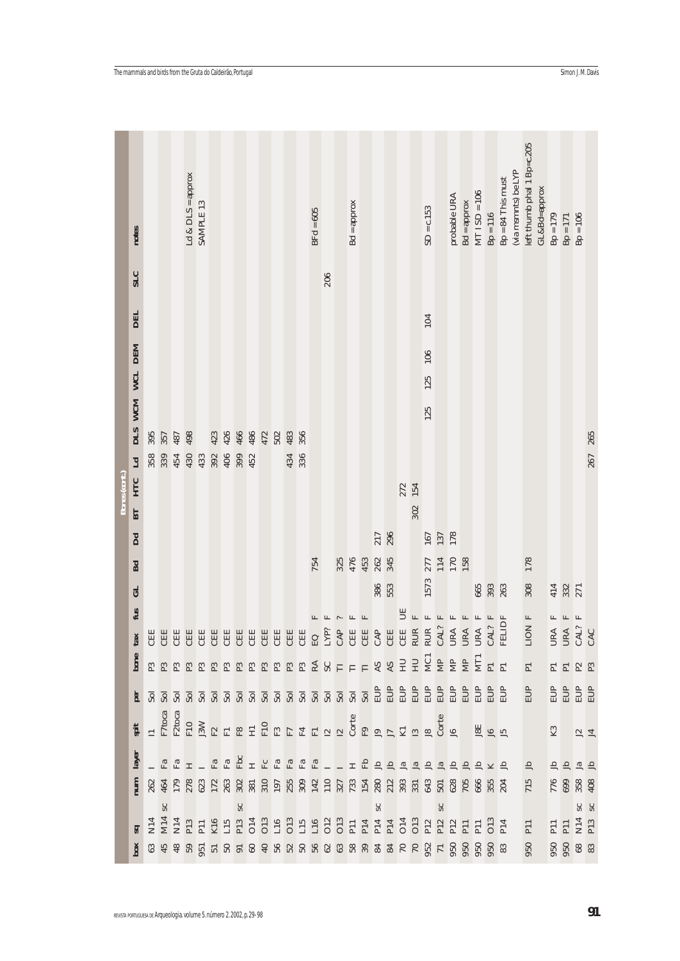|                                                                      | notes                   |     |       |     | Ld $&$ DLS = approx | SAMPLE 13 |            |     |     |     |     |     |     |     | $BFd = 605$ |     |     | $Bd = approx$ |     |     |     |     |     | $SD = c.153$ |     | probable URA | $Bd = approx$ | $MT$ ISD = 106 | $Bp = 116$      | $Bp = 84$ This must                                                                                                                                                                                                                                                                                    | (via msmnts) be LYP | left thumb phal 1 Bp=c.205<br>GL&Bd=approx | $Bp = 179$ | $Bp = 171$                                | $Bp = 106$     |          |
|----------------------------------------------------------------------|-------------------------|-----|-------|-----|---------------------|-----------|------------|-----|-----|-----|-----|-----|-----|-----|-------------|-----|-----|---------------|-----|-----|-----|-----|-----|--------------|-----|--------------|---------------|----------------|-----------------|--------------------------------------------------------------------------------------------------------------------------------------------------------------------------------------------------------------------------------------------------------------------------------------------------------|---------------------|--------------------------------------------|------------|-------------------------------------------|----------------|----------|
|                                                                      | <b>SLC</b>              |     |       |     |                     |           |            |     |     |     |     |     |     |     |             | 206 |     |               |     |     |     |     |     |              |     |              |               |                |                 |                                                                                                                                                                                                                                                                                                        |                     |                                            |            |                                           |                |          |
|                                                                      | <b>DEL</b>              |     |       |     |                     |           |            |     |     |     |     |     |     |     |             |     |     |               |     |     |     |     |     | 104          |     |              |               |                |                 |                                                                                                                                                                                                                                                                                                        |                     |                                            |            |                                           |                |          |
|                                                                      |                         |     |       |     |                     |           |            |     |     |     |     |     |     |     |             |     |     |               |     |     |     |     |     |              |     |              |               |                |                 |                                                                                                                                                                                                                                                                                                        |                     |                                            |            |                                           |                |          |
|                                                                      | WCM WCL DEM             |     |       |     |                     |           |            |     |     |     |     |     |     |     |             |     |     |               |     |     |     |     |     | 106<br>125   |     |              |               |                |                 |                                                                                                                                                                                                                                                                                                        |                     |                                            |            |                                           |                |          |
|                                                                      |                         |     |       |     |                     |           |            |     |     |     |     |     |     |     |             |     |     |               |     |     |     |     |     |              |     |              |               |                |                 |                                                                                                                                                                                                                                                                                                        |                     |                                            |            |                                           |                |          |
|                                                                      | DLS                     | 395 | 357   | 487 | 498                 |           | 423        | 426 | 466 | 486 | 472 | 502 | 483 | 356 |             |     |     |               |     |     |     |     |     | 125          |     |              |               |                |                 |                                                                                                                                                                                                                                                                                                        |                     |                                            |            |                                           |                |          |
|                                                                      |                         | 358 | 339   | 454 | 430                 | 433       | 392<br>406 |     | 399 | 452 |     |     | 434 | 336 |             |     |     |               |     |     |     |     |     |              |     |              |               |                |                 |                                                                                                                                                                                                                                                                                                        |                     |                                            |            |                                           |                | 267 265  |
| Bones (cont.)                                                        | BT HTC Ld               |     |       |     |                     |           |            |     |     |     |     |     |     |     |             |     |     |               |     |     |     | 272 | 154 |              |     |              |               |                |                 |                                                                                                                                                                                                                                                                                                        |                     |                                            |            |                                           |                |          |
|                                                                      |                         |     |       |     |                     |           |            |     |     |     |     |     |     |     |             |     |     |               |     |     |     |     | 302 |              |     |              |               |                |                 |                                                                                                                                                                                                                                                                                                        |                     |                                            |            |                                           |                |          |
|                                                                      | Dd                      |     |       |     |                     |           |            |     |     |     |     |     |     |     |             |     |     |               |     | 217 | 296 |     |     | 167          | 137 | 178          |               |                |                 |                                                                                                                                                                                                                                                                                                        |                     |                                            |            |                                           |                |          |
|                                                                      | Bd                      |     |       |     |                     |           |            |     |     |     |     |     |     |     | 754         |     | 325 | 476           | 453 | 262 | 345 |     |     | 277          | 114 | 170          | 158           |                |                 |                                                                                                                                                                                                                                                                                                        |                     | 178                                        |            |                                           |                |          |
|                                                                      | $\mathbf{L}$            |     |       |     |                     |           |            |     |     |     |     |     |     |     |             |     |     |               |     | 386 | 553 |     |     | 1573         |     |              |               | 665            | 393<br>263      |                                                                                                                                                                                                                                                                                                        |                     | 308                                        |            | 414<br>332<br>271                         |                |          |
|                                                                      | fus                     |     |       |     |                     |           |            |     |     |     |     |     |     |     |             |     |     |               |     |     |     | F   |     |              |     |              |               |                |                 |                                                                                                                                                                                                                                                                                                        |                     | <b>F NOI</b>                               | 匞          | E                                         | $\mathbb{H}$   |          |
|                                                                      | tax                     |     |       |     |                     |           |            |     |     |     |     |     |     |     |             |     |     |               |     |     |     |     |     |              |     |              |               |                |                 |                                                                                                                                                                                                                                                                                                        |                     | 급                                          |            | URA<br>URA<br>CAL?<br>CAC                 |                |          |
|                                                                      | bone                    |     |       |     |                     |           |            |     |     |     |     |     |     |     |             |     |     |               |     |     |     |     |     |              |     |              |               |                |                 |                                                                                                                                                                                                                                                                                                        |                     | $\overline{\text{P}}$                      |            | EERR                                      |                |          |
|                                                                      |                         |     |       |     |                     |           |            |     |     |     |     |     |     |     |             |     |     |               |     |     |     |     |     |              |     |              |               |                |                 |                                                                                                                                                                                                                                                                                                        |                     | EUP                                        |            | <b>BBBB</b>                               |                |          |
|                                                                      | spit                    |     |       |     |                     |           |            |     |     |     |     |     |     |     |             |     |     |               |     |     |     |     |     |              |     |              |               |                | $\frac{18}{16}$ |                                                                                                                                                                                                                                                                                                        |                     |                                            | $\rm K3$   |                                           | $\frac{12}{4}$ |          |
|                                                                      | layer                   |     |       |     |                     |           |            |     |     |     |     |     |     |     |             |     |     |               |     |     |     |     |     |              |     |              |               |                |                 |                                                                                                                                                                                                                                                                                                        |                     | $\equiv$                                   |            | HHHH                                      |                |          |
|                                                                      | $\mathbf{num}$          |     |       |     |                     |           |            |     |     |     |     |     |     |     |             |     |     |               |     |     |     |     |     |              |     |              |               |                |                 |                                                                                                                                                                                                                                                                                                        |                     | 715                                        |            | 776<br>699<br>408                         |                |          |
|                                                                      |                         |     | $s$ c |     |                     |           |            |     | SC  |     |     |     |     |     |             |     |     |               |     | SC  |     |     |     |              | sc  |              |               |                |                 |                                                                                                                                                                                                                                                                                                        |                     |                                            |            |                                           |                | SC<br>SC |
|                                                                      | $\overline{\mathbf{z}}$ |     |       |     |                     |           |            |     |     |     |     |     |     |     |             |     |     |               |     |     |     |     |     |              |     |              |               |                |                 | $\geq$ 8 $\frac{1}{3}$ 8 $\frac{1}{3}$ 8 $\frac{1}{3}$ 5 $\frac{1}{3}$ 5 $\frac{1}{3}$ 8 $\frac{1}{3}$ 8 $\frac{1}{3}$ 8 $\frac{1}{3}$ 8 $\frac{1}{3}$ 8 $\frac{1}{3}$ 8 $\frac{1}{3}$ 8 $\frac{1}{3}$ 8 $\frac{1}{3}$ 8 $\frac{1}{3}$ 8 $\frac{1}{3}$ 8 $\frac{1}{3}$ 8 $\frac{1}{3}$ 8 $\frac{1}{3}$ |                     | 950                                        |            | PII<br>PII<br>N14<br>PI3<br><b>950</b> 88 |                |          |
|                                                                      |                         |     |       |     |                     |           |            |     |     |     |     |     |     |     |             |     |     |               |     |     |     |     |     |              |     |              |               |                |                 |                                                                                                                                                                                                                                                                                                        |                     |                                            |            |                                           |                |          |
| REVISTA PORTUGUESA DE Arqueología. Volume 5. número 2.2002, p. 29-98 |                         |     |       |     |                     |           |            |     |     |     |     |     |     |     |             |     |     |               |     |     |     |     |     |              |     |              |               |                |                 |                                                                                                                                                                                                                                                                                                        |                     |                                            |            |                                           |                | 91       |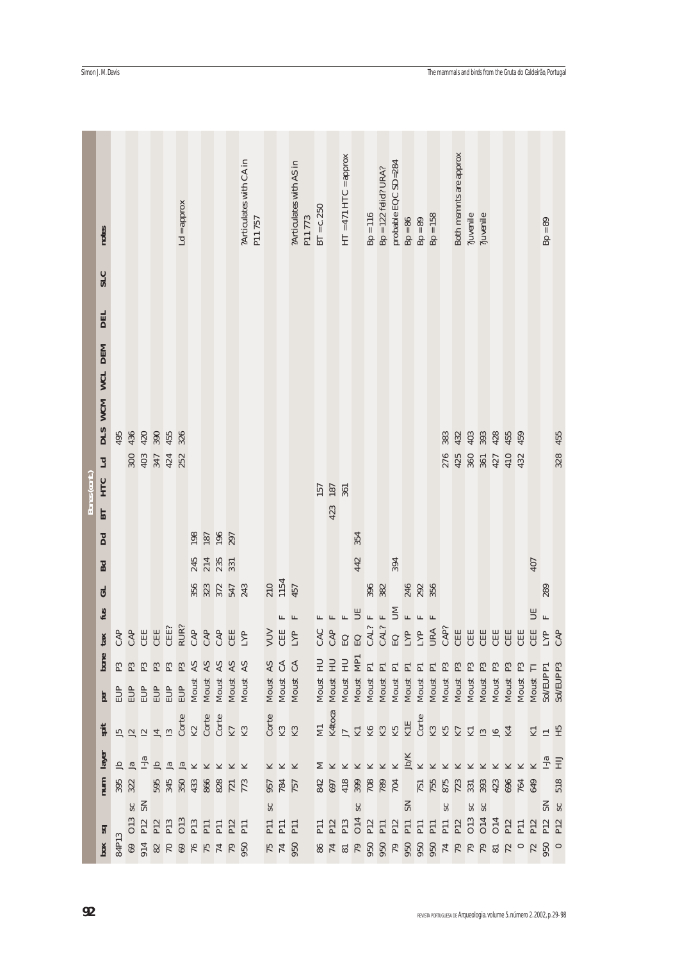|              | Simon J.M.Davis        |     |                       |                                                                                                                                                                                                                                                                                                                                    |                          |    |                 |                          |     |                                                                                                                                                                                                                                                                                                                                                                                                                                                              |                         |        |                |                                  |                         |        |                |            |                         |                       |                |                        |                                                                                  |                 |                   |            |                          |                        |                                        |                |                   |       |       |        | The mammals and birds from the Gruta do Caldeirão, Portugal           |                       |
|--------------|------------------------|-----|-----------------------|------------------------------------------------------------------------------------------------------------------------------------------------------------------------------------------------------------------------------------------------------------------------------------------------------------------------------------|--------------------------|----|-----------------|--------------------------|-----|--------------------------------------------------------------------------------------------------------------------------------------------------------------------------------------------------------------------------------------------------------------------------------------------------------------------------------------------------------------------------------------------------------------------------------------------------------------|-------------------------|--------|----------------|----------------------------------|-------------------------|--------|----------------|------------|-------------------------|-----------------------|----------------|------------------------|----------------------------------------------------------------------------------|-----------------|-------------------|------------|--------------------------|------------------------|----------------------------------------|----------------|-------------------|-------|-------|--------|-----------------------------------------------------------------------|-----------------------|
|              | notes                  |     |                       |                                                                                                                                                                                                                                                                                                                                    |                          |    | $Ld = approx$   |                          |     |                                                                                                                                                                                                                                                                                                                                                                                                                                                              | ?Articulates with CA in | P11757 |                |                                  | ?Articulates with AS in | P11773 | $BT = c.250$   |            | $HT = 471 HTC = approx$ |                       | $Bp = 116$     | $Bp = 122$ felid? URA? | probable EQC SD=284                                                              | $Bp = 86$       | $Bp = 89$         | $Bp = 158$ |                          | Both msmnts are approx | $\gamma$ invenile                      | ?juvenile      |                   |       |       |        | $Bp = 89$                                                             |                       |
|              | <b>SLC</b>             |     |                       |                                                                                                                                                                                                                                                                                                                                    |                          |    |                 |                          |     |                                                                                                                                                                                                                                                                                                                                                                                                                                                              |                         |        |                |                                  |                         |        |                |            |                         |                       |                |                        |                                                                                  |                 |                   |            |                          |                        |                                        |                |                   |       |       |        |                                                                       |                       |
|              | <b>DEL</b>             |     |                       |                                                                                                                                                                                                                                                                                                                                    |                          |    |                 |                          |     |                                                                                                                                                                                                                                                                                                                                                                                                                                                              |                         |        |                |                                  |                         |        |                |            |                         |                       |                |                        |                                                                                  |                 |                   |            |                          |                        |                                        |                |                   |       |       |        |                                                                       |                       |
|              | WCL DEM<br>DIS WCM     |     |                       |                                                                                                                                                                                                                                                                                                                                    |                          |    |                 |                          |     |                                                                                                                                                                                                                                                                                                                                                                                                                                                              |                         |        |                |                                  |                         |        |                |            |                         |                       |                |                        |                                                                                  |                 |                   |            |                          |                        |                                        |                |                   |       |       |        |                                                                       |                       |
|              |                        | 495 |                       | $436$<br>$420$<br>$455$<br>$458$                                                                                                                                                                                                                                                                                                   |                          |    |                 |                          |     |                                                                                                                                                                                                                                                                                                                                                                                                                                                              |                         |        |                |                                  |                         |        |                |            |                         |                       |                |                        |                                                                                  |                 |                   |            | 33233324559              |                        |                                        |                |                   |       |       |        |                                                                       | 328 455               |
|              | Ld                     |     | 300                   |                                                                                                                                                                                                                                                                                                                                    | 403<br>347<br>424<br>252 |    |                 |                          |     |                                                                                                                                                                                                                                                                                                                                                                                                                                                              |                         |        |                |                                  |                         |        |                |            |                         |                       |                |                        |                                                                                  |                 |                   |            |                          |                        | 276<br>425<br>360<br>427<br>432<br>432 |                |                   |       |       |        |                                                                       |                       |
| Bones (cont. | BT HTC                 |     |                       |                                                                                                                                                                                                                                                                                                                                    |                          |    |                 |                          |     |                                                                                                                                                                                                                                                                                                                                                                                                                                                              |                         |        |                |                                  |                         |        | 157            | 187<br>361 |                         |                       |                |                        |                                                                                  |                 |                   |            |                          |                        |                                        |                |                   |       |       |        |                                                                       |                       |
|              |                        |     |                       |                                                                                                                                                                                                                                                                                                                                    |                          |    |                 |                          |     |                                                                                                                                                                                                                                                                                                                                                                                                                                                              |                         |        |                |                                  |                         |        |                | 423        |                         |                       |                |                        |                                                                                  |                 |                   |            |                          |                        |                                        |                |                   |       |       |        |                                                                       |                       |
|              | $\mathbf{D}\mathbf{d}$ |     |                       |                                                                                                                                                                                                                                                                                                                                    |                          |    |                 | 198<br>187<br>196<br>197 |     |                                                                                                                                                                                                                                                                                                                                                                                                                                                              |                         |        |                |                                  |                         |        |                |            |                         | 354                   |                |                        |                                                                                  |                 |                   |            |                          |                        |                                        |                |                   |       |       |        |                                                                       |                       |
|              | <b>Bd</b>              |     |                       |                                                                                                                                                                                                                                                                                                                                    |                          |    |                 | 245<br>214<br>235<br>331 |     |                                                                                                                                                                                                                                                                                                                                                                                                                                                              |                         |        |                |                                  |                         |        |                |            |                         | 442                   |                |                        | 394                                                                              |                 |                   |            |                          |                        |                                        |                |                   |       |       | 407    |                                                                       |                       |
|              | GL<br>fus              |     |                       |                                                                                                                                                                                                                                                                                                                                    |                          |    |                 |                          |     | 356<br>323<br>547<br>543                                                                                                                                                                                                                                                                                                                                                                                                                                     |                         |        |                | 210<br>1154<br>457               |                         |        |                |            | EEEB                    |                       | 396            | $\mathbbm{E}$          |                                                                                  | $\mathbf F$     | 246<br>292<br>356 |            |                          |                        |                                        |                |                   |       |       | F      | 289                                                                   |                       |
|              | tax                    |     |                       |                                                                                                                                                                                                                                                                                                                                    |                          |    |                 |                          |     |                                                                                                                                                                                                                                                                                                                                                                                                                                                              |                         |        |                | VUV<br>C田<br>LYP                 |                         |        |                |            | CAP<br>CAP<br>EQ        |                       | $\mathbf{r}$   |                        | <b>BERBERGEREE</b>                                                               |                 |                   |            |                          |                        |                                        |                |                   | 电自自   |       |        | $\mathbb{H}$                                                          | CAP                   |
|              | bone                   |     |                       | nn nn nn n                                                                                                                                                                                                                                                                                                                         |                          |    |                 |                          |     |                                                                                                                                                                                                                                                                                                                                                                                                                                                              |                         |        |                |                                  |                         |        | H <sub>U</sub> | <b>HU</b>  | HU                      |                       |                |                        |                                                                                  |                 |                   |            |                          |                        |                                        | $\mathbf{P}3$  | $\mathbb{P}3$     |       |       | $\Box$ |                                                                       |                       |
|              | per                    | EUP | EUP                   | EUP                                                                                                                                                                                                                                                                                                                                |                          |    |                 |                          |     | $\begin{tabular}{ll} EUP & P3 \\ EUP & P3 \\ EUP & P3 \\ EUP & M0 \\ \hline XM & X5 \\ \hline XM & X5 \\ \hline XM & X5 \\ \hline XM & X5 \\ \hline XM & X5 \\ \hline XM & X5 \\ \hline XM & X5 \\ \hline XM & X5 \\ \hline XM & X5 \\ \hline XM & X5 \\ \hline XM & X5 \\ \hline XM & X5 \\ \hline XM & X5 \\ \hline XM & X5 \\ \hline XM & X5 \\ \hline XM & X5 \\ \hline XM & X5 \\ \hline XM & X5 \\ \hline XM & X6 \\ \hline XM & X7 \\ \hline XM & X8$ |                         |        |                | Moust AS<br>Moust CA<br>Moust CA |                         |        | Moust          | Moust      | Moust                   | Moust MP <sub>1</sub> | Moust P1       |                        | Moust P1<br>Moust P1<br>Moust P1<br>Moust P1<br>Moust P1<br>Moust P3<br>Moust P3 |                 |                   |            |                          |                        | Moust P3<br>Moust P3                   | Moust          | Moust             | Moust | Moust | Moust  | SolEUPP1                                                              | Sol/EUPP <sub>3</sub> |
|              | spit                   |     |                       | $\begin{array}{c}\n 12.73 \\  13.74 \\  14.75 \\  15.75 \\  16.75 \\  17.75 \\  18.75 \\  19.75 \\  19.75 \\  19.75 \\  19.75 \\  19.75 \\  19.75 \\  19.75 \\  19.75 \\  19.75 \\  19.75 \\  19.75 \\  19.75 \\  19.75 \\  19.75 \\  19.75 \\  19.75 \\  19.75 \\  19.75 \\  19.75 \\  19.75 \\  19.75 \\  19.75 \\  19.75 \\  1$ |                          |    |                 |                          |     |                                                                                                                                                                                                                                                                                                                                                                                                                                                              |                         |        |                | Corte<br>K3<br>K3                |                         |        | <b>N1</b>      | K4toca     | $\overline{\Gamma}$     | K1                    | K <sub>6</sub> | K3                     |                                                                                  | KIE             | Corte             | K3<br>K5   |                          | $\rm K7$               | K1                                     | $\mathbb{I}^3$ | <b>16</b><br>K4   |       |       |        |                                                                       | H <sub>5</sub>        |
|              | layer                  |     |                       | $L-a$                                                                                                                                                                                                                                                                                                                              |                          |    |                 |                          |     |                                                                                                                                                                                                                                                                                                                                                                                                                                                              |                         |        |                |                                  |                         |        |                |            |                         |                       |                |                        |                                                                                  | Jb/K            |                   |            |                          |                        |                                        |                |                   |       |       |        | LJa                                                                   | HI                    |
|              | num                    |     | $\mathbb{H}$ a<br>395 |                                                                                                                                                                                                                                                                                                                                    | $\exists$                | Ja | $\mathbbmss{A}$ | $\mathbbmss{}$           |     | 595<br>345<br>350<br>433<br>866<br>773<br>773                                                                                                                                                                                                                                                                                                                                                                                                                |                         |        |                | 757<br>184<br>157                |                         |        | $\geq$         |            |                         |                       |                |                        |                                                                                  |                 |                   |            | 751<br>755<br>875<br>723 |                        | 331                                    |                | 393<br>423<br>696 |       | 764   | 649    |                                                                       | 518                   |
|              |                        |     | $\rm ^{SC}$           | SS                                                                                                                                                                                                                                                                                                                                 |                          |    |                 |                          |     |                                                                                                                                                                                                                                                                                                                                                                                                                                                              |                         |        | $\mathsf{SC}$  |                                  |                         |        |                |            |                         | SC                    |                |                        |                                                                                  | SN              |                   |            | $\rm{SC}$                |                        | $\rm{SC}$                              | SC             |                   |       |       |        | $\rm{SS}$                                                             | sc                    |
|              |                        |     | O13                   | P12<br>P13<br>D13<br>O13<br>P13                                                                                                                                                                                                                                                                                                    |                          |    |                 | P11                      | P11 | $P12$<br>$P11$                                                                                                                                                                                                                                                                                                                                                                                                                                               |                         |        | $P11$<br>$P11$ |                                  | P11                     |        | P11            | P12<br>P13 |                         | O14                   | P12<br>P11     |                        | P12                                                                              | P <sub>11</sub> | P11               | P11        | P11                      | P12                    | O13                                    | O14            | O14               | P12   | P11   |        | P12<br>P12<br>P12                                                     |                       |
|              | box sq                 |     |                       |                                                                                                                                                                                                                                                                                                                                    |                          |    |                 |                          |     |                                                                                                                                                                                                                                                                                                                                                                                                                                                              | 950                     |        |                | $75$<br>$74$<br>$950$            |                         |        |                |            | 82 28                   |                       |                |                        |                                                                                  |                 |                   |            |                          |                        |                                        |                |                   |       |       |        |                                                                       |                       |
| 92           |                        |     |                       |                                                                                                                                                                                                                                                                                                                                    |                          |    |                 |                          |     |                                                                                                                                                                                                                                                                                                                                                                                                                                                              |                         |        |                |                                  |                         |        |                |            |                         |                       |                |                        |                                                                                  |                 |                   |            |                          |                        |                                        |                |                   |       |       |        | REVISTA PORTUGUESA DE Arqueología. Volume 5. número 2. 2002, p. 29-98 |                       |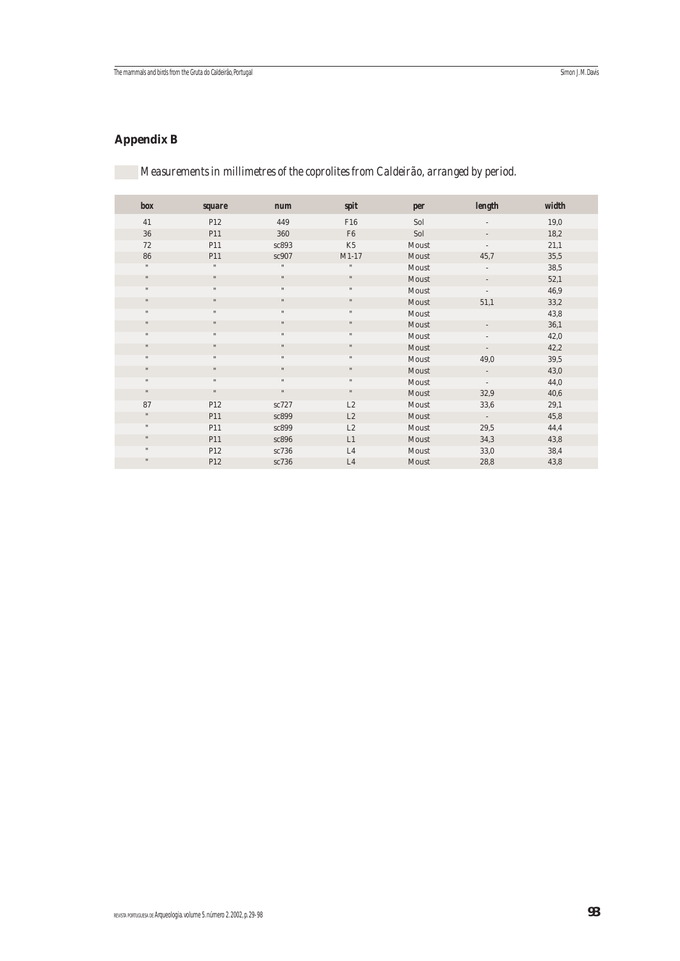# **Appendix B**

*Measurements in millimetres of the coprolites from Caldeirão, arranged by period.*

| box          | <b>square</b>        | <b>num</b>         | spit                 | per   | length                   | width |
|--------------|----------------------|--------------------|----------------------|-------|--------------------------|-------|
| 41           | P12                  | 449                | F16                  | Sol   |                          | 19,0  |
| 36           | P11                  | 360                | F <sub>6</sub>       | Sol   |                          | 18,2  |
| 72           | P11                  | sc893              | K <sub>5</sub>       | Moust |                          | 21,1  |
| 86           | P11                  | sc907              | $M1-17$              | Moust | 45,7                     | 35,5  |
| $\mathbf{H}$ | $\mathbf{H}$         | $\mathbf{H}$       | $\pmb{\mathfrak{m}}$ | Moust | $\overline{\phantom{0}}$ | 38,5  |
| $\mathbf{H}$ | $\mathbf{H}$         | $\mathbf{H}$       | $\mathbf{H}$         | Moust |                          | 52,1  |
| $\mathbf{H}$ | $\mathbf{H}$         | $\pmb{\mathsf{H}}$ | $\pmb{\mathfrak{m}}$ | Moust |                          | 46,9  |
| $\mathbf{H}$ | $\mathbf{H}$         | $\mathbf{H}$       | $^{\dagger}$         | Moust | 51,1                     | 33,2  |
| $\mathbf{H}$ | $\mathbf{H}$         | $\mathbf{H}$       | $\mathbf{H}$         | Moust |                          | 43,8  |
| $\mathbf{u}$ | $\ddot{\phantom{a}}$ | $\mathbf{H}$       | $\mathbf{H}$         | Moust |                          | 36,1  |
| $\mathbf{H}$ | $\mathbf{H}$         | $\mathbf{H}$       | $\mathbf{H}$         | Moust |                          | 42,0  |
| $\mathbf{H}$ | $\mathbf{H}$         | $\mathbf{H}$       | $\mathbf{H}$         | Moust | $\overline{\phantom{0}}$ | 42,2  |
| $\mathbf{H}$ | $\mathbf{H}$         | $\mathbf{H}$       | $\mathbf{H}$         | Moust | 49,0                     | 39,5  |
| $\mathbf{H}$ | $\mathbf{H}$         | $\mathbf{H}$       | $^{\dagger}$         | Moust | $\overline{\phantom{a}}$ | 43,0  |
| $\mathbf{H}$ | $\mathbf{H}$         | $\mathbf{H}$       | $\mathbf{H}$         | Moust | $\overline{\phantom{a}}$ | 44,0  |
| $\mathbf{H}$ | $\mathbf{H}$         | $\pmb{\mathsf{H}}$ | $\pmb{\mathsf{H}}$   | Moust | 32,9                     | 40,6  |
| 87           | P12                  | sc727              | L2                   | Moust | 33,6                     | 29,1  |
| $\mathbf{H}$ | P11                  | sc899              | L2                   | Moust | $\sim$                   | 45,8  |
| $\mathbf{H}$ | P11                  | sc899              | L2                   | Moust | 29,5                     | 44,4  |
| $\mathbf{H}$ | P11                  | sc896              | L1                   | Moust | 34,3                     | 43,8  |
| $\mathbf{H}$ | P12                  | sc736              | L4                   | Moust | 33,0                     | 38,4  |
| $\mathbf{H}$ | P12                  | sc736              | L4                   | Moust | 28,8                     | 43,8  |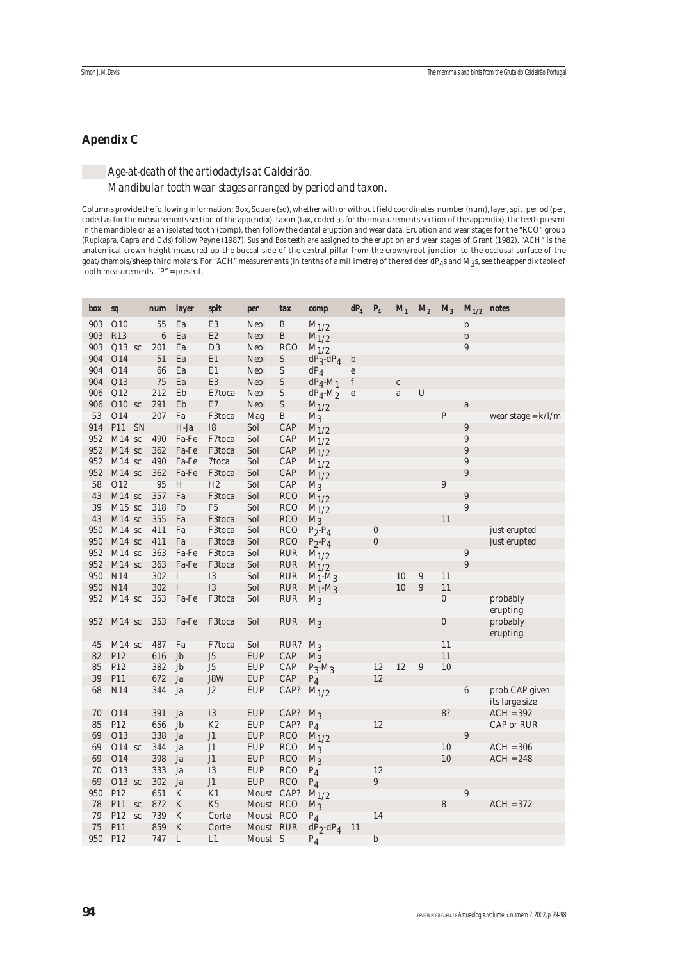## **Apendix C**

## *Age-at-death of the artiodactyls at Caldeirão. Mandibular tooth wear stages arranged by period and taxon.*

Columns provide the following information: Box, Square (sq), whether with or without field coordinates, number (num), layer, spit, period (per, coded as for the measurements section of the appendix), taxon (tax, coded as for the measurements section of the appendix), the teeth present in the mandible or as an isolated tooth (comp), then follow the dental eruption and wear data. Eruption and wear stages for the "RCO" group (*Rupicapra*, *Capra* and *Ovis*) follow Payne (1987). *Sus* and *Bos* teeth are assigned to the eruption and wear stages of Grant (1982). "ACH" is the anatomical crown height measured up the buccal side of the central pillar from the crown/root junction to the occlusal surface of the goat/chamois/sheep third molars. For "ACH" measurements (in tenths of a millimetre) of the red deer dP $_\mathrm{4}$ s and M3s, see the appendix table of tooth measurements. "P" = present.

| box      | sq                   |    | <b>num</b>       | <b>layer</b>   | spit             | per                    | tax                      | comp                   | $dP_4$                                | $P_4$            |              | $M_1$ $M_2$ $M_3$ |                  | $M_{1/2}$ notes       |                      |
|----------|----------------------|----|------------------|----------------|------------------|------------------------|--------------------------|------------------------|---------------------------------------|------------------|--------------|-------------------|------------------|-----------------------|----------------------|
| 903      | O10                  |    | 55               | Ea             | E <sub>3</sub>   | Neol                   | B                        | $M_{1/2}$              |                                       |                  |              |                   |                  | $\mathbf b$           |                      |
| 903      | <b>R13</b>           |    | $\boldsymbol{6}$ | Ea             | E2               | Neol                   | B                        | $M_{1/2}$              |                                       |                  |              |                   |                  | $\mathbf b$           |                      |
| 903      | $Q13$ sc             |    | 201              | Ea             | D <sub>3</sub>   | Neol                   | <b>RCO</b>               | $M_{1/2}$              |                                       |                  |              |                   |                  | 9                     |                      |
| 904      | O14                  |    | 51               | Ea             | E1               | Neol                   | S                        | $dP_3-dP_4$            | $\mathbf b$                           |                  |              |                   |                  |                       |                      |
| 904      | O14                  |    | 66               | Ea             | E1               | Neol                   | S                        | $dP_4$                 | $\mathbf{e}$                          |                  |              |                   |                  |                       |                      |
| 904      | Q13                  |    | 75               | Ea             | E <sub>3</sub>   | Neol                   | $\mathbf S$              | $dP_4$ -M <sub>1</sub> | $\mathbf f$                           |                  | $\mathbf{C}$ |                   |                  |                       |                      |
| 906      | Q12                  |    | 212              | Eb             | E7toca           | Neol                   | S                        | $dP_4$ - $M_2$         | $\mathbf{e}% _{t}\left( t_{1}\right)$ |                  | a            | $\overline{U}$    |                  |                       |                      |
| 906      | $O10$ sc             |    | 291              | Eb             | E7               | Neol                   | S                        | $M_{1/2}$              |                                       |                  |              |                   |                  | a                     |                      |
| 53       | O14                  |    | 207              | Fa             | F3toca           | Mag                    | B                        | $M_3$                  |                                       |                  |              |                   | ${\bf P}$        |                       | wear stage = $k/l/m$ |
| 914      | P11                  | SN |                  | H-Ja           | <b>I8</b>        | Sol                    | CAP                      | $M_{1/2}$              |                                       |                  |              |                   |                  | 9                     |                      |
| 952      | $M14$ sc             |    | 490              | Fa-Fe          | F7toca           | Sol                    | CAP                      | $M_{1/2}$              |                                       |                  |              |                   |                  | 9                     |                      |
| 952      | $M14$ sc             |    | 362              | Fa-Fe          | F3toca           | Sol                    | CAP                      | $M_{1/2}$              |                                       |                  |              |                   |                  | $\overline{9}$        |                      |
| 952      | $M14$ sc             |    | 490              | Fa-Fe          | 7toca            | Sol                    | CAP                      | $M_{1/2}$              |                                       |                  |              |                   |                  | 9                     |                      |
| 952      | $M14$ sc             |    | 362              | Fa-Fe          | F3toca           | Sol                    | CAP                      | $M_{1/2}$              |                                       |                  |              |                   |                  | 9                     |                      |
| 58       | O12                  |    | 95               | H              | H2               | Sol                    | CAP                      | $M_3$                  |                                       |                  |              |                   | $\boldsymbol{9}$ |                       |                      |
| 43       | $M14$ sc<br>$M15$ sc |    | 357              | Fa             | F3toca           | Sol                    | <b>RCO</b>               | $M_{1/2}$              |                                       |                  |              |                   |                  | $\boldsymbol{9}$<br>9 |                      |
| 39<br>43 | $M14$ sc             |    | 318<br>355       | Fb<br>Fa       | F <sub>5</sub>   | Sol<br>Sol             | <b>RCO</b>               | $M_{1/2}$              |                                       |                  |              |                   | 11               |                       |                      |
| 950      | $M14$ sc             |    | 411              | Fa             | F3toca<br>F3toca | Sol                    | <b>RCO</b><br><b>RCO</b> | $M_3$                  |                                       | $\boldsymbol{0}$ |              |                   |                  |                       | just erupted         |
| 950      | $M14$ sc             |    | 411              | Fa             | F3toca           | Sol                    | <b>RCO</b>               | $P_2-P_4$              |                                       | $\boldsymbol{0}$ |              |                   |                  |                       | just erupted         |
| 952      | $M14$ sc             |    | 363              | Fa-Fe          | F3toca           | Sol                    | <b>RUR</b>               | $P_2-P_4$<br>$M_{1/2}$ |                                       |                  |              |                   |                  | $\boldsymbol{9}$      |                      |
| 952      | $M14$ sc             |    | 363              | Fa-Fe          | F3toca           | Sol                    | <b>RUR</b>               | $M_{1/2}$              |                                       |                  |              |                   |                  | $\overline{9}$        |                      |
| 950      | N14                  |    | 302              | I              | <b>I3</b>        | Sol                    | <b>RUR</b>               | $M_1$ - $M_3$          |                                       |                  | 10           | $\boldsymbol{9}$  | 11               |                       |                      |
| 950      | N14                  |    | 302              | $\rm I$        | <b>I3</b>        | Sol                    | <b>RUR</b>               | $M_1$ - $M_3$          |                                       |                  | 10           | 9                 | 11               |                       |                      |
| 952      | $M14$ sc             |    | 353              | Fa-Fe          | F3toca           | Sol                    | <b>RUR</b>               | $M_3$                  |                                       |                  |              |                   | $\boldsymbol{0}$ |                       | probably             |
|          |                      |    |                  |                |                  |                        |                          |                        |                                       |                  |              |                   |                  |                       | erupting             |
| 952      | $M14$ sc             |    | 353              | Fa-Fe          | F3toca           | Sol                    | <b>RUR</b>               | $M_3$                  |                                       |                  |              |                   | $\boldsymbol{0}$ |                       | probably             |
|          |                      |    |                  |                |                  |                        |                          |                        |                                       |                  |              |                   |                  |                       | erupting             |
| 45       | $M14$ sc             |    | 487              | Fa             | F7toca           | Sol                    | RUR?                     | $M_3$                  |                                       |                  |              |                   | 11               |                       |                      |
| 82       | P12                  |    | 616              | Jb             | J <sub>5</sub>   | <b>EUP</b>             | CAP                      | $M_3$                  |                                       |                  |              |                   | 11               |                       |                      |
| 85       | P12                  |    | 382              | Jb             | J <sub>5</sub>   | <b>EUP</b>             | CAP                      | $P_3$ -M <sub>3</sub>  |                                       | 12               | 12           | 9                 | 10               |                       |                      |
| 39       | P11                  |    | 672              | Ja             | J8W              | <b>EUP</b>             | CAP                      | $P_4$                  |                                       | 12               |              |                   |                  |                       |                      |
| 68       | N14                  |    | 344              | Ja             | J <sub>2</sub>   | <b>EUP</b>             | CAP?                     | $M_{1/2}$              |                                       |                  |              |                   |                  | $6\phantom{1}6$       | prob CAP given       |
|          |                      |    |                  |                |                  |                        |                          |                        |                                       |                  |              |                   |                  |                       | its large size       |
| 70       | O14                  |    | 391              | Ja             | <b>I3</b>        | <b>EUP</b>             | CAP?                     | $M_3$                  |                                       |                  |              |                   | 8?               |                       | $ACH = 392$          |
| 85       | P12                  |    | 656              | Jb             | K <sub>2</sub>   | <b>EUP</b>             | CAP?                     | $P_4$                  |                                       | 12               |              |                   |                  |                       | CAP or RUR           |
| 69       | O13                  |    | 338              | Ja             | J <sub>1</sub>   | <b>EUP</b>             | <b>RCO</b>               | $M_{1/2}$              |                                       |                  |              |                   |                  | 9                     |                      |
| 69       | $O14$ sc             |    | 344              | Ja             | J <sub>1</sub>   | <b>EUP</b>             | <b>RCO</b>               | $M_3$                  |                                       |                  |              |                   | 10               |                       | $ACH = 306$          |
| 69       | O14                  |    | 398              | Ja             | J1               | <b>EUP</b>             | <b>RCO</b>               | $M_3$                  |                                       |                  |              |                   | 10               |                       | $ACH = 248$          |
| 70       | O13                  |    | 333              | Ja             | <b>I3</b>        | <b>EUP</b>             | <b>RCO</b>               | $P_4$                  |                                       | 12               |              |                   |                  |                       |                      |
| 69       | $O13$ sc             |    | 302              | Ja             | J <sub>1</sub>   | <b>EUP</b>             | <b>RCO</b>               | $P_4$                  |                                       | $\overline{9}$   |              |                   |                  |                       |                      |
| 950      | P <sub>12</sub>      |    | 651              | K              | K1               | Moust CAP?             |                          | $M_{1/2}$              |                                       |                  |              |                   |                  | $\overline{9}$        |                      |
| 78<br>79 | P11<br>P12           | SC | 872<br>739       | ${\bf K}$<br>K | K <sub>5</sub>   | Moust RCO              |                          | $M_3$                  |                                       | 14               |              |                   | 8                |                       | $ACH = 372$          |
| 75       | P11                  | SC | 859              | $\rm K$        | Corte<br>Corte   | Moust RCO<br>Moust RUR |                          | $P_4$<br>$dP_2-dP_4$   | 11                                    |                  |              |                   |                  |                       |                      |
| 950      | P12                  |    | 747              | L              | L1               | Moust S                |                          |                        |                                       | b                |              |                   |                  |                       |                      |
|          |                      |    |                  |                |                  |                        |                          | $P_4$                  |                                       |                  |              |                   |                  |                       |                      |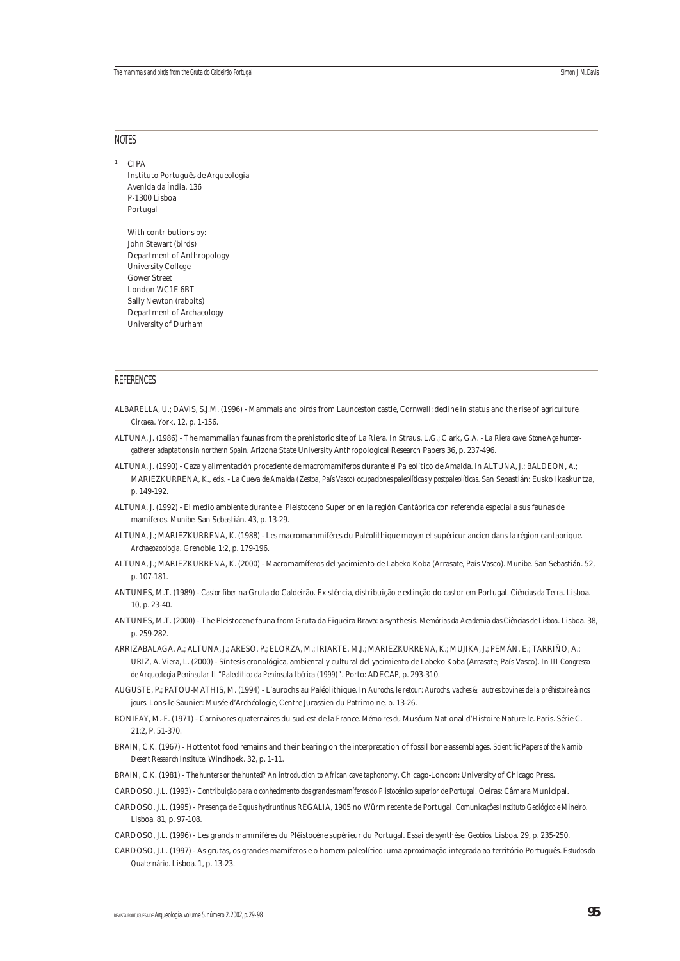#### NOTES

<sup>1</sup> CIPA

Instituto Português de Arqueologia Avenida da Índia, 136 P-1300 Lisboa Portugal With contributions by:

John Stewart (birds) Department of Anthropology University College Gower Street London WC1E 6BT Sally Newton (rabbits) Department of Archaeology University of Durham

## REFERENCES

- ALBARELLA, U.; DAVIS, S.J.M. (1996) Mammals and birds from Launceston castle, Cornwall: decline in status and the rise of agriculture. *Circaea*. York. 12, p. 1-156.
- ALTUNA, J. (1986) The mammalian faunas from the prehistoric site of La Riera. In Straus, L.G.; Clark, G.A. *La Riera cave: Stone Age huntergatherer adaptations in northern Spain*. Arizona State University Anthropological Research Papers 36, p. 237-496.
- ALTUNA, J. (1990) Caza y alimentación procedente de macromamíferos durante el Paleolítico de Amalda. In ALTUNA, J.; BALDEON, A.; MARIEZKURRENA, K., eds. - *La Cueva de Amalda (Zestoa, País Vasco) ocupaciones paleolíticas y postpaleolíticas*. San Sebastián: Eusko Ikaskuntza, p. 149-192.
- ALTUNA, J. (1992) El medio ambiente durante el Pleistoceno Superior en la región Cantábrica con referencia especial a sus faunas de mamíferos. *Munibe*. San Sebastián. 43, p. 13-29.
- ALTUNA, J.; MARIEZKURRENA, K. (1988) Les macromammifères du Paléolithique moyen et supérieur ancien dans la région cantabrique. *Archaeozoologia*. Grenoble. 1:2, p. 179-196.
- ALTUNA, J.; MARIEZKURRENA, K. (2000) Macromamíferos del yacimiento de Labeko Koba (Arrasate, País Vasco). *Munibe*. San Sebastián. 52, p. 107-181.
- ANTUNES, M.T. (1989) *Castor fiber* na Gruta do Caldeirão. Existência, distribuição e extinção do castor em Portugal. *Ciências da Terra*. Lisboa. 10, p. 23-40.
- ANTUNES, M.T. (2000) The Pleistocene fauna from Gruta da Figueira Brava: a synthesis. *Memórias da Academia das Ciências de Lisboa*. Lisboa. 38, p. 259-282.
- ARRIZABALAGA, A.; ALTUNA, J.; ARESO, P.; ELORZA, M.; IRIARTE, M.J.; MARIEZKURRENA, K.; MUJIKA, J.; PEMÁN, E.; TARRIÑO, A.; URIZ, A. Viera, L. (2000) - Síntesis cronológica, ambiental y cultural del yacimiento de Labeko Koba (Arrasate, País Vasco). In *III Congresso de Arqueologia Peninsular II "Paleolítico da Península Ibérica (1999)"*. Porto: ADECAP, p. 293-310.
- AUGUSTE, P.; PATOU-MATHIS, M. (1994) L'aurochs au Paléolithique. In *Aurochs, le retour: Aurochs, vaches & autres bovines de la préhistoire à nos jours*. Lons-le-Saunier: Musée d'Archéologie, Centre Jurassien du Patrimoine, p. 13-26.
- BONIFAY, M.-F. (1971) Carnivores quaternaires du sud-est de la France. *Mémoires du* Muséum National d'Histoire Naturelle. Paris. Série C. 21:2, P. 51-370.
- BRAIN, C.K. (1967) Hottentot food remains and their bearing on the interpretation of fossil bone assemblages. *Scientific Papers of the Namib Desert Research Institute*. Windhoek. 32, p. 1-11.
- BRAIN, C.K. (1981) *The hunters or the hunted? An introduction to African cave taphonomy*. Chicago-London: University of Chicago Press.
- CARDOSO, J.L. (1993) *Contribuição para o conhecimento dos grandes mamíferos do Plistocénico superior de Portugal*. Oeiras: Câmara Municipal.
- CARDOSO, J.L. (1995) Presença de *Equus hydruntinus* REGALIA, 1905 no Würm recente de Portugal. *Comunicações Instituto Geológico e Mineiro*. Lisboa. 81, p. 97-108.
- CARDOSO, J.L. (1996) Les grands mammifères du Pléistocène supérieur du Portugal. Essai de synthèse. *Geobios*. Lisboa. 29, p. 235-250.
- CARDOSO, J.L. (1997) As grutas, os grandes mamíferos e o homem paleolítico: uma aproximação integrada ao território Português. *Estudos do Quaternário*. Lisboa. 1, p. 13-23.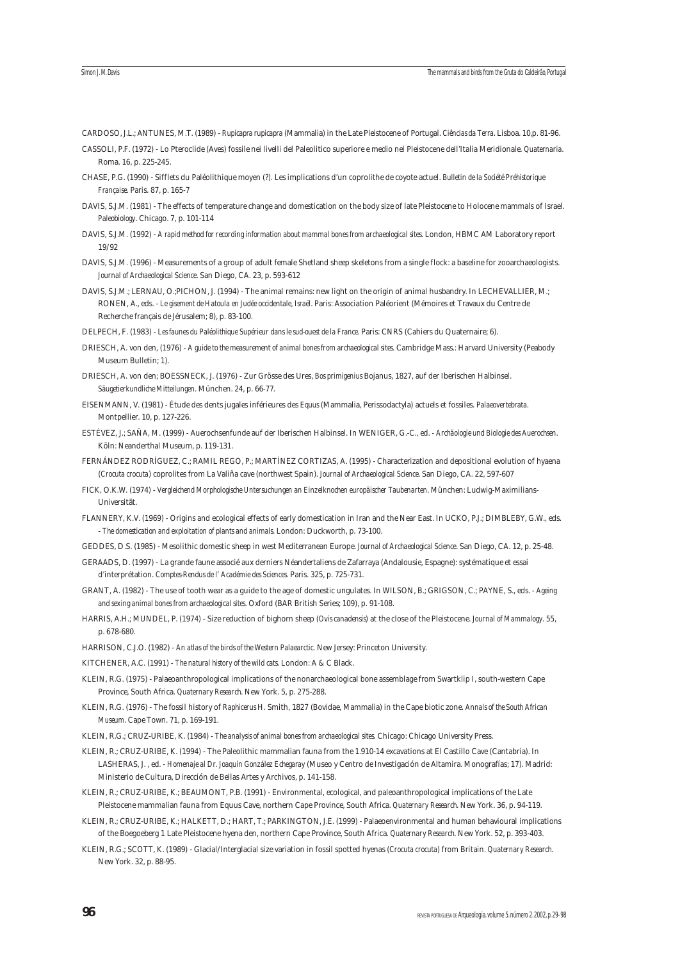CARDOSO, J.L.; ANTUNES, M.T. (1989) - *Rupicapra rupicapra* (Mammalia) in the Late Pleistocene of Portugal. *Ciências da Terra*. Lisboa. 10,p. 81-96.

- CASSOLI, P.F. (1972) Lo Pteroclide (Aves) fossile nei livelli del Paleolitico superiore e medio nel Pleistocene dell'Italia Meridionale. *Quaternaria*. Roma. 16, p. 225-245.
- CHASE, P.G. (1990) Sifflets du Paléolithique moyen (?). Les implications d'un coprolithe de coyote actuel. *Bulletin de la Société Préhistorique Française*. Paris. 87, p. 165-7
- DAVIS, S.J.M. (1981) The effects of temperature change and domestication on the body size of late Pleistocene to Holocene mammals of Israel. *Paleobiology*. Chicago. 7, p. 101-114
- DAVIS, S.J.M. (1992) *A rapid method for recording information about mammal bones from archaeological sites*. London, HBMC AM Laboratory report 19/92
- DAVIS, S.J.M. (1996) Measurements of a group of adult female Shetland sheep skeletons from a single flock: a baseline for zooarchaeologists. *Journal of Archaeological Science*. San Diego, CA. 23, p. 593-612
- DAVIS, S.J.M.; LERNAU, O.;PICHON, J. (1994) The animal remains: new light on the origin of animal husbandry. In LECHEVALLIER, M.; RONEN, A., eds. - *Le gisement de Hatoula en Judée occidentale, Israël*. Paris: Association Paléorient (Mémoires et Travaux du Centre de Recherche français de Jérusalem; 8), p. 83-100.

DELPECH, F. (1983) - *Les faunes du Paléolithique Supérieur dans le sud-ouest de la France*. Paris: CNRS (Cahiers du Quaternaire; 6).

- DRIESCH, A. von den, (1976) *A guide to the measurement of animal bones from archaeological sites*. Cambridge Mass.: Harvard University (Peabody Museum Bulletin; 1).
- DRIESCH, A. von den; BOESSNECK, J. (1976) Zur Grösse des Ures, *Bos primigenius* Bojanus, 1827, auf der Iberischen Halbinsel. *Säugetierkundliche Mitteilungen*. München. 24, p. 66-77.
- EISENMANN, V. (1981) Étude des dents jugales inférieures des *Equus* (Mammalia, Perissodactyla) actuels et fossiles. *Palaeovertebrata*. Montpellier. 10, p. 127-226.
- ESTÉVEZ, J.; SAÑA, M. (1999) Auerochsenfunde auf der Iberischen Halbinsel. In WENIGER, G.-C., ed. *Archäologie und Biologie des Auerochsen*. Köln: Neanderthal Museum, p. 119-131.
- FERNÁNDEZ RODRÍGUEZ, C.; RAMIL REGO, P.; MARTÍNEZ CORTIZAS, A. (1995) Characterization and depositional evolution of hyaena (*Crocuta crocuta*) coprolites from La Valiña cave (northwest Spain). *Journal of Archaeological Science*. San Diego, CA. 22, 597-607
- FICK, O.K.W. (1974) *Vergleichend Morphologische Untersuchungen an Einzelknochen europäischer Taubenarten*. München: Ludwig-Maximilians-Universität.
- FLANNERY, K.V. (1969) Origins and ecological effects of early domestication in Iran and the Near East. In UCKO, P.J.; DIMBLEBY, G.W., eds. - *The domestication and exploitation of plants and animals*. London: Duckworth, p. 73-100.
- GEDDES, D.S. (1985) Mesolithic domestic sheep in west Mediterranean Europe. *Journal of Archaeological Science*. San Diego, CA. 12, p. 25-48.
- GERAADS, D. (1997) La grande faune associé aux derniers Néandertaliens de Zafarraya (Andalousie, Espagne): systématique et essai d'interprétation. *Comptes-Rendus de l' Académie des Sciences.* Paris. 325, p. 725-731.
- GRANT, A. (1982) The use of tooth wear as a guide to the age of domestic ungulates. In WILSON, B.; GRIGSON, C.; PAYNE, S., eds. *Ageing and sexing animal bones from archaeological sites*. Oxford (BAR British Series; 109), p. 91-108.
- HARRIS, A.H.; MUNDEL, P. (1974) Size reduction of bighorn sheep (*Ovis canadensis*) at the close of the Pleistocene. *Journal of Mammalogy*. 55, p. 678-680.
- HARRISON, C.J.O. (1982) *An atlas of the birds of the Western Palaearctic*. New Jersey: Princeton University.
- KITCHENER, A.C. (1991) *The natural history of the wild cats*. London: A & C Black.
- KLEIN, R.G. (1975) Palaeoanthropological implications of the nonarchaeological bone assemblage from Swartklip I, south-western Cape Province, South Africa. *Quaternary Research*. New York. 5, p. 275-288.
- KLEIN, R.G. (1976) The fossil history of *Raphicerus* H. Smith, 1827 (Bovidae, Mammalia) in the Cape biotic zone. *Annals of the South African Museum*. Cape Town. 71, p. 169-191.
- KLEIN, R.G.; CRUZ-URIBE, K. (1984) *The analysis of animal bones from archaeological sites*. Chicago: Chicago University Press.
- KLEIN, R.; CRUZ-URIBE, K. (1994) The Paleolithic mammalian fauna from the 1.910-14 excavations at El Castillo Cave (Cantabria). In LASHERAS, J. , ed. - *Homenaje al Dr. Joaquín González Echegaray* (Museo y Centro de Investigación de Altamira. Monografías; 17). Madrid: Ministerio de Cultura, Dirección de Bellas Artes y Archivos, p. 141-158.
- KLEIN, R.; CRUZ-URIBE, K.; BEAUMONT, P.B. (1991) Environmental, ecological, and paleoanthropological implications of the Late Pleistocene mammalian fauna from Equus Cave, northern Cape Province, South Africa. *Quaternary Research*. New York. 36, p. 94-119.
- KLEIN, R.; CRUZ-URIBE, K.; HALKETT, D.; HART, T.; PARKINGTON, J.E. (1999) Palaeoenvironmental and human behavioural implications of the Boegoeberg 1 Late Pleistocene hyena den, northern Cape Province, South Africa. *Quaternary Research*. New York. 52, p. 393-403.
- KLEIN, R.G.; SCOTT, K. (1989) Glacial/Interglacial size variation in fossil spotted hyenas (*Crocuta crocuta*) from Britain. *Quaternary Research*. New York. 32, p. 88-95.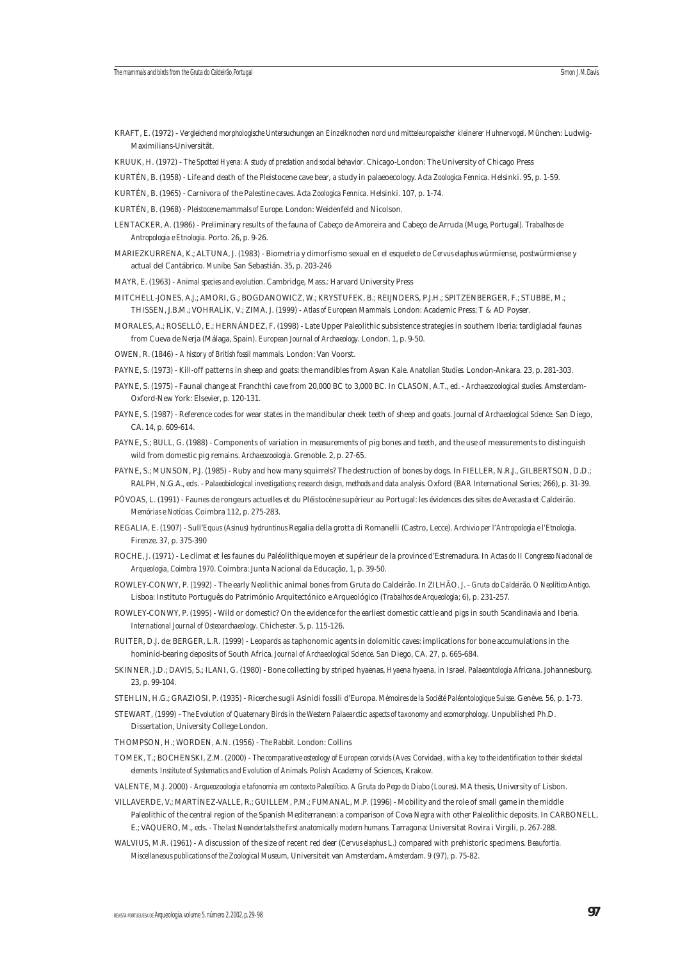- KRAFT, E. (1972) *Vergleichend morphologische Untersuchungen an Einzelknochen nord und mitteleuropaischer kleinerer Huhnervogel*. München: Ludwig-Maximilians-Universität.
- KRUUK, H. (1972) *The Spotted Hyena: A study of predation and social behavior*. Chicago-London: The University of Chicago Press
- KURTÉN, B. (1958) Life and death of the Pleistocene cave bear, a study in palaeoecology. *Acta Zoologica Fennica*. Helsinki. 95, p. 1-59.
- KURTÉN, B. (1965) Carnivora of the Palestine caves. *Acta Zoologica Fennica*. Helsinki. 107, p. 1-74.
- KURTÉN, B. (1968) *Pleistocene mammals of Europe*. London: Weidenfeld and Nicolson.
- LENTACKER, A. (1986) Preliminary results of the fauna of Cabeço de Amoreira and Cabeço de Arruda (Muge, Portugal). *Trabalhos de Antropologia e Etnologia*. Porto. 26, p. 9-26.
- MARIEZKURRENA, K.; ALTUNA, J. (1983) Biometria y dimorfismo sexual en el esqueleto de *Cervus elaphus* würmiense, postwürmiense y actual del Cantábrico. *Munibe*. San Sebastián. 35, p. 203-246
- MAYR, E. (1963) *Animal species and evolution*. Cambridge, Mass.: Harvard University Press
- MITCHELL-JONES, A.J.; AMORI, G.; BOGDANOWICZ, W.; KRYSTUFEK, B.; REIJNDERS, P.J.H.; SPITZENBERGER, F.; STUBBE, M.; THISSEN, J.B.M.; VOHRALÍK, V.; ZIMA, J. (1999) - *Atlas of European Mammals*. London: Academic Press; T & AD Poyser.
- MORALES, A.; ROSELLÓ, E.; HERNÁNDEZ, F. (1998) Late Upper Paleolithic subsistence strategies in southern Iberia: tardiglacial faunas from Cueva de Nerja (Málaga, Spain). *European Journal of Archaeology*. London. 1, p. 9-50.
- OWEN, R. (1846) *A history of British fossil mammals*. London: Van Voorst.
- PAYNE, S. (1973) Kill-off patterns in sheep and goats: the mandibles from As,van Kale. *Anatolian Studies*. London-Ankara. 23, p. 281-303.
- PAYNE, S. (1975) Faunal change at Franchthi cave from 20,000 BC to 3,000 BC. In CLASON, A.T., ed. *Archaeozoological studies*. Amsterdam-Oxford-New York: Elsevier, p. 120-131.
- PAYNE, S. (1987) Reference codes for wear states in the mandibular cheek teeth of sheep and goats. *Journal of Archaeological Science*. San Diego, CA. 14, p. 609-614.
- PAYNE, S.; BULL, G. (1988) Components of variation in measurements of pig bones and teeth, and the use of measurements to distinguish wild from domestic pig remains. *Archaeozoologia*. Grenoble. 2, p. 27-65.
- PAYNE, S.; MUNSON, P.J. (1985) Ruby and how many squirrels? The destruction of bones by dogs. In FIELLER, N.R.J., GILBERTSON, D.D.; RALPH, N.G.A., eds. - *Palaeobiological investigations; research design, methods and data analysis*. Oxford (BAR International Series; 266), p. 31-39.
- PÓVOAS, L. (1991) Faunes de rongeurs actuelles et du Pléistocène supérieur au Portugal: les évidences des sites de Avecasta et Caldeirão. *Memórias e Notícias*. Coimbra 112, p. 275-283.
- REGALIA, E. (1907) Sull'*Equus* (*Asinus*) *hydruntinus* Regalia della grotta di Romanelli (Castro, Lecce). *Archivio per l'Antropologia e l'Etnologia*. Firenze. 37, p. 375-390
- ROCHE, J. (1971) Le climat et les faunes du Paléolithique moyen et supérieur de la province d'Estremadura. In *Actas do II Congresso Nacional de Arqueologia, Coimbra 1970*. Coimbra: Junta Nacional da Educação, 1, p. 39-50.
- ROWLEY-CONWY, P. (1992) The early Neolithic animal bones from Gruta do Caldeirão. In ZILHÃO, J. *Gruta do Caldeirão. O Neolítico Antigo*. Lisboa: Instituto Português do Património Arquitectónico e Arqueológico (*Trabalhos de Arqueologia*; 6), p. 231-257.
- ROWLEY-CONWY, P. (1995) Wild or domestic? On the evidence for the earliest domestic cattle and pigs in south Scandinavia and Iberia. *International Journal of Osteoarchaeology*. Chichester. 5, p. 115-126.
- RUITER, D.J. de; BERGER, L.R. (1999) Leopards as taphonomic agents in dolomitic caves: implications for bone accumulations in the hominid-bearing deposits of South Africa. *Journal of Archaeological Science*. San Diego, CA. 27, p. 665-684.
- SKINNER, J.D.; DAVIS, S.; ILANI, G. (1980) Bone collecting by striped hyaenas, *Hyaena hyaena*, in Israel. *Palaeontologia Africana*. Johannesburg. 23, p. 99-104.
- STEHLIN, H.G.; GRAZIOSI, P. (1935) Ricerche sugli Asinidi fossili d'Europa. *Mémoires de la Société Paléontologique Suisse*. Genève. 56, p. 1-73.
- STEWART, (1999) *The Evolution of Quaternary Birds in the Western Palaearctic: aspects of taxonomy and ecomorphology*. Unpublished Ph.D. Dissertation, University College London.
- THOMPSON, H.; WORDEN, A.N. (1956) *The Rabbit*. London: Collins
- TOMEK, T.; BOCHENSKI, Z.M. (2000) *The comparative osteology of European corvids (Aves: Corvidae), with a key to the identification to their skeletal elements. Institute of Systematics and Evolution of Animals*. Polish Academy of Sciences, Krakow.
- VALENTE, M.J. 2000) *Arqueozoologia e tafonomia em contexto Paleolítico. A Gruta do Pego do Diabo (Loures*). MA thesis, University of Lisbon.
- VILLAVERDE, V.; MARTÍNEZ-VALLE, R.; GUILLEM, P.M.; FUMANAL, M.P. (1996) Mobility and the role of small game in the middle Paleolithic of the central region of the Spanish Mediterranean: a comparison of Cova Negra with other Paleolithic deposits. In CARBONELL, E.; VAQUERO, M., eds. - *The last Neandertals the first anatomically modern humans*. Tarragona: Universitat Rovira i Virgili, p. 267-288.
- WALVIUS, M.R. (1961) A discussion of the size of recent red deer (*Cervus elaphus* L.) compared with prehistoric specimens. *Beaufortia. Miscellaneous publications of the Zoological Museum,* Universiteit van Amsterdam**.** *Amsterdam*. 9 (97), p. 75-82.